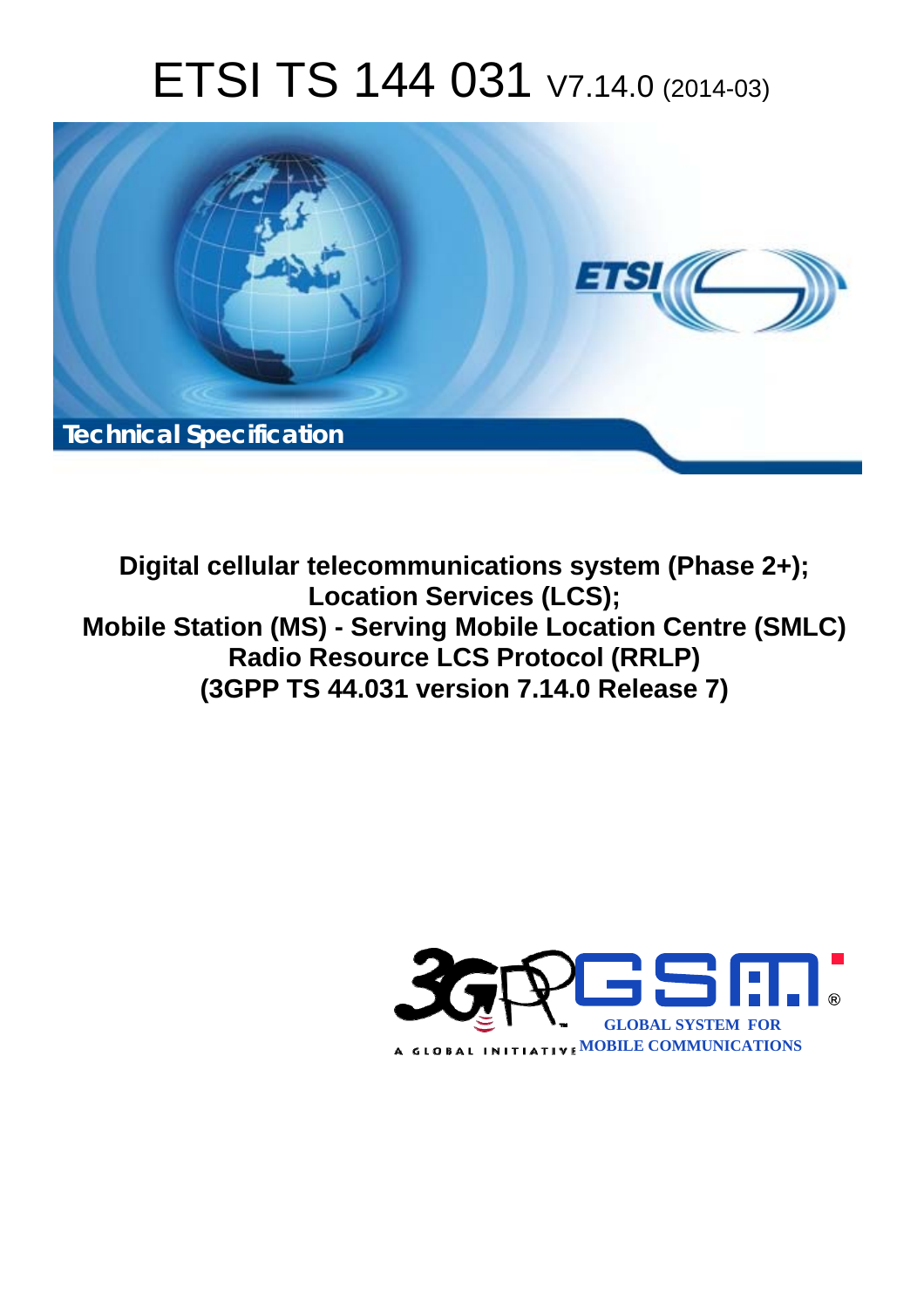# ETSI TS 144 031 V7.14.0 (2014-03)



**Digital cellular telecommunications system (Phase 2+); Location Services (LCS); Mobile Station (MS) - Serving Mobile Location Centre (SMLC) Radio Resource LCS Protocol (RRLP) (3GPP TS 44.031 version 7.14.0 Release 7)** 

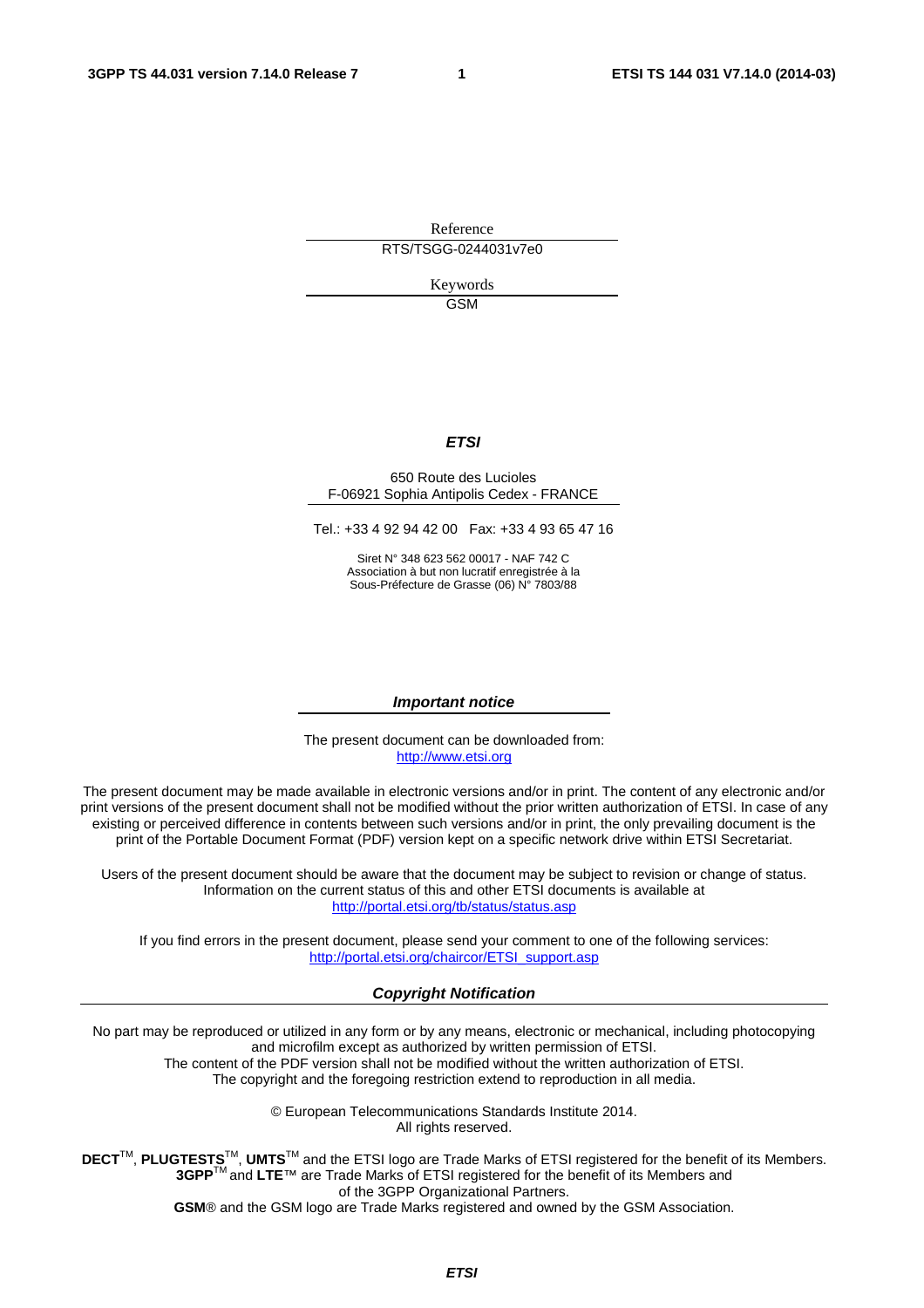Reference RTS/TSGG-0244031v7e0

> Keywords GSM

#### *ETSI*

#### 650 Route des Lucioles F-06921 Sophia Antipolis Cedex - FRANCE

Tel.: +33 4 92 94 42 00 Fax: +33 4 93 65 47 16

Siret N° 348 623 562 00017 - NAF 742 C Association à but non lucratif enregistrée à la Sous-Préfecture de Grasse (06) N° 7803/88

#### *Important notice*

The present document can be downloaded from: [http://www.etsi.org](http://www.etsi.org/)

The present document may be made available in electronic versions and/or in print. The content of any electronic and/or print versions of the present document shall not be modified without the prior written authorization of ETSI. In case of any existing or perceived difference in contents between such versions and/or in print, the only prevailing document is the print of the Portable Document Format (PDF) version kept on a specific network drive within ETSI Secretariat.

Users of the present document should be aware that the document may be subject to revision or change of status. Information on the current status of this and other ETSI documents is available at <http://portal.etsi.org/tb/status/status.asp>

If you find errors in the present document, please send your comment to one of the following services: [http://portal.etsi.org/chaircor/ETSI\\_support.asp](http://portal.etsi.org/chaircor/ETSI_support.asp)

#### *Copyright Notification*

No part may be reproduced or utilized in any form or by any means, electronic or mechanical, including photocopying and microfilm except as authorized by written permission of ETSI.

The content of the PDF version shall not be modified without the written authorization of ETSI. The copyright and the foregoing restriction extend to reproduction in all media.

> © European Telecommunications Standards Institute 2014. All rights reserved.

**DECT**TM, **PLUGTESTS**TM, **UMTS**TM and the ETSI logo are Trade Marks of ETSI registered for the benefit of its Members. **3GPP**TM and **LTE**™ are Trade Marks of ETSI registered for the benefit of its Members and of the 3GPP Organizational Partners.

**GSM**® and the GSM logo are Trade Marks registered and owned by the GSM Association.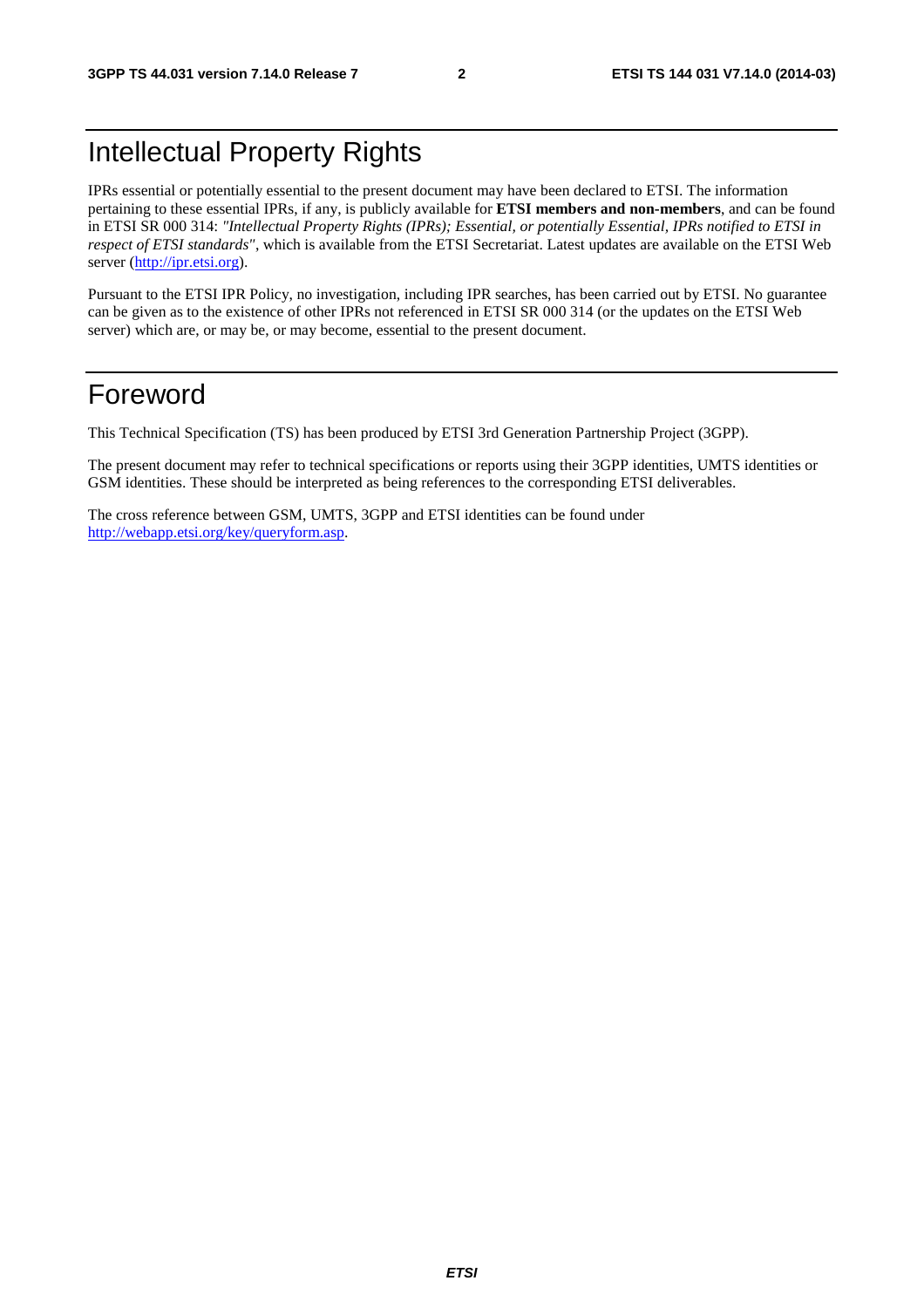# Intellectual Property Rights

IPRs essential or potentially essential to the present document may have been declared to ETSI. The information pertaining to these essential IPRs, if any, is publicly available for **ETSI members and non-members**, and can be found in ETSI SR 000 314: *"Intellectual Property Rights (IPRs); Essential, or potentially Essential, IPRs notified to ETSI in respect of ETSI standards"*, which is available from the ETSI Secretariat. Latest updates are available on the ETSI Web server [\(http://ipr.etsi.org](http://webapp.etsi.org/IPR/home.asp)).

Pursuant to the ETSI IPR Policy, no investigation, including IPR searches, has been carried out by ETSI. No guarantee can be given as to the existence of other IPRs not referenced in ETSI SR 000 314 (or the updates on the ETSI Web server) which are, or may be, or may become, essential to the present document.

# Foreword

This Technical Specification (TS) has been produced by ETSI 3rd Generation Partnership Project (3GPP).

The present document may refer to technical specifications or reports using their 3GPP identities, UMTS identities or GSM identities. These should be interpreted as being references to the corresponding ETSI deliverables.

The cross reference between GSM, UMTS, 3GPP and ETSI identities can be found under [http://webapp.etsi.org/key/queryform.asp.](http://webapp.etsi.org/key/queryform.asp)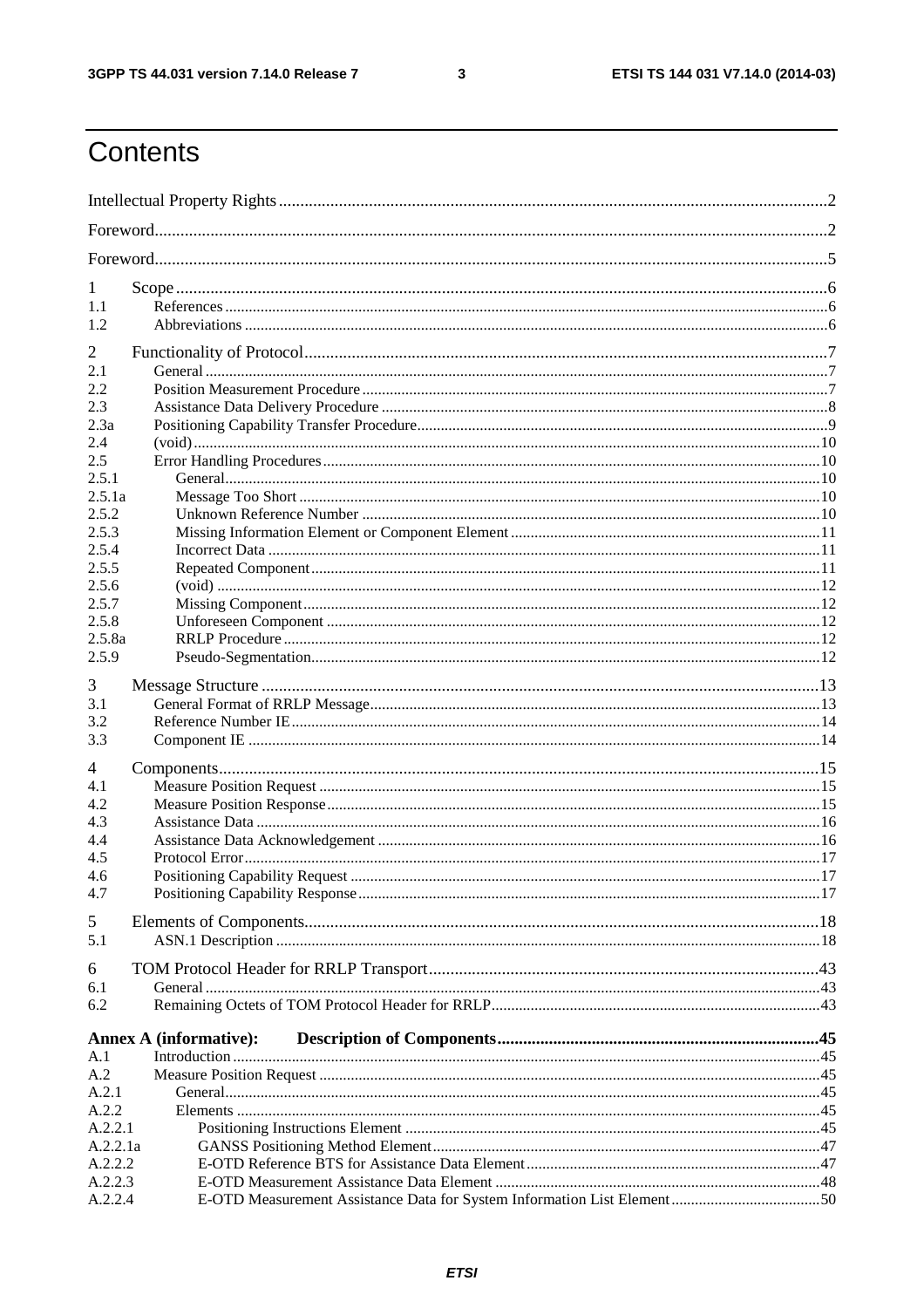$\mathbf{3}$ 

# Contents

| 1                   |                               |  |  |  |  |
|---------------------|-------------------------------|--|--|--|--|
| 1.1<br>1.2          |                               |  |  |  |  |
|                     |                               |  |  |  |  |
| $\overline{2}$      |                               |  |  |  |  |
| 2.1                 |                               |  |  |  |  |
| 2.2                 |                               |  |  |  |  |
| 2.3<br>2.3a         |                               |  |  |  |  |
| 2.4                 |                               |  |  |  |  |
| 2.5                 |                               |  |  |  |  |
| 2.5.1               |                               |  |  |  |  |
| 2.5.1a              |                               |  |  |  |  |
| 2.5.2               |                               |  |  |  |  |
| 2.5.3               |                               |  |  |  |  |
| 2.5.4               |                               |  |  |  |  |
| 2.5.5<br>2.5.6      |                               |  |  |  |  |
| 2.5.7               |                               |  |  |  |  |
| 2.5.8               |                               |  |  |  |  |
| 2.5.8a              |                               |  |  |  |  |
| 2.5.9               |                               |  |  |  |  |
| 3                   |                               |  |  |  |  |
| 3.1                 |                               |  |  |  |  |
| 3.2                 |                               |  |  |  |  |
| 3.3                 |                               |  |  |  |  |
| 4                   |                               |  |  |  |  |
| 4.1                 |                               |  |  |  |  |
| 4.2                 |                               |  |  |  |  |
| 4.3                 |                               |  |  |  |  |
| 4.4                 |                               |  |  |  |  |
| 4.5<br>4.6          |                               |  |  |  |  |
| 4.7                 |                               |  |  |  |  |
|                     |                               |  |  |  |  |
| 5                   |                               |  |  |  |  |
| 5.1                 |                               |  |  |  |  |
| 6                   |                               |  |  |  |  |
| 6.1                 |                               |  |  |  |  |
| 6.2                 |                               |  |  |  |  |
|                     | <b>Annex A (informative):</b> |  |  |  |  |
| A.1                 |                               |  |  |  |  |
| A.2                 |                               |  |  |  |  |
| A.2.1               |                               |  |  |  |  |
| A.2.2               |                               |  |  |  |  |
| A.2.2.1<br>A.2.2.1a |                               |  |  |  |  |
| A.2.2.2             |                               |  |  |  |  |
| A.2.2.3             |                               |  |  |  |  |
| A.2.2.4             |                               |  |  |  |  |
|                     |                               |  |  |  |  |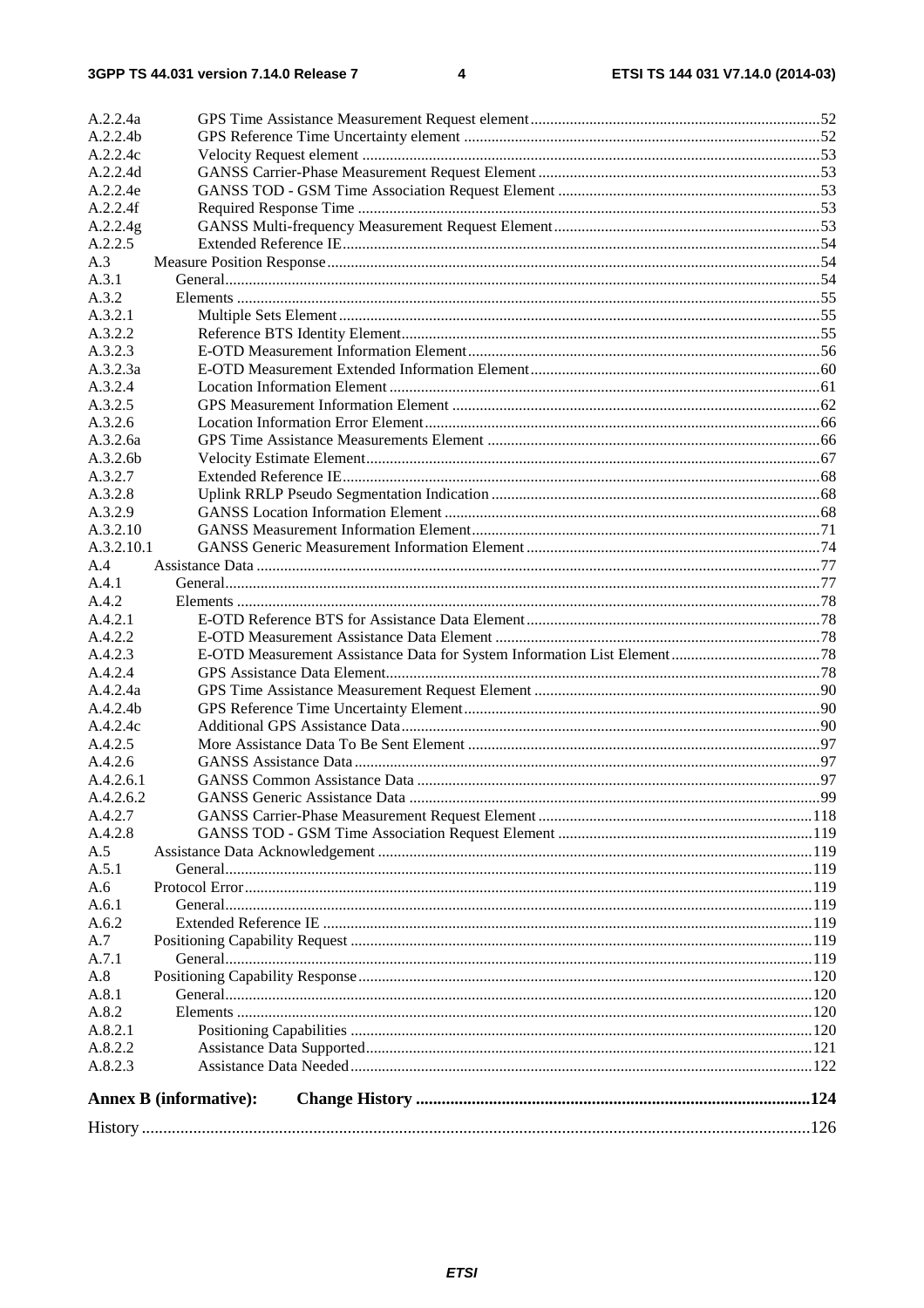| A.2.2.4a                      |                               |     |  |  |
|-------------------------------|-------------------------------|-----|--|--|
| A.2.2.4b                      |                               |     |  |  |
| A.2.2.4c                      |                               |     |  |  |
| A.2.2.4d                      |                               |     |  |  |
| A.2.2.4e                      |                               |     |  |  |
| A.2.2.4f                      |                               |     |  |  |
| A.2.2.4g                      |                               |     |  |  |
| A.2.2.5                       |                               |     |  |  |
| A.3                           |                               |     |  |  |
| A.3.1                         |                               |     |  |  |
| A.3.2                         |                               |     |  |  |
| A.3.2.1                       |                               |     |  |  |
| A.3.2.2                       |                               |     |  |  |
| A.3.2.3                       |                               |     |  |  |
| A.3.2.3a                      |                               |     |  |  |
| A.3.2.4                       |                               |     |  |  |
| A.3.2.5                       |                               |     |  |  |
| A.3.2.6                       |                               |     |  |  |
| A.3.2.6a                      |                               |     |  |  |
| A.3.2.6b                      |                               |     |  |  |
|                               |                               |     |  |  |
| A.3.2.7<br>A.3.2.8            |                               |     |  |  |
|                               |                               |     |  |  |
| A.3.2.9<br>A.3.2.10           |                               |     |  |  |
|                               |                               |     |  |  |
| A.3.2.10.1<br>A.4             |                               |     |  |  |
| A.4.1                         |                               |     |  |  |
| A.4.2                         |                               |     |  |  |
| A.4.2.1                       |                               |     |  |  |
| A.4.2.2                       |                               |     |  |  |
| A.4.2.3                       |                               |     |  |  |
| A.4.2.4                       |                               |     |  |  |
| A.4.2.4a                      |                               |     |  |  |
| A.4.2.4b                      |                               |     |  |  |
| A.4.2.4c                      |                               |     |  |  |
| A.4.2.5                       |                               |     |  |  |
| A.4.2.6                       |                               |     |  |  |
| A.4.2.6.1                     |                               |     |  |  |
| A.4.2.6.2                     | GANSS Generic Assistance Data | QQ. |  |  |
| A.4.2.7                       |                               |     |  |  |
| A.4.2.8                       |                               |     |  |  |
| A.5                           |                               |     |  |  |
| A.5.1                         |                               |     |  |  |
| A.6                           |                               |     |  |  |
| A.6.1                         |                               |     |  |  |
| A.6.2                         |                               |     |  |  |
| A.7                           |                               |     |  |  |
| A.7.1                         |                               |     |  |  |
| A.8                           |                               |     |  |  |
| A.8.1                         |                               |     |  |  |
| A.8.2                         |                               |     |  |  |
| A.8.2.1                       |                               |     |  |  |
| A.8.2.2                       |                               |     |  |  |
| A.8.2.3                       |                               |     |  |  |
|                               |                               |     |  |  |
| <b>Annex B</b> (informative): |                               |     |  |  |
|                               |                               |     |  |  |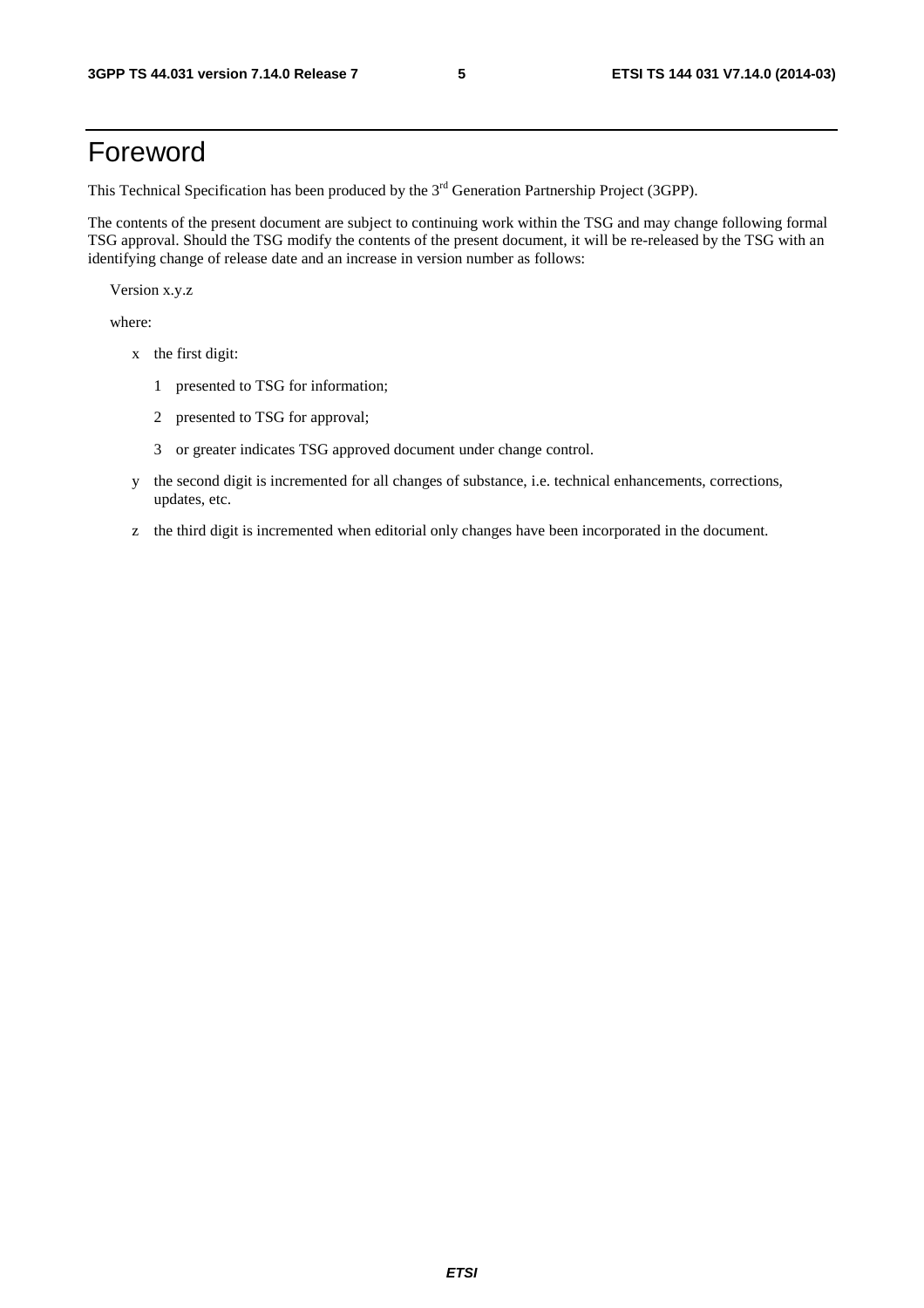# Foreword

This Technical Specification has been produced by the 3<sup>rd</sup> Generation Partnership Project (3GPP).

The contents of the present document are subject to continuing work within the TSG and may change following formal TSG approval. Should the TSG modify the contents of the present document, it will be re-released by the TSG with an identifying change of release date and an increase in version number as follows:

Version x.y.z

where:

- x the first digit:
	- 1 presented to TSG for information;
	- 2 presented to TSG for approval;
	- 3 or greater indicates TSG approved document under change control.
- y the second digit is incremented for all changes of substance, i.e. technical enhancements, corrections, updates, etc.
- z the third digit is incremented when editorial only changes have been incorporated in the document.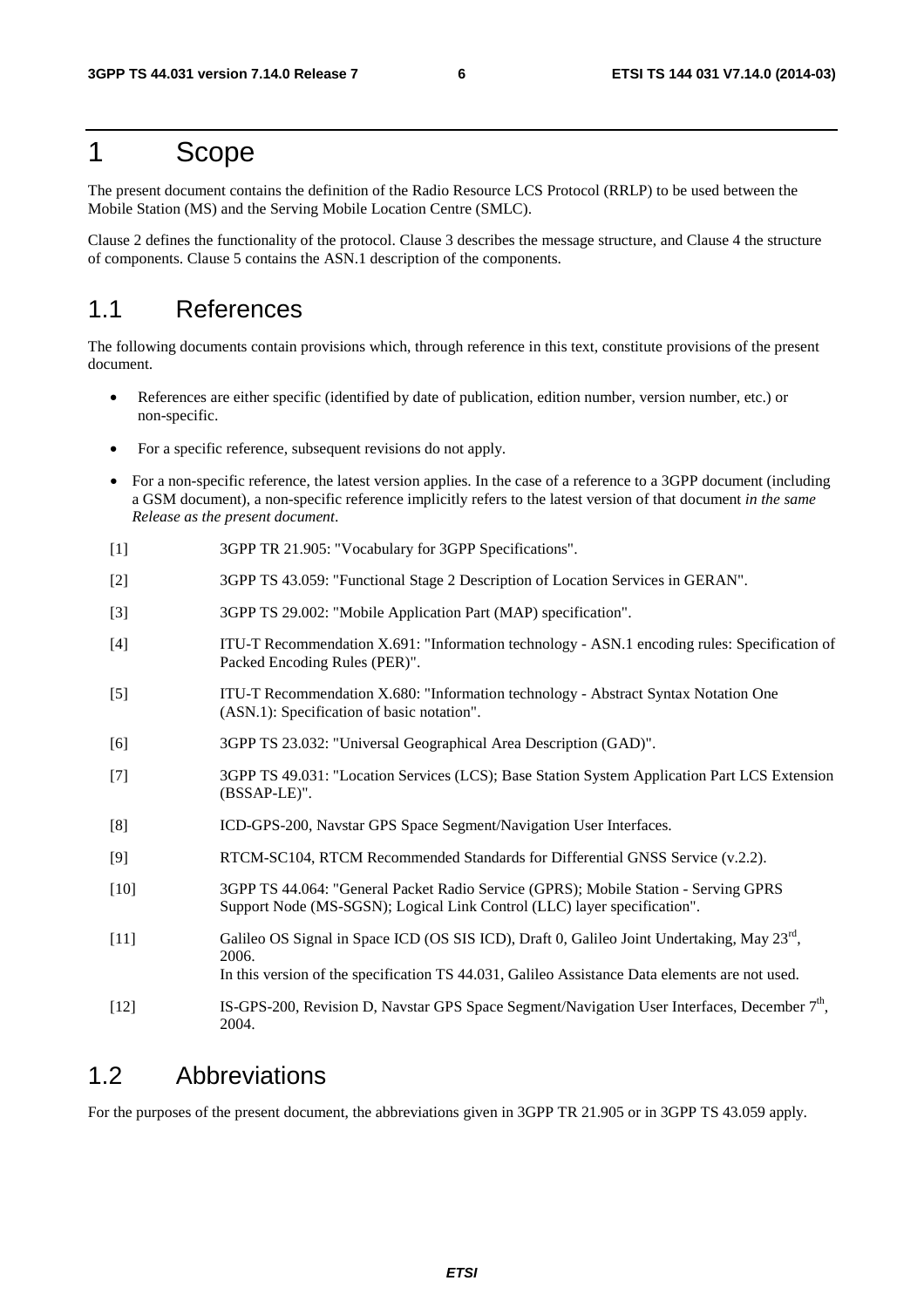### 1 Scope

The present document contains the definition of the Radio Resource LCS Protocol (RRLP) to be used between the Mobile Station (MS) and the Serving Mobile Location Centre (SMLC).

Clause 2 defines the functionality of the protocol. Clause 3 describes the message structure, and Clause 4 the structure of components. Clause 5 contains the ASN.1 description of the components.

#### 1.1 References

The following documents contain provisions which, through reference in this text, constitute provisions of the present document.

- References are either specific (identified by date of publication, edition number, version number, etc.) or non-specific.
- For a specific reference, subsequent revisions do not apply.
- For a non-specific reference, the latest version applies. In the case of a reference to a 3GPP document (including a GSM document), a non-specific reference implicitly refers to the latest version of that document *in the same Release as the present document*.
- [1] 3GPP TR 21.905: "Vocabulary for 3GPP Specifications".
- [2] 3GPP TS 43.059: "Functional Stage 2 Description of Location Services in GERAN".
- [3] 3GPP TS 29.002: "Mobile Application Part (MAP) specification".
- [4] ITU-T Recommendation X.691: "Information technology ASN.1 encoding rules: Specification of Packed Encoding Rules (PER)".
- [5] ITU-T Recommendation X.680: "Information technology Abstract Syntax Notation One (ASN.1): Specification of basic notation".
- [6] 3GPP TS 23.032: "Universal Geographical Area Description (GAD)".
- [7] 3GPP TS 49.031: "Location Services (LCS); Base Station System Application Part LCS Extension (BSSAP-LE)".
- [8] ICD-GPS-200, Navstar GPS Space Segment/Navigation User Interfaces.
- [9] RTCM-SC104, RTCM Recommended Standards for Differential GNSS Service (v.2.2).
- [10] 3GPP TS 44.064: "General Packet Radio Service (GPRS); Mobile Station Serving GPRS Support Node (MS-SGSN); Logical Link Control (LLC) layer specification".
- [11] Galileo OS Signal in Space ICD (OS SIS ICD), Draft 0, Galileo Joint Undertaking, May 23rd, 2006. In this version of the specification TS 44.031, Galileo Assistance Data elements are not used.
- [12] IS-GPS-200, Revision D, Navstar GPS Space Segment/Navigation User Interfaces, December 7th, 2004.

#### 1.2 Abbreviations

For the purposes of the present document, the abbreviations given in 3GPP TR 21.905 or in 3GPP TS 43.059 apply.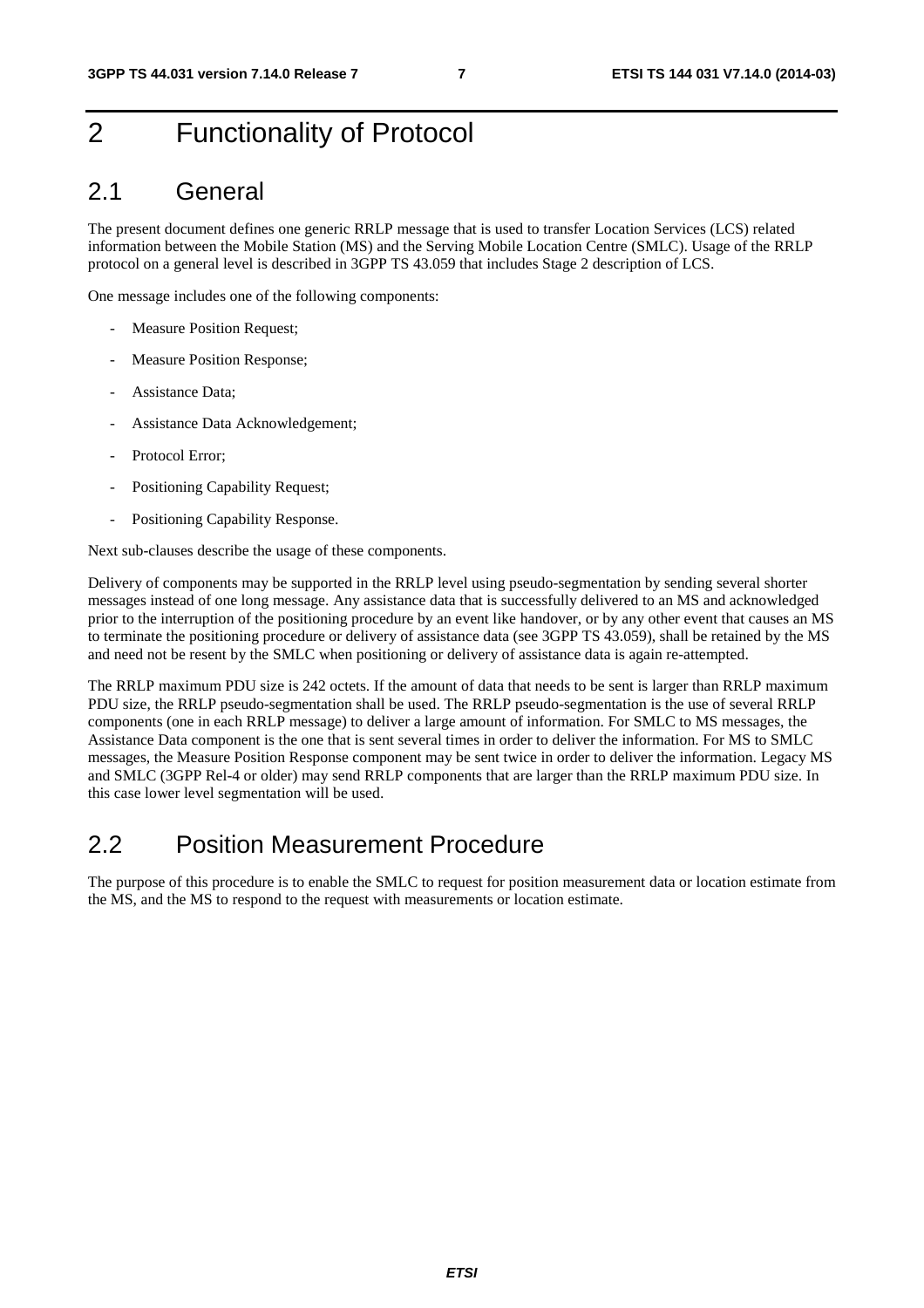# 2 Functionality of Protocol

#### 2.1 General

The present document defines one generic RRLP message that is used to transfer Location Services (LCS) related information between the Mobile Station (MS) and the Serving Mobile Location Centre (SMLC). Usage of the RRLP protocol on a general level is described in 3GPP TS 43.059 that includes Stage 2 description of LCS.

One message includes one of the following components:

- Measure Position Request;
- Measure Position Response;
- Assistance Data;
- Assistance Data Acknowledgement;
- Protocol Error:
- Positioning Capability Request;
- Positioning Capability Response.

Next sub-clauses describe the usage of these components.

Delivery of components may be supported in the RRLP level using pseudo-segmentation by sending several shorter messages instead of one long message. Any assistance data that is successfully delivered to an MS and acknowledged prior to the interruption of the positioning procedure by an event like handover, or by any other event that causes an MS to terminate the positioning procedure or delivery of assistance data (see 3GPP TS 43.059), shall be retained by the MS and need not be resent by the SMLC when positioning or delivery of assistance data is again re-attempted.

The RRLP maximum PDU size is 242 octets. If the amount of data that needs to be sent is larger than RRLP maximum PDU size, the RRLP pseudo-segmentation shall be used. The RRLP pseudo-segmentation is the use of several RRLP components (one in each RRLP message) to deliver a large amount of information. For SMLC to MS messages, the Assistance Data component is the one that is sent several times in order to deliver the information. For MS to SMLC messages, the Measure Position Response component may be sent twice in order to deliver the information. Legacy MS and SMLC (3GPP Rel-4 or older) may send RRLP components that are larger than the RRLP maximum PDU size. In this case lower level segmentation will be used.

#### 2.2 Position Measurement Procedure

The purpose of this procedure is to enable the SMLC to request for position measurement data or location estimate from the MS, and the MS to respond to the request with measurements or location estimate.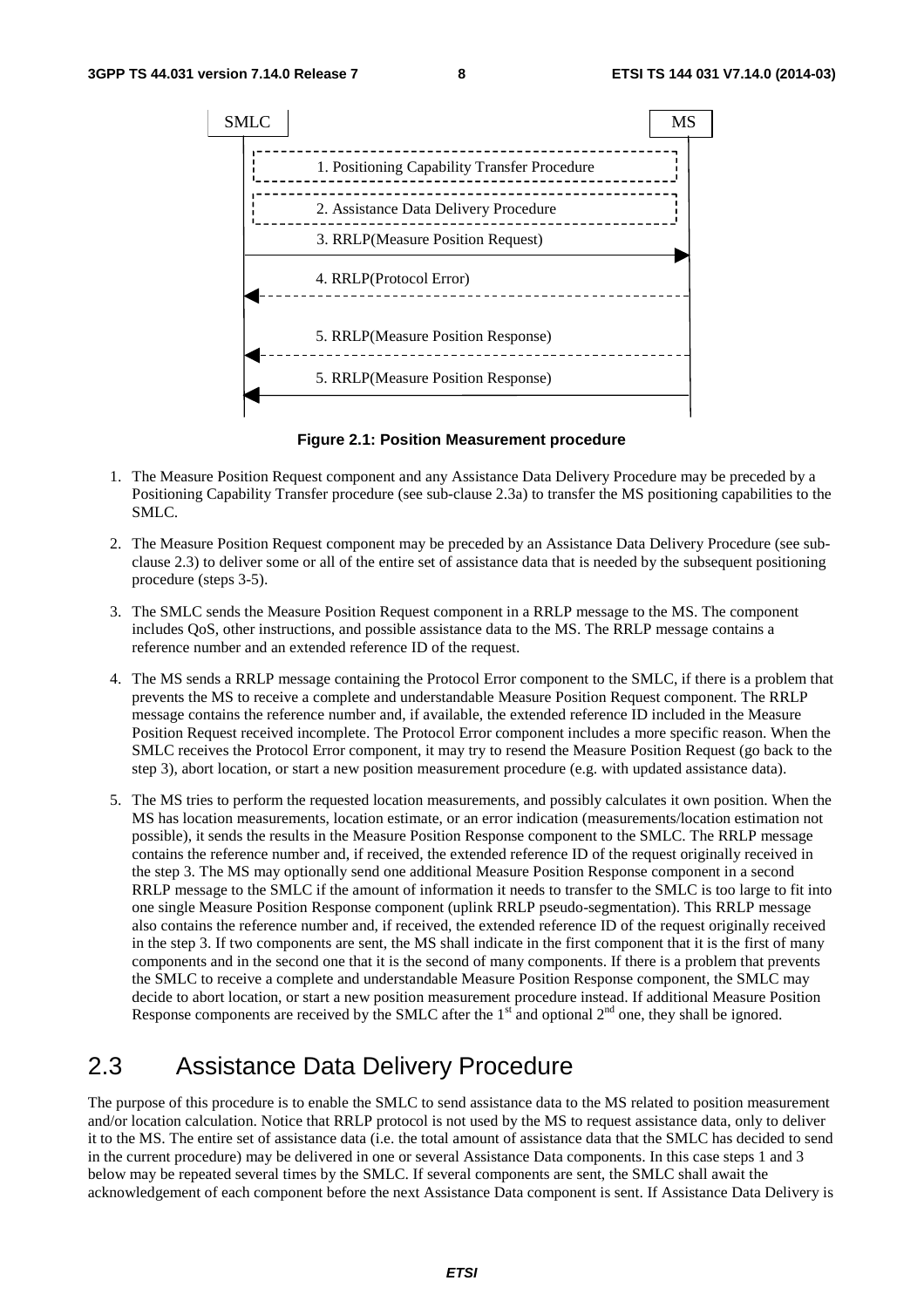

**Figure 2.1: Position Measurement procedure** 

- 1. The Measure Position Request component and any Assistance Data Delivery Procedure may be preceded by a Positioning Capability Transfer procedure (see sub-clause 2.3a) to transfer the MS positioning capabilities to the SMLC.
- 2. The Measure Position Request component may be preceded by an Assistance Data Delivery Procedure (see subclause 2.3) to deliver some or all of the entire set of assistance data that is needed by the subsequent positioning procedure (steps 3-5).
- 3. The SMLC sends the Measure Position Request component in a RRLP message to the MS. The component includes QoS, other instructions, and possible assistance data to the MS. The RRLP message contains a reference number and an extended reference ID of the request.
- 4. The MS sends a RRLP message containing the Protocol Error component to the SMLC, if there is a problem that prevents the MS to receive a complete and understandable Measure Position Request component. The RRLP message contains the reference number and, if available, the extended reference ID included in the Measure Position Request received incomplete. The Protocol Error component includes a more specific reason. When the SMLC receives the Protocol Error component, it may try to resend the Measure Position Request (go back to the step 3), abort location, or start a new position measurement procedure (e.g. with updated assistance data).
- 5. The MS tries to perform the requested location measurements, and possibly calculates it own position. When the MS has location measurements, location estimate, or an error indication (measurements/location estimation not possible), it sends the results in the Measure Position Response component to the SMLC. The RRLP message contains the reference number and, if received, the extended reference ID of the request originally received in the step 3. The MS may optionally send one additional Measure Position Response component in a second RRLP message to the SMLC if the amount of information it needs to transfer to the SMLC is too large to fit into one single Measure Position Response component (uplink RRLP pseudo-segmentation). This RRLP message also contains the reference number and, if received, the extended reference ID of the request originally received in the step 3. If two components are sent, the MS shall indicate in the first component that it is the first of many components and in the second one that it is the second of many components. If there is a problem that prevents the SMLC to receive a complete and understandable Measure Position Response component, the SMLC may decide to abort location, or start a new position measurement procedure instead. If additional Measure Position Response components are received by the SMLC after the  $1<sup>st</sup>$  and optional  $2<sup>nd</sup>$  one, they shall be ignored.

#### 2.3 Assistance Data Delivery Procedure

The purpose of this procedure is to enable the SMLC to send assistance data to the MS related to position measurement and/or location calculation. Notice that RRLP protocol is not used by the MS to request assistance data, only to deliver it to the MS. The entire set of assistance data (i.e. the total amount of assistance data that the SMLC has decided to send in the current procedure) may be delivered in one or several Assistance Data components. In this case steps 1 and 3 below may be repeated several times by the SMLC. If several components are sent, the SMLC shall await the acknowledgement of each component before the next Assistance Data component is sent. If Assistance Data Delivery is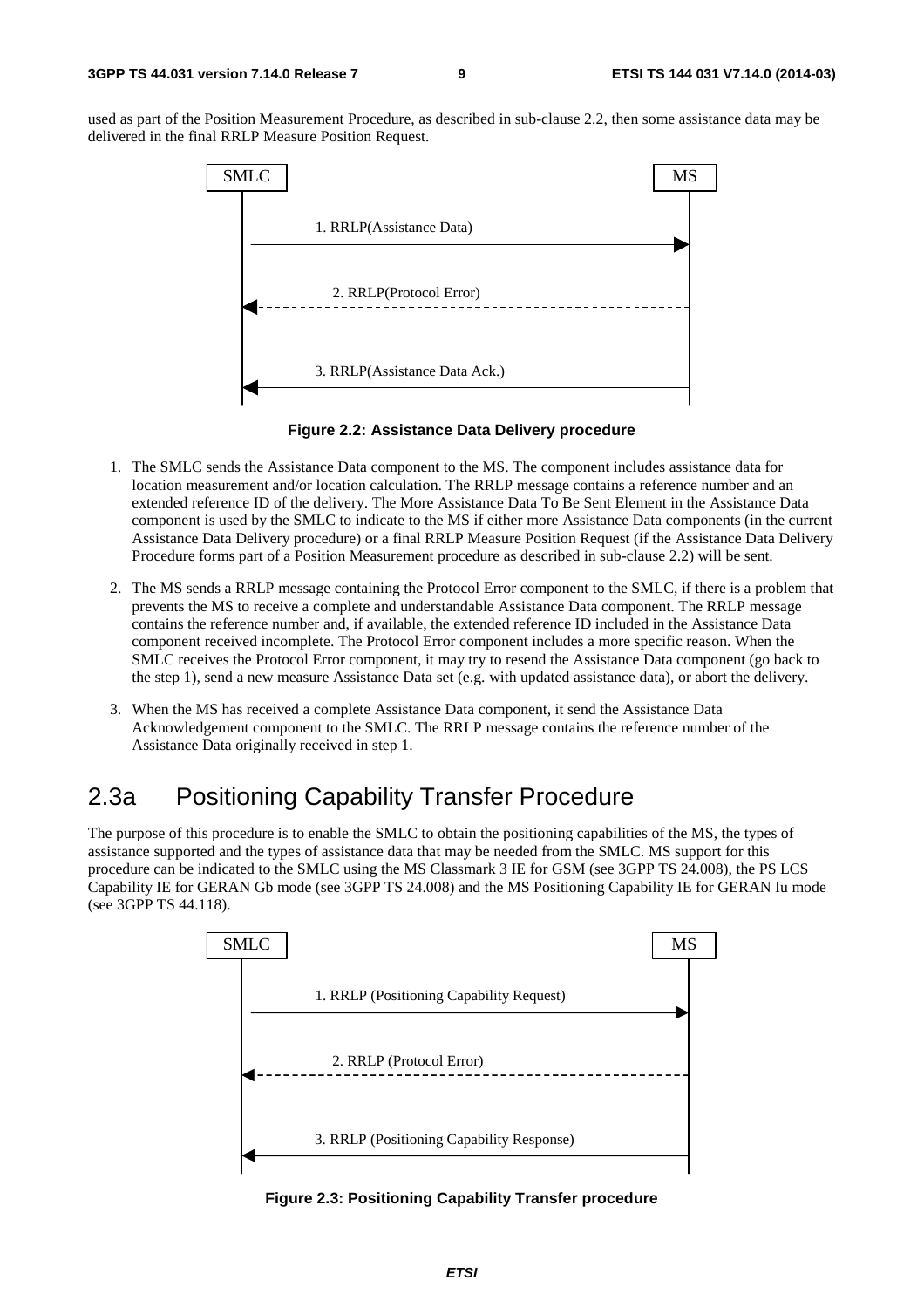used as part of the Position Measurement Procedure, as described in sub-clause 2.2, then some assistance data may be delivered in the final RRLP Measure Position Request.



**Figure 2.2: Assistance Data Delivery procedure** 

- 1. The SMLC sends the Assistance Data component to the MS. The component includes assistance data for location measurement and/or location calculation. The RRLP message contains a reference number and an extended reference ID of the delivery. The More Assistance Data To Be Sent Element in the Assistance Data component is used by the SMLC to indicate to the MS if either more Assistance Data components (in the current Assistance Data Delivery procedure) or a final RRLP Measure Position Request (if the Assistance Data Delivery Procedure forms part of a Position Measurement procedure as described in sub-clause 2.2) will be sent.
- 2. The MS sends a RRLP message containing the Protocol Error component to the SMLC, if there is a problem that prevents the MS to receive a complete and understandable Assistance Data component. The RRLP message contains the reference number and, if available, the extended reference ID included in the Assistance Data component received incomplete. The Protocol Error component includes a more specific reason. When the SMLC receives the Protocol Error component, it may try to resend the Assistance Data component (go back to the step 1), send a new measure Assistance Data set (e.g. with updated assistance data), or abort the delivery.
- 3. When the MS has received a complete Assistance Data component, it send the Assistance Data Acknowledgement component to the SMLC. The RRLP message contains the reference number of the Assistance Data originally received in step 1.

### 2.3a Positioning Capability Transfer Procedure

The purpose of this procedure is to enable the SMLC to obtain the positioning capabilities of the MS, the types of assistance supported and the types of assistance data that may be needed from the SMLC. MS support for this procedure can be indicated to the SMLC using the MS Classmark 3 IE for GSM (see 3GPP TS 24.008), the PS LCS Capability IE for GERAN Gb mode (see 3GPP TS 24.008) and the MS Positioning Capability IE for GERAN Iu mode (see 3GPP TS 44.118).



**Figure 2.3: Positioning Capability Transfer procedure**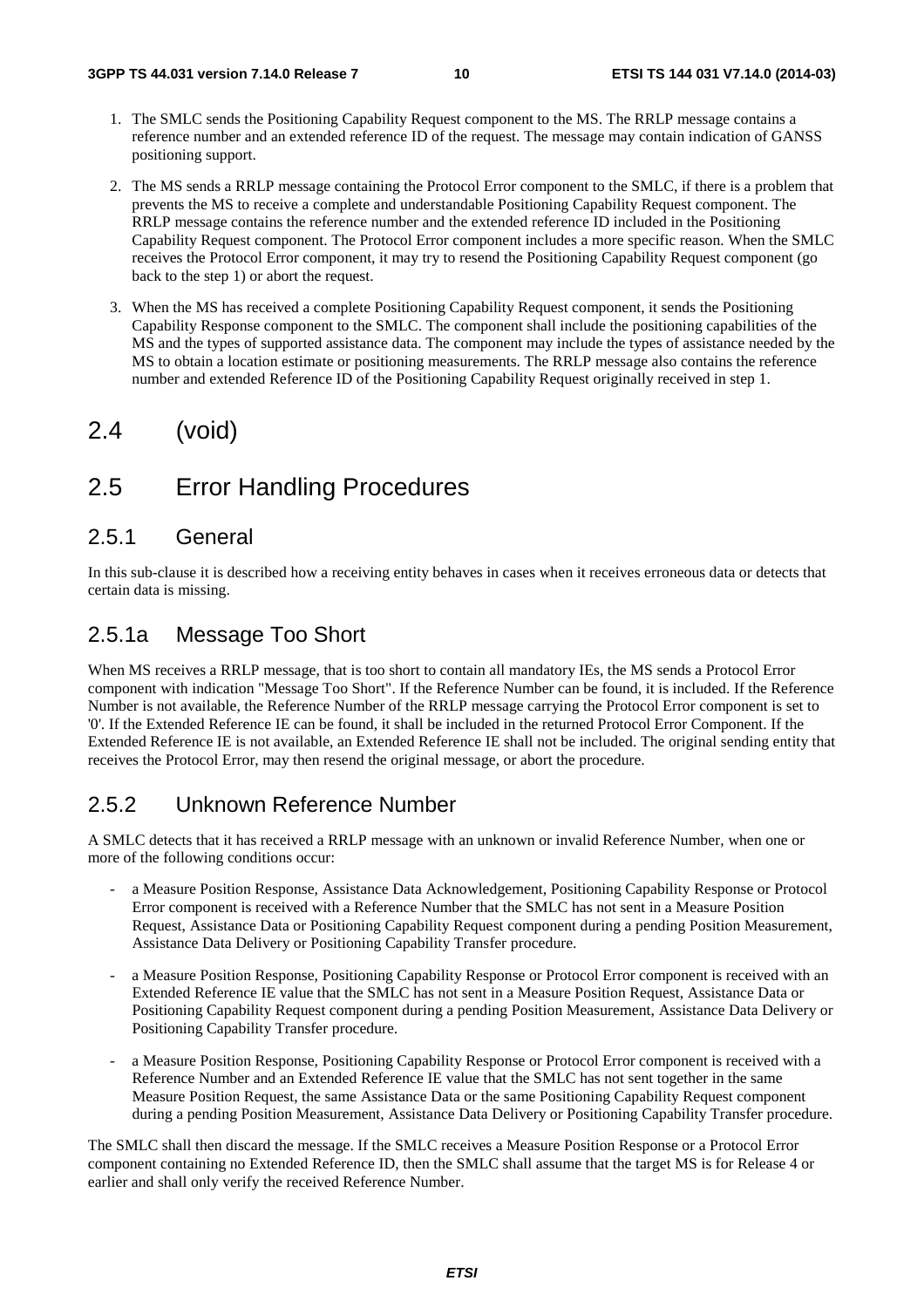- 1. The SMLC sends the Positioning Capability Request component to the MS. The RRLP message contains a reference number and an extended reference ID of the request. The message may contain indication of GANSS positioning support.
- 2. The MS sends a RRLP message containing the Protocol Error component to the SMLC, if there is a problem that prevents the MS to receive a complete and understandable Positioning Capability Request component. The RRLP message contains the reference number and the extended reference ID included in the Positioning Capability Request component. The Protocol Error component includes a more specific reason. When the SMLC receives the Protocol Error component, it may try to resend the Positioning Capability Request component (go back to the step 1) or abort the request.
- 3. When the MS has received a complete Positioning Capability Request component, it sends the Positioning Capability Response component to the SMLC. The component shall include the positioning capabilities of the MS and the types of supported assistance data. The component may include the types of assistance needed by the MS to obtain a location estimate or positioning measurements. The RRLP message also contains the reference number and extended Reference ID of the Positioning Capability Request originally received in step 1.

### 2.4 (void)

### 2.5 Error Handling Procedures

#### 2.5.1 General

In this sub-clause it is described how a receiving entity behaves in cases when it receives erroneous data or detects that certain data is missing.

#### 2.5.1a Message Too Short

When MS receives a RRLP message, that is too short to contain all mandatory IEs, the MS sends a Protocol Error component with indication "Message Too Short". If the Reference Number can be found, it is included. If the Reference Number is not available, the Reference Number of the RRLP message carrying the Protocol Error component is set to '0'. If the Extended Reference IE can be found, it shall be included in the returned Protocol Error Component. If the Extended Reference IE is not available, an Extended Reference IE shall not be included. The original sending entity that receives the Protocol Error, may then resend the original message, or abort the procedure.

#### 2.5.2 Unknown Reference Number

A SMLC detects that it has received a RRLP message with an unknown or invalid Reference Number, when one or more of the following conditions occur:

- a Measure Position Response, Assistance Data Acknowledgement, Positioning Capability Response or Protocol Error component is received with a Reference Number that the SMLC has not sent in a Measure Position Request, Assistance Data or Positioning Capability Request component during a pending Position Measurement, Assistance Data Delivery or Positioning Capability Transfer procedure.
- a Measure Position Response, Positioning Capability Response or Protocol Error component is received with an Extended Reference IE value that the SMLC has not sent in a Measure Position Request, Assistance Data or Positioning Capability Request component during a pending Position Measurement, Assistance Data Delivery or Positioning Capability Transfer procedure.
- a Measure Position Response, Positioning Capability Response or Protocol Error component is received with a Reference Number and an Extended Reference IE value that the SMLC has not sent together in the same Measure Position Request, the same Assistance Data or the same Positioning Capability Request component during a pending Position Measurement, Assistance Data Delivery or Positioning Capability Transfer procedure.

The SMLC shall then discard the message. If the SMLC receives a Measure Position Response or a Protocol Error component containing no Extended Reference ID, then the SMLC shall assume that the target MS is for Release 4 or earlier and shall only verify the received Reference Number.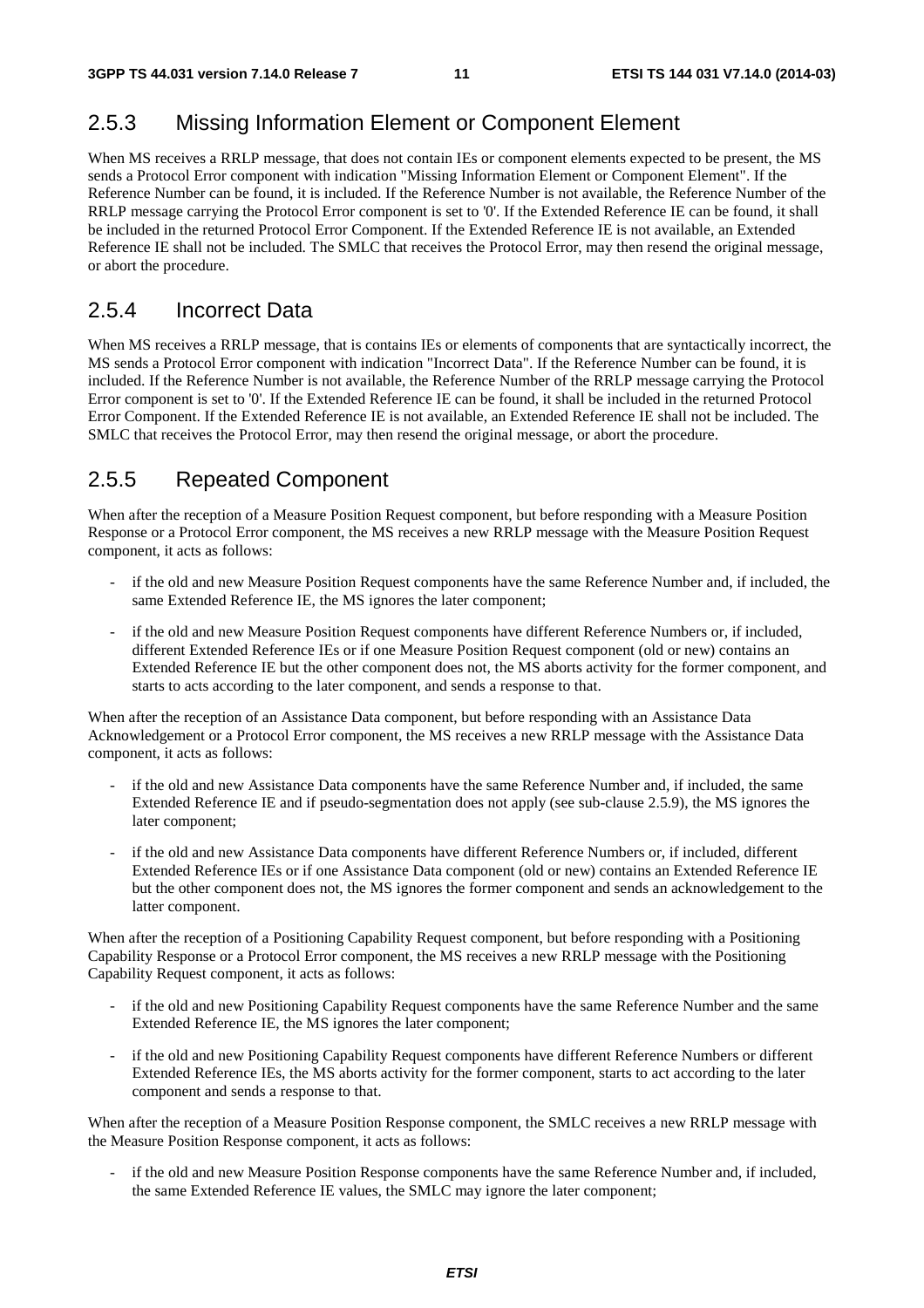### 2.5.3 Missing Information Element or Component Element

When MS receives a RRLP message, that does not contain IEs or component elements expected to be present, the MS sends a Protocol Error component with indication "Missing Information Element or Component Element". If the Reference Number can be found, it is included. If the Reference Number is not available, the Reference Number of the RRLP message carrying the Protocol Error component is set to '0'. If the Extended Reference IE can be found, it shall be included in the returned Protocol Error Component. If the Extended Reference IE is not available, an Extended Reference IE shall not be included. The SMLC that receives the Protocol Error, may then resend the original message, or abort the procedure.

#### 2.5.4 Incorrect Data

When MS receives a RRLP message, that is contains IEs or elements of components that are syntactically incorrect, the MS sends a Protocol Error component with indication "Incorrect Data". If the Reference Number can be found, it is included. If the Reference Number is not available, the Reference Number of the RRLP message carrying the Protocol Error component is set to '0'. If the Extended Reference IE can be found, it shall be included in the returned Protocol Error Component. If the Extended Reference IE is not available, an Extended Reference IE shall not be included. The SMLC that receives the Protocol Error, may then resend the original message, or abort the procedure.

### 2.5.5 Repeated Component

When after the reception of a Measure Position Request component, but before responding with a Measure Position Response or a Protocol Error component, the MS receives a new RRLP message with the Measure Position Request component, it acts as follows:

- if the old and new Measure Position Request components have the same Reference Number and, if included, the same Extended Reference IE, the MS ignores the later component;
- if the old and new Measure Position Request components have different Reference Numbers or, if included, different Extended Reference IEs or if one Measure Position Request component (old or new) contains an Extended Reference IE but the other component does not, the MS aborts activity for the former component, and starts to acts according to the later component, and sends a response to that.

When after the reception of an Assistance Data component, but before responding with an Assistance Data Acknowledgement or a Protocol Error component, the MS receives a new RRLP message with the Assistance Data component, it acts as follows:

- if the old and new Assistance Data components have the same Reference Number and, if included, the same Extended Reference IE and if pseudo-segmentation does not apply (see sub-clause 2.5.9), the MS ignores the later component;
- if the old and new Assistance Data components have different Reference Numbers or, if included, different Extended Reference IEs or if one Assistance Data component (old or new) contains an Extended Reference IE but the other component does not, the MS ignores the former component and sends an acknowledgement to the latter component.

When after the reception of a Positioning Capability Request component, but before responding with a Positioning Capability Response or a Protocol Error component, the MS receives a new RRLP message with the Positioning Capability Request component, it acts as follows:

- if the old and new Positioning Capability Request components have the same Reference Number and the same Extended Reference IE, the MS ignores the later component;
- if the old and new Positioning Capability Request components have different Reference Numbers or different Extended Reference IEs, the MS aborts activity for the former component, starts to act according to the later component and sends a response to that.

When after the reception of a Measure Position Response component, the SMLC receives a new RRLP message with the Measure Position Response component, it acts as follows:

if the old and new Measure Position Response components have the same Reference Number and, if included, the same Extended Reference IE values, the SMLC may ignore the later component;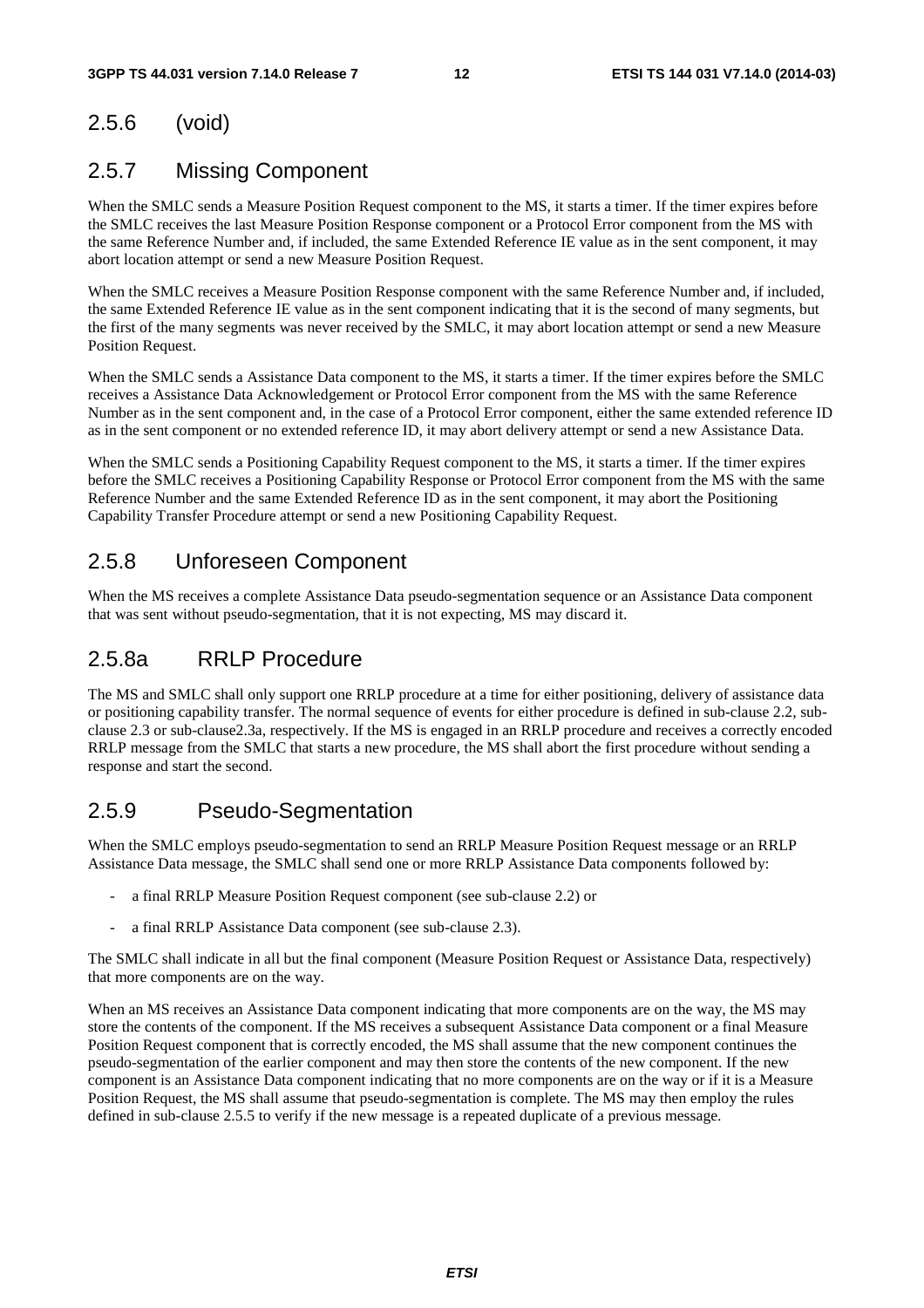#### 2.5.6 (void)

### 2.5.7 Missing Component

When the SMLC sends a Measure Position Request component to the MS, it starts a timer. If the timer expires before the SMLC receives the last Measure Position Response component or a Protocol Error component from the MS with the same Reference Number and, if included, the same Extended Reference IE value as in the sent component, it may abort location attempt or send a new Measure Position Request.

When the SMLC receives a Measure Position Response component with the same Reference Number and, if included, the same Extended Reference IE value as in the sent component indicating that it is the second of many segments, but the first of the many segments was never received by the SMLC, it may abort location attempt or send a new Measure Position Request.

When the SMLC sends a Assistance Data component to the MS, it starts a timer. If the timer expires before the SMLC receives a Assistance Data Acknowledgement or Protocol Error component from the MS with the same Reference Number as in the sent component and, in the case of a Protocol Error component, either the same extended reference ID as in the sent component or no extended reference ID, it may abort delivery attempt or send a new Assistance Data.

When the SMLC sends a Positioning Capability Request component to the MS, it starts a timer. If the timer expires before the SMLC receives a Positioning Capability Response or Protocol Error component from the MS with the same Reference Number and the same Extended Reference ID as in the sent component, it may abort the Positioning Capability Transfer Procedure attempt or send a new Positioning Capability Request.

#### 2.5.8 Unforeseen Component

When the MS receives a complete Assistance Data pseudo-segmentation sequence or an Assistance Data component that was sent without pseudo-segmentation, that it is not expecting, MS may discard it.

#### 2.5.8a RRLP Procedure

The MS and SMLC shall only support one RRLP procedure at a time for either positioning, delivery of assistance data or positioning capability transfer. The normal sequence of events for either procedure is defined in sub-clause 2.2, subclause 2.3 or sub-clause2.3a, respectively. If the MS is engaged in an RRLP procedure and receives a correctly encoded RRLP message from the SMLC that starts a new procedure, the MS shall abort the first procedure without sending a response and start the second.

#### 2.5.9 Pseudo-Segmentation

When the SMLC employs pseudo-segmentation to send an RRLP Measure Position Request message or an RRLP Assistance Data message, the SMLC shall send one or more RRLP Assistance Data components followed by:

- a final RRLP Measure Position Request component (see sub-clause 2.2) or
- a final RRLP Assistance Data component (see sub-clause 2.3).

The SMLC shall indicate in all but the final component (Measure Position Request or Assistance Data, respectively) that more components are on the way.

When an MS receives an Assistance Data component indicating that more components are on the way, the MS may store the contents of the component. If the MS receives a subsequent Assistance Data component or a final Measure Position Request component that is correctly encoded, the MS shall assume that the new component continues the pseudo-segmentation of the earlier component and may then store the contents of the new component. If the new component is an Assistance Data component indicating that no more components are on the way or if it is a Measure Position Request, the MS shall assume that pseudo-segmentation is complete. The MS may then employ the rules defined in sub-clause 2.5.5 to verify if the new message is a repeated duplicate of a previous message.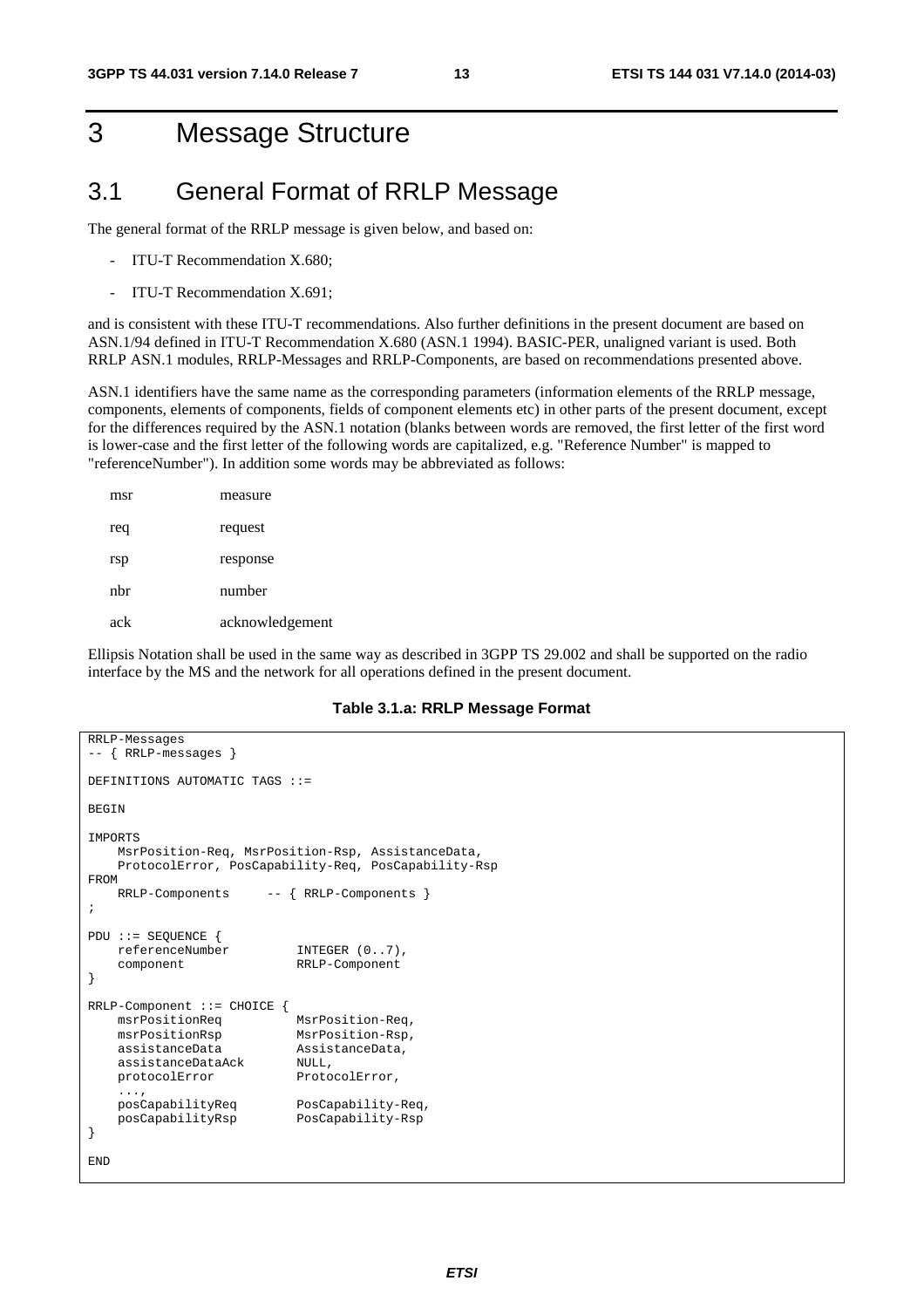# 3 Message Structure

### 3.1 General Format of RRLP Message

The general format of the RRLP message is given below, and based on:

- ITU-T Recommendation X.680;
- ITU-T Recommendation X.691;

and is consistent with these ITU-T recommendations. Also further definitions in the present document are based on ASN.1/94 defined in ITU-T Recommendation X.680 (ASN.1 1994). BASIC-PER, unaligned variant is used. Both RRLP ASN.1 modules, RRLP-Messages and RRLP-Components, are based on recommendations presented above.

ASN.1 identifiers have the same name as the corresponding parameters (information elements of the RRLP message, components, elements of components, fields of component elements etc) in other parts of the present document, except for the differences required by the ASN.1 notation (blanks between words are removed, the first letter of the first word is lower-case and the first letter of the following words are capitalized, e.g. "Reference Number" is mapped to "referenceNumber"). In addition some words may be abbreviated as follows:

| msr | measure         |
|-----|-----------------|
| req | request         |
| rsp | response        |
| nhr | number          |
| ack | acknowledgement |

Ellipsis Notation shall be used in the same way as described in 3GPP TS 29.002 and shall be supported on the radio interface by the MS and the network for all operations defined in the present document.

#### **Table 3.1.a: RRLP Message Format**

```
RRLP-Messages 
-- { RRLP-messages } 
DEFINITIONS AUTOMATIC TAGS ::= 
BEGIN
IMPORTS 
    MsrPosition-Req, MsrPosition-Rsp, AssistanceData, 
     ProtocolError, PosCapability-Req, PosCapability-Rsp 
FROM 
    RRLP-Components -- { RRLP-Components } 
; 
PDU ::= SEQUENCE { 
     referenceNumber INTEGER (0..7), 
     component RRLP-Component 
} 
RRLP-Component ::= CHOICE { 
    msrPositionReq MsrPosition-Req, 
    msrPositionRsp MsrPosition-Rsp, 
     assistanceData AssistanceData, 
    assistanceDataAck NULL,<br>protocolError ProtocolError,
   protocolError
    ...,<br>posCapabilityReq
                            PosCapability-Req,
     posCapabilityRsp PosCapability-Rsp 
} 
END
```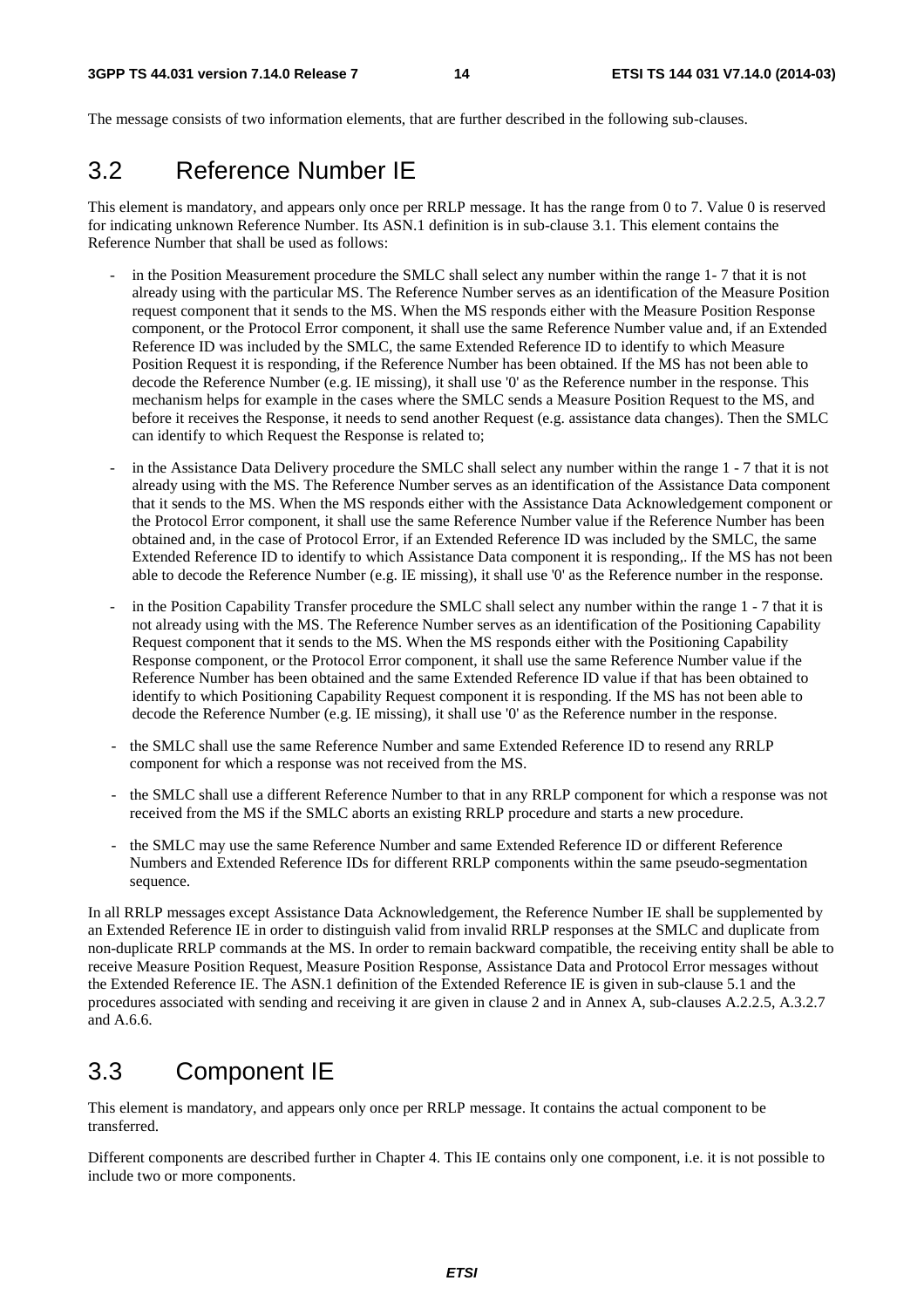The message consists of two information elements, that are further described in the following sub-clauses.

# 3.2 Reference Number IE

This element is mandatory, and appears only once per RRLP message. It has the range from 0 to 7. Value 0 is reserved for indicating unknown Reference Number. Its ASN.1 definition is in sub-clause 3.1. This element contains the Reference Number that shall be used as follows:

- in the Position Measurement procedure the SMLC shall select any number within the range 1-7 that it is not already using with the particular MS. The Reference Number serves as an identification of the Measure Position request component that it sends to the MS. When the MS responds either with the Measure Position Response component, or the Protocol Error component, it shall use the same Reference Number value and, if an Extended Reference ID was included by the SMLC, the same Extended Reference ID to identify to which Measure Position Request it is responding, if the Reference Number has been obtained. If the MS has not been able to decode the Reference Number (e.g. IE missing), it shall use '0' as the Reference number in the response. This mechanism helps for example in the cases where the SMLC sends a Measure Position Request to the MS, and before it receives the Response, it needs to send another Request (e.g. assistance data changes). Then the SMLC can identify to which Request the Response is related to;
- in the Assistance Data Delivery procedure the SMLC shall select any number within the range 1 7 that it is not already using with the MS. The Reference Number serves as an identification of the Assistance Data component that it sends to the MS. When the MS responds either with the Assistance Data Acknowledgement component or the Protocol Error component, it shall use the same Reference Number value if the Reference Number has been obtained and, in the case of Protocol Error, if an Extended Reference ID was included by the SMLC, the same Extended Reference ID to identify to which Assistance Data component it is responding,. If the MS has not been able to decode the Reference Number (e.g. IE missing), it shall use '0' as the Reference number in the response.
- in the Position Capability Transfer procedure the SMLC shall select any number within the range 1 7 that it is not already using with the MS. The Reference Number serves as an identification of the Positioning Capability Request component that it sends to the MS. When the MS responds either with the Positioning Capability Response component, or the Protocol Error component, it shall use the same Reference Number value if the Reference Number has been obtained and the same Extended Reference ID value if that has been obtained to identify to which Positioning Capability Request component it is responding. If the MS has not been able to decode the Reference Number (e.g. IE missing), it shall use '0' as the Reference number in the response.
- the SMLC shall use the same Reference Number and same Extended Reference ID to resend any RRLP component for which a response was not received from the MS.
- the SMLC shall use a different Reference Number to that in any RRLP component for which a response was not received from the MS if the SMLC aborts an existing RRLP procedure and starts a new procedure.
- the SMLC may use the same Reference Number and same Extended Reference ID or different Reference Numbers and Extended Reference IDs for different RRLP components within the same pseudo-segmentation sequence.

In all RRLP messages except Assistance Data Acknowledgement, the Reference Number IE shall be supplemented by an Extended Reference IE in order to distinguish valid from invalid RRLP responses at the SMLC and duplicate from non-duplicate RRLP commands at the MS. In order to remain backward compatible, the receiving entity shall be able to receive Measure Position Request, Measure Position Response, Assistance Data and Protocol Error messages without the Extended Reference IE. The ASN.1 definition of the Extended Reference IE is given in sub-clause 5.1 and the procedures associated with sending and receiving it are given in clause 2 and in Annex A, sub-clauses A.2.2.5, A.3.2.7 and A.6.6.

# 3.3 Component IE

This element is mandatory, and appears only once per RRLP message. It contains the actual component to be transferred.

Different components are described further in Chapter 4. This IE contains only one component, i.e. it is not possible to include two or more components.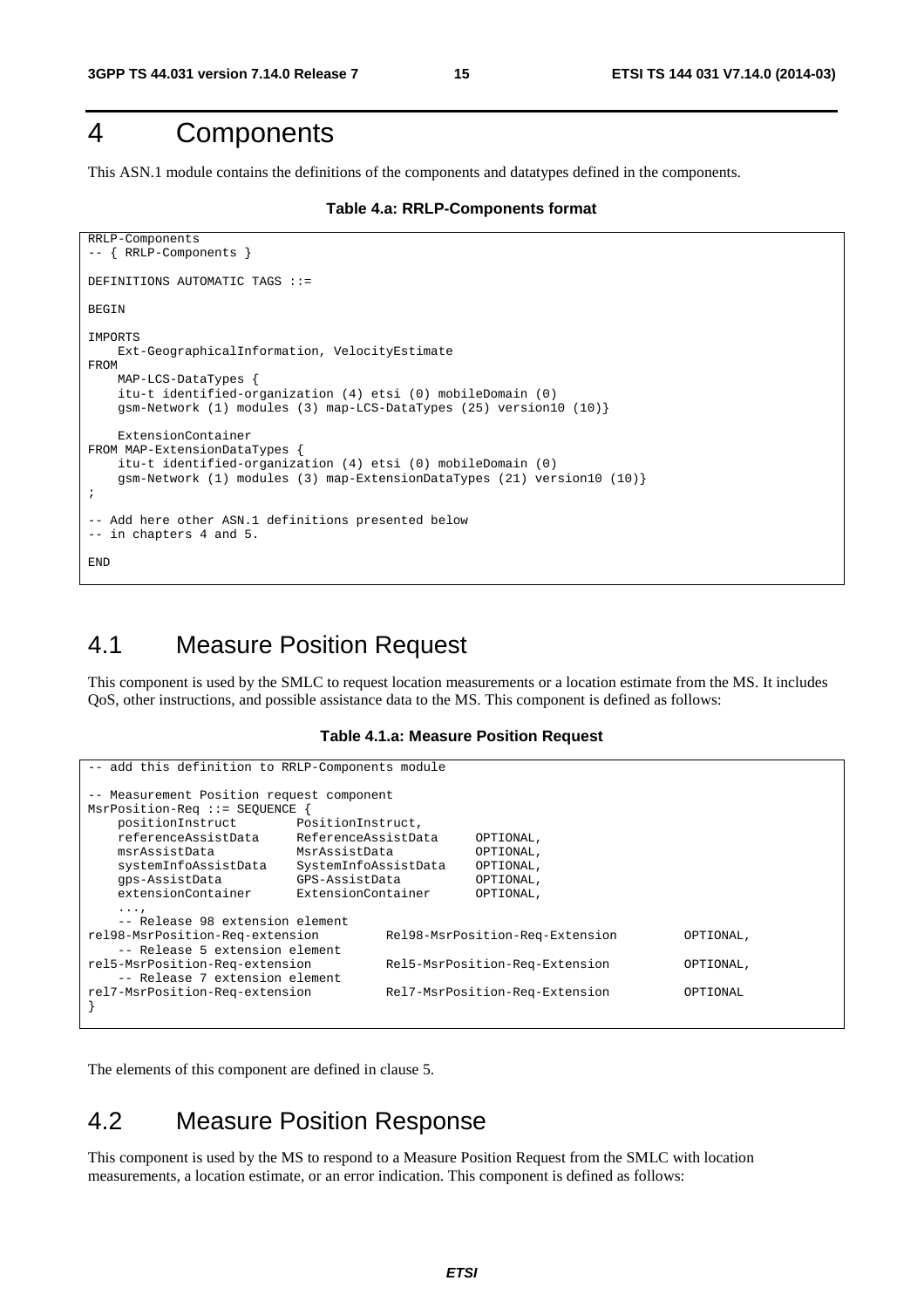### 4 Components

This ASN.1 module contains the definitions of the components and datatypes defined in the components.

```
Table 4.a: RRLP-Components format
```

```
RRLP-Components 
-- { RRLP-Components } 
DEFINITIONS AUTOMATIC TAGS ::= 
BEGIN 
IMPORTS 
     Ext-GeographicalInformation, VelocityEstimate 
FROM 
     MAP-LCS-DataTypes { 
     itu-t identified-organization (4) etsi (0) mobileDomain (0) 
     gsm-Network (1) modules (3) map-LCS-DataTypes (25) version10 (10)} 
     ExtensionContainer 
FROM MAP-ExtensionDataTypes { 
     itu-t identified-organization (4) etsi (0) mobileDomain (0) 
     gsm-Network (1) modules (3) map-ExtensionDataTypes (21) version10 (10)} 
; 
-- Add here other ASN.1 definitions presented below 
-- in chapters 4 and 5. 
END
```
### 4.1 Measure Position Request

This component is used by the SMLC to request location measurements or a location estimate from the MS. It includes QoS, other instructions, and possible assistance data to the MS. This component is defined as follows:

#### **Table 4.1.a: Measure Position Request**

```
add this definition to RRLP-Components module
-- Measurement Position request component 
MsrPosition-Req ::= SEQUENCE { 
                      positionInstruct PositionInstruct, 
    referenceAssistData ReferenceAssistData OPTIONAL, 
    msrAssistData MsrAssistData OPTIONAL, 
    systemInfoAssistData SystemInfoAssistData OPTIONAL, 
    gps-AssistData GPS-AssistData OPTIONAL, 
    extensionContainer ExtensionContainer OPTIONAL, 
    ..., 
     -- Release 98 extension element 
rel98-MsrPosition-Req-extension Rel98-MsrPosition-Req-Extension OPTIONAL, 
    - Release 5 extension element
rel5-MsrPosition-Req-extension Rel5-MsrPosition-Req-Extension OPTIONAL, 
     -- Release 7 extension element 
rel7-MsrPosition-Req-extension Rel7-MsrPosition-Req-Extension OPTIONAL 
}
```
The elements of this component are defined in clause 5.

#### 4.2 Measure Position Response

This component is used by the MS to respond to a Measure Position Request from the SMLC with location measurements, a location estimate, or an error indication. This component is defined as follows: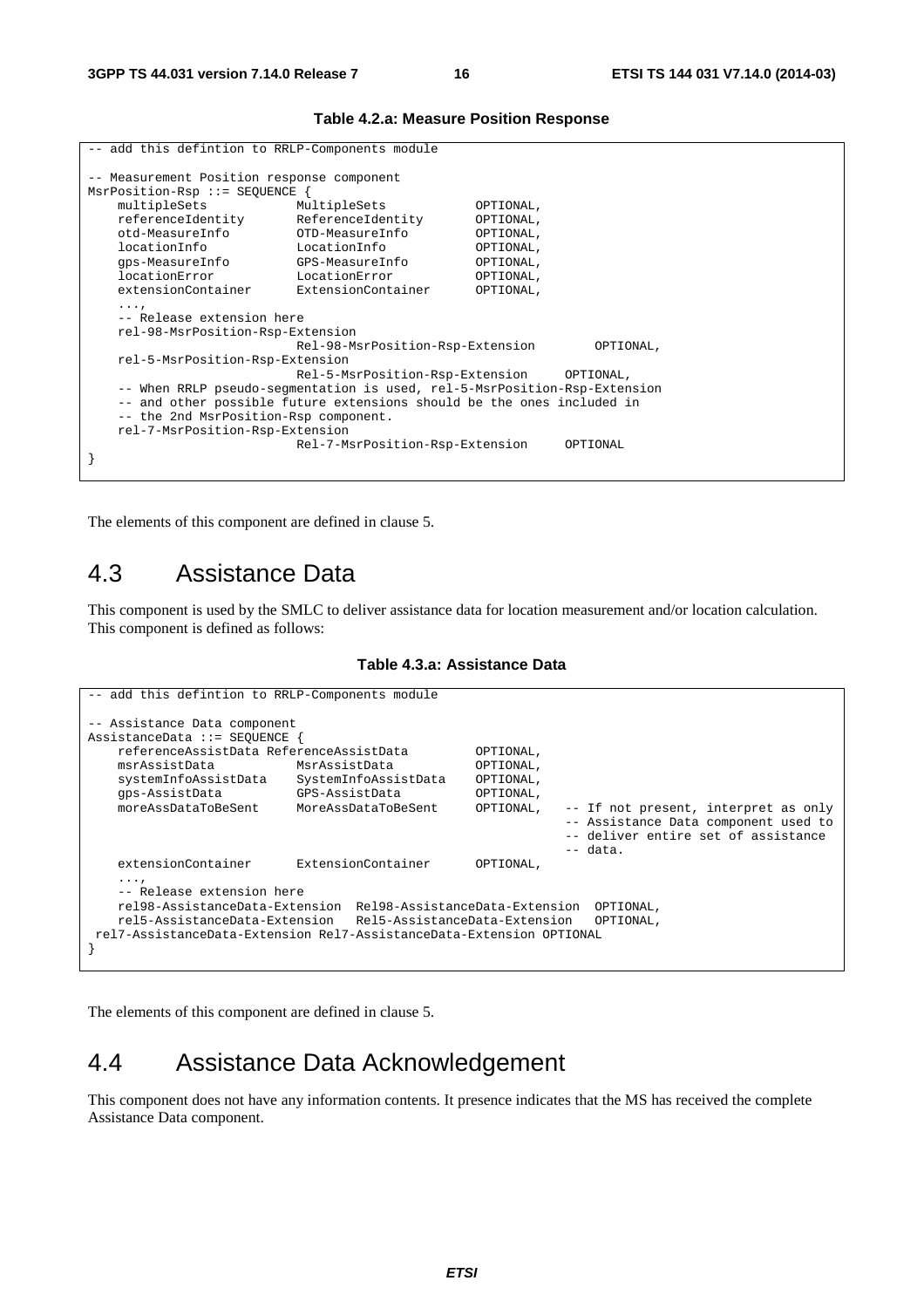| -- add this defintion to RRLP-Components module                                                                                                                                                                                                                                |                                                                                                                                |                                                                                         |  |  |  |  |  |  |
|--------------------------------------------------------------------------------------------------------------------------------------------------------------------------------------------------------------------------------------------------------------------------------|--------------------------------------------------------------------------------------------------------------------------------|-----------------------------------------------------------------------------------------|--|--|--|--|--|--|
| -- Measurement Position response component<br>MsrPosition-Rsp ::= SEOUENCE {                                                                                                                                                                                                   |                                                                                                                                |                                                                                         |  |  |  |  |  |  |
| multipleSets<br>referenceIdentity<br>otd-MeasureInfo<br>locationInfo<br>qps-MeasureInfo<br>locationError<br>extensionContainer                                                                                                                                                 | MultipleSets<br>ReferenceIdentity<br>OTD-MeasureInfo<br>LocationInfo<br>GPS-MeasureInfo<br>LocationError<br>ExtensionContainer | OPTIONAL,<br>OPTIONAL,<br>OPTIONAL,<br>OPTIONAL,<br>OPTIONAL,<br>OPTIONAL,<br>OPTIONAL, |  |  |  |  |  |  |
| $\cdots$<br>-- Release extension here<br>rel-98-MsrPosition-Rsp-Extension<br>Rel-98-MsrPosition-Rsp-Extension<br>OPTIONAL,<br>rel-5-MsrPosition-Rsp-Extension<br>Rel-5-MsrPosition-Rsp-Extension<br>OPTIONAL,                                                                  |                                                                                                                                |                                                                                         |  |  |  |  |  |  |
| -- When RRLP pseudo-segmentation is used, rel-5-MsrPosition-Rsp-Extension<br>-- and other possible future extensions should be the ones included in<br>-- the 2nd MsrPosition-Rsp component.<br>rel-7-MsrPosition-Rsp-Extension<br>Rel-7-MsrPosition-Rsp-Extension<br>OPTIONAL |                                                                                                                                |                                                                                         |  |  |  |  |  |  |

#### **Table 4.2.a: Measure Position Response**

The elements of this component are defined in clause 5.

### 4.3 Assistance Data

This component is used by the SMLC to deliver assistance data for location measurement and/or location calculation. This component is defined as follows:

#### **Table 4.3.a: Assistance Data**

```
-- add this defintion to RRLP-Components module 
-- Assistance Data component 
AssistanceData ::= SEQUENCE { 
    referenceAssistData ReferenceAssistData OPTIONAL, 
    msrAssistData MsrAssistData OPTIONAL, 
    systemInfoAssistData SystemInfoAssistData OPTIONAL, 
    gps-AssistData GPS-AssistData OPTIONAL, 
                                                         -- If not present, interpret as only
                                                          -- Assistance Data component used to 
                                                         -- deliver entire set of assistance<br>-- data.
- data.
    extensionContainer ExtensionContainer OPTIONAL, 
    ..., 
    -- Release extension here 
    rel98-AssistanceData-Extension Rel98-AssistanceData-Extension OPTIONAL, 
    rel5-AssistanceData-Extension Rel5-AssistanceData-Extension OPTIONAL, 
 rel7-AssistanceData-Extension Rel7-AssistanceData-Extension OPTIONAL 
}
```
The elements of this component are defined in clause 5.

#### 4.4 Assistance Data Acknowledgement

This component does not have any information contents. It presence indicates that the MS has received the complete Assistance Data component.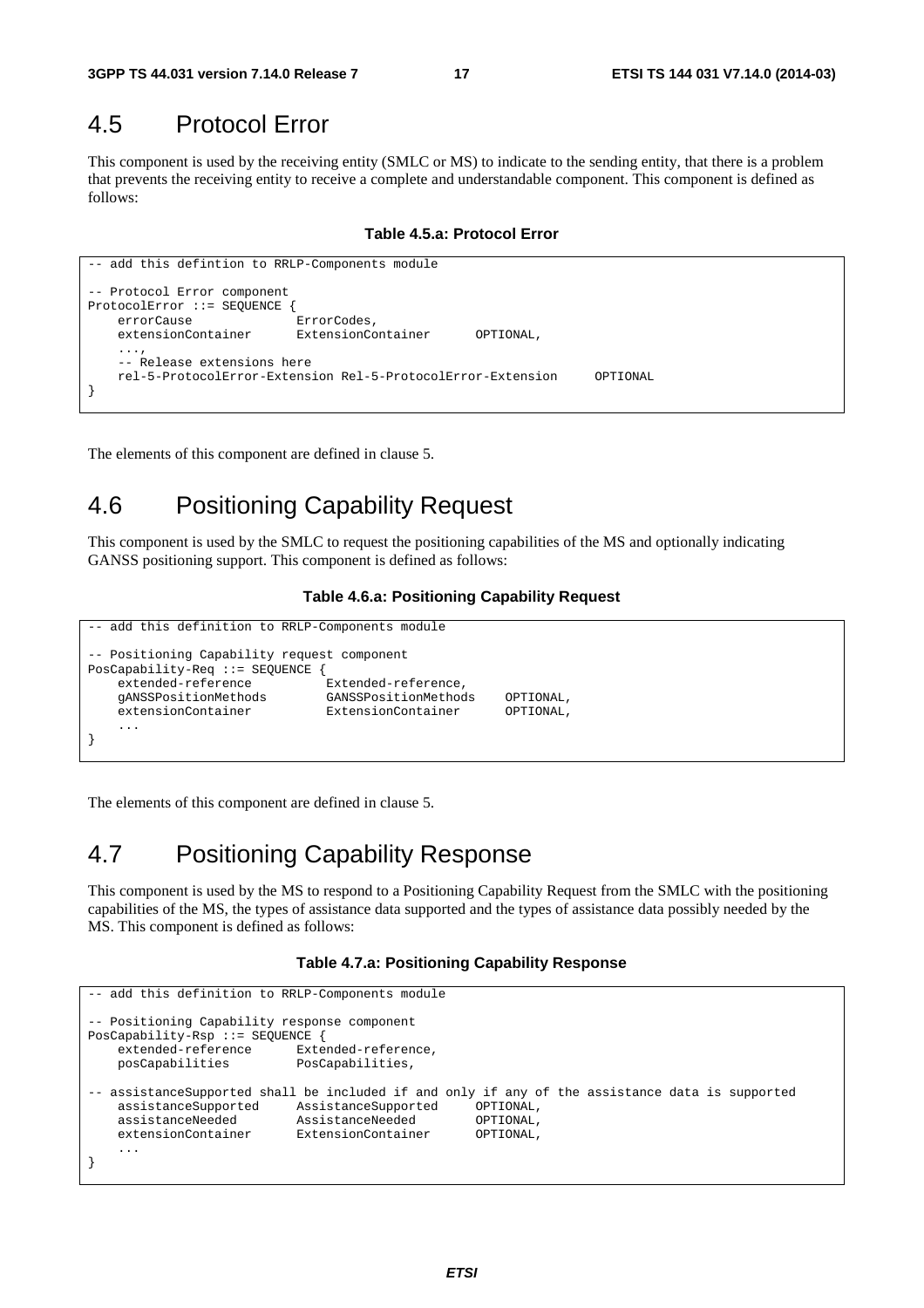### 4.5 Protocol Error

This component is used by the receiving entity (SMLC or MS) to indicate to the sending entity, that there is a problem that prevents the receiving entity to receive a complete and understandable component. This component is defined as follows:

**Table 4.5.a: Protocol Error** 

```
-- add this defintion to RRLP-Components module 
 -- Protocol Error component 
ProtocolError ::= SEQUENCE { 
     errorCause ErrorCodes, 
     extensionContainer ExtensionContainer OPTIONAL, 
     ..., 
     -- Release extensions here 
     rel-5-ProtocolError-Extension Rel-5-ProtocolError-Extension OPTIONAL 
}
```
The elements of this component are defined in clause 5.

### 4.6 Positioning Capability Request

This component is used by the SMLC to request the positioning capabilities of the MS and optionally indicating GANSS positioning support. This component is defined as follows:

#### **Table 4.6.a: Positioning Capability Request**

```
add this definition to RRLP-Components module
-- Positioning Capability request component 
PosCapability-Req ::= SEQUENCE { 
   extended-reference Extended-reference,
    gANSSPositionMethods GANSSPositionMethods OPTIONAL, 
    extensionContainer ExtensionContainer OPTIONAL, 
 ... 
}
```
The elements of this component are defined in clause 5.

### 4.7 Positioning Capability Response

This component is used by the MS to respond to a Positioning Capability Request from the SMLC with the positioning capabilities of the MS, the types of assistance data supported and the types of assistance data possibly needed by the MS. This component is defined as follows:

#### **Table 4.7.a: Positioning Capability Response**

```
add this definition to RRLP-Components module
-- Positioning Capability response component 
PosCapability-Rsp ::= SEQUENCE { 
   extended-reference Extended-reference,<br>posCapabilities PosCapabilities,
                             PosCapabilities,
-- assistanceSupported shall be included if and only if any of the assistance data is supported 
     assistanceSupported AssistanceSupported OPTIONAL, 
     assistanceNeeded AssistanceNeeded OPTIONAL, 
    extensionContainer
     ... 
}
```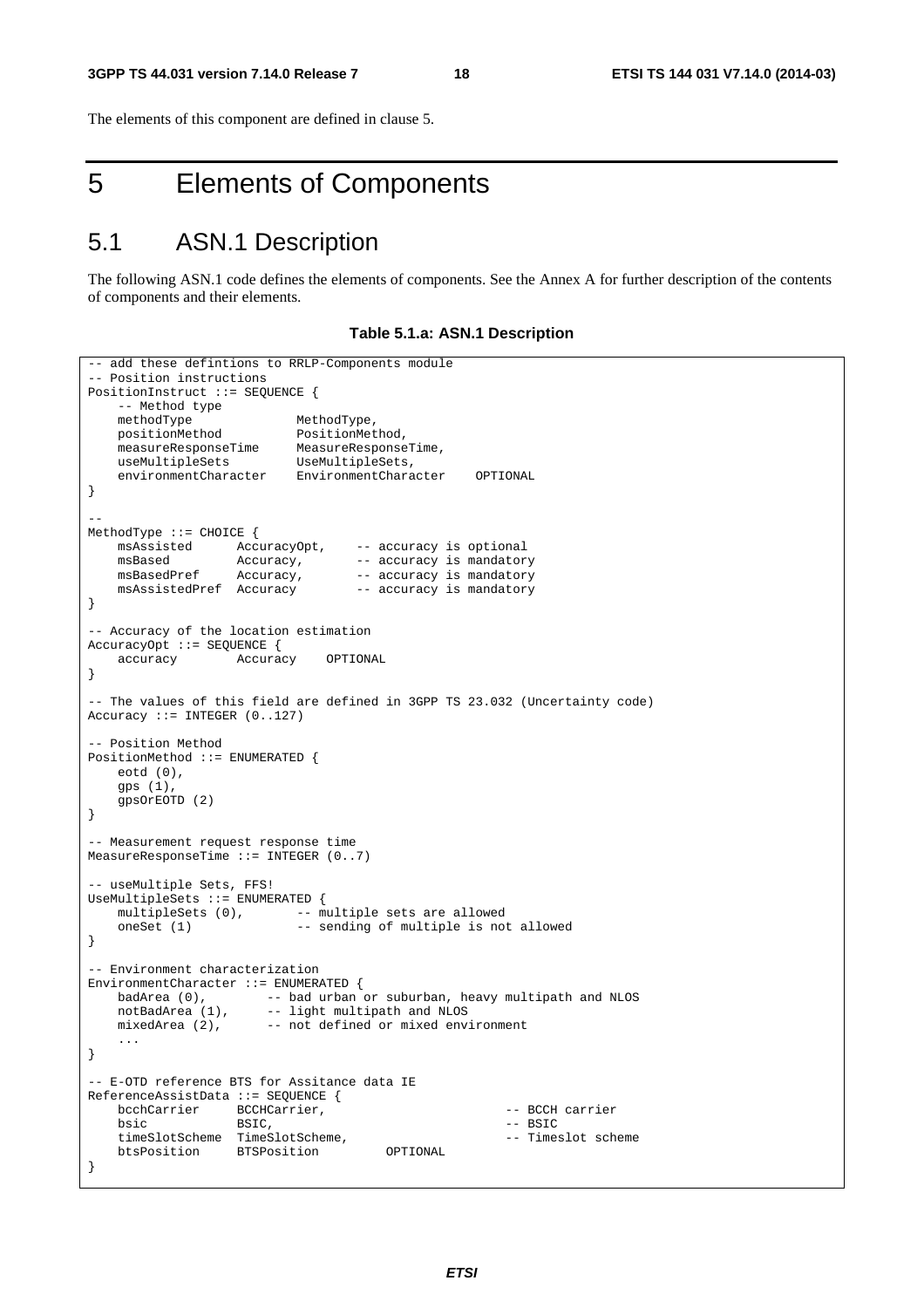The elements of this component are defined in clause 5.

# 5 Elements of Components

### 5.1 ASN.1 Description

The following ASN.1 code defines the elements of components. See the Annex A for further description of the contents of components and their elements.

#### **Table 5.1.a: ASN.1 Description**

```
-- add these defintions to RRLP-Components module
 -- Position instructions 
PositionInstruct ::= SEQUENCE { 
   --<br>-- Method type<br>methodType
methodType MethodType,
 positionMethod PositionMethod, 
   measureResponseTime MeasureResponseTime,
    useMultipleSets UseMultipleSets, 
    environmentCharacter EnvironmentCharacter OPTIONAL 
} 
-- 
MethodType ::= CHOICE { 
 msAssisted AccuracyOpt, -- accuracy is optional 
msBased Mccuracy, -- accuracy is mandatory
msBasedPref Accuracy, -- accuracy is mandatory
   msAssisted AccuracyOpt, -- accuracy is optional<br>
msBased Accuracy, -- accuracy is mandatory<br>
msBasedPref Accuracy, -- accuracy is mandatory<br>
msAssistedPref Accuracy -- accuracy is mandatory
} 
-- Accuracy of the location estimation 
AccuracyOpt ::= SEQUENCE { 
    accuracy Accuracy OPTIONAL 
} 
-- The values of this field are defined in 3GPP TS 23.032 (Uncertainty code) 
Accuracy ::= INTEGR (0..127)-- Position Method 
PositionMethod ::= ENUMERATED { 
    eotd (0), 
   qps(1).
     gpsOrEOTD (2) 
} 
-- Measurement request response time 
MeasureResponseTime ::= INTEGER (0..7) 
-- useMultiple Sets, FFS!
UseMultipleSets ::= ENUMERATED { 
   multipleSets (0), -- multiple sets are allowed
   oneSet (1) -- sending of multiple is not allowed
} 
-- Environment characterization 
EnvironmentCharacter ::= ENUMERATED { 
   badArea (0), - bad urban or suburban, heavy multipath and NLOS
 notBadArea (1), -- light multipath and NLOS 
 mixedArea (2), -- not defined or mixed environment 
 ... 
} 
 -- E-OTD reference BTS for Assitance data IE 
ReferenceAssistData ::= SEQUENCE { 
   bcchCarrier BCCHCarrier, \overline{C}-- BCCH carrier
bsic BSIC, - BSIC,
    timeSlotScheme TimeSlotScheme, - Timeslot scheme
    btsPosition BTSPosition OPTIONAL 
}
```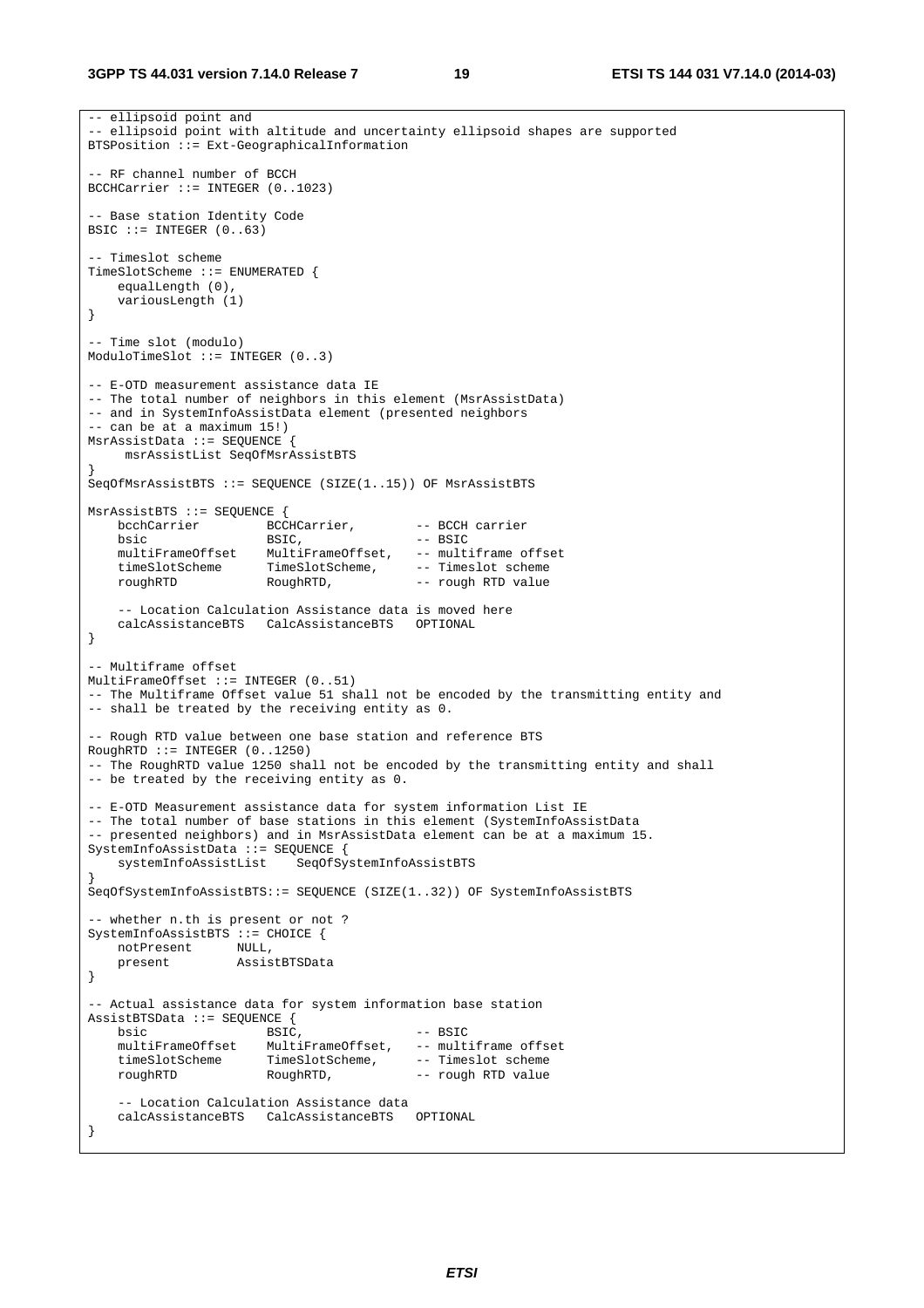```
-- ellipsoid point and 
 -- ellipsoid point with altitude and uncertainty ellipsoid shapes are supported 
BTSPosition ::= Ext-GeographicalInformation 
 - RF channel number of BCCH
BCCHCarrier ::= INTEGER (0..1023) 
-- Base station Identity Code 
BSIC ::= INTEGER (0..63)-- Timeslot scheme 
TimeSlotScheme ::= ENUMERATED { 
     equalLength (0), 
     variousLength (1) 
} 
-- Time slot (modulo) 
ModuloTimeSlot ::= INTEGER (0..3) 
-- E-OTD measurement assistance data IE 
-- The total number of neighbors in this element (MsrAssistData) 
-- and in SystemInfoAssistData element (presented neighbors 
-- can be at a maximum 15!) 
MsrAssistData ::= SEQUENCE { 
      msrAssistList SeqOfMsrAssistBTS 
} 
SeqOfMsrAssistBTS ::= SEQUENCE (SIZE(1..15)) OF MsrAssistBTS
MsrAssistBTS ::= SEQUENCE { 
    bcchCarrier BCCHCarrier, -- BCCH carrier<br>bsic -- BSIC, -- BSIC
   bsic -- BSIC, -- BSIC<br>multiFrameOffset MultiFrameOffset, -- mult
                         MultiFrameOffset, -- multiframe offset<br>TimeSlotScheme, -- Timeslot scheme
   muisiese<br>timeSlotScheme
    roughRTD RoughRTD, -- rough RTD value 
     -- Location Calculation Assistance data is moved here 
    calcAssistanceBTS CalcAssistanceBTS OPTIONAL 
} 
-- Multiframe offset 
MultiFrameOffset ::= INTEGER (0..51) 
-- The Multiframe Offset value 51 shall not be encoded by the transmitting entity and 
-- shall be treated by the receiving entity as 0. 
-- Rough RTD value between one base station and reference BTS 
RoughRTD :: = INTEGR (0..1250)-- The RoughRTD value 1250 shall not be encoded by the transmitting entity and shall 
-- be treated by the receiving entity as 0. 
-- E-OTD Measurement assistance data for system information List IE 
-- The total number of base stations in this element (SystemInfoAssistData 
-- presented neighbors) and in MsrAssistData element can be at a maximum 15. 
SystemInfoAssistData ::= SEQUENCE { 
                             SeqOfSystemInfoAssistBTS
} 
SeqOfSystemInfoAssistBTS::= SEQUENCE (SIZE(1..32)) OF SystemInfoAssistBTS 
 -- whether n.th is present or not ? 
SystemInfoAssistBTS ::= CHOICE {<br>notPresent NIIJ.
   not Present
    present AssistBTSData 
} 
-- Actual assistance data for system information base station 
AssistBTSData ::= SEQUENCE { 
   bsic -- BSIC, -- BSIC<br>multiFrameOffset MultiFrameOffset, -- mult
   multiFrameOffset MultiFrameOffset, -- multiframe offset<br>timeSlotScheme TimeSlotScheme. -- Timeslot scheme
                         TimeSlotScheme,
    roughRTD RoughRTD, -- rough RTD value 
     -- Location Calculation Assistance data 
     calcAssistanceBTS CalcAssistanceBTS OPTIONAL 
}
```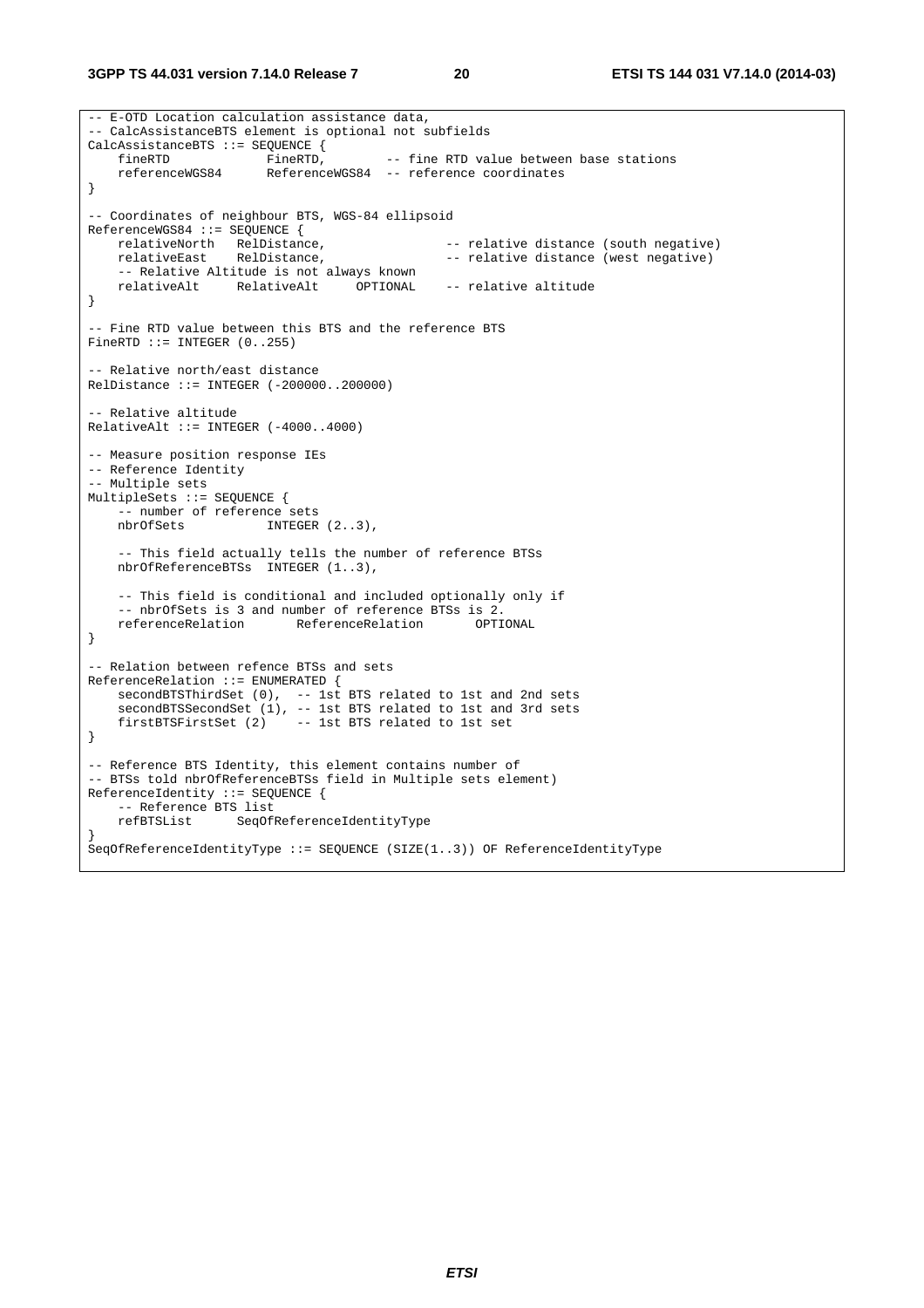**3GPP TS 44.031 version 7.14.0 Release 7 20 ETSI TS 144 031 V7.14.0 (2014-03)**

```
-- E-OTD Location calculation assistance data, 
 -- CalcAssistanceBTS element is optional not subfields 
CalcAssistanceBTS ::= SEQUENCE {<br>fineRTD FineRTD,
 fineRTD FineRTD, -- fine RTD value between base stations 
 referenceWGS84 ReferenceWGS84 -- reference coordinates 
} 
-- Coordinates of neighbour BTS, WGS-84 ellipsoid 
ReferenceWGS84 ::= SEQUENCE {<br>relativeNorth RelDistance,<br>relativeEast RelDistance,
                      RelDistance,                             -- relative distance (south negative)<br>RelDistance,                       -- relative distance (west negative)
                                                      -- relative distance (west negative)
     -- Relative Altitude is not always known 
    relativeAlt RelativeAlt OPTIONAL -- relative altitude 
} 
-- Fine RTD value between this BTS and the reference BTS 
FineRTD ::= INTEGER (0..255)- Relative north/east distance
RelDistance ::= INTEGER (-200000..200000) 
-- Relative altitude 
RelativeAlt ::= INTEGER (-4000..4000) 
-- Measure position response IEs 
-- Reference Identity 
 -- Multiple sets 
MultipleSets ::= SEQUENCE { 
     -- number of reference sets 
   nbrOfSets INTEGER (2..3),
     -- This field actually tells the number of reference BTSs 
    nbrOfReferenceBTSs INTEGER (1..3), 
     -- This field is conditional and included optionally only if 
    -- nbrOfSets is 3 and number of reference BTSs is 2.<br>referenceRelation ReferenceRelation OPTIONAL
   referenceRelation
} 
-- Relation between refence BTSs and sets 
ReferenceRelation ::= ENUMERATED { 
   secondBTSThirdSet (0), -- 1st BTS related to 1st and 2nd sets
    secondBTSSecondSet (1), -- 1st BTS related to 1st and 3rd sets<br>firstBTSFirstSet (2) -- 1st BTS related to 1st set
                             \frac{1}{\sqrt{2}} -- 1st BTS related to 1st set
} 
-- Reference BTS Identity, this element contains number of 
-- BTSs told nbrOfReferenceBTSs field in Multiple sets element) 
ReferenceIdentity ::= SEQUENCE { 
    -- Reference BTS list 
     refBTSList SeqOfReferenceIdentityType 
} 
SeqOfReferenceIdentityType ::= SEQUENCE (SIZE(1..3)) OF ReferenceIdentityType
```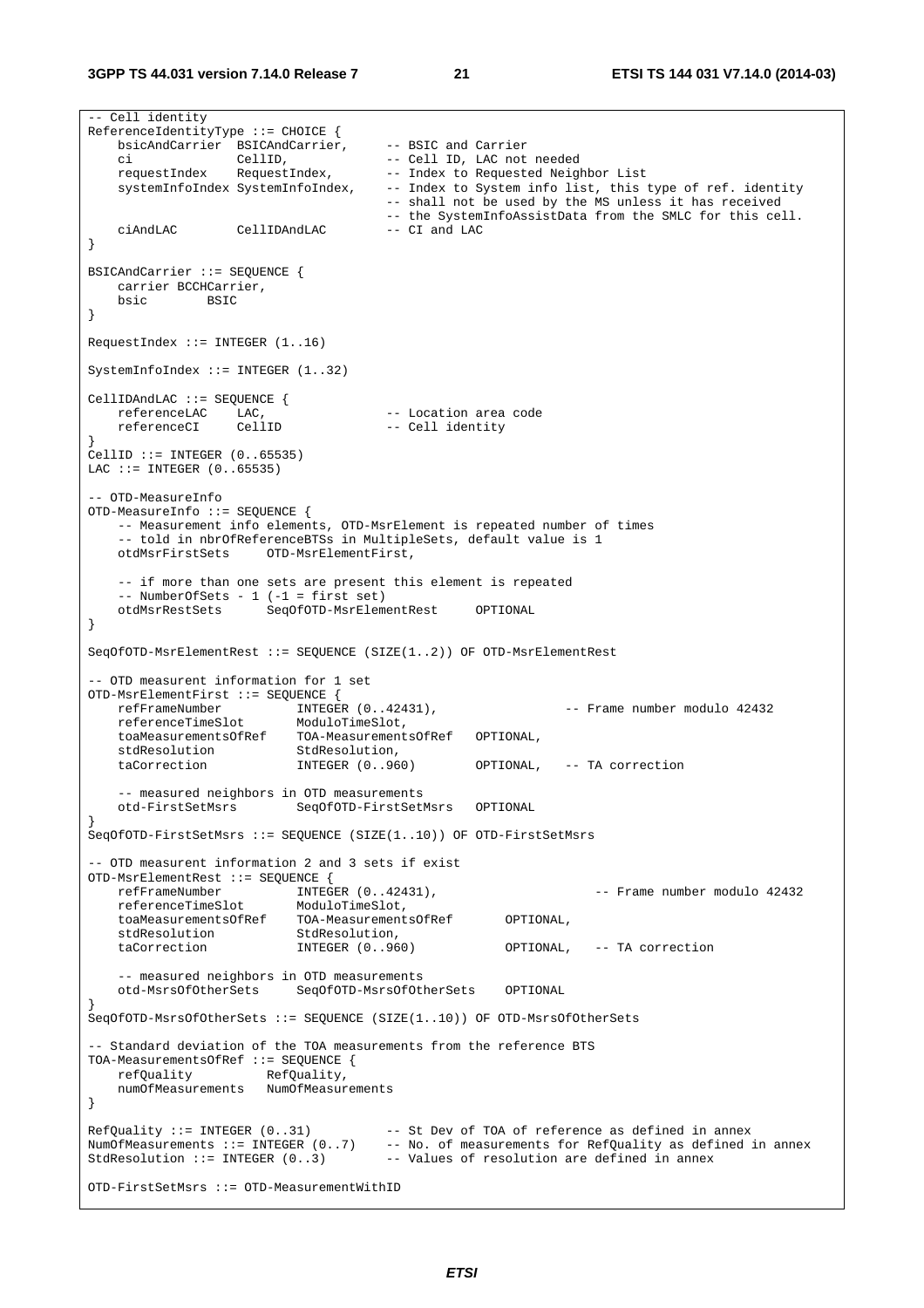**3GPP TS 44.031 version 7.14.0 Release 7 21 ETSI TS 144 031 V7.14.0 (2014-03)**

-- Cell identity ReferenceIdentityType ::= CHOICE { bsicAndCarrier BSICAndCarrier, ch constant of the contract of the basic and Carrier<br>ci CellID, -- Cell ID, LAC not needed<br>requestIndex RequestIndex, -- Index to Requested Neigh -- Index to Requested Neighbor List systemInfoIndex SystemInfoIndex, -- Index to System info list, this type of ref. identity -- shall not be used by the MS unless it has received -- the SystemInfoAssistData from the SMLC for this cell.<br>-- CI and LAC ciAndLAC CellIDAndLAC } BSICAndCarrier ::= SEQUENCE { carrier BCCHCarrier, bsic BSIC } RequestIndex ::= INTEGER (1..16) SystemInfoIndex ::= INTEGER (1..32) CellIDAndLAC ::= SEQUENCE {<br>referenceLAC LAC, LAC, The Constant -- Location area code<br>CellID -- Cell identity referenceCI CellID -- Cell identity }  $\text{CellID}$  ::= INTEGER  $(0.065535)$ LAC  $::=$  INTEGER  $(0..65535)$ -- OTD-MeasureInfo OTD-MeasureInfo ::= SEQUENCE { -- Measurement info elements, OTD-MsrElement is repeated number of times -- told in nbrOfReferenceBTSs in MultipleSets, default value is 1 OTD-MsrElementFirst, -- if more than one sets are present this element is repeated -- NumberOfSets - 1 (-1 = first set) otdMsrRestSets SeqOfOTD-MsrElementRest OPTIONAL } SeqOfOTD-MsrElementRest ::= SEQUENCE (SIZE(1..2)) OF OTD-MsrElementRest -- OTD measurent information for 1 set OTD-MsrElementFirst ::= SEQUENCE { refFrameNumber INTEGER (0..42431), -- Frame number modulo 42432 referenceTimeSlot ModuloTimeSlot, toaMeasurementsOfRef TOA-MeasurementsOfRef OPTIONAL, stdResolution taCorrection INTEGER (0..960) OPTIONAL, -- TA correction -- measured neighbors in OTD measurements otd-FirstSetMsrs SeqOfOTD-FirstSetMsrs OPTIONAL } SeqOfOTD-FirstSetMsrs ::= SEQUENCE (SIZE(1..10)) OF OTD-FirstSetMsrs -- OTD measurent information 2 and 3 sets if exist OTD-MsrElementRest ::= SEQUENCE { refFrameNumber INTEGER (0..42431), -- Frame number modulo 42432 referenceTimeSlot ModuloTimeSlot, toaMeasurementsOfRef TOA-MeasurementsOfRef OPTIONAL, stdResolution taCorrection INTEGER (0..960) OPTIONAL, -- TA correction -- measured neighbors in OTD measurements otd-MsrsOfOtherSets SeqOfOTD-MsrsOfOtherSets OPTIONAL } SeqOfOTD-MsrsOfOtherSets ::= SEQUENCE (SIZE(1..10)) OF OTD-MsrsOfOtherSets -- Standard deviation of the TOA measurements from the reference BTS TOA-MeasurementsOfRef ::= SEQUENCE { refQuality RefQuality, numOfMeasurements NumOfMeasurements }  $RefQuality ::= INTEGR (0..31)$  -- St Dev of TOA of reference as defined in annex NumOfMeasurements ::= INTEGER (0..7) -- No. of measurements for RefQuality as defined in annex StdResolution  $::=$  INTEGER  $(0..3)$  -- Values of resolution are defined in annex OTD-FirstSetMsrs ::= OTD-MeasurementWithID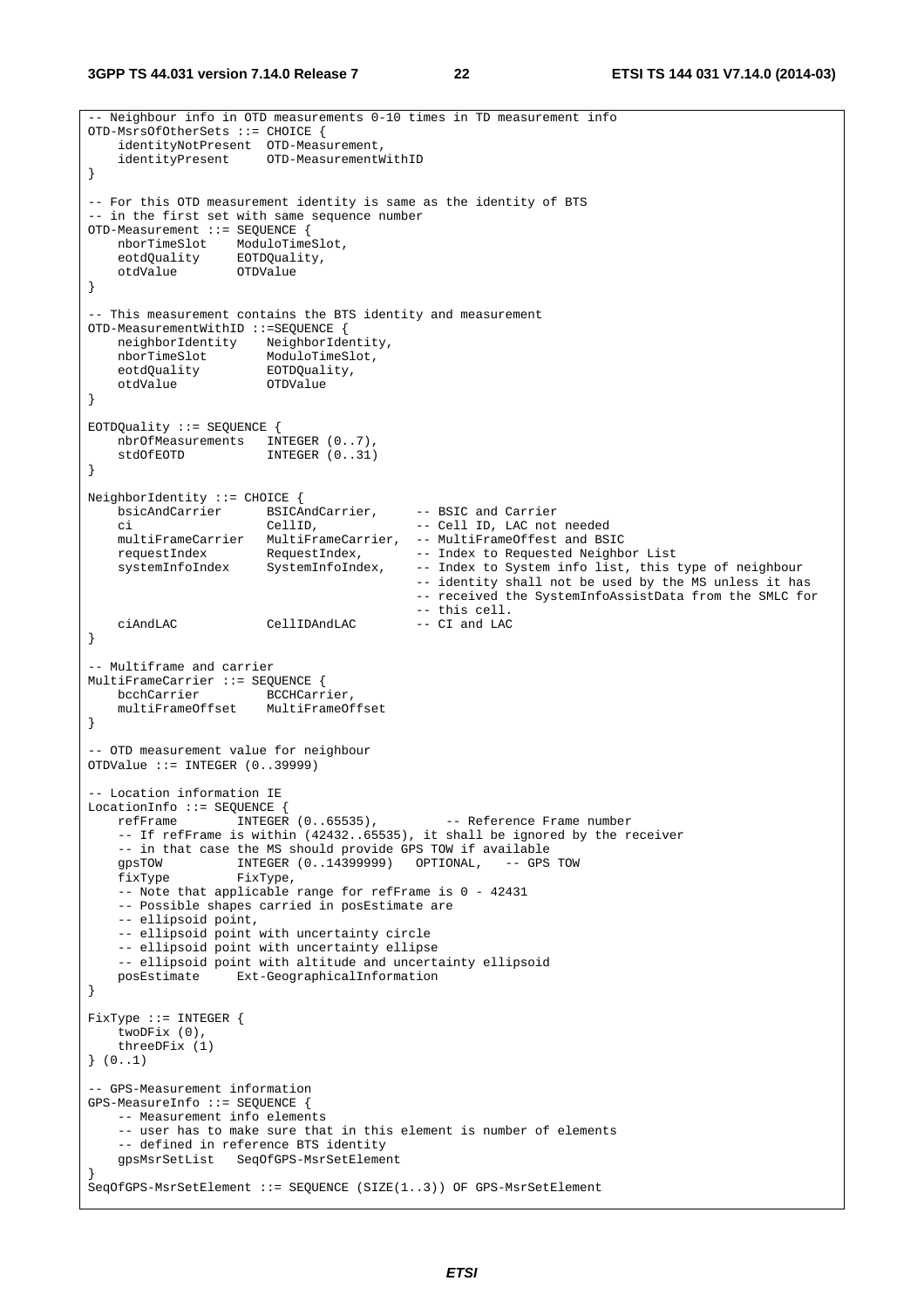```
-- Neighbour info in OTD measurements 0-10 times in TD measurement info 
OTD-MsrsOfOtherSets ::= CHOICE { 
    identityNotPresent OTD-Measurement, 
    identityPresent OTD-MeasurementWithID 
} 
-- For this OTD measurement identity is same as the identity of BTS 
-- in the first set with same sequence number 
OTD-Measurement ::= SEQUENCE { 
 nborTimeSlot ModuloTimeSlot, 
 eotdQuality EOTDQuality, 
 otdValue OTDValue 
} 
-- This measurement contains the BTS identity and measurement 
OTD-MeasurementWithID ::=SEQUENCE { 
    neighborIdentity NeighborIdentity, 
 nborTimeSlot ModuloTimeSlot, 
 eotdQuality EOTDQuality, 
    otdValue OTDValue 
} 
EOTDQuality ::= SEQUENCE { 
   nbrOfMeasurements INTEGER (0..7),<br>stdOfFOTD INTEGER (0.31)
                       stdOfEOTD INTEGER (0..31) 
} 
NeighborIdentity ::= CHOICE { 
    bsicAndCarrier BSICAndCarrier, -- BSIC and Carrier 
 ci CellID, -- Cell ID, LAC not needed 
 multiFrameCarrier MultiFrameCarrier, -- MultiFrameOffest and BSIC 
requestIndex RequestIndex, -- Index to Requested Neighbor List
 systemInfoIndex SystemInfoIndex, -- Index to System info list, this type of neighbour 
                                            -- identity shall not be used by the MS unless it has 
                                            -- received the SystemInfoAssistData from the SMLC for 
    -- this cell. 
                       ciAndLAC CellIDAndLAC -- CI and LAC 
} 
-- Multiframe and carrier 
MultiFrameCarrier ::= SEQUENCE { 
    bcchCarrier BCCHCarrier, 
    multiFrameOffset MultiFrameOffset 
} 
-- OTD measurement value for neighbour 
OTDValue ::= INTEGER (0..39999) 
-- Location information IE 
LocationInfo ::= SEQUENCE { 
   refFrame INTEGER (0..65535), -- Reference Frame number
     -- If refFrame is within (42432..65535), it shall be ignored by the receiver 
   -- in that case the MS should provide GPS TOW if available<br>gpsTOW 1NTEGER (0..14399999) OPTIONAL, -- GPS TOW
 gpsTOW INTEGER (0..14399999) OPTIONAL, -- GPS TOW 
 fixType FixType, 
    -- Note that applicable range for refFrame is 0 - 42431 
     -- Possible shapes carried in posEstimate are 
     -- ellipsoid point, 
     -- ellipsoid point with uncertainty circle 
    -- ellipsoid point with uncertainty ellipse 
     -- ellipsoid point with altitude and uncertainty ellipsoid 
    posEstimate Ext-GeographicalInformation 
} 
FixType ::= INTEGER { 
     twoDFix (0), 
     threeDFix (1) 
} (0..1) 
-- GPS-Measurement information 
GPS-MeasureInfo ::= SEQUENCE { 
    -- Measurement info elements 
     -- user has to make sure that in this element is number of elements 
     -- defined in reference BTS identity 
    gpsMsrSetList SeqOfGPS-MsrSetElement 
} 
SeqOfGPS-MsrSetElement ::= SEQUENCE (SIZE(1..3)) OF GPS-MsrSetElement
```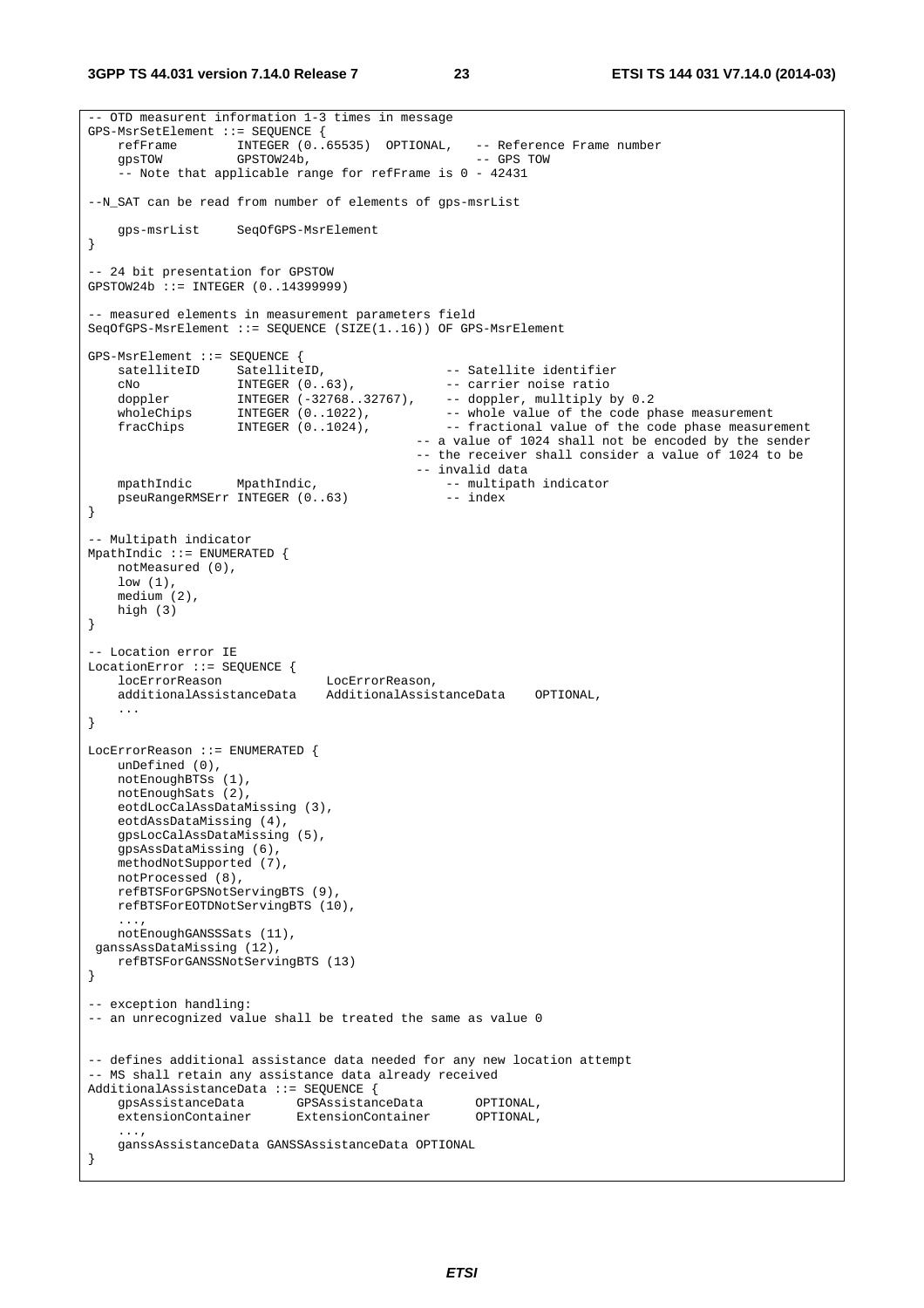```
-- OTD measurent information 1-3 times in message 
GPS-MsrSetElement ::= SEQUENCE { 
    refFrame INTEGER (0..65535) OPTIONAL, -- Reference Frame number 
                  GPSTOW 24b, - GPS TOW
     -- Note that applicable range for refFrame is 0 - 42431 
--N_SAT can be read from number of elements of gps-msrList 
    gps-msrList SeqOfGPS-MsrElement 
} 
-- 24 bit presentation for GPSTOW 
GPSTOW24b ::= INTEGER (0..14399999) 
-- measured elements in measurement parameters field 
SeqOfGPS-MsrElement ::= SEQUENCE (SIZE(1..16)) OF GPS-MsrElement 
GPS-MsrElement ::= SEQUENCE { 
 satelliteID SatelliteID, -- Satellite identifier 
 cNo INTEGER (0..63), -- carrier noise ratio 
 doppler INTEGER (-32768..32767), -- doppler, mulltiply by 0.2 
wholeChips INTEGER (0..1022), - - whole value of the code phase measurement
fracChips INTEGER (0..1024), -- fractional value of the code phase measurement
                                          -- a value of 1024 shall not be encoded by the sender 
                                           -- the receiver shall consider a value of 1024 to be 
                                           -- invalid data 
   mpathIndic MpathIndic, 1999 -- multipath indicator
    pseuRangeRMSErr INTEGER (0..63) -- index 
} 
-- Multipath indicator 
MpathIndic ::= ENUMERATED {
    notMeasured (0), 
    low (1), 
    medium (2), 
    high (3) 
} 
-- Location error IE 
LocationError ::= SEQUENCE { 
    locErrorReason LocErrorReason, 
    additionalAssistanceData AdditionalAssistanceData OPTIONAL, 
 ... 
} 
LocErrorReason ::= ENUMERATED { 
    unDefined (0), 
    notEnoughBTSs (1), 
    notEnoughSats (2), 
    eotdLocCalAssDataMissing (3), 
    eotdAssDataMissing (4), 
    gpsLocCalAssDataMissing (5), 
    gpsAssDataMissing (6), 
    methodNotSupported (7), 
    notProcessed (8), 
    refBTSForGPSNotServingBTS (9), 
    refBTSForEOTDNotServingBTS (10), 
     ..., 
    notEnoughGANSSSats (11), 
 ganssAssDataMissing (12), 
    refBTSForGANSSNotServingBTS (13) 
} 
-- exception handling: 
-- an unrecognized value shall be treated the same as value 0 
-- defines additional assistance data needed for any new location attempt 
-- MS shall retain any assistance data already received 
AdditionalAssistanceData ::= SEQUENCE {<br>qpsAssistanceData GPSAssistan
                         gpsAssistanceData GPSAssistanceData OPTIONAL, 
    extensionContainer ExtensionContainer OPTIONAL, 
 ..., 
    ganssAssistanceData GANSSAssistanceData OPTIONAL 
}
```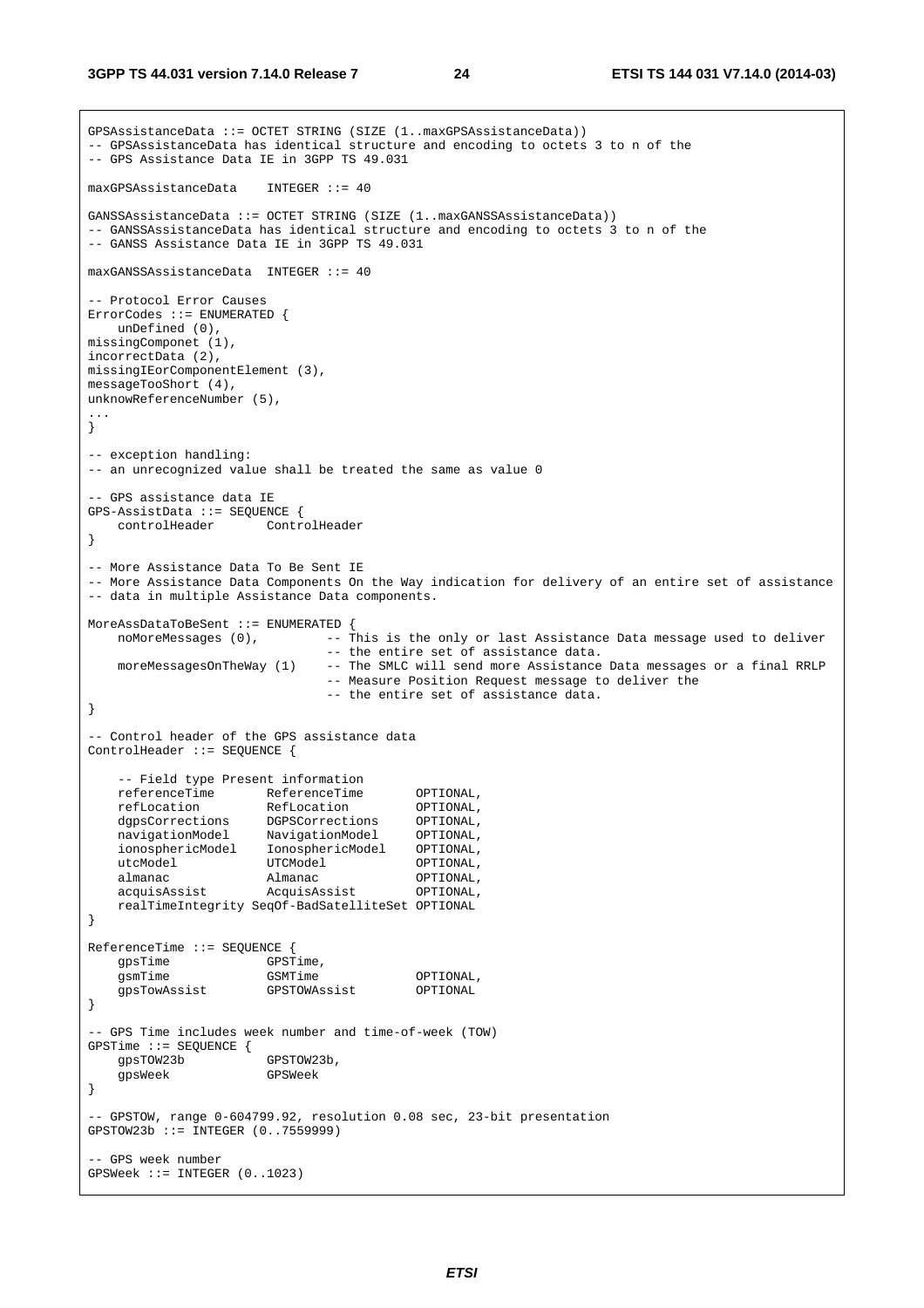```
GPSAssistanceData ::= OCTET STRING (SIZE (1..maxGPSAssistanceData)) 
-- GPSAssistanceData has identical structure and encoding to octets 3 to n of the 
-- GPS Assistance Data IE in 3GPP TS 49.031 
maxGPSAssistanceData INTEGER ::= 40 
GANSSAssistanceData ::= OCTET STRING (SIZE (1..maxGANSSAssistanceData)) 
-- GANSSAssistanceData has identical structure and encoding to octets 3 to n of the 
-- GANSS Assistance Data IE in 3GPP TS 49.031 
maxGANSSAssistanceData INTEGER ::= 40 
-- Protocol Error Causes 
ErrorCodes ::= ENUMERATED { 
   unDefined (0), 
missingComponet (1), 
incorrectData (2), 
missingIEorComponentElement (3), 
messageTooShort (4), 
unknowReferenceNumber (5), 
... 
} 
-- exception handling: 
-- an unrecognized value shall be treated the same as value 0 
-- GPS assistance data IE 
GPS-AssistData ::= SEQUENCE { 
    controlHeader ControlHeader 
} 
-- More Assistance Data To Be Sent IE 
-- More Assistance Data Components On the Way indication for delivery of an entire set of assistance 
-- data in multiple Assistance Data components. 
MoreAssDataToBeSent ::= ENUMERATED { 
  noMoreMessages (0), --- This is the only or last Assistance Data message used to deliver
                               -- the entire set of assistance data. 
    moreMessagesOnTheWay (1) -- The SMLC will send more Assistance Data messages or a final RRLP 
                               -- Measure Position Request message to deliver the 
                               -- the entire set of assistance data. 
} 
-- Control header of the GPS assistance data 
ControlHeader ::= SEQUENCE { 
    -- Field type Present information 
 referenceTime ReferenceTime OPTIONAL, 
 refLocation RefLocation OPTIONAL, 
 dgpsCorrections DGPSCorrections OPTIONAL, 
 navigationModel NavigationModel OPTIONAL, 
 ionosphericModel IonosphericModel OPTIONAL, 
utcModel UTCModel UTCModel OPTIONAL,
almanac Malmanac OPTIONAL,
    acquisAssist AcquisAssist OPTIONAL, 
    realTimeIntegrity SeqOf-BadSatelliteSet OPTIONAL 
} 
ReferenceTime ::= SEQUENCE { 
   gpsTime GPSTime,
   gsmTime GSMTime GSMTime OPTIONAL,
    gpsTowAssist GPSTOWAssist OPTIONAL 
} 
-- GPS Time includes week number and time-of-week (TOW) 
GPSTime ::= SEQUENCE { 
    gpsTOW23b GPSTOW23b, 
    gpsWeek GPSWeek 
} 
-- GPSTOW, range 0-604799.92, resolution 0.08 sec, 23-bit presentation 
GPSTOW23b ::= INTEGER (0..7559999) 
 - GPS week number
GPSWeek ::= INTEGER (0..1023)
```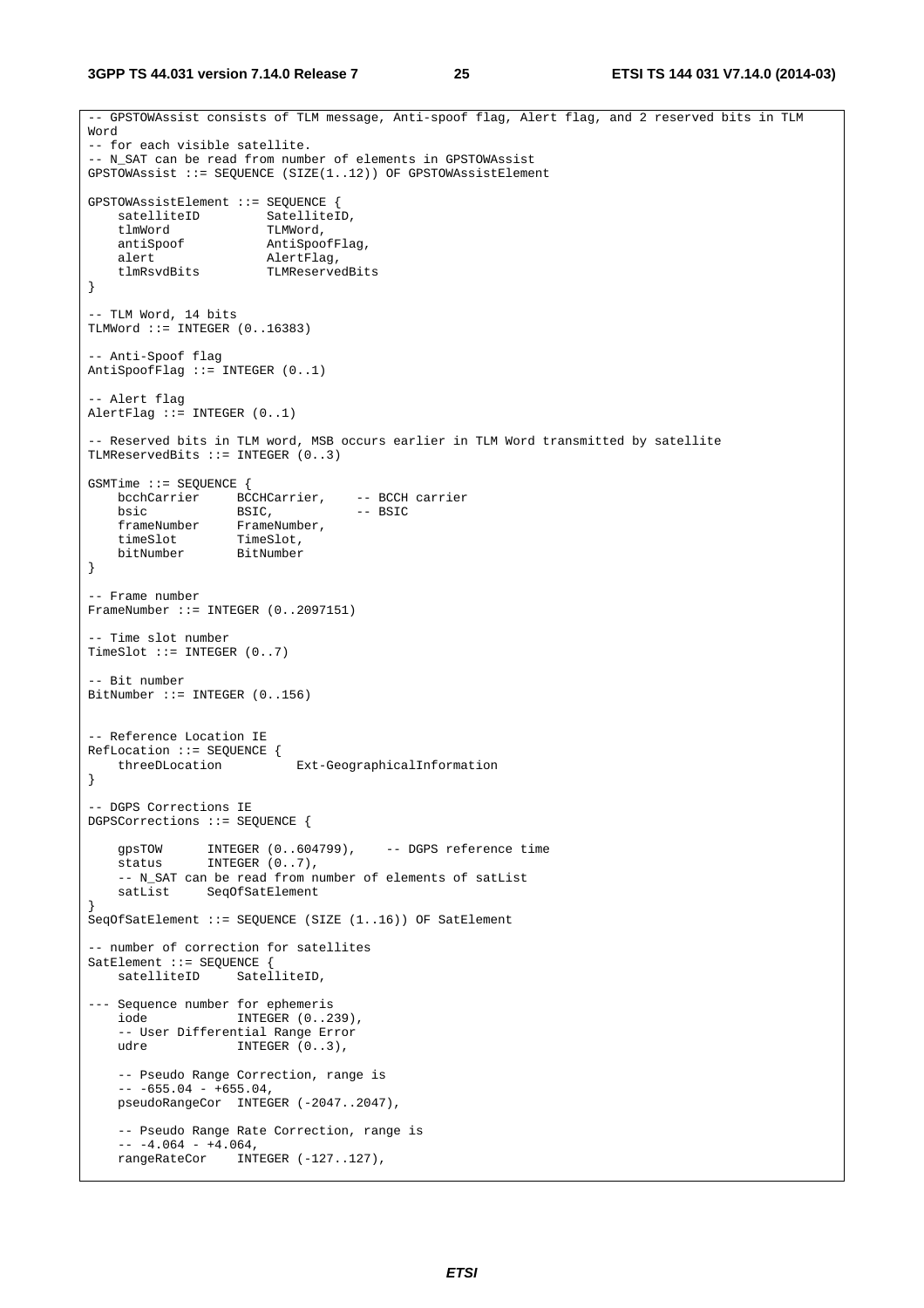```
3GPP TS 44.031 version 7.14.0 Release 7 25 ETSI TS 144 031 V7.14.0 (2014-03)
```

```
-- GPSTOWAssist consists of TLM message, Anti-spoof flag, Alert flag, and 2 reserved bits in TLM 
Word 
-- for each visible satellite. 
-- N_SAT can be read from number of elements in GPSTOWAssist 
GPSTOWAssist ::= SEQUENCE (SIZE(1..12)) OF GPSTOWAssistElement 
GPSTOWAssistElement ::= SEQUENCE { 
satelliteID SatelliteID,
tlmWord TLMWord,
    antiSpoof AntiSpoofFlag, 
    alert AlertFlag, 
                     TLMReservedBits
} 
-- TLM Word, 14 bits 
TLMWord ::= INTEGER (0..16383) 
-- Anti-Spoof flag 
AntiSpoofFlag ::= INTEGER (0..1)-- Alert flag 
AlertFlag ::= INTEGER (0..1) 
 -- Reserved bits in TLM word, MSB occurs earlier in TLM Word transmitted by satellite 
TLMReservedBits ::= INTEGER (0..3) 
GSMTime ::= SEQUENCE { 
 bcchCarrier BCCHCarrier, -- BCCH carrier 
bsic BSIC, - BSIC
   frameNumber FrameNumber,
 timeSlot TimeSlot, 
 bitNumber BitNumber 
} 
-- Frame number 
FrameNumber ::= INTEGER (0..2097151) 
-- Time slot number 
TimeSlot ::= INTEGER (0..7) 
 - Bit number
BitNumber ::= INTEGER (0..156) 
-- Reference Location IE 
RefLocation ::= SEQUENCE { 
    threeDLocation Ext-GeographicalInformation 
} 
-- DGPS Corrections IE 
DGPSCorrections ::= SEQUENCE { 
 gpsTOW INTEGER (0..604799), -- DGPS reference time 
status INTEGER (0..7),
   -- N SAT can be read from number of elements of satList
    satList SeqOfSatElement 
} 
SeqOfSatElement ::= SEQUENCE (SIZE (1..16)) OF SatElement 
-- number of correction for satellites 
SatElement ::= SEQUENCE { 
                 SatelliteID,
--- Sequence number for ephemeris 
    iode INTEGER (0..239), 
    -- User Differential Range Error 
                 INTEGR (0..3),
    -- Pseudo Range Correction, range is 
   -- -655.04 - +655.04, pseudoRangeCor INTEGER (-2047..2047), 
    -- Pseudo Range Rate Correction, range is 
   -- -4.064 - +4.064,rangeRateCor INTEGER (-127..127),
```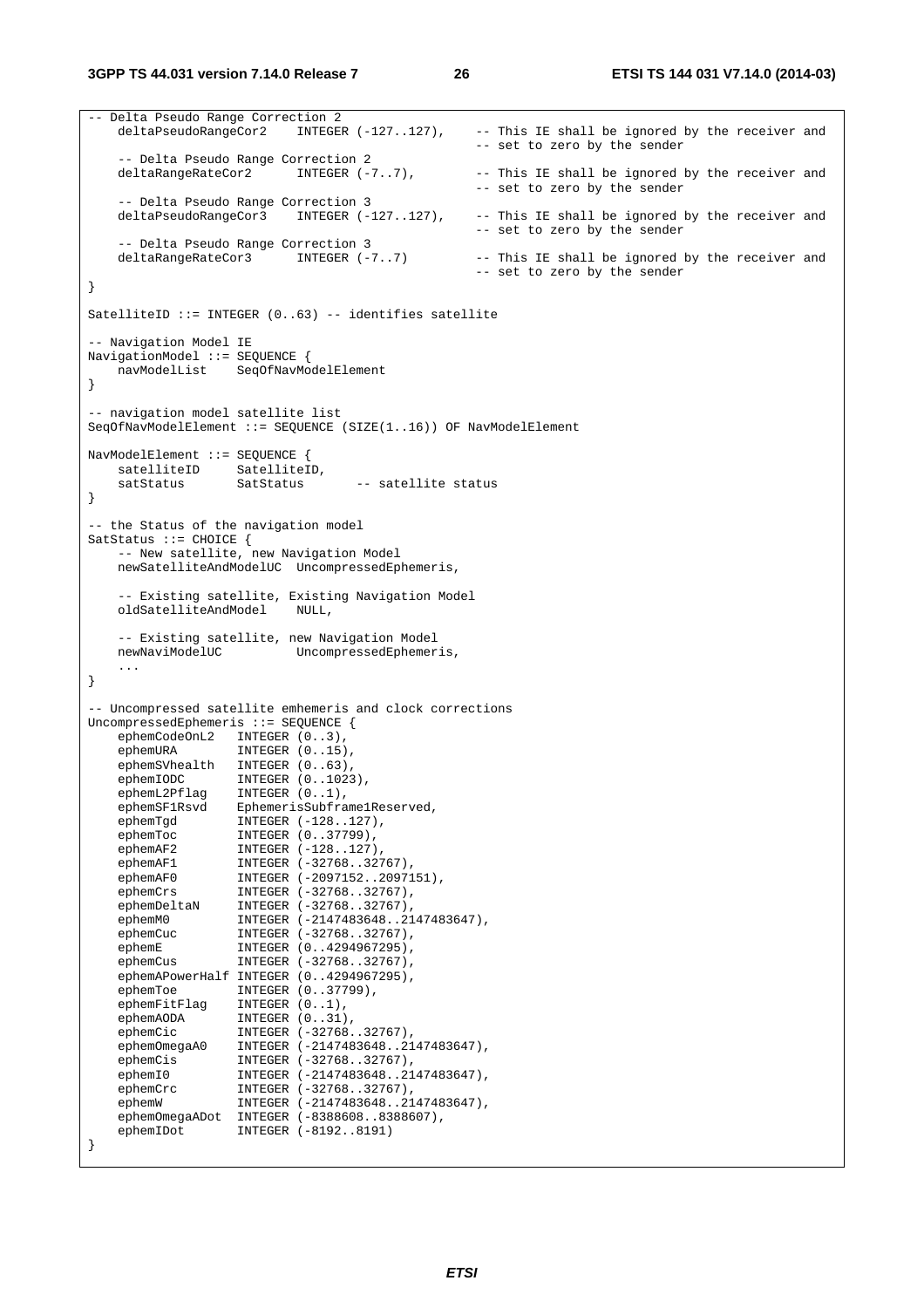```
-- Delta Pseudo Range Correction 2<br>deltaPseudoRangeCor2 INTEGER (-127..127).
                                                    -- This IE shall be ignored by the receiver and
                                                     -- set to zero by the sender 
     -- Delta Pseudo Range Correction 2 
   deltaRangeRateCor2 INTEGER (-7..7), -- This IE shall be ignored by the receiver and
                                                    -- set to zero by the sender 
    -- Delta Pseudo Range Correction 3<br>deltaPseudoRangeCor3 INTEGER (-127..127),
    deltaPseudoRangeCor3 INTEGER (-127..127), -- This IE shall be ignored by the receiver and 
                                                     -- set to zero by the sender 
     -- Delta Pseudo Range Correction 3<br>leltaRangeRateCor3       INTEGER (-7..7)
   deltaRangeRateCor3 INTEGER (-7..7) -- This IE shall be ignored by the receiver and
                                                     -- set to zero by the sender 
} 
SatelliteID ::= INTEGER (0..63) -- identifies satellite
-- Navigation Model IE 
NavigationModel ::= SEQUENCE { 
    navModelList SeqOfNavModelElement 
} 
-- navigation model satellite list 
SeqOfNavModelElement ::= SEQUENCE (SIZE(1..16)) OF NavModelElement 
NavModelElement ::= SEQUENCE { 
 satelliteID SatelliteID, 
 satStatus SatStatus -- satellite status 
} 
-- the Status of the navigation model 
SatStatus ::= CHOICE { 
     -- New satellite, new Navigation Model 
    newSatelliteAndModelUC UncompressedEphemeris, 
     -- Existing satellite, Existing Navigation Model 
    oldSatelliteAndModel NULL, 
     -- Existing satellite, new Navigation Model 
    newNaviModelUC UncompressedEphemeris, 
     ... 
} 
-- Uncompressed satellite emhemeris and clock corrections 
UncompressedEphemeris ::= SEQUENCE { 
   ephemCodeOnL2 INTEGER (0..3),<br>ephemURA INTEGER (0..15),
 ephemURA INTEGER (0..15), 
 ephemSVhealth INTEGER (0..63), 
    ephemIODC INTEGER (0..1023),
   ephemL2Pflag INTEGER (0..1),<br>ephemSFlRsvd EphemerisSubframelReserved,
 ephemSF1Rsvd EphemerisSubframe1Reserved, 
 ephemTgd INTEGER (-128..127), 
 ephemToc INTEGER (0..37799), 
ephemAF2 INTEGER (-128..127),
ephemAF1 INTEGER (-32768..32767),
ephemAF0 INTEGER (-2097152..2097151),
ephemCrs INTEGER (-32768..32767),
ephemDeltaN INTEGER (-32768..32767),
 ephemM0 INTEGER (-2147483648..2147483647), 
 ephemCuc INTEGER (-32768..32767), 
 ephemE INTEGER (0..4294967295), 
ephemCus INTEGER (-32768..32767),
     ephemAPowerHalf INTEGER (0..4294967295), 
    ephemToe INTEGER (0..37799),<br>ephemFitFlag INTEGER (0..1),<br>ephemAODA INTEGER (0..31),
 ephemFitFlag INTEGER (0..1), 
ephemAODA INTEGER (0..31),
 ephemCic INTEGER (-32768..32767), 
 ephemOmegaA0 INTEGER (-2147483648..2147483647), 
ephemCis INTEGER (-32768..32767),
 ephemI0 INTEGER (-2147483648..2147483647), 
 ephemCrc INTEGER (-32768..32767), 
 ephemW INTEGER (-2147483648..2147483647), 
 ephemOmegaADot INTEGER (-8388608..8388607), 
    ephemOmegaADot INTEGER (-8198608..8388607),<br>ephemIDot INTEGER (-8192..8191)
}
```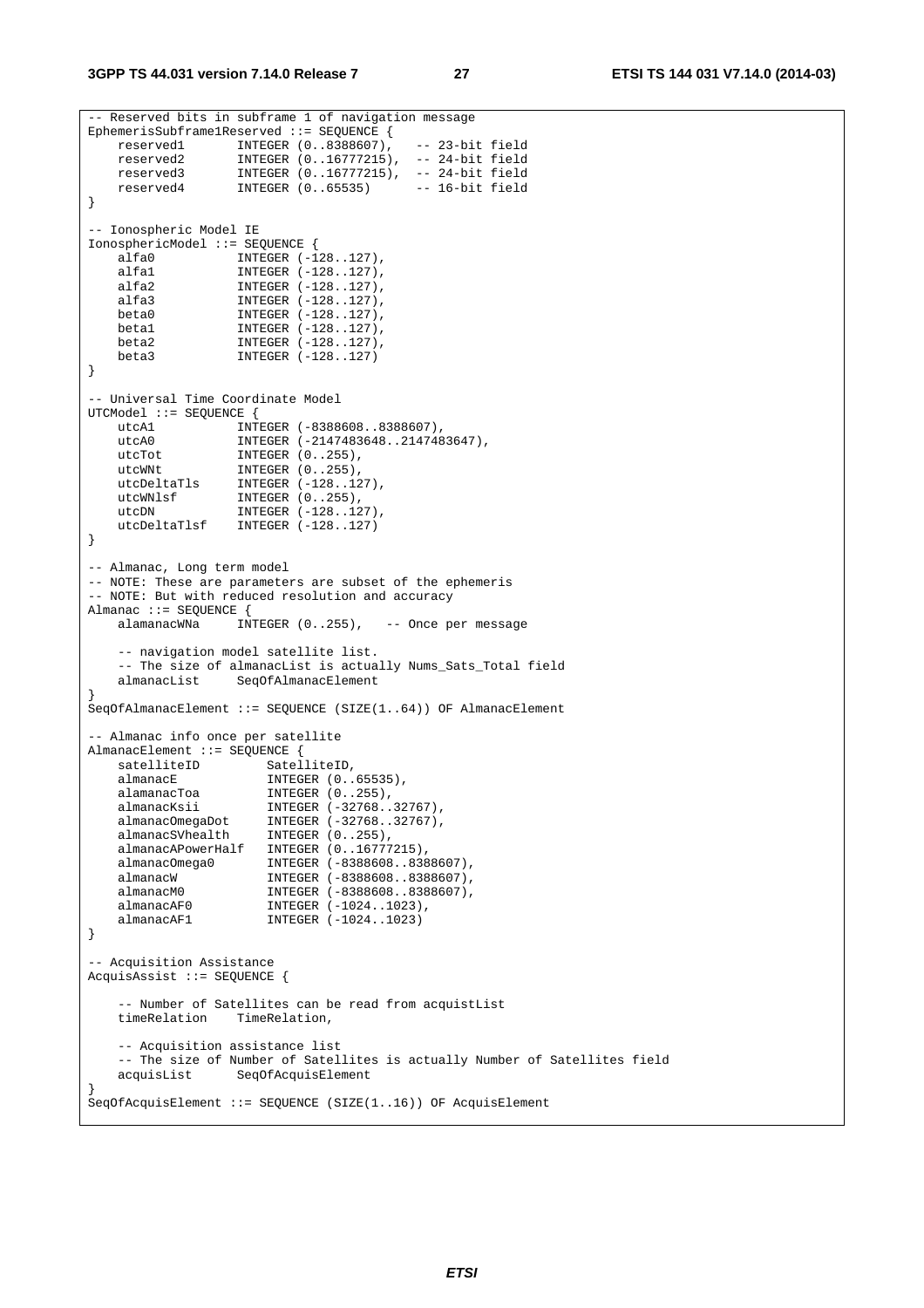```
-- Reserved bits in subframe 1 of navigation message 
EphemerisSubframe1Reserved ::= SEQUENCE { 
   reserved1 INTEGER (0..8388607), -- 23-bit field 
 reserved2 INTEGER (0..16777215), -- 24-bit field 
 reserved3 INTEGER (0..16777215), -- 24-bit field 
 reserved4 INTEGER (0..65535) -- 16-bit field 
} 
-- Ionospheric Model IE 
IonosphericModel ::= SEQUENCE { 
 alfa0 INTEGER (-128..127), 
 alfa1 INTEGER (-128..127), 
 alfa2 INTEGER (-128..127), 
   alfa3 INTEGER (-128..127),<br>
beta0 INTEGER (-128..127),<br>
beta1 INTEGER (-128..127),
beta0 INTEGER (-128..127),
 beta1 INTEGER (-128..127), 
 beta2 INTEGER (-128..127), 
 beta3 INTEGER (-128..127) 
} 
-- Universal Time Coordinate Model 
UTCModel ::= SEQUENCE { 
 utcA1 INTEGER (-8388608..8388607), 
 utcA0 INTEGER (-2147483648..2147483647), 
utcTot INTEGER (0..255),
utcWNt INTEGER (0..255),
 utcDeltaTls INTEGER (-128..127), 
 utcWNlsf INTEGER (0..255), 
utcDN INTEGER (-128..127),
    utcDeltaTlsf INTEGER (-128..127) 
} 
-- Almanac, Long term model 
-- NOTE: These are parameters are subset of the ephemeris 
-- NOTE: But with reduced resolution and accuracy 
Almanac ::= SEQUENCE {<br>alamanacWNa INT
                 \overline{\text{INTER}} (0..255), -- Once per message
    -- navigation model satellite list. 
    -- The size of almanacList is actually Nums_Sats_Total field 
    almanacList SeqOfAlmanacElement 
} 
SeqOfAlmanacElement ::= SEQUENCE (SIZE(1..64)) OF AlmanacElement 
 -- Almanac info once per satellite 
AlmanacElement ::= SEQUENCE { 
   satelliteID SatelliteID,
   almanacE INTEGER (0..65535),
 alamanacToa INTEGER (0..255), 
 almanacKsii INTEGER (-32768..32767), 
 almanacOmegaDot INTEGER (-32768..32767), 
 almanacSVhealth INTEGER (0..255), 
    almanacAPowerHalf INTEGER (0..16777215), 
 almanacOmega0 INTEGER (-8388608..8388607), 
 almanacW INTEGER (-8388608..8388607), 
 almanacM0 INTEGER (-8388608..8388607), 
 almanacAF0 INTEGER (-1024..1023), 
almanacAF1 INTEGER (-1024..1023)
} 
-- Acquisition Assistance 
AcquisAssist ::= SEQUENCE { 
    -- Number of Satellites can be read from acquistList 
    timeRelation TimeRelation, 
    -- Acquisition assistance list 
    -- The size of Number of Satellites is actually Number of Satellites field 
    acquisList SeqOfAcquisElement 
} 
SeqOfAcquisElement ::= SEQUENCE (SIZE(1..16)) OF AcquisElement
```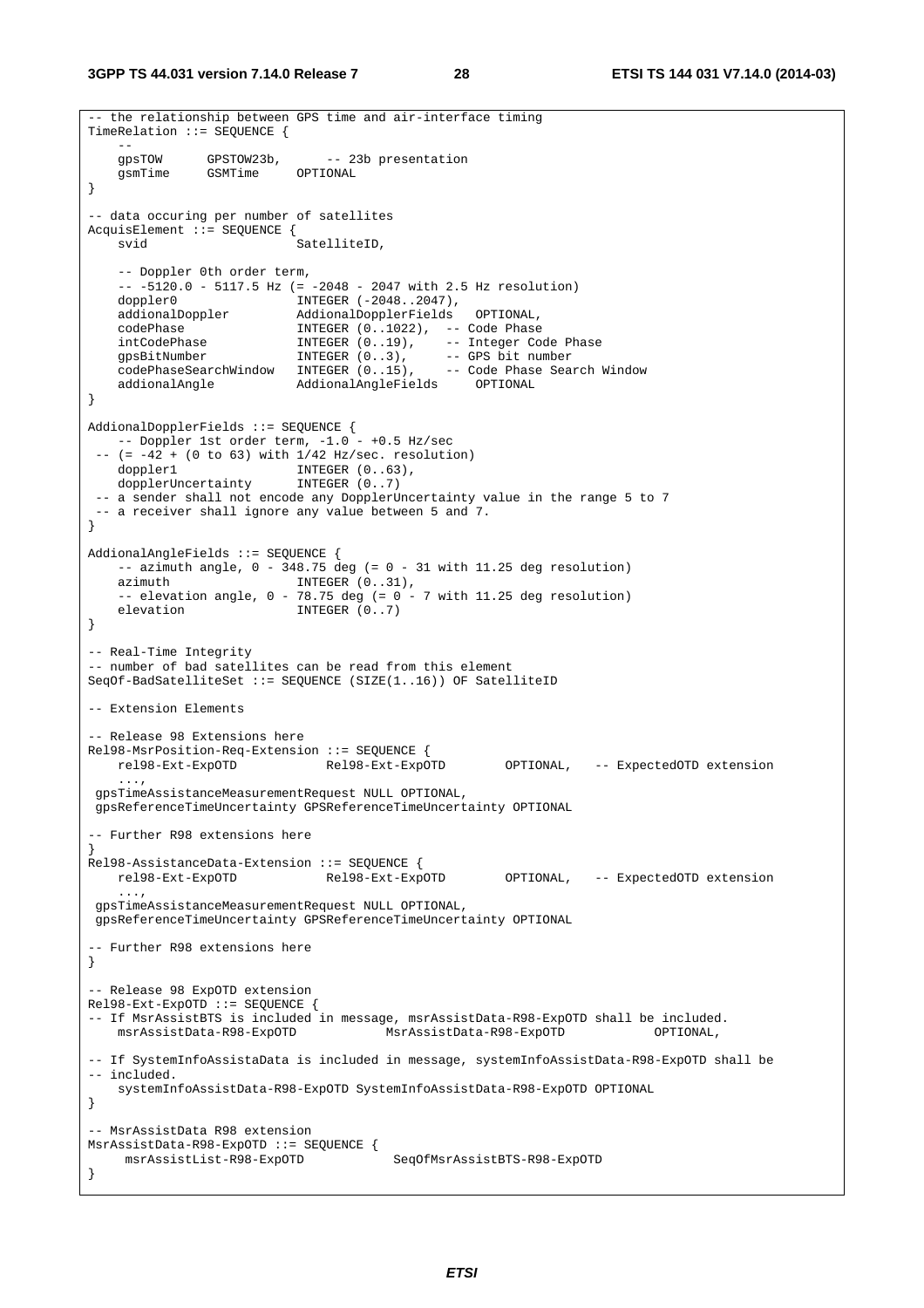```
-- the relationship between GPS time and air-interface timing
TimeRelation ::= SEQUENCE { 
 -- 
    gpsTOW GPSTOW23b, -- 23b presentation 
    gsmTime GSMTime OPTIONAL 
} 
-- data occuring per number of satellites 
AcquisElement ::= SEQUENCE {<br>svid
                            SatelliteID.
    -- Doppler 0th order term, 
   -- -5120.0 - 5117.5 Hz (=-2048 - 2047 \text{ with } 2.5 Hz resolution)<br>doppler0 INTEGER (-2048..2047),
    doppler0 INTEGER (-2048..2047), 
 addionalDoppler AddionalDopplerFields OPTIONAL, 
 codePhase INTEGER (0..1022), -- Code Phase 
 intCodePhase INTEGER (0..19), -- Integer Code Phase 
 gpsBitNumber INTEGER (0..3), -- GPS bit number 
 codePhaseSearchWindow INTEGER (0..15), -- Code Phase Search Window 
 addionalAngle AddionalAngleFields OPTIONAL 
} 
AddionalDopplerFields ::= SEQUENCE { 
  -- Doppler 1st order term, -1.0 - +0.5 Hz/sec
 -(-42 + (0 \text{ to } 63) \text{ with } 1/42 \text{ Hz/sec. resolution})doppler1 INTEGER (0..63),
    dopplerUncertainty INTEGER (0..7) 
  -- a sender shall not encode any DopplerUncertainty value in the range 5 to 7 
 -- a receiver shall ignore any value between 5 and 7. 
} 
AddionalAngleFields ::= SEQUENCE { 
   - azimuth angle, 0 - 348.75 deg (= 0 - 31 with 11.25 deg resolution)
   azimuth INTEGER (0..31),
    -- elevation angle, 0 - 78.75 deg (= 0 - 7 with 11.25 deg resolution)
   elevation INTEGER (0..7)
} 
-- Real-Time Integrity 
-- number of bad satellites can be read from this element 
SeqOf-BadSatelliteSet ::= SEQUENCE (SIZE(1..16)) OF SatelliteID 
-- Extension Elements 
 -- Release 98 Extensions here 
Rel98-MsrPosition-Req-Extension ::= SEQUENCE { 
    rel98-Ext-ExpOTD Rel98-Ext-ExpOTD OPTIONAL, -- ExpectedOTD extension 
 ..., 
 gpsTimeAssistanceMeasurementRequest NULL OPTIONAL, 
 gpsReferenceTimeUncertainty GPSReferenceTimeUncertainty OPTIONAL 
 -- Further R98 extensions here 
} 
Rel98-AssistanceData-Extension ::= SEQUENCE {<br>rel98-Ext-ExpOTD Rel98-Ext-ExpOTD
   rel98-Ext-ExpOTD Rel98-Ext-ExpOTD OPTIONAL, -- ExpectedOTD extension 
     ..., 
 gpsTimeAssistanceMeasurementRequest NULL OPTIONAL, 
 gpsReferenceTimeUncertainty GPSReferenceTimeUncertainty OPTIONAL 
-- Further R98 extensions here 
} 
-- Release 98 ExpOTD extension 
Rel98-Ext-ExpOTD ::= SEQUENCE { 
-- If MsrAssistBTS is included in message, msrAssistData-R98-ExpOTD shall be included.<br>msrAssistData-R98-ExpOTD MsrAssistData-R98-ExpOTD OPTIONAL,
    msrAssistData-R98-ExpOTD MsrAssistData-R98-ExpOTD OPTIONAL, 
-- If SystemInfoAssistaData is included in message, systemInfoAssistData-R98-ExpOTD shall be 
-- included. 
     systemInfoAssistData-R98-ExpOTD SystemInfoAssistData-R98-ExpOTD OPTIONAL 
} 
-- MsrAssistData R98 extension 
MsrAssistData-R98-ExpOTD ::= SEQUENCE { 
     msrAssistList-R98-ExpOTD SeqOfMsrAssistBTS-R98-ExpOTD 
}
```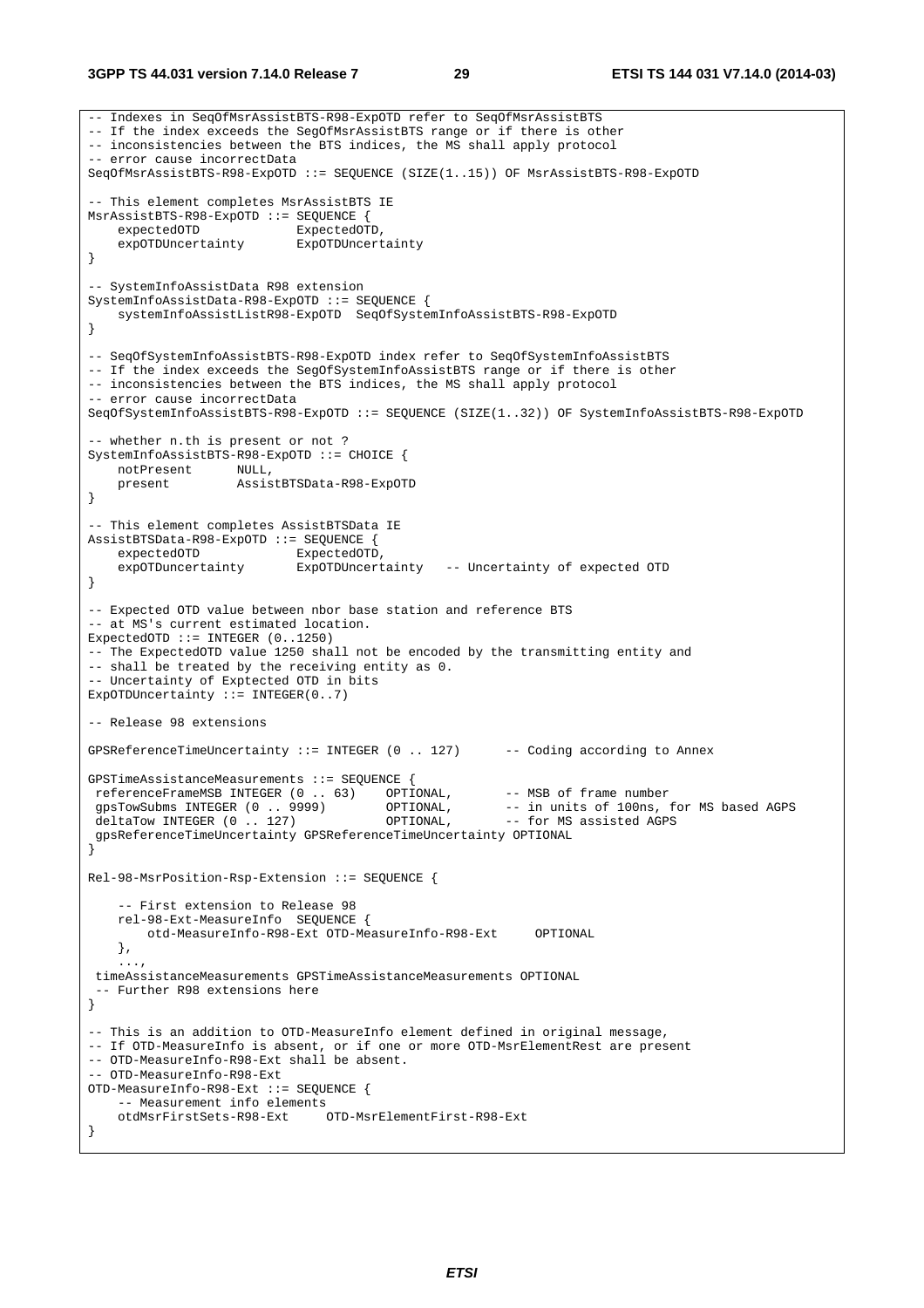#### **3GPP TS 44.031 version 7.14.0 Release 7 29 ETSI TS 144 031 V7.14.0 (2014-03)**

```
-- Indexes in SeqOfMsrAssistBTS-R98-ExpOTD refer to SeqOfMsrAssistBTS 
-- If the index exceeds the SegOfMsrAssistBTS range or if there is other 
-- inconsistencies between the BTS indices, the MS shall apply protocol 
-- error cause incorrectData 
SeqOfMsrAssistBTS-R98-ExpOTD ::= SEQUENCE (SIZE(1..15)) OF MsrAssistBTS-R98-ExpOTD 
-- This element completes MsrAssistBTS IE 
MsrAssistBTS-R98-ExpOTD ::= SEQUENCE { 
   expectedOTD ExpectedOTD,<br>expOTDUncertainty ExpOTDUncertainty
    expOTDUncertainty
} 
-- SystemInfoAssistData R98 extension 
SystemInfoAssistData-R98-ExpOTD ::= SEQUENCE { 
    systemInfoAssistListR98-ExpOTD SeqOfSystemInfoAssistBTS-R98-ExpOTD 
} 
-- SeqOfSystemInfoAssistBTS-R98-ExpOTD index refer to SeqOfSystemInfoAssistBTS 
-- If the index exceeds the SegOfSystemInfoAssistBTS range or if there is other
-- inconsistencies between the BTS indices, the MS shall apply protocol 
-- error cause incorrectData 
SeqOfSystemInfoAssistBTS-R98-ExpOTD ::= SEQUENCE (SIZE(1..32)) OF SystemInfoAssistBTS-R98-ExpOTD 
 -- whether n.th is present or not ? 
SystemInfoAssistBTS-R98-ExpOTD ::= CHOICE { 
 notPresent NULL, 
 present AssistBTSData-R98-ExpOTD 
} 
-- This element completes AssistBTSData IE 
AssistBTSData-R98-ExpOTD ::= SEQUENCE { 
    expectedOTD ExpectedOTD,<br>expOTDuncertainty ExpOTDUncert
                            ExpOTDUncertainty -- Uncertainty of expected OTD
} 
 -- Expected OTD value between nbor base station and reference BTS 
-- at MS's current estimated location. 
ExpectedOTD ::= INTEGER (0..1250) 
-- The ExpectedOTD value 1250 shall not be encoded by the transmitting entity and 
-- shall be treated by the receiving entity as 0. 
 -- Uncertainty of Exptected OTD in bits 
ExpOTDUncertainty := INTEGER(0..7)
-- Release 98 extensions 
GPSReferenceTimeUncertainty ::= INTEGER (0 .. 127) -- Coding according to Annex 
GPSTimeAssistanceMeasurements ::= SEQUENCE { 
referenceFrameMSB INTEGER (0 . . 63) OPTIONAL, -- MSB of frame number<br>gpsTowSubms INTEGER (0 . . 9999) OPTIONAL, -- in units of 100ns,
                                                         -- in units of 100ns, for MS based AGPS<br>-- for MS assisted AGPS
deltaTow INTEGER (0 \ldots 127) OPTIONAL,
  gpsReferenceTimeUncertainty GPSReferenceTimeUncertainty OPTIONAL 
} 
Rel-98-MsrPosition-Rsp-Extension ::= SEQUENCE { 
      -- First extension to Release 98 
     rel-98-Ext-MeasureInfo SEQUENCE { 
         otd-MeasureInfo-R98-Ext OTD-MeasureInfo-R98-Ext OPTIONAL 
     }, 
 ..., 
  timeAssistanceMeasurements GPSTimeAssistanceMeasurements OPTIONAL 
  -- Further R98 extensions here 
} 
-- This is an addition to OTD-MeasureInfo element defined in original message, 
-- If OTD-MeasureInfo is absent, or if one or more OTD-MsrElementRest are present 
-- OTD-MeasureInfo-R98-Ext shall be absent. 
-- OTD-MeasureInfo-R98-Ext 
OTD-MeasureInfo-R98-Ext ::= SEQUENCE { 
      -- Measurement info elements 
     otdMsrFirstSets-R98-Ext OTD-MsrElementFirst-R98-Ext 
}
```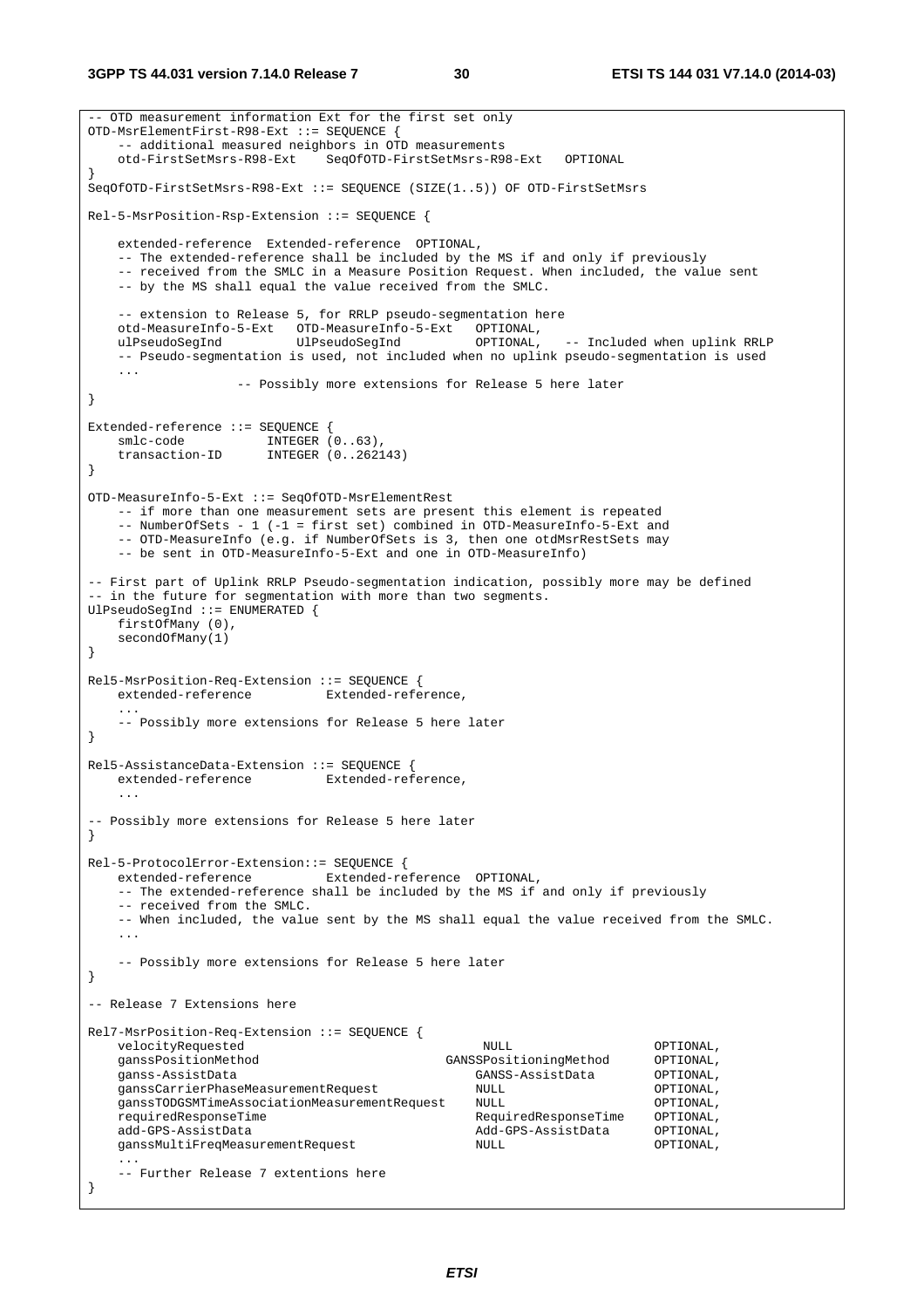```
-- OTD measurement information Ext for the first set only 
OTD-MsrElementFirst-R98-Ext ::= SEQUENCE { 
    -- additional measured neighbors in OTD measurements 
    otd-FirstSetMsrs-R98-Ext SeqOfOTD-FirstSetMsrs-R98-Ext OPTIONAL 
} 
SeqOfOTD-FirstSetMsrs-R98-Ext ::= SEQUENCE (SIZE(1..5)) OF OTD-FirstSetMsrs 
Rel-5-MsrPosition-Rsp-Extension ::= SEQUENCE { 
    extended-reference Extended-reference OPTIONAL, 
    -- The extended-reference shall be included by the MS if and only if previously 
    -- received from the SMLC in a Measure Position Request. When included, the value sent 
    -- by the MS shall equal the value received from the SMLC. 
    -- extension to Release 5, for RRLP pseudo-segmentation here 
    otd-MeasureInfo-5-Ext OTD-MeasureInfo-5-Ext OPTIONAL, 
    ulPseudoSegInd UlPseudoSegInd OPTIONAL, -- Included when uplink RRLP 
    -- Pseudo-segmentation is used, not included when no uplink pseudo-segmentation is used 
    ... 
                   -- Possibly more extensions for Release 5 here later 
} 
Extended-reference ::= SEQUENCE { 
smlc-code INTEGER (0..63),
 transaction-ID INTEGER (0..262143) 
} 
OTD-MeasureInfo-5-Ext ::= SeqOfOTD-MsrElementRest 
    -- if more than one measurement sets are present this element is repeated 
    -- NumberOfSets - 1 (-1 = first set) combined in OTD-MeasureInfo-5-Ext and 
   -- OTD-MeasureInfo (e.g. if NumberOfSets is 3, then one otdMsrRestSets may
    -- be sent in OTD-MeasureInfo-5-Ext and one in OTD-MeasureInfo) 
-- First part of Uplink RRLP Pseudo-segmentation indication, possibly more may be defined 
-- in the future for segmentation with more than two segments.
UlPseudoSegInd ::= ENUMERATED { 
    firstOfMany (0), 
    secondOfMany(1) 
} 
Rel5-MsrPosition-Req-Extension ::= SEQUENCE { 
    extended-reference Extended-reference, 
 ... 
    -- Possibly more extensions for Release 5 here later 
} 
Rel5-AssistanceData-Extension ::= SEOUENCE {
   extended-reference Extended-reference, 
 ... 
-- Possibly more extensions for Release 5 here later 
} 
Rel-5-ProtocolError-Extension::= SEQUENCE { 
   extended-reference Extended-reference OPTIONAL, 
    -- The extended-reference shall be included by the MS if and only if previously 
    -- received from the SMLC. 
    -- When included, the value sent by the MS shall equal the value received from the SMLC. 
 ... 
    -- Possibly more extensions for Release 5 here later 
} 
-- Release 7 Extensions here 
Rel7-MsrPosition-Req-Extension ::= SEQUENCE { 
    velocityRequested NULL OPTIONAL, 
    ganssPositionMethod GANSSPositioningMethod OPTIONAL, 
                                                 ganss-AssistData GANSS-AssistData OPTIONAL, 
    ganssCarrierPhaseMeasurementRequest NULL OPTIONAL, 
    ganssTODGSMTimeAssociationMeasurementRequest NULL OPTIONAL, 
    requiredResponseTime RequiredResponseTime OPTIONAL, 
   add-GPS-AssistData and add-GPS-AssistData OPTIONAL,
    ganssMultiFreqMeasurementRequest NULL OPTIONAL, 
 ... 
    -- Further Release 7 extentions here 
}
```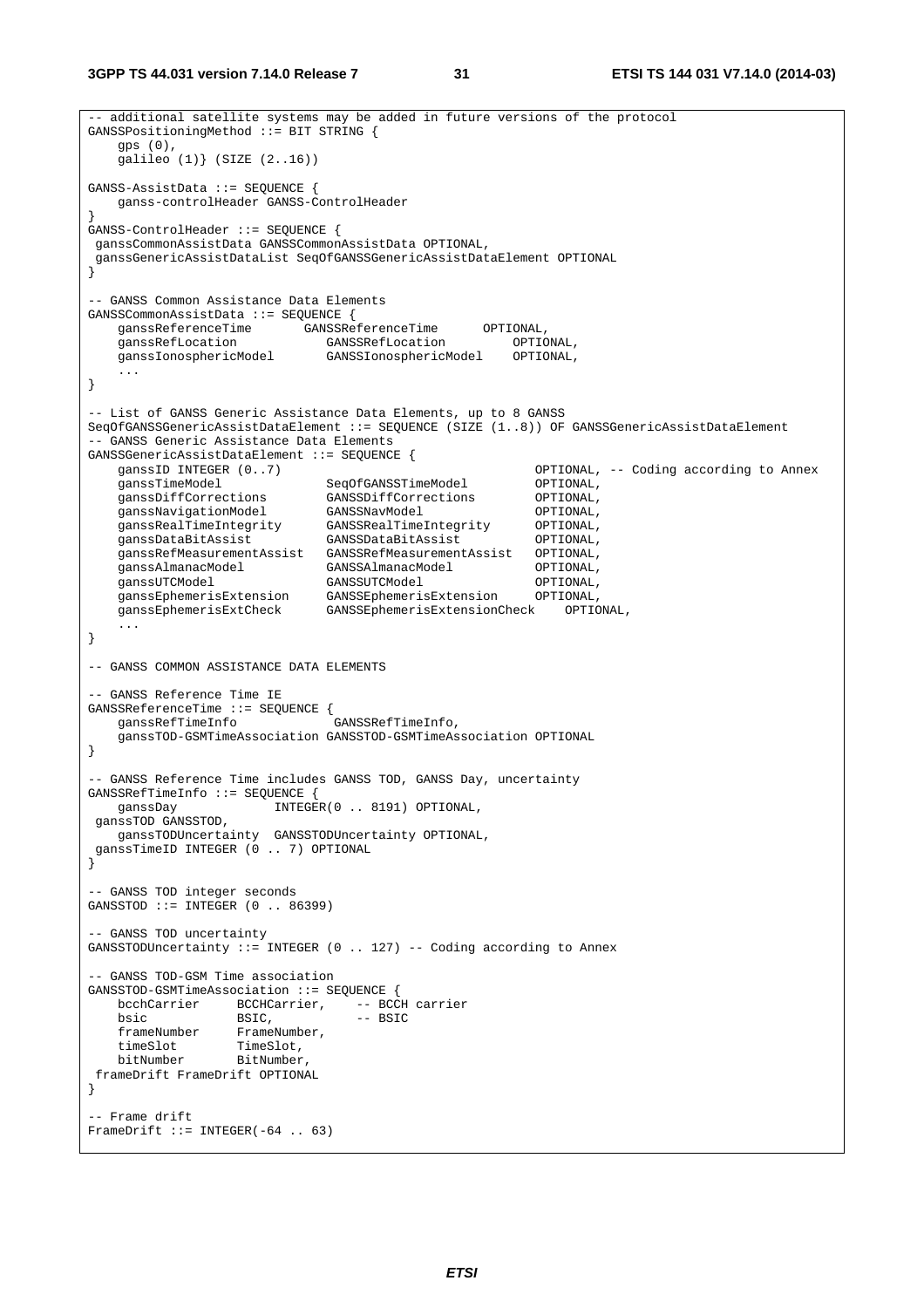```
-- additional satellite systems may be added in future versions of the protocol 
GANSSPositioningMethod ::= BIT STRING { 
    gps (0), 
    galileo (1)} (SIZE (2..16)) 
GANSS-AssistData ::= SEQUENCE { 
    ganss-controlHeader GANSS-ControlHeader 
} 
GANSS-ControlHeader ::= SEQUENCE { 
 ganssCommonAssistData GANSSCommonAssistData OPTIONAL, 
 ganssGenericAssistDataList SeqOfGANSSGenericAssistDataElement OPTIONAL 
} 
-- GANSS Common Assistance Data Elements 
GANSSCommonAssistData ::= SEQUENCE { 
 ganssReferenceTime GANSSReferenceTime OPTIONAL, 
 ganssRefLocation GANSSRefLocation OPTIONAL, 
 ganssIonosphericModel GANSSIonosphericModel OPTIONAL, 
 ... 
} 
-- List of GANSS Generic Assistance Data Elements, up to 8 GANSS 
SeqOfGANSSGenericAssistDataElement ::= SEQUENCE (SIZE (1..8)) OF GANSSGenericAssistDataElement 
-- GANSS Generic Assistance Data Elements 
GANSSGenericAssistDataElement ::= SEQUENCE { 
    ganssID INTEGER (0..7) OPTIONAL, -- Coding according to Annex 
 ganssTimeModel SeqOfGANSSTimeModel OPTIONAL, 
 ganssDiffCorrections GANSSDiffCorrections OPTIONAL, 
 ganssNavigationModel GANSSNavModel OPTIONAL, 
 ganssRealTimeIntegrity GANSSRealTimeIntegrity OPTIONAL, 
 ganssDataBitAssist GANSSDataBitAssist OPTIONAL, 
    ganssRefMeasurementAssist GANSSRefMeasurementAssist OPTIONAL, 
 ganssAlmanacModel GANSSAlmanacModel OPTIONAL, 
 ganssUTCModel GANSSUTCModel OPTIONAL, 
 ganssEphemerisExtension GANSSEphemerisExtension OPTIONAL, 
 ganssEphemerisExtCheck GANSSEphemerisExtensionCheck OPTIONAL, 
    ... 
} 
-- GANSS COMMON ASSISTANCE DATA ELEMENTS 
-- GANSS Reference Time IE 
GANSSReferenceTime ::= SEQUENCE { 
    ganssRefTimeInfo GANSSRefTimeInfo, 
    ganssTOD-GSMTimeAssociation GANSSTOD-GSMTimeAssociation OPTIONAL 
} 
-- GANSS Reference Time includes GANSS TOD, GANSS Day, uncertainty 
GANSSRefTimeInfo ::= SEQUENCE { 
   ganssDay INTEGER(0 .. 8191) OPTIONAL, 
 ganssTOD GANSSTOD, 
    ganssTODUncertainty GANSSTODUncertainty OPTIONAL, 
  ganssTimeID INTEGER (0 .. 7) OPTIONAL 
} 
-- GANSS TOD integer seconds 
GANSSTOD ::= INTEGER (0 \ldots 86399)-- GANSS TOD uncertainty 
GANSSTODUncertainty ::= INTEGER (0 .. 127) -- Coding according to Annex
 - GANSS TOD-GSM Time association
GANSSTOD-GSMTimeAssociation ::= SEQUENCE {<br>bcchCarrier BCCHCarrier, -- BCCH carrier
   bcchCarrier BCCHCarrier,
   \text{bsic} BSIC, \text{-} \text{B} frameNumber FrameNumber, 
 timeSlot TimeSlot, 
 bitNumber BitNumber, 
 frameDrift FrameDrift OPTIONAL 
} 
-- Frame drift 
FrameDrift ::= INTEGER(-64 .. 63)
```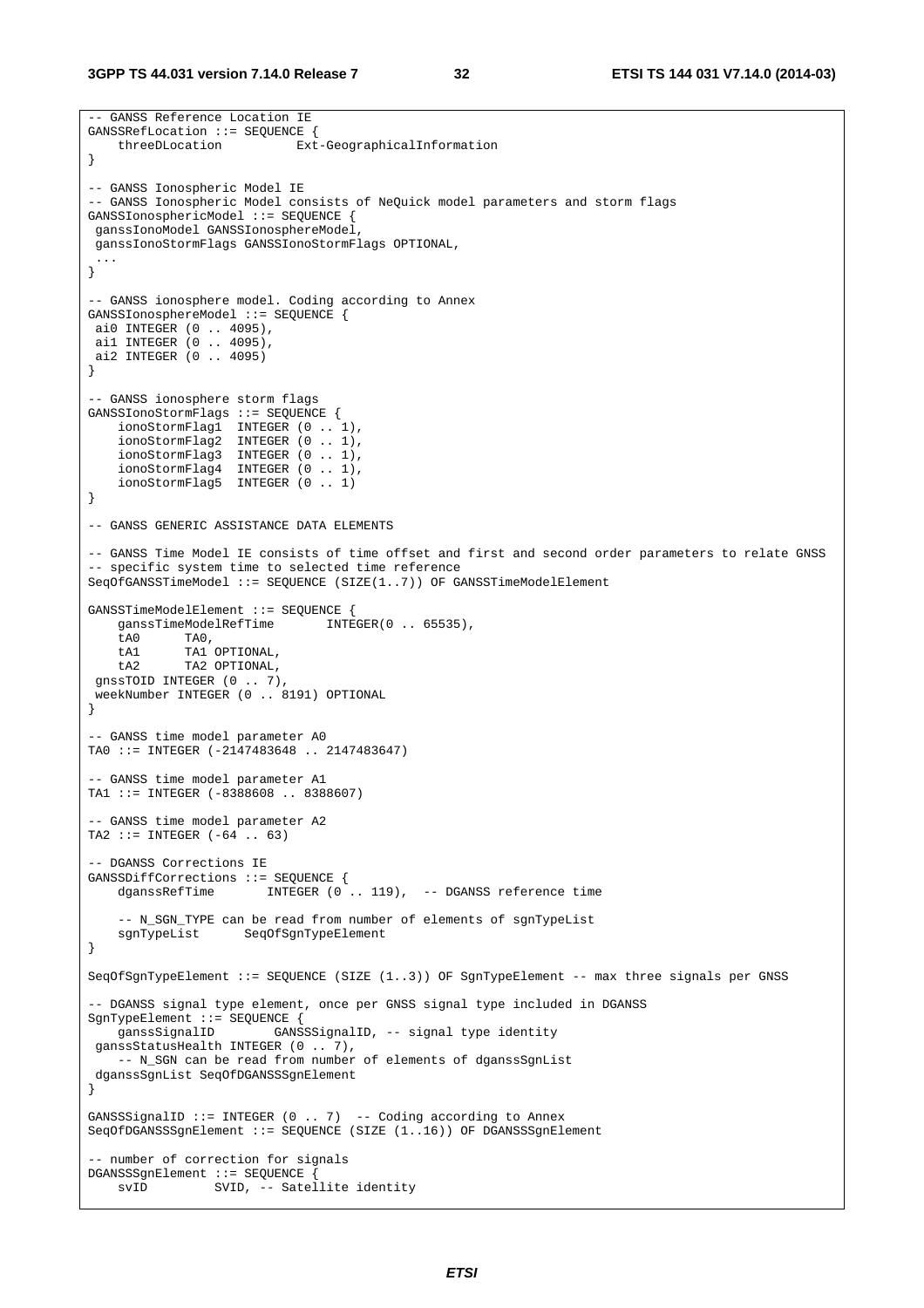```
-- GANSS Reference Location IE 
GANSSRefLocation ::= SEQUENCE { 
     threeDLocation Ext-GeographicalInformation 
} 
-- GANSS Ionospheric Model IE 
-- GANSS Ionospheric Model consists of NeQuick model parameters and storm flags 
GANSSIonosphericModel ::= SEQUENCE { 
 ganssIonoModel GANSSIonosphereModel, 
 ganssIonoStormFlags GANSSIonoStormFlags OPTIONAL, 
  ... 
} 
-- GANSS ionosphere model. Coding according to Annex 
GANSSIonosphereModel ::= SEQUENCE { 
 ai0 INTEGER (0 .. 4095), 
 ai1 INTEGER (0 .. 4095), 
 ai2 INTEGER (0 .. 4095) 
} 
-- GANSS ionosphere storm flags 
GANSSIonoStormFlags ::= SEQUENCE { 
 ionoStormFlag1 INTEGER (0 .. 1), 
 ionoStormFlag2 INTEGER (0 .. 1), 
 ionoStormFlag3 INTEGER (0 .. 1), 
 ionoStormFlag4 INTEGER (0 .. 1), 
     ionoStormFlag5 INTEGER (0 .. 1) 
} 
-- GANSS GENERIC ASSISTANCE DATA ELEMENTS 
-- GANSS Time Model IE consists of time offset and first and second order parameters to relate GNSS 
-- specific system time to selected time reference 
SeqOfGANSSTimeModel ::= SEQUENCE (SIZE(1..7)) OF GANSSTimeModelElement 
GANSSTimeModelElement ::= SEQUENCE {<br>qanssTimeModelRefTime INTEGER(0 .. 65535),
   ganssTimeModelRefTime
     tA0 TA0, 
     tA1 TA1 OPTIONAL, 
   \text{tA2} TA2 OPTIONAL,
 gnssTOID INTEGER (0 .. 7), 
 weekNumber INTEGER (0 .. 8191) OPTIONAL 
} 
-- GANSS time model parameter A0 
TA0 ::= INTEGER (-2147483648 .. 2147483647) 
-- GANSS time model parameter A1 
TA1 ::= INTEGER (-8388608 .. 8388607) 
-- GANSS time model parameter A2 
TA2 ::= INTEGER (-64 .. 63) 
 -- DGANSS Corrections IE 
GANSSDiffCorrections ::= SEQUENCE { 
    dganssRefTime INTEGER (0.. 119), -- DGANSS reference time
     -- N_SGN_TYPE can be read from number of elements of sgnTypeList 
    sgnTypeList SeqOfSgnTypeElement 
} 
SeqOfSgnTypeElement ::= SEQUENCE (SIZE (1..3)) OF SgnTypeElement -- max three signals per GNSS 
-- DGANSS signal type element, once per GNSS signal type included in DGANSS 
SgnTypeElement ::= SEQUENCE { 
                        GANSSSignalID, -- signal type identity
 ganssStatusHealth INTEGER (0 .. 7), 
   -- N_SGN can be read from number of elements of dganssSgnList
 dganssSgnList SeqOfDGANSSSgnElement 
} 
GANSSSignalID ::= INTEGER (0 .. 7) -- Coding according to Annex
SeqOfDGANSSSgnElement ::= SEQUENCE (SIZE (1..16)) OF DGANSSSgnElement
 - number of correction for signals
DGANSSSgnElement ::= SEQUENCE { 
    svID SVID, -- Satellite identity
```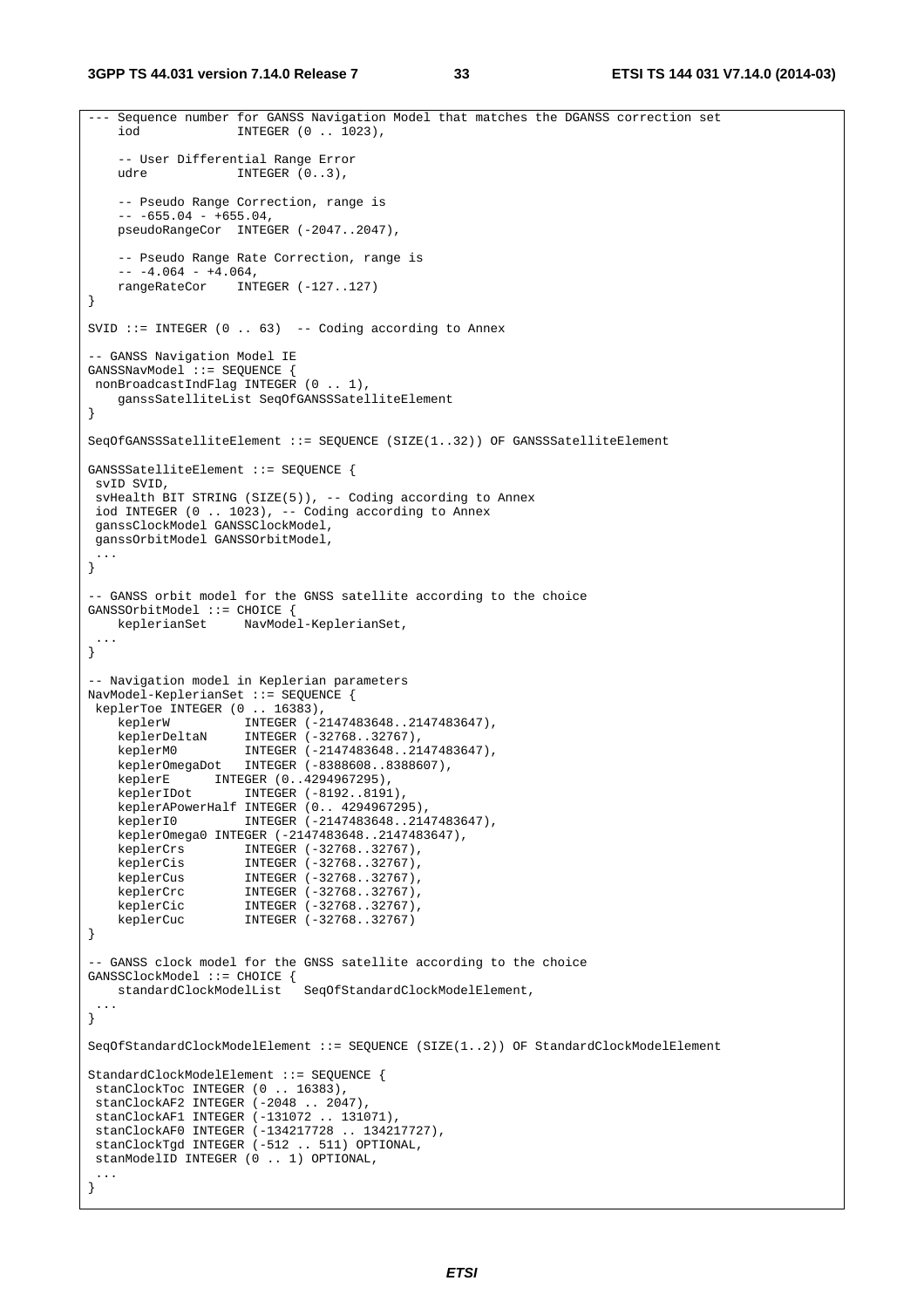```
--- Sequence number for GANSS Navigation Model that matches the DGANSS correction set 
     iod INTEGER (0 .. 1023), 
     -- User Differential Range Error 
    udre INTEGER (0..3),
     -- Pseudo Range Correction, range is 
    -- -655.04 - +655.04,pseudoRangeCor INTEGER (-2047..2047),
     -- Pseudo Range Rate Correction, range is 
    -- -4.064 - +4.064, rangeRateCor INTEGER (-127..127) 
} 
SVID ::= INTEGER (0 .. 63) -- Coding according to Annex
 -- GANSS Navigation Model IE 
GANSSNavModel ::= SEQUENCE { 
nonBroadcastIndFlag INTEGER (0 .. 1),
     ganssSatelliteList SeqOfGANSSSatelliteElement 
} 
SeqOfGANSSSatelliteElement ::= SEQUENCE (SIZE(1..32)) OF GANSSSatelliteElement 
GANSSSatelliteElement ::= SEQUENCE { 
 svID SVID, 
  svHealth BIT STRING (SIZE(5)), -- Coding according to Annex 
 iod INTEGER (0 .. 1023), -- Coding according to Annex 
 ganssClockModel GANSSClockModel, 
 ganssOrbitModel GANSSOrbitModel, 
  ... 
} 
-- GANSS orbit model for the GNSS satellite according to the choice 
GANSSOrbitModel ::= CHOICE {<br>keplerianSet NavMode
                     keplerianSet NavModel-KeplerianSet, 
 ... 
} 
-- Navigation model in Keplerian parameters 
NavModel-KeplerianSet ::= SEQUENCE { 
 keplerToe INTEGER (0 .. 16383), 
                     INTEGER (-2147483648..2147483647),
    keplerW INTEGER (-2147483648..21<br>keplerDeltaN INTEGER (-32768..32767),
 keplerM0 INTEGER (-2147483648..2147483647), 
 keplerOmegaDot INTEGER (-8388608..8388607), 
 keplerE INTEGER (0..4294967295), 
 keplerIDot INTEGER (-8192..8191), 
     keplerAPowerHalf INTEGER (0.. 4294967295), 
     keplerI0 INTEGER (-2147483648..2147483647), 
     keplerOmega0 INTEGER (-2147483648..2147483647), 
     keplerCrs INTEGER (-32768..32767), 
    keplerCis INTEGER (-32768..32767),<br>keplerCus INTEGER (-32768..32767).
 keplerCus INTEGER (-32768..32767), 
 keplerCrc INTEGER (-32768..32767), 
   keplerCrc INTEGER (-32768..32767),<br>keplerCic INTEGER (-32768..32767),<br>keplerCuc INTEGER (-32768..32767)
                     INTEGER (-32768..32767)
} 
-- GANSS clock model for the GNSS satellite according to the choice 
GANSSClockModel ::= CHOICE { 
    standardClockModelList SeqOfStandardClockModelElement, 
 ... 
} 
SeqOfStandardClockModelElement ::= SEQUENCE (SIZE(1..2)) OF StandardClockModelElement 
StandardClockModelElement ::= SEQUENCE { 
stanClockToc INTEGER (0.. 16383)
stanClockAF2 INTEGER (-2048 .. 2047)
 stanClockAF1 INTEGER (-131072 .. 131071), 
 stanClockAF0 INTEGER (-134217728 .. 134217727), 
  stanClockTgd INTEGER (-512 .. 511) OPTIONAL, 
  stanModelID INTEGER (0 .. 1) OPTIONAL, 
  ... 
}
```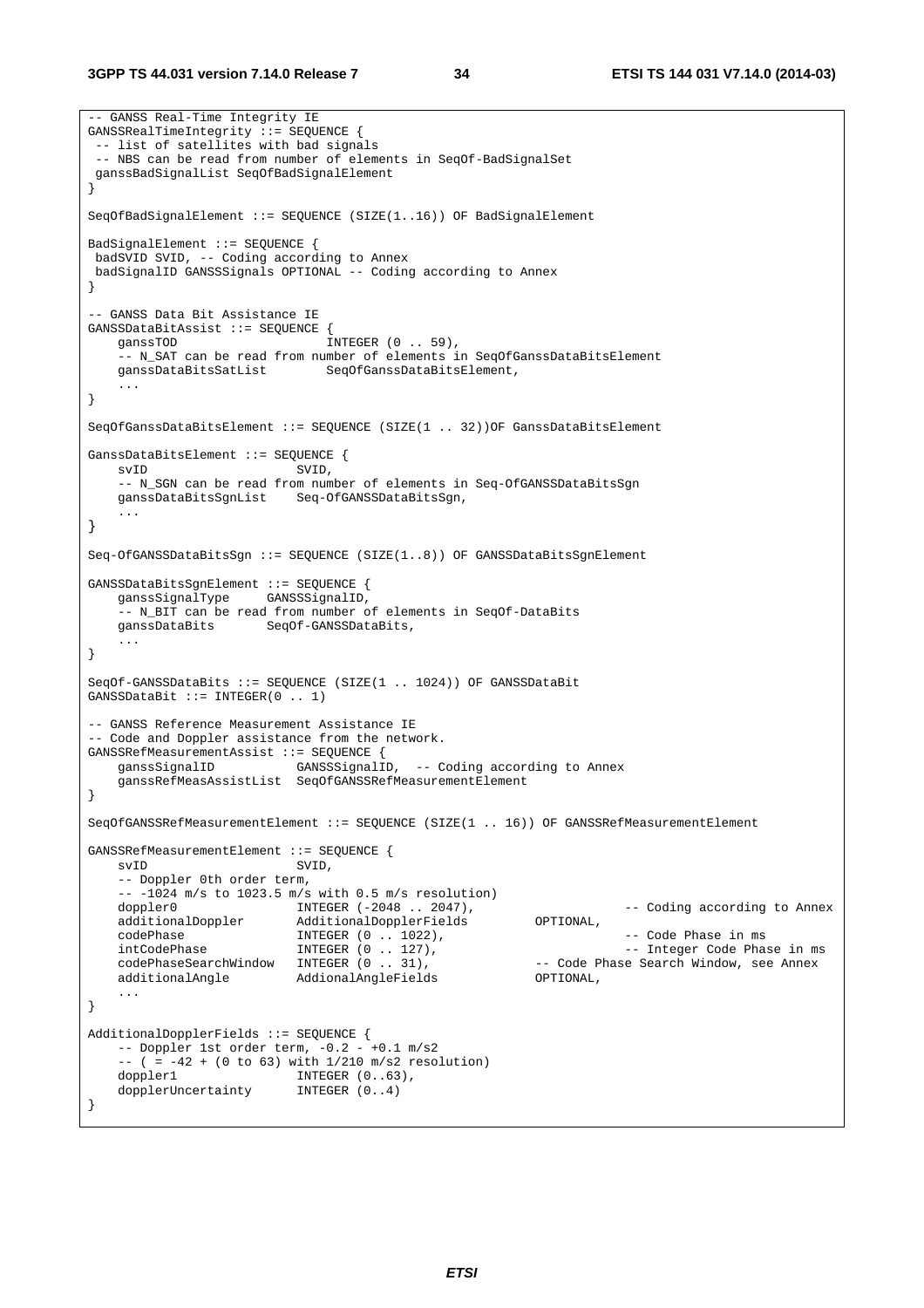-- GANSS Real-Time Integrity IE GANSSRealTimeIntegrity ::= SEQUENCE { -- list of satellites with bad signals -- NBS can be read from number of elements in SeqOf-BadSignalSet ganssBadSignalList SeqOfBadSignalElement } SeqOfBadSignalElement ::= SEQUENCE (SIZE(1..16)) OF BadSignalElement BadSignalElement ::= SEQUENCE { badSVID SVID, -- Coding according to Annex badSignalID GANSSSignals OPTIONAL -- Coding according to Annex } -- GANSS Data Bit Assistance IE GANSSDataBitAssist ::= SEQUENCE { ganssTOD INTEGER (0..59), -- N\_SAT can be read from number of elements in SeqOfGanssDataBitsElement ganssDataBitsSatList SeqOfGanssDataBitsElement, ... } SeqOfGanssDataBitsElement ::= SEQUENCE (SIZE(1 .. 32))OF GanssDataBitsElement GanssDataBitsElement ::= SEQUENCE { svID SVID, -- N\_SGN can be read from number of elements in Seq-OfGANSSDataBitsSgn ganssDataBitsSgnList Seq-OfGANSSDataBitsSgn, ... } Seq-OfGANSSDataBitsSgn ::= SEQUENCE (SIZE(1..8)) OF GANSSDataBitsSgnElement GANSSDataBitsSgnElement ::= SEQUENCE { ganssSignalType GANSSSignalID, -- N\_BIT can be read from number of elements in SeqOf-DataBits ganssDataBits SeqOf-GANSSDataBits, ... } SeqOf-GANSSDataBits ::= SEQUENCE (SIZE(1 .. 1024)) OF GANSSDataBit GANSSDataBit ::= INTEGER(0 .. 1) -- GANSS Reference Measurement Assistance IE -- Code and Doppler assistance from the network. GANSSRefMeasurementAssist ::= SEQUENCE { ganssSignalID GANSSSignalID, -- Coding according to Annex ganssRefMeasAssistList SeqOfGANSSRefMeasurementElement } SeqOfGANSSRefMeasurementElement ::= SEQUENCE (SIZE(1 .. 16)) OF GANSSRefMeasurementElement GANSSRefMeasurementElement ::= SEQUENCE { svID SVID, -- Doppler 0th order term,  $--$  -1024 m/s to 1023.5 m/s with 0.5 m/s resolution)<br>doppler0 INTEGER  $(-2048.. 2047)$ , doppler0 **INTEGER** (-2048 . 2047), THEGER (-2048 . 2047), THE CODING ACCORDING to Annex additionalDoppler AdditionalDopplerFields OPTIONAL, codePhase INTEGER (0 . 1022), CodePhase in ms intCodePhase in ms intCodePhase in ms intCodePhase in ms intCodePhase in ms intCodePhase in ms intCodePhase in ms intCodePhase in ms intCodePhase in ms intCodePhase in ms intCo intCodePhase INTEGER (0 .. 127), -- Integer Code Phase in ms codePhaseSearchWindow INTEGER (0 . 31), -- Code P<br>additionalAngle AddionalAngleFields OPTIONAL, AddionalAngleFields ... } AdditionalDopplerFields ::= SEQUENCE {  $--$  Doppler 1st order term,  $-0.2 - +0.1$  m/s2 -- ( =  $-42 + (0 \text{ to } 63)$  with  $1/210 \text{ m/s2 resolution}$ )<br>doppler1 INTEGER  $(0..63)$ , INTEGER (0..63),<br>INTEGER (0..4) dopplerUncertainty }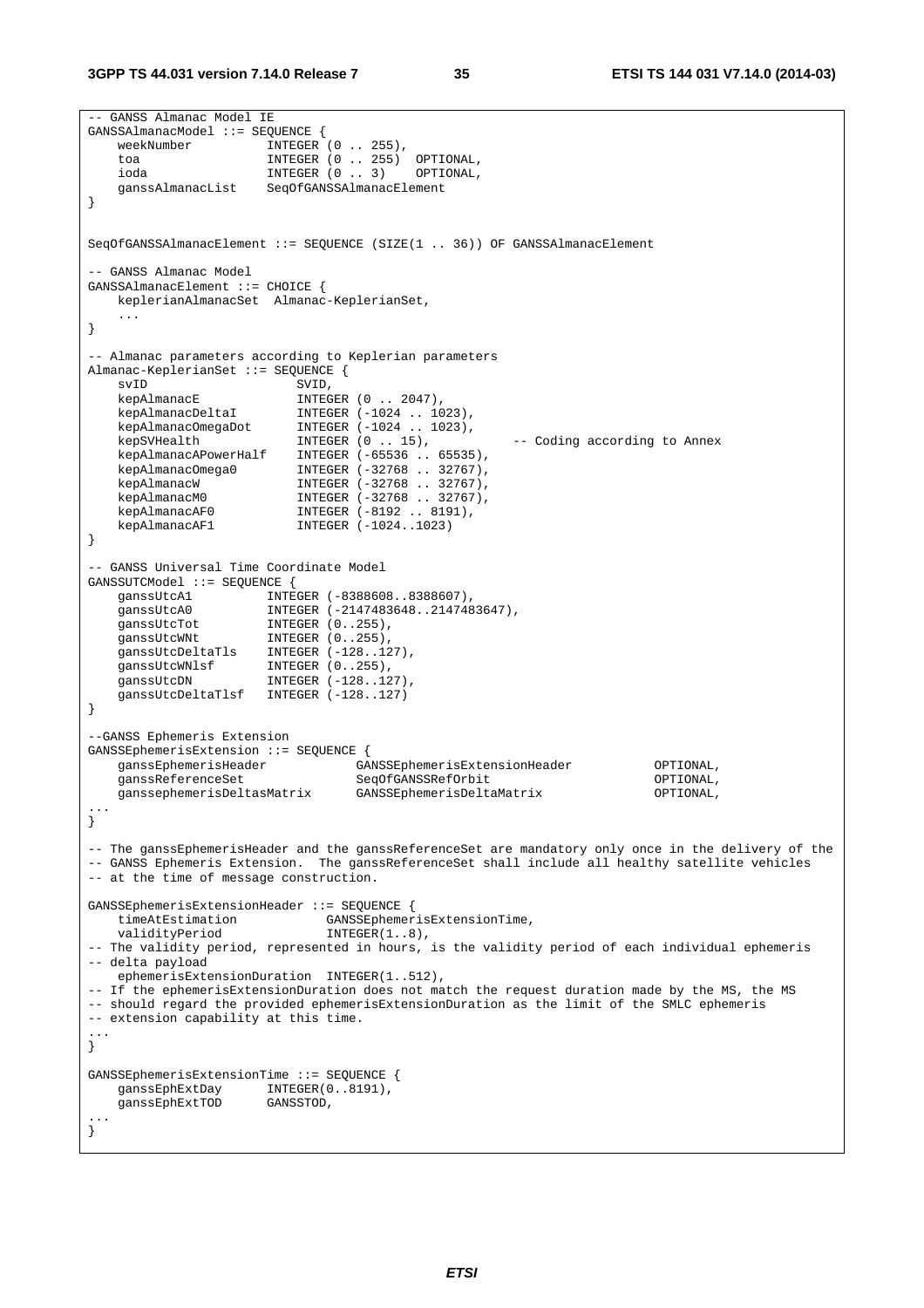```
-- GANSS Almanac Model IE 
GANSSAlmanacModel ::= SEQUENCE { 
   weekNumber INTEGER (0 .. 255),
    toa INTEGER (0 .. 255) OPTIONAL, 
    ioda INTEGER (0 .. 3) OPTIONAL, 
    ganssAlmanacList SeqOfGANSSAlmanacElement 
} 
SeqOfGANSSAlmanacElement ::= SEQUENCE (SIZE(1 .. 36)) OF GANSSAlmanacElement 
-- GANSS Almanac Model 
GANSSAlmanacElement ::= CHOICE { 
    keplerianAlmanacSet Almanac-KeplerianSet, 
    ... 
} 
-- Almanac parameters according to Keplerian parameters 
Almanac-KeplerianSet ::= SEQUENCE {<br>svID SVID.
   svID<br>
kepAlmanacE                          INTEG
kepAlmanacE INTEGER (0 .. 2047),
 kepAlmanacDeltaI INTEGER (-1024 .. 1023), 
 kepAlmanacOmegaDot INTEGER (-1024 .. 1023), 
 kepSVHealth INTEGER (0 .. 15), -- Coding according to Annex 
 kepAlmanacAPowerHalf INTEGER (-65536 .. 65535), 
 kepAlmanacOmega0 INTEGER (-32768 .. 32767), 
kepAlmanacW INTEGER (-32768 .. 32767),
 kepAlmanacM0 INTEGER (-32768 .. 32767), 
 kepAlmanacAF0 INTEGER (-8192 .. 8191), 
 kepAlmanacAF1 INTEGER (-1024..1023) 
} 
-- GANSS Universal Time Coordinate Model 
GANSSUTCModel ::= SEQUENCE { 
 ganssUtcA1 INTEGER (-8388608..8388607), 
 ganssUtcA0 INTEGER (-2147483648..2147483647), 
ganssUtcTot INTEGER (0..255),
ganssUtcWNt INTEGER (0..255),
 ganssUtcDeltaTls INTEGER (-128..127), 
 ganssUtcWNlsf INTEGER (0..255), 
ganssUtcDN INTEGER (-128..127),
    ganssUtcDeltaTlsf INTEGER (-128..127) 
} 
--GANSS Ephemeris Extension 
GANSSEphemerisExtension ::= SEQUENCE { 
 ganssEphemerisHeader GANSSEphemerisExtensionHeader OPTIONAL, 
 ganssReferenceSet SeqOfGANSSRefOrbit OPTIONAL, 
    ganssephemerisDeltasMatrix GANSSEphemerisDeltaMatrix OPTIONAL, 
... 
} 
-- The ganssEphemerisHeader and the ganssReferenceSet are mandatory only once in the delivery of the 
-- GANSS Ephemeris Extension. The ganssReferenceSet shall include all healthy satellite vehicles 
-- at the time of message construction. 
GANSSEphemerisExtensionHeader ::= SEQUENCE { 
  timeAtEstimation GANSSEphemerisExtensionTime,<br>validitvPeriod INTEGER(1..8),
                             INTEGER(1..8),
-- The validity period, represented in hours, is the validity period of each individual ephemeris 
-- delta payload 
    ephemerisExtensionDuration INTEGER(1..512), 
-- If the ephemerisExtensionDuration does not match the request duration made by the MS, the MS 
-- should regard the provided ephemerisExtensionDuration as the limit of the SMLC ephemeris 
-- extension capability at this time. 
... 
} 
GANSSEphemerisExtensionTime ::= SEQUENCE { 
 ganssEphExtDay INTEGER(0..8191), 
 ganssEphExtTOD GANSSTOD, 
... 
}
```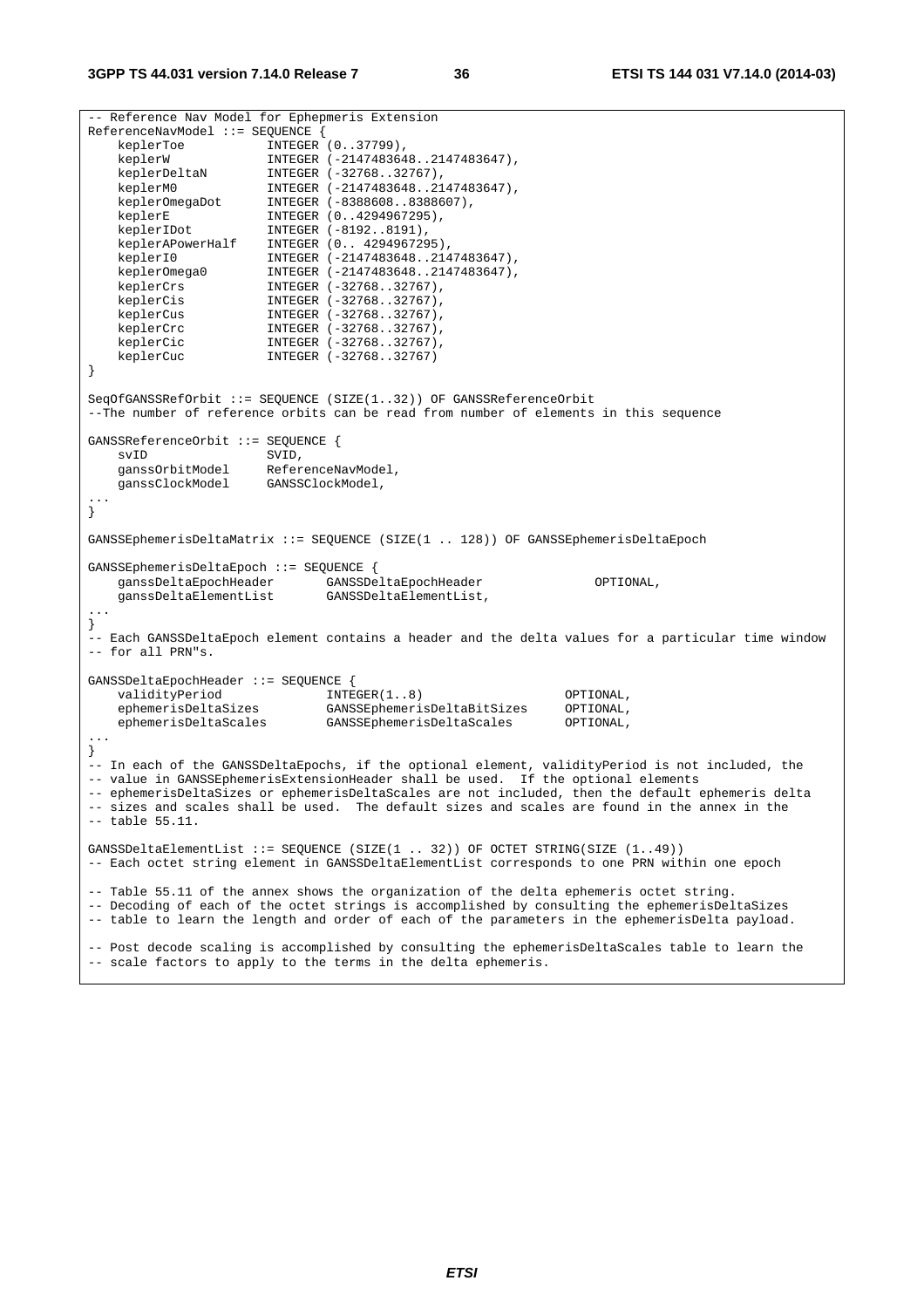```
-- Reference Nav Model for Ephepmeris Extension 
ReferenceNavModel ::= SEQUENCE { 
   keplerToe INTEGER (0..37799),
 keplerW INTEGER (-2147483648..2147483647), 
 keplerDeltaN INTEGER (-32768..32767), 
 keplerM0 INTEGER (-2147483648..2147483647), 
 keplerOmegaDot INTEGER (-8388608..8388607), 
keplerE INTEGER (0..4294967295),
 keplerIDot INTEGER (-8192..8191), 
 keplerAPowerHalf INTEGER (0.. 4294967295), 
 keplerI0 INTEGER (-2147483648..2147483647), 
 keplerOmega0 INTEGER (-2147483648..2147483647), 
 keplerCrs INTEGER (-32768..32767), 
   keplerCis INTEGER (-32768..32767),<br>keplerCus INTEGER (-32768..32767),<br>keplerCrc INTEGER (-32768..32767),
 keplerCus INTEGER (-32768..32767), 
 keplerCrc INTEGER (-32768..32767), 
    keplerCic INTEGER (-32768..32767), 
    keplerCuc INTEGER (-32768..32767) 
} 
SeqOfGANSSRefOrbit ::= SEQUENCE (SIZE(1..32)) OF GANSSReferenceOrbit 
--The number of reference orbits can be read from number of elements in this sequence 
GANSSReferenceOrbit ::= SEQUENCE { 
   evID SVID,
   ganssOrbitModel ReferenceNavModel,
    ganssClockModel GANSSClockModel, 
... 
} 
GANSSEphemerisDeltaMatrix ::= SEQUENCE (SIZE(1 .. 128)) OF GANSSEphemerisDeltaEpoch 
GANSSEphemerisDeltaEpoch ::= SEQUENCE { 
 ganssDeltaEpochHeader GANSSDeltaEpochHeader OPTIONAL, 
 ganssDeltaElementList GANSSDeltaElementList, 
... 
} 
-- Each GANSSDeltaEpoch element contains a header and the delta values for a particular time window 
-- for all PRN"s. 
GANSSDeltaEpochHeader ::= SEQUENCE { 
validityPeriod INTEGER(1..8) OPTIONAL,
 ephemerisDeltaSizes GANSSEphemerisDeltaBitSizes OPTIONAL, 
    ephemerisDeltaScales GANSSEphemerisDeltaScales OPTIONAL, 
... 
} 
-- In each of the GANSSDeltaEpochs, if the optional element, validityPeriod is not included, the 
-- value in GANSSEphemerisExtensionHeader shall be used. If the optional elements 
-- ephemerisDeltaSizes or ephemerisDeltaScales are not included, then the default ephemeris delta 
-- sizes and scales shall be used. The default sizes and scales are found in the annex in the
-- table 55.11. 
GANSSDeltaElementList ::= SEQUENCE (SIZE(1 .. 32)) OF OCTET STRING(SIZE (1..49)) 
-- Each octet string element in GANSSDeltaElementList corresponds to one PRN within one epoch 
-- Table 55.11 of the annex shows the organization of the delta ephemeris octet string. 
-- Decoding of each of the octet strings is accomplished by consulting the ephemerisDeltaSizes 
-- table to learn the length and order of each of the parameters in the ephemerisDelta payload. 
-- Post decode scaling is accomplished by consulting the ephemerisDeltaScales table to learn the 
-- scale factors to apply to the terms in the delta ephemeris.
```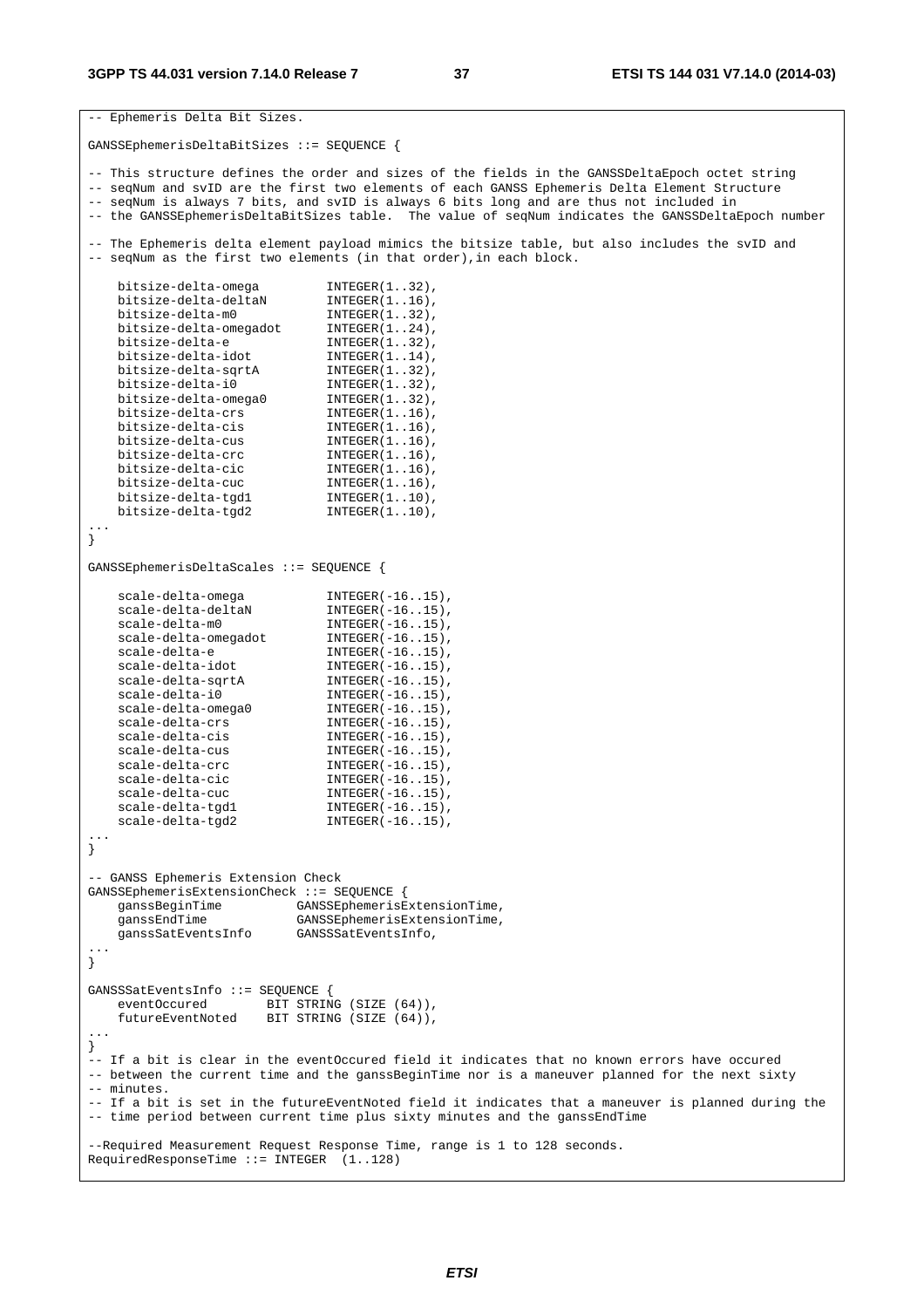```
-- Ephemeris Delta Bit Sizes. 
GANSSEphemerisDeltaBitSizes ::= SEQUENCE { 
-- This structure defines the order and sizes of the fields in the GANSSDeltaEpoch octet string 
-- seqNum and svID are the first two elements of each GANSS Ephemeris Delta Element Structure 
-- seqNum is always 7 bits, and svID is always 6 bits long and are thus not included in 
-- the GANSSEphemerisDeltaBitSizes table. The value of seqNum indicates the GANSSDeltaEpoch number 
-- The Ephemeris delta element payload mimics the bitsize table, but also includes the svID and
-- seqNum as the first two elements (in that order), in each block.
 bitsize-delta-omega INTEGER(1..32), 
 bitsize-delta-deltaN INTEGER(1..16), 
 bitsize-delta-m0 INTEGER(1..32), 
 bitsize-delta-omegadot INTEGER(1..24), 
 bitsize-delta-e INTEGER(1..32), 
 bitsize-delta-idot INTEGER(1..14), 
 bitsize-delta-sqrtA INTEGER(1..32), 
 bitsize-delta-i0 INTEGER(1..32), 
 bitsize-delta-omega0 INTEGER(1..32), 
 bitsize-delta-crs INTEGER(1..16), 
 bitsize-delta-cis INTEGER(1..16), 
 bitsize-delta-cus INTEGER(1..16), 
 bitsize-delta-crc INTEGER(1..16), 
   bitsize-delta-crc INTEGER(1..16),<br>bitsize-delta-cic INTEGER(1..16),<br>bitsize-delta-cuc INTEGER(1..16),
   \begin{tabular}{ll} \multicolumn{2}{c}{\textbf{bitsize}-delta} \end{tabular} \begin{tabular}{ll} \multicolumn{2}{c}{\textbf{InTEGER(1..16),}} \\ \multicolumn{2}{c}{\textbf{bitsize}-delta} \end{tabular} \begin{tabular}{ll} \multicolumn{2}{c}{\textbf{InTEGER(1..10),}} \\ \multicolumn{2}{c}{\textbf{InTEGER(1..10),}} \\ \multicolumn{2}{c}{\textbf{bitsize}-delta} \end{tabular} bitsize-delta-tgd1 INTEGER(1..10), 
 bitsize-delta-tgd2 INTEGER(1..10), 
... 
} 
GANSSEphemerisDeltaScales ::= SEQUENCE { 
    scale-delta-omega<br>
scale-delta-deltaN<br>
INTEGER(-16..15),
scale-delta-deltaN INTEGER(-16..15),
scale-delta-m0 INTEGER(-16..15),
scale-delta-omegadot INTEGER(-16..15),
scale-delta-e INTEGER(-16..15),
scale-delta-idot INTEGER(-16..15),
    scale-delta-sqrtA
    scale-delta-sqrtA INTEGER(-16..15),<br>scale-delta-i0 INTEGER(-16..15),<br>scale-delta-omega0 INTEGER(-16..15),<br>scale-delta-crs INTEGER(-16..15),
    scale-delta-omega0
   scale-delta-crs INTEGER(-16..15),<br>scale-delta-cis INTEGER(-16..15),<br>scale-delta-cus INTEGER(-16..15),
scale-delta-cis INTEGER(-16..15),
scale-delta-cus INTEGER(-16..15),
scale-delta-crc INTEGER(-16..15),
scale-delta-cic INTEGER(-16..15),
scale-delta-cuc INTEGER(-16..15),
scale-delta-tgd1 INTEGER(-16..15),
scale-delta-tgd2 INTEGER(-16..15),
... 
} 
-- GANSS Ephemeris Extension Check 
GANSSEphemerisExtensionCheck ::= SEQUENCE { 
 ganssBeginTime GANSSEphemerisExtensionTime, 
 ganssEndTime GANSSEphemerisExtensionTime, 
    ganssEndThue GANSSEphemerTSEAten<br>qanssSatEventsInfo GANSSSatEventsInfo,
... 
} 
GANSSSatEventsInfo ::= SEQUENCE { 
 eventOccured BIT STRING (SIZE (64)), 
 futureEventNoted BIT STRING (SIZE (64)), 
... 
} 
-- If a bit is clear in the eventOccured field it indicates that no known errors have occured 
-- between the current time and the ganssBeginTime nor is a maneuver planned for the next sixty 
-- minutes. 
-- If a bit is set in the futureEventNoted field it indicates that a maneuver is planned during the 
-- time period between current time plus sixty minutes and the ganssEndTime 
--Required Measurement Request Response Time, range is 1 to 128 seconds.
```

```
RequiredResponseTime ::= INTEGER (1..128)
```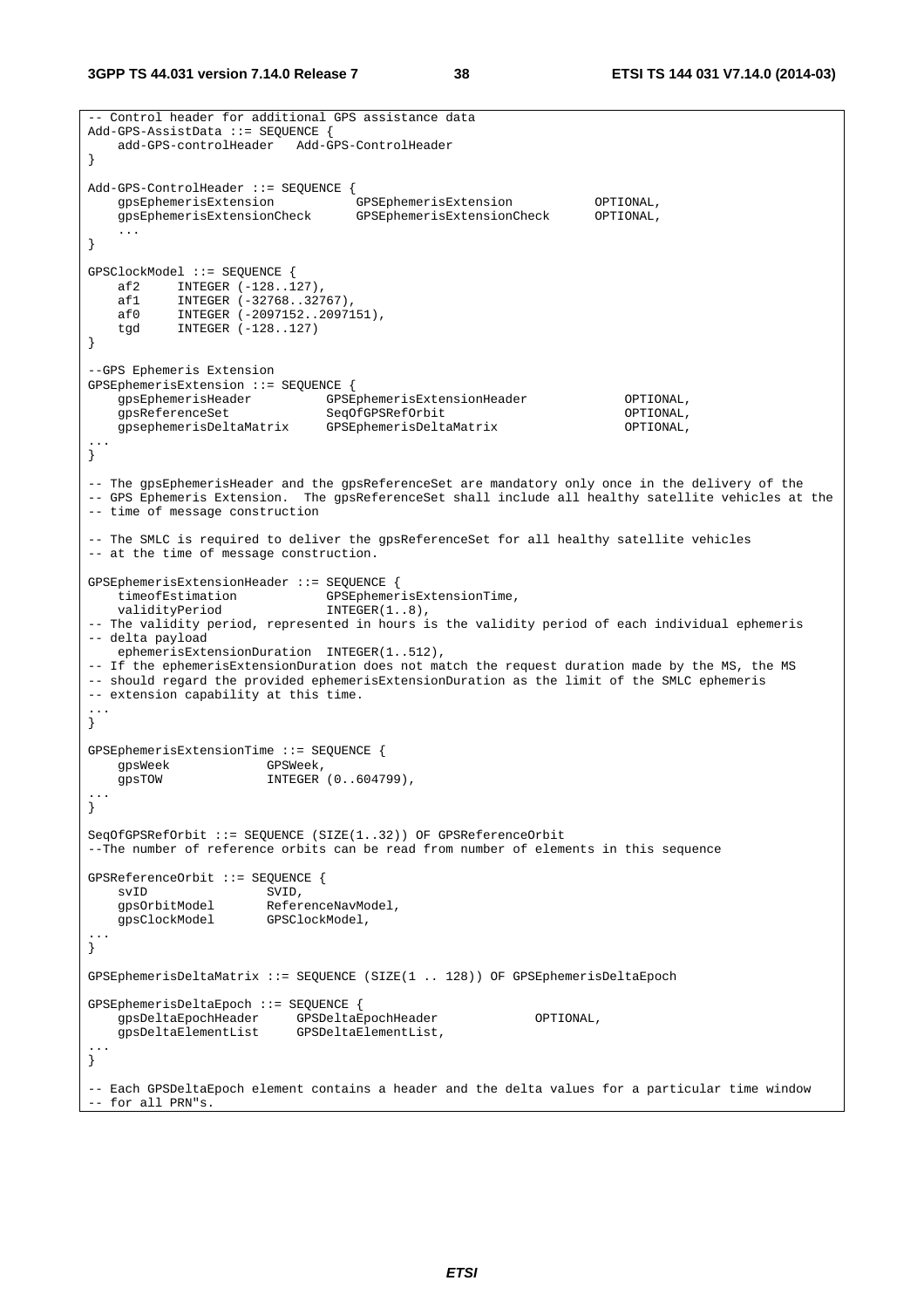```
-- Control header for additional GPS assistance data 
Add-GPS-AssistData ::= SEQUENCE { 
    add-GPS-controlHeader Add-GPS-ControlHeader 
} 
Add-GPS-ControlHeader ::= SEQUENCE {<br>gpsEphemerisExtension (
 gpsEphemerisExtension GPSEphemerisExtension OPTIONAL, 
 gpsEphemerisExtensionCheck GPSEphemerisExtensionCheck OPTIONAL, 
    ... 
} 
GPSClockModel ::= SEQUENCE {<br>af2 INTEGER (-128 1
 af2 INTEGER (-128..127), 
 af1 INTEGER (-32768..32767), 
 af0 INTEGER (-2097152..2097151), 
 tgd INTEGER (-128..127) 
} 
--GPS Ephemeris Extension 
GPSEphemerisExtension ::= SEQUENCE { 
 gpsEphemerisHeader GPSEphemerisExtensionHeader OPTIONAL, 
 gpsReferenceSet SeqOfGPSRefOrbit OPTIONAL, 
    gpsephemerisDeltaMatrix GPSEphemerisDeltaMatrix OPTIONAL, 
... 
\sum-- The gpsEphemerisHeader and the gpsReferenceSet are mandatory only once in the delivery of the 
-- GPS Ephemeris Extension. The gpsReferenceSet shall include all healthy satellite vehicles at the 
-- time of message construction 
-- The SMLC is required to deliver the gpsReferenceSet for all healthy satellite vehicles 
-- at the time of message construction. 
GPSEphemerisExtensionHeader ::= SEQUENCE { 
   timeofEstimation GPSEphemerisExtensionTime,
   validityPeriod INTEGER(1..8),
-- The validity period, represented in hours is the validity period of each individual ephemeris 
-- delta payload 
    ephemerisExtensionDuration INTEGER(1..512), 
-- If the ephemerisExtensionDuration does not match the request duration made by the MS, the MS 
-- should regard the provided ephemerisExtensionDuration as the limit of the SMLC ephemeris 
-- extension capability at this time. 
... 
} 
GPSEphemerisExtensionTime ::= SEQUENCE { 
    gpsWeek GPSWeek, 
    gpsTOW INTEGER (0..604799), 
... 
} 
SeqOfGPSRefOrbit ::= SEQUENCE (SIZE(1..32)) OF GPSReferenceOrbit 
--The number of reference orbits can be read from number of elements in this sequence 
GPSReferenceOrbit ::= SEQUENCE { 
    svID SVID, 
                     ReferenceNavModel,<br>GPSClockModel,
   gpsClockModel
... 
} 
GPSEphemerisDeltaMatrix ::= SEQUENCE (SIZE(1 .. 128)) OF GPSEphemerisDeltaEpoch 
GPSEphemerisDeltaEpoch ::= SEQUENCE { 
 gpsDeltaEpochHeader GPSDeltaEpochHeader OPTIONAL, 
 gpsDeltaElementList GPSDeltaElementList, 
... 
} 
-- Each GPSDeltaEpoch element contains a header and the delta values for a particular time window 
-- for all PRN"s.
```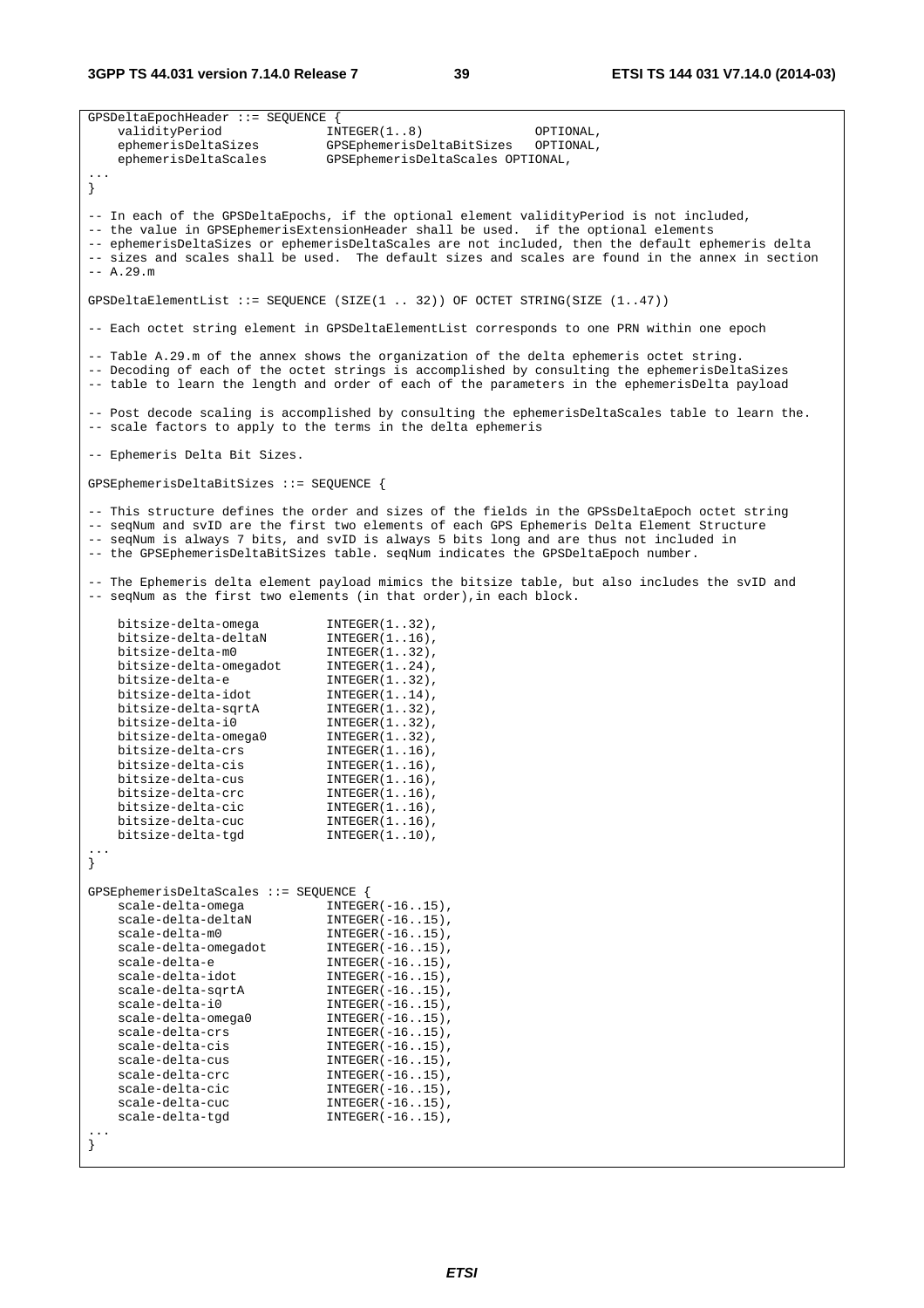**3GPP TS 44.031 version 7.14.0 Release 7 39 ETSI TS 144 031 V7.14.0 (2014-03)**

GPSDeltaEpochHeader ::= SEQUENCE { validityPeriod INTEGER(1..8) OPTIONAL, ephemerisDeltaSizes GPSEphemerisDeltaBitSizes OPTIONAL, ephemerisDeltaScales GPSEphemerisDeltaScales OPTIONAL, ... } -- In each of the GPSDeltaEpochs, if the optional element validityPeriod is not included, -- the value in GPSEphemerisExtensionHeader shall be used. if the optional elements -- ephemerisDeltaSizes or ephemerisDeltaScales are not included, then the default ephemeris delta -- sizes and scales shall be used. The default sizes and scales are found in the annex in section  $- \Delta$  29 m GPSDeltaElementList ::= SEQUENCE (SIZE(1 .. 32)) OF OCTET STRING(SIZE (1..47)) -- Each octet string element in GPSDeltaElementList corresponds to one PRN within one epoch -- Table A.29.m of the annex shows the organization of the delta ephemeris octet string. -- Decoding of each of the octet strings is accomplished by consulting the ephemerisDeltaSizes -- table to learn the length and order of each of the parameters in the ephemerisDelta payload -- Post decode scaling is accomplished by consulting the ephemerisDeltaScales table to learn the. -- scale factors to apply to the terms in the delta ephemeris -- Ephemeris Delta Bit Sizes. GPSEphemerisDeltaBitSizes ::= SEQUENCE { -- This structure defines the order and sizes of the fields in the GPSsDeltaEpoch octet string -- seqNum and svID are the first two elements of each GPS Ephemeris Delta Element Structure -- seqNum is always 7 bits, and svID is always 5 bits long and are thus not included in -- the GPSEphemerisDeltaBitSizes table. seqNum indicates the GPSDeltaEpoch number. -- The Ephemeris delta element payload mimics the bitsize table, but also includes the svID and -- seqNum as the first two elements (in that order),in each block. bitsize-delta-omega<br>bitsize-delta-deltaN INTEGER(1..16),<br>international international international international international international international international<br>international international international internation bitsize-delta-deltaN bitsize-delta-m0 INTEGER(1..32), bitsize-delta-omegadot INTEGER(1..24), bitsize-delta-e INTEGER(1..32), bitsize-delta-idot INTEGER(1..14), bitsize-delta-sqrtA INTEGER(1..32), bitsize-delta-i0 INTEGER(1..32),<br>bitsize-delta-omega0 INTEGER(1..32), bitsize-delta-omega0 INTEGER(1..32),<br>bitsize-delta-crs INTEGER(1..16), bitsize-delta-crs INTEGER(1..16), bitsize-delta-cis INTEGER(1..16), bitsize-delta-cus<br>bitsize-delta-cus INTEGER(1..16),<br>bitsize-delta-crc INTEGER(1..16), bitsize-delta-crc INTEGER(1..16),<br>bitsize-delta-cic INTEGER(1..16), bitsize-delta-cic bitsize-delta-cuc INTEGER(1..16), bitsize-delta-tgd INTEGER(1..10), ... } GPSEphemerisDeltaScales ::= SEQUENCE { scale-delta-omega INTEGER(-16..15), scale-delta-deltaN INTEGER(-16..15), scale-delta-m0 INTEGER(-16..15), scale-delta-omegadot INTEGER(-16..15), scale-delta-e INTEGER(-16..15), scale-delta-idot INTEGER(-16..15), scale-delta-sqrtA INTEGER(-16..15), scale-delta-i0 INTEGER(-16..15), scale-delta-omega0 INTEGER(-16..15), scale-delta-crs INTEGER(-16..15),<br>scale-delta-cis INTEGER(-16..15), scale-delta-cis INTEGER(-16..15),<br>scale-delta-cus INTEGER(-16..15).  $INTEGR(-16..15)$ , scale-delta-crc INTEGER(-16..15), scale-delta-cic INTEGER(-16..15), scale-delta-cuc INTEGER(-16..15), scale-delta-tgd INTEGER(-16..15), ... }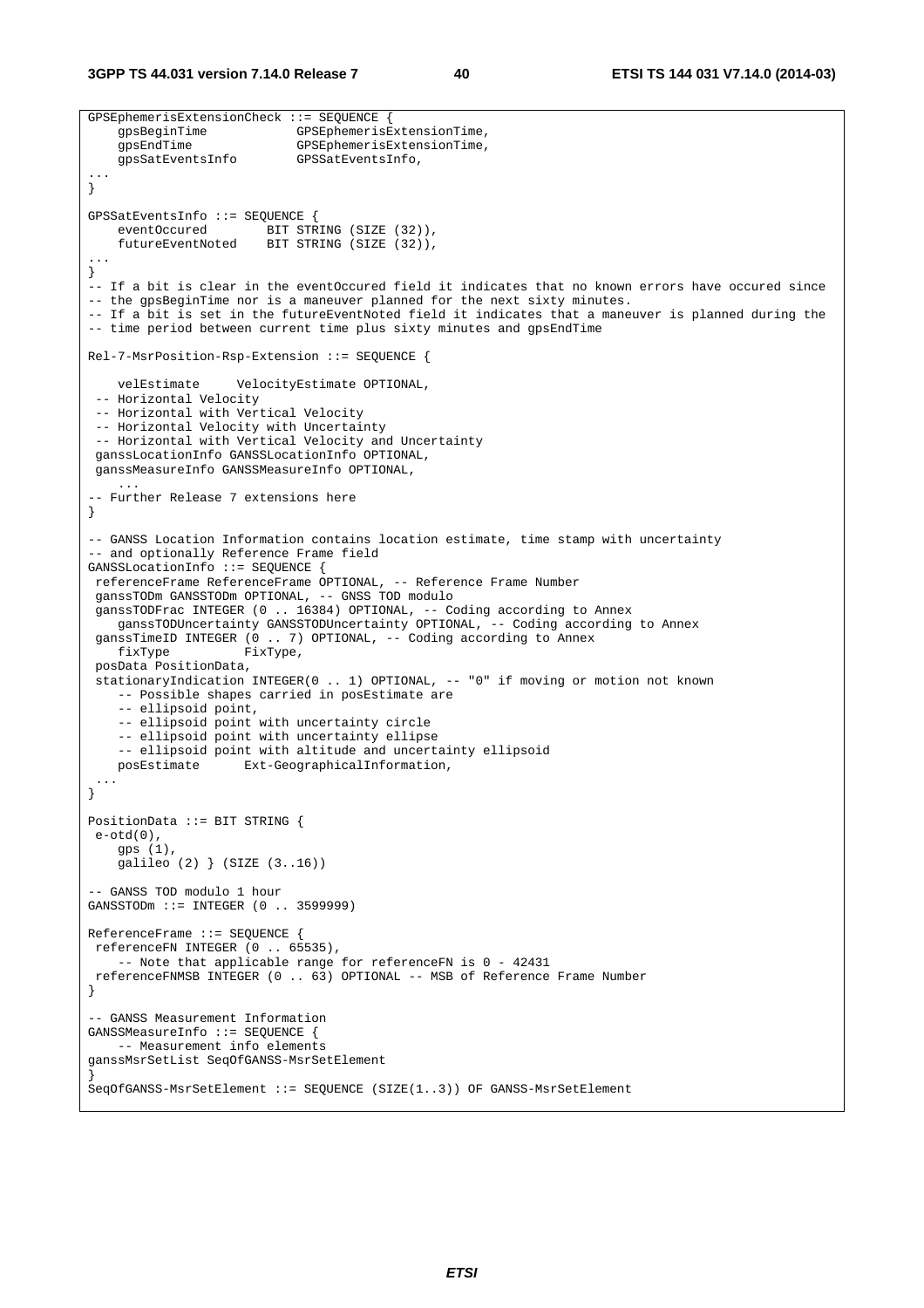**3GPP TS 44.031 version 7.14.0 Release 7 40 ETSI TS 144 031 V7.14.0 (2014-03)**

```
GPSEphemerisExtensionCheck ::= SEQUENCE { 
                             gpsBeginTime GPSEphemerisExtensionTime, 
     gpsEndTime GPSEphemerisExtensionTime, 
     gpsSatEventsInfo GPSSatEventsInfo, 
... 
} 
GPSSatEventsInfo ::= SEQUENCE { 
    eventOccured BIT STRING (SIZE (32)),
    futureEventNoted BIT STRING (SIZE (32)), 
... 
} 
-- If a bit is clear in the eventOccured field it indicates that no known errors have occured since 
-- the gpsBeginTime nor is a maneuver planned for the next sixty minutes. 
-- If a bit is set in the futureEventNoted field it indicates that a maneuver is planned during the 
-- time period between current time plus sixty minutes and gpsEndTime 
Rel-7-MsrPosition-Rsp-Extension ::= SEQUENCE { 
    velEstimate VelocityEstimate OPTIONAL, 
 -- Horizontal Velocity 
  -- Horizontal with Vertical Velocity 
  -- Horizontal Velocity with Uncertainty 
  -- Horizontal with Vertical Velocity and Uncertainty 
 ganssLocationInfo GANSSLocationInfo OPTIONAL, 
 ganssMeasureInfo GANSSMeasureInfo OPTIONAL, 
     ... 
-- Further Release 7 extensions here 
} 
-- GANSS Location Information contains location estimate, time stamp with uncertainty 
 - and optionally Reference Frame field
GANSSLocationInfo ::= SEQUENCE { 
 referenceFrame ReferenceFrame OPTIONAL, -- Reference Frame Number 
  ganssTODm GANSSTODm OPTIONAL, -- GNSS TOD modulo 
 ganssTODFrac INTEGER (0 .. 16384) OPTIONAL, -- Coding according to Annex 
   ganssTODUncertainty GANSSTODUncertainty OPTIONAL, -- Coding according to Annex
 ganssTimeID INTEGER (0 .. 7) OPTIONAL, -- Coding according to Annex
    fixType FixType,
 posData PositionData, 
  stationaryIndication INTEGER(0 .. 1) OPTIONAL, -- "0" if moving or motion not known 
    -- Possible shapes carried in posEstimate are 
     -- ellipsoid point, 
     -- ellipsoid point with uncertainty circle 
     -- ellipsoid point with uncertainty ellipse 
     -- ellipsoid point with altitude and uncertainty ellipsoid 
    posEstimate Ext-GeographicalInformation, 
 ... 
} 
PositionData ::= BIT STRING { 
 e-otd(0), 
    gps (1), 
    galileo (2) } (SIZE (3..16)) 
-- GANSS TOD modulo 1 hour 
GANSSTODm ::= INTEGER (0 .. 3599999) 
ReferenceFrame ::= SEQUENCE { 
 referenceFN INTEGER (0 .. 65535), 
     -- Note that applicable range for referenceFN is 0 - 42431 
 referenceFNMSB INTEGER (0 .. 63) OPTIONAL -- MSB of Reference Frame Number
} 
-- GANSS Measurement Information 
GANSSMeasureInfo ::= SEQUENCE { 
    -- Measurement info elements 
ganssMsrSetList SeqOfGANSS-MsrSetElement 
} 
SeqOfGANSS-MsrSetElement ::= SEQUENCE (SIZE(1..3)) OF GANSS-MsrSetElement
```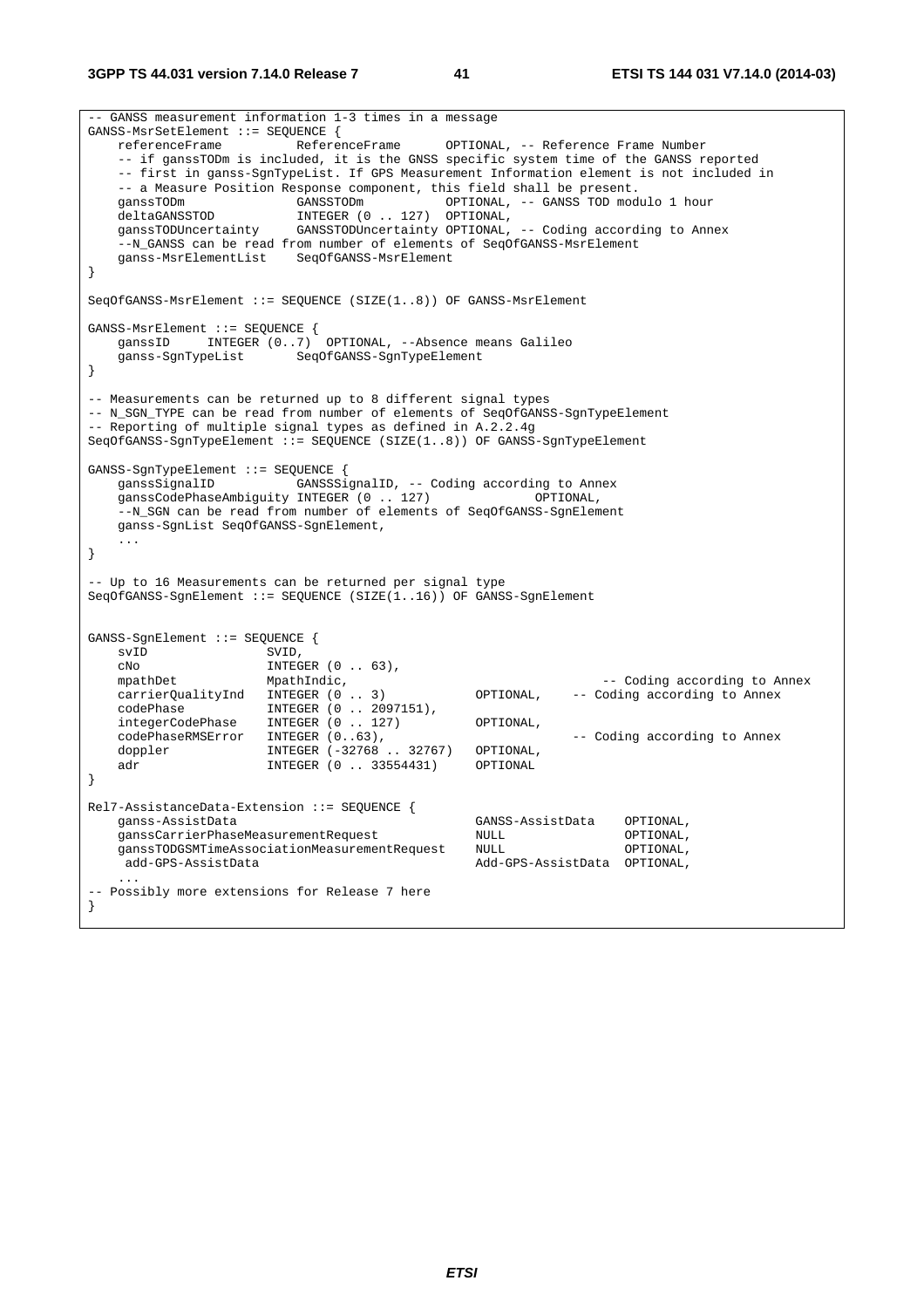**3GPP TS 44.031 version 7.14.0 Release 7 41 ETSI TS 144 031 V7.14.0 (2014-03)**

-- GANSS measurement information 1-3 times in a message GANSS-MsrSetElement ::= SEQUENCE { referenceFrame ReferenceFrame OPTIONAL, -- Reference Frame Number -- if ganssTODm is included, it is the GNSS specific system time of the GANSS reported -- first in ganss-SgnTypeList. If GPS Measurement Information element is not included in -- a Measure Position Response component, this field shall be present. ganssTODm GANSSTODm OPTIONAL, -- GANSS TOD modulo 1 hour deltaGANSSTOD DELTAGANSSTOD INTEGER (0...127) OPTIONAL,<br>ganssTODUncertainty GANSSTODUncertainty OPTIONAL, GANSSTODUncertainty OPTIONAL, -- Coding according to Annex --N\_GANSS can be read from number of elements of SeqOfGANSS-MsrElement ganss-MsrElementList SeqOfGANSS-MsrElement } SeqOfGANSS-MsrElement ::= SEQUENCE (SIZE(1..8)) OF GANSS-MsrElement GANSS-MsrElement ::= SEQUENCE { ganssID INTEGER (0..7) OPTIONAL, --Absence means Galileo<br>ganss-SgnTypeList SeqOfGANSS-SgnTypeElement SeqOfGANSS-SgnTypeElement } -- Measurements can be returned up to 8 different signal types -- N\_SGN\_TYPE can be read from number of elements of SeqOfGANSS-SgnTypeElement -- Reporting of multiple signal types as defined in A.2.2.4g SeqOfGANSS-SgnTypeElement ::= SEQUENCE (SIZE(1..8)) OF GANSS-SgnTypeElement GANSS-SgnTypeElement ::= SEQUENCE { ganssSignalID GANSSSignalID, -- Coding according to Annex ganssCodePhaseAmbiguity INTEGER (0 .. 127) OPTIONAL, --N\_SGN can be read from number of elements of SeqOfGANSS-SgnElement ganss-SgnList SeqOfGANSS-SgnElement, ... } -- Up to 16 Measurements can be returned per signal type SeqOfGANSS-SgnElement ::= SEQUENCE (SIZE(1..16)) OF GANSS-SgnElement GANSS-SgnElement ::= SEQUENCE { svID SVID, cNo INTEGER (0 .. 63), mpathDet MpathIndic, MpathIndic,  $\frac{1}{2}$  - Coding according to Annex carrierQualityInd INTEGER (0 .. 3) OPTIONAL, -- Coding according to Annex codePhase INTEGER (0 .. 2097151), integerCodePhase INTEGER (0 .. 127) OPTIONAL, codePhaseRMSError INTEGER (0..63),<br>doppler INTEGER (-32768 ..32767) OPTIONAL, INTEGER (-32768 .. 32767) OPTIONAL, adr **INTEGER** (0 . . 33554431) OPTIONAL } Rel7-AssistanceData-Extension ::= SEQUENCE { ganss-AssistData GANSS-AssistData OPTIONAL, ganssCarrierPhaseMeasurementRequest NULL OPTIONAL, ganssTODGSMTimeAssociationMeasurementRequest NULL OPTIONAL,<br>,add-GPS-AssistData OPTIONAL Add-GPS-AssistData OPTIONAL, ... -- Possibly more extensions for Release 7 here }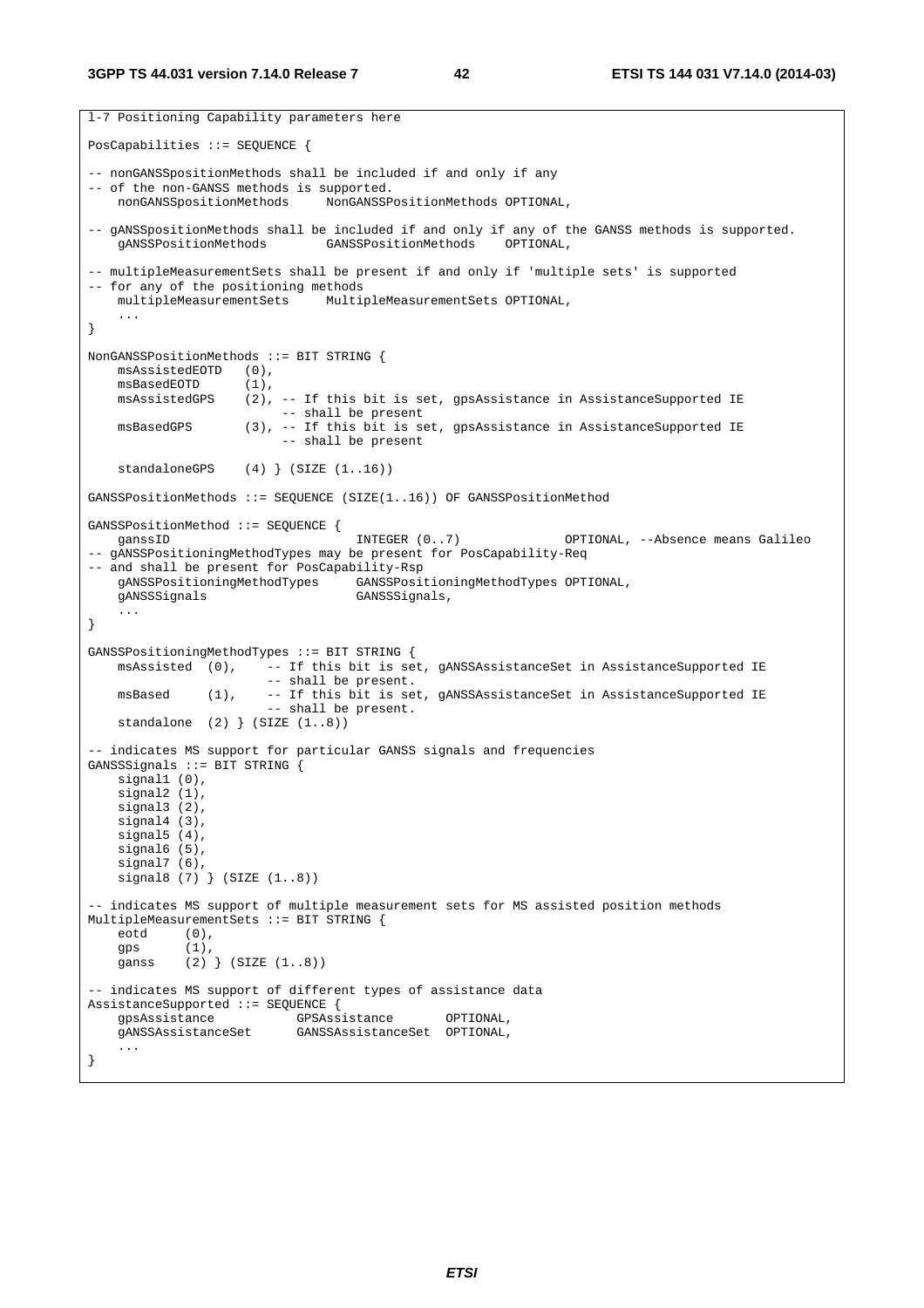```
l-7 Positioning Capability parameters here 
PosCapabilities ::= SEQUENCE { 
-- nonGANSSpositionMethods shall be included if and only if any 
-- of the non-GANSS methods is supported. 
    nonGANSSpositionMethods NonGANSSPositionMethods OPTIONAL, 
-- gANSS position Methods shall be included if and only if any of the GANSS methods is supported.<br>gANSSPosition Methods GANSSPosition Methods OPTIONAL,
                                 GANSSPositionMethods
-- multipleMeasurementSets shall be present if and only if 'multiple sets' is supported 
-- for any of the positioning methods<br>multipleMeasurementSets Multi
                                 MultipleMeasurementSets OPTIONAL,
     ... 
} 
NonGANSSPositionMethods ::= BIT STRING { 
    msAssistedEOTD (0), 
    msBasedEOTD (1),
    msAssistedGPS (2), -- If this bit is set, gpsAssistance in AssistanceSupported IE
                            -- shall be present 
   msBasedGPS (3), -- If this bit is set, gpsAssistance in AssistanceSupported IE
                             -- shall be present 
    standaloneGPS (4) (SIZE (1..16))GANSSPositionMethods ::= SEQUENCE (SIZE(1..16)) OF GANSSPositionMethod 
GANSSPositionMethod ::= SEQUENCE { 
   ganssID                             INTEGER (0..7)             OPTIONAL, --Absence means Galileo
-- gANSSPositioningMethodTypes may be present for PosCapability-Req 
-- and shall be present for PosCapability-Rsp
     gANSSPositioningMethodTypes GANSSPositioningMethodTypes OPTIONAL, 
     gANSSSignals GANSSSignals, 
     ... 
} 
GANSSPositioningMethodTypes ::= BIT STRING { 
    msAssisted (0), -- If this bit is set, gANSSAssistanceSet in AssistanceSupported IE 
                          -- shall be present. 
    msBased (1), -- If this bit is set, gANSSAssistanceSet in AssistanceSupported IE
                          -- shall be present. 
     standalone (2) } (SIZE (1..8)) 
-- indicates MS support for particular GANSS signals and frequencies 
GANSSSignals ::= BIT STRING {
    signal1 (0), 
     signal2 (1), 
    signal3(2),
     signal4 (3), 
     signal5 (4), 
     signal6 (5), 
    signal7 (6),
    signal8 (7) (SIZE (1..8))
 - indicates MS support of multiple measurement sets for MS assisted position methods
MultipleMeasurementSets ::= BIT STRING { 
     eotd (0), 
    qps (1),
    ganss (2) } (SIZE (1..8))
-- indicates MS support of different types of assistance data 
AssistanceSupported ::= SEQUENCE { 
    gpsAssistance GPSAssistance OPTIONAL,<br>gANSSAssistanceSet GANSSAssistanceSet OPTIONAL,
                              gANSSAssistanceSet GANSSAssistanceSet OPTIONAL, 
     ... 
}
```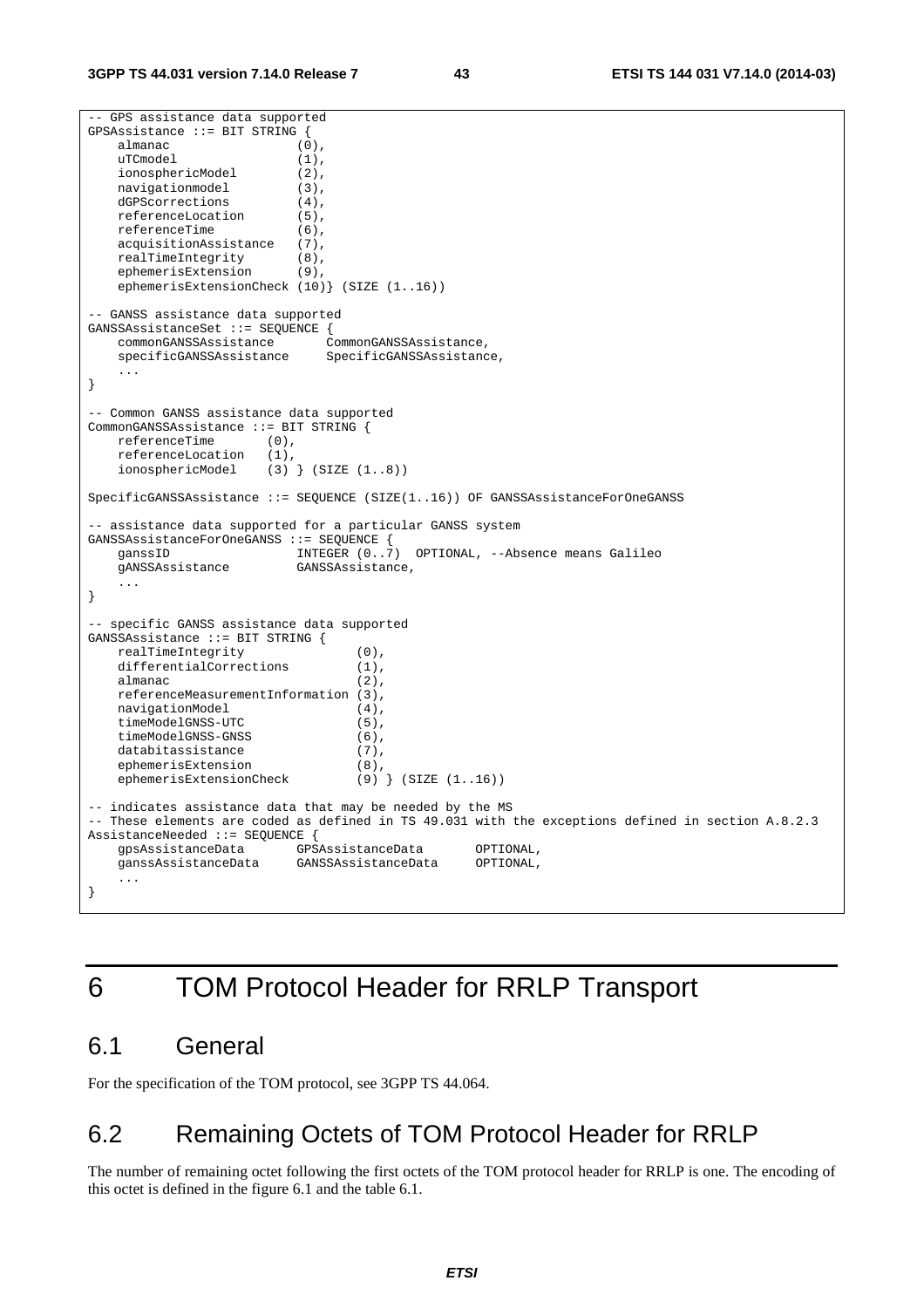```
-- GPS assistance data supported 
GPSAssistance ::= BIT STRING { 
    almanac (0), 
   uTCmodel (1),
     ionosphericModel (2), 
    navigationmodel (3), 
     dGPScorrections (4), 
   referenceLocation (5),<br>referenceTime (6),
   referenceTime (6),<br>acquisitionAssistance (7),
     acquisitionAssistance (7), 
    realTimeIntegrity (8), 
     ephemerisExtension (9), 
     ephemerisExtensionCheck (10)} (SIZE (1..16)) 
-- GANSS assistance data supported 
GANSSAssistanceSet ::= SEQUENCE { 
     commonGANSSAssistance CommonGANSSAssistance, 
                                SpecificGANSSAssistance,
     ... 
} 
-- Common GANSS assistance data supported 
CommonGANSSAssistance ::= BIT STRING {<br>referenceTime (0),
    referenceTime (0), 
     referenceLocation (1), 
     ionosphericModel (3) } (SIZE (1..8)) 
SpecificGANSSAssistance ::= SEQUENCE (SIZE(1..16)) OF GANSSAssistanceForOneGANSS 
-- assistance data supported for a particular GANSS system 
GANSSAssistanceForOneGANSS ::= SEQUENCE { 
                            INTEGER (0..7) OPTIONAL, --Absence means Galileo<br>GANSSAssistance.
    gANSSAssistance
 ... 
} 
 -- specific GANSS assistance data supported 
GANSSAssistance ::= BIT STRING { 
    realTimeIntegrity (0),
   differentialCorrections (1),
    almanac (2), 
    referenceMeasurementInformation (3), 
   navigationModel (4),<br>timeModelGNSS-UTC (5),
    timeModelGNSS-UTC (5),<br>timeModelGNSS-GNSS (6),
    timeModelGNSS-GNSS (6),<br>databitassistance (7),
   databitassistance
    ephemerisExtension (8),<br>ephemerisExtensionCheck (9) } (SIZE (1..16))
    ephemerisExtensionCheck
-- indicates assistance data that may be needed by the MS 
-- These elements are coded as defined in TS 49.031 with the exceptions defined in section A.8.2.3 
AssistanceNeeded ::= SEQUENCE { 
     gpsAssistanceData GPSAssistanceData OPTIONAL, 
     ganssAssistanceData GANSSAssistanceData OPTIONAL, 
     ... 
}
```
# 6 TOM Protocol Header for RRLP Transport

# 6.1 General

For the specification of the TOM protocol, see 3GPP TS 44.064.

# 6.2 Remaining Octets of TOM Protocol Header for RRLP

The number of remaining octet following the first octets of the TOM protocol header for RRLP is one. The encoding of this octet is defined in the figure 6.1 and the table 6.1.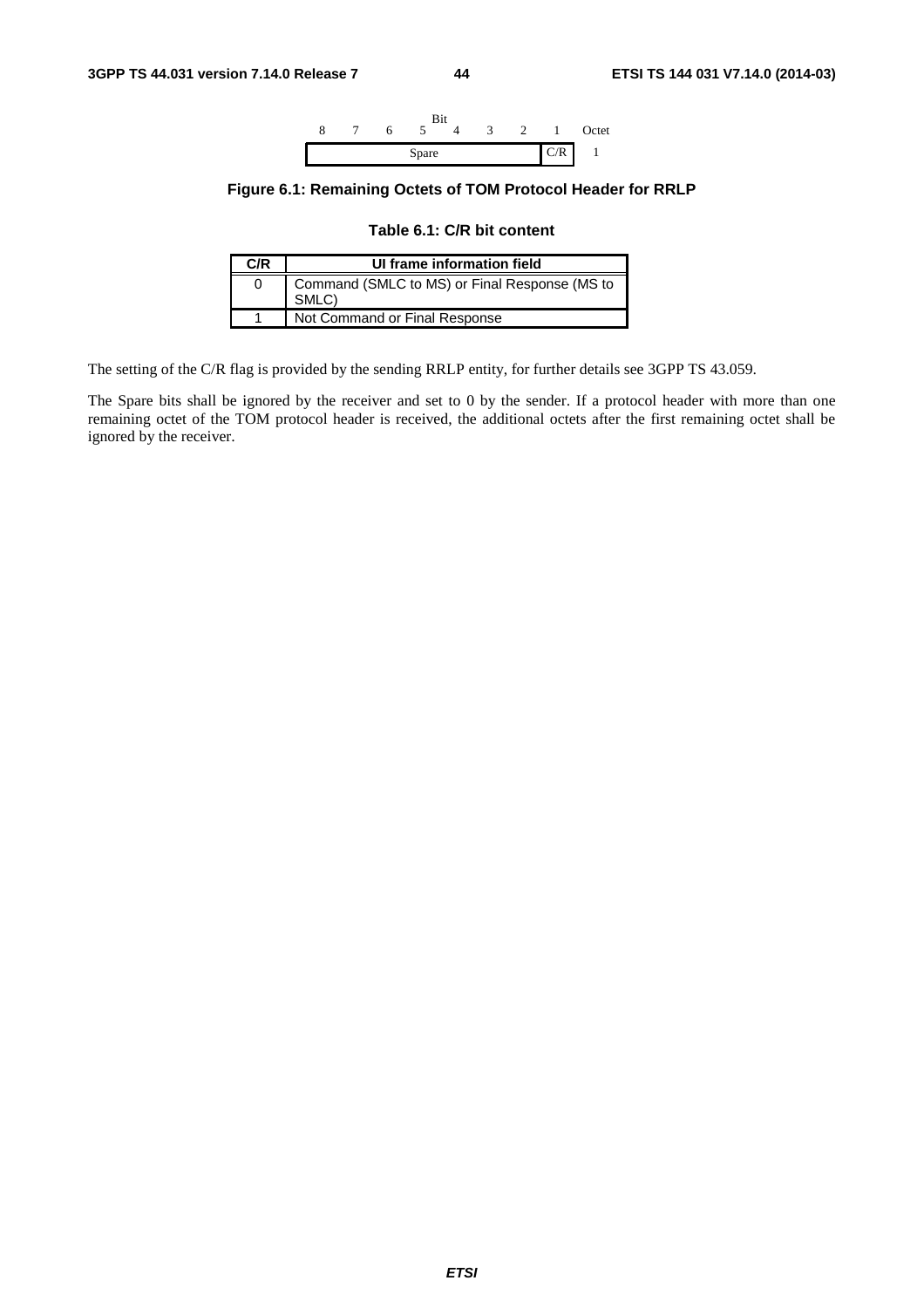

### **Figure 6.1: Remaining Octets of TOM Protocol Header for RRLP**

**Table 6.1: C/R bit content** 

| C/R | UI frame information field                             |
|-----|--------------------------------------------------------|
|     | Command (SMLC to MS) or Final Response (MS to<br>SMLC) |
|     | Not Command or Final Response                          |

The setting of the C/R flag is provided by the sending RRLP entity, for further details see 3GPP TS 43.059.

The Spare bits shall be ignored by the receiver and set to 0 by the sender. If a protocol header with more than one remaining octet of the TOM protocol header is received, the additional octets after the first remaining octet shall be ignored by the receiver.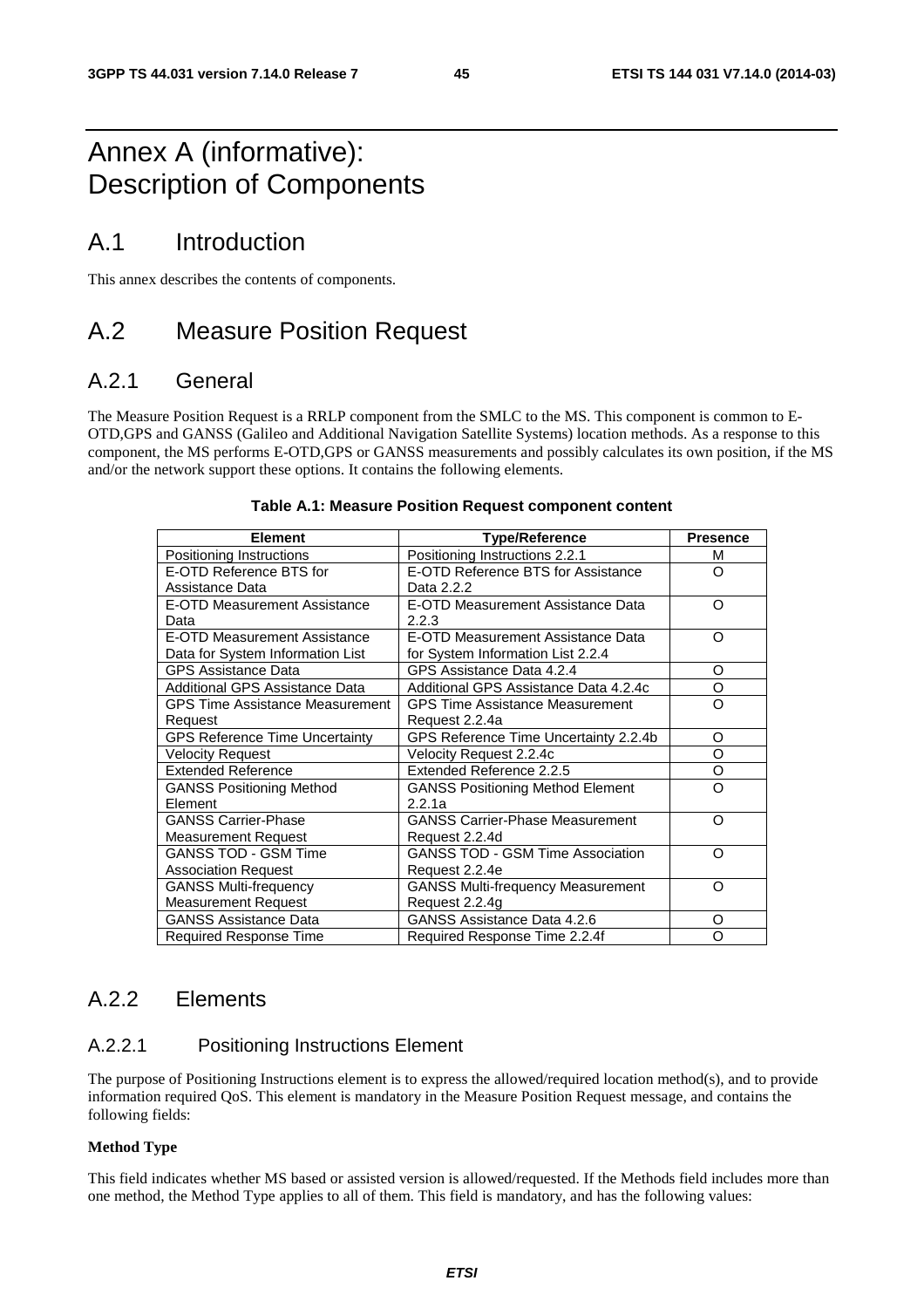# Annex A (informative): Description of Components

# A.1 Introduction

This annex describes the contents of components.

# A.2 Measure Position Request

## A.2.1 General

The Measure Position Request is a RRLP component from the SMLC to the MS. This component is common to E-OTD,GPS and GANSS (Galileo and Additional Navigation Satellite Systems) location methods. As a response to this component, the MS performs E-OTD,GPS or GANSS measurements and possibly calculates its own position, if the MS and/or the network support these options. It contains the following elements.

| <b>Element</b>                         | <b>Type/Reference</b>                    | <b>Presence</b> |
|----------------------------------------|------------------------------------------|-----------------|
| Positioning Instructions               | Positioning Instructions 2.2.1           | м               |
| E-OTD Reference BTS for                | E-OTD Reference BTS for Assistance       | Ω               |
| Assistance Data                        | Data 2.2.2                               |                 |
| E-OTD Measurement Assistance           | E-OTD Measurement Assistance Data        | Ω               |
| Data                                   | 2.2.3                                    |                 |
| <b>E-OTD Measurement Assistance</b>    | E-OTD Measurement Assistance Data        | Ω               |
| Data for System Information List       | for System Information List 2.2.4        |                 |
| <b>GPS Assistance Data</b>             | GPS Assistance Data 4.2.4                | O               |
| Additional GPS Assistance Data         | Additional GPS Assistance Data 4.2.4c    | O               |
| <b>GPS Time Assistance Measurement</b> | <b>GPS Time Assistance Measurement</b>   | Ω               |
| Request                                | Request 2.2.4a                           |                 |
| <b>GPS Reference Time Uncertainty</b>  | GPS Reference Time Uncertainty 2.2.4b    | O               |
| <b>Velocity Request</b>                | Velocity Request 2.2.4c                  | O               |
| <b>Extended Reference</b>              | Extended Reference 2.2.5                 | O               |
| <b>GANSS Positioning Method</b>        | <b>GANSS Positioning Method Element</b>  | റ               |
| Element                                | 2.2.1a                                   |                 |
| <b>GANSS Carrier-Phase</b>             | <b>GANSS Carrier-Phase Measurement</b>   | റ               |
| <b>Measurement Request</b>             | Request 2.2.4d                           |                 |
| <b>GANSS TOD - GSM Time</b>            | <b>GANSS TOD - GSM Time Association</b>  | റ               |
| <b>Association Request</b>             | Request 2.2.4e                           |                 |
| <b>GANSS Multi-frequency</b>           | <b>GANSS Multi-frequency Measurement</b> | റ               |
| <b>Measurement Request</b>             | Request 2.2.4g                           |                 |
| <b>GANSS Assistance Data</b>           | GANSS Assistance Data 4.2.6              | O               |
| Required Response Time                 | Required Response Time 2.2.4f            | Ω               |

#### **Table A.1: Measure Position Request component content**

## A.2.2 Elements

## A.2.2.1 Positioning Instructions Element

The purpose of Positioning Instructions element is to express the allowed/required location method(s), and to provide information required QoS. This element is mandatory in the Measure Position Request message, and contains the following fields:

#### **Method Type**

This field indicates whether MS based or assisted version is allowed/requested. If the Methods field includes more than one method, the Method Type applies to all of them. This field is mandatory, and has the following values: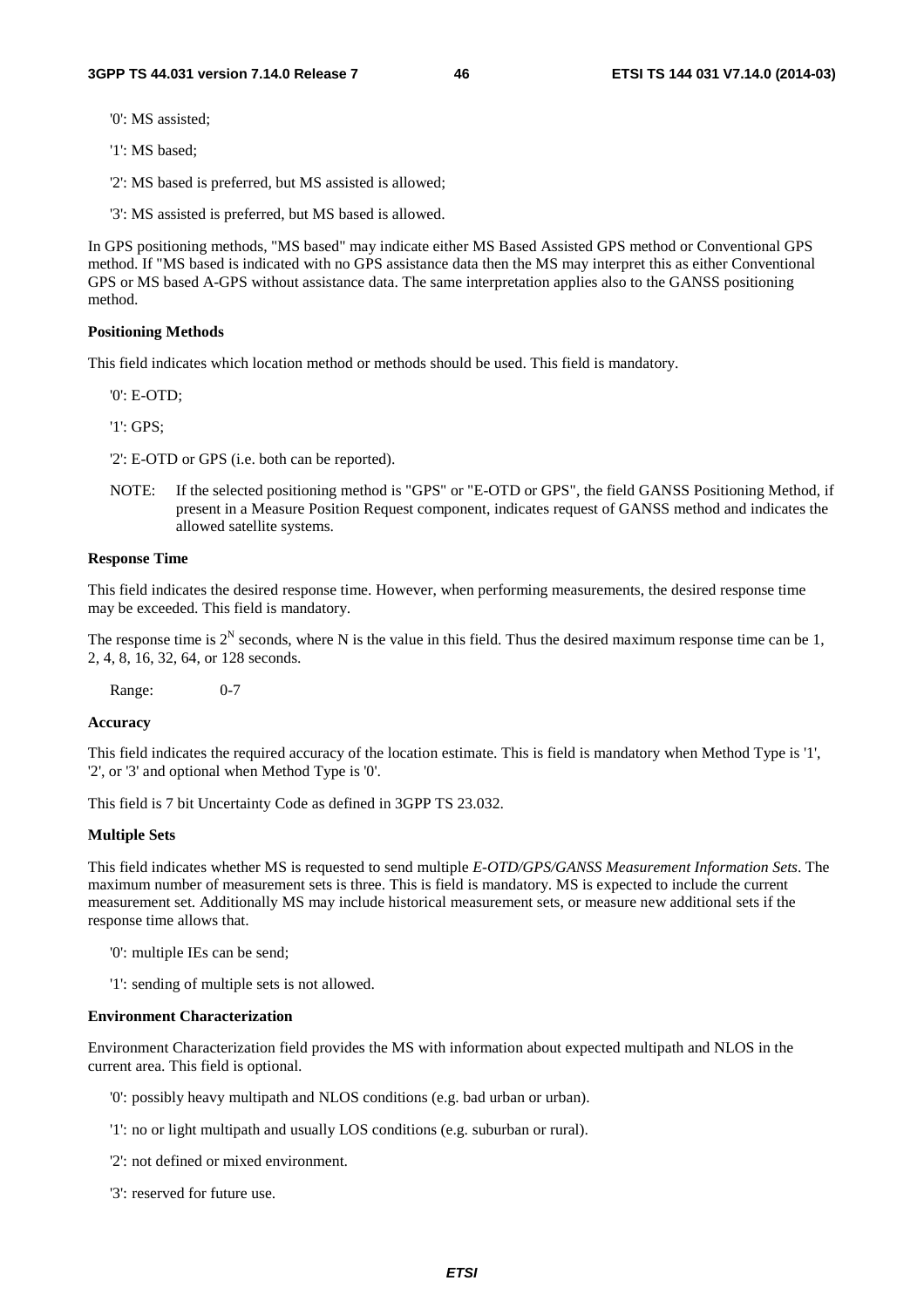'0': MS assisted;

'1': MS based;

'2': MS based is preferred, but MS assisted is allowed;

'3': MS assisted is preferred, but MS based is allowed.

In GPS positioning methods, "MS based" may indicate either MS Based Assisted GPS method or Conventional GPS method. If "MS based is indicated with no GPS assistance data then the MS may interpret this as either Conventional GPS or MS based A-GPS without assistance data. The same interpretation applies also to the GANSS positioning method.

#### **Positioning Methods**

This field indicates which location method or methods should be used. This field is mandatory.

'0': E-OTD;

'1': GPS;

'2': E-OTD or GPS (i.e. both can be reported).

NOTE: If the selected positioning method is "GPS" or "E-OTD or GPS", the field GANSS Positioning Method, if present in a Measure Position Request component, indicates request of GANSS method and indicates the allowed satellite systems.

#### **Response Time**

This field indicates the desired response time. However, when performing measurements, the desired response time may be exceeded. This field is mandatory.

The response time is  $2^N$  seconds, where N is the value in this field. Thus the desired maximum response time can be 1, 2, 4, 8, 16, 32, 64, or 128 seconds.

Range: 0-7

#### **Accuracy**

This field indicates the required accuracy of the location estimate. This is field is mandatory when Method Type is '1', '2', or '3' and optional when Method Type is '0'.

This field is 7 bit Uncertainty Code as defined in 3GPP TS 23.032.

#### **Multiple Sets**

This field indicates whether MS is requested to send multiple *E-OTD/GPS/GANSS Measurement Information Sets*. The maximum number of measurement sets is three. This is field is mandatory. MS is expected to include the current measurement set. Additionally MS may include historical measurement sets, or measure new additional sets if the response time allows that.

'0': multiple IEs can be send;

'1': sending of multiple sets is not allowed.

#### **Environment Characterization**

Environment Characterization field provides the MS with information about expected multipath and NLOS in the current area. This field is optional.

'0': possibly heavy multipath and NLOS conditions (e.g. bad urban or urban).

'1': no or light multipath and usually LOS conditions (e.g. suburban or rural).

'2': not defined or mixed environment.

'3': reserved for future use.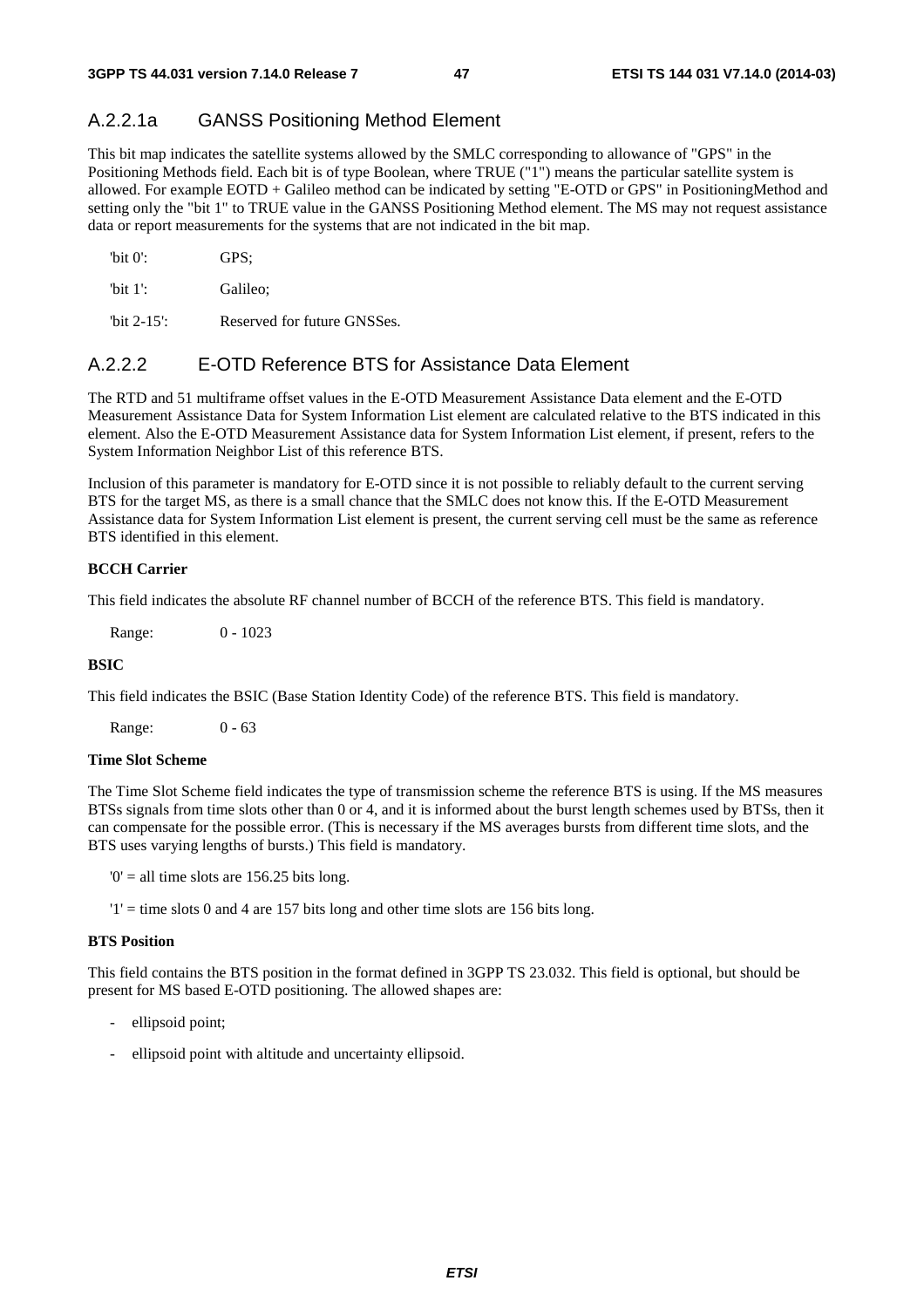## A.2.2.1a GANSS Positioning Method Element

This bit map indicates the satellite systems allowed by the SMLC corresponding to allowance of "GPS" in the Positioning Methods field. Each bit is of type Boolean, where TRUE ("1") means the particular satellite system is allowed. For example EOTD + Galileo method can be indicated by setting "E-OTD or GPS" in PositioningMethod and setting only the "bit 1" to TRUE value in the GANSS Positioning Method element. The MS may not request assistance data or report measurements for the systems that are not indicated in the bit map.

| "bit $0$ ": | GPS:     |
|-------------|----------|
| 'bit $1$ ': | Galileo: |

'bit 2-15': Reserved for future GNSSes.

## A.2.2.2 E-OTD Reference BTS for Assistance Data Element

The RTD and 51 multiframe offset values in the E-OTD Measurement Assistance Data element and the E-OTD Measurement Assistance Data for System Information List element are calculated relative to the BTS indicated in this element. Also the E-OTD Measurement Assistance data for System Information List element, if present, refers to the System Information Neighbor List of this reference BTS.

Inclusion of this parameter is mandatory for E-OTD since it is not possible to reliably default to the current serving BTS for the target MS, as there is a small chance that the SMLC does not know this. If the E-OTD Measurement Assistance data for System Information List element is present, the current serving cell must be the same as reference BTS identified in this element.

### **BCCH Carrier**

This field indicates the absolute RF channel number of BCCH of the reference BTS. This field is mandatory.

Range: 0 - 1023

#### **BSIC**

This field indicates the BSIC (Base Station Identity Code) of the reference BTS. This field is mandatory.

Range: 0 - 63

#### **Time Slot Scheme**

The Time Slot Scheme field indicates the type of transmission scheme the reference BTS is using. If the MS measures BTSs signals from time slots other than 0 or 4, and it is informed about the burst length schemes used by BTSs, then it can compensate for the possible error. (This is necessary if the MS averages bursts from different time slots, and the BTS uses varying lengths of bursts.) This field is mandatory.

 $0'$  = all time slots are 156.25 bits long.

 $'1'$  = time slots 0 and 4 are 157 bits long and other time slots are 156 bits long.

#### **BTS Position**

This field contains the BTS position in the format defined in 3GPP TS 23.032. This field is optional, but should be present for MS based E-OTD positioning. The allowed shapes are:

- ellipsoid point;
- ellipsoid point with altitude and uncertainty ellipsoid.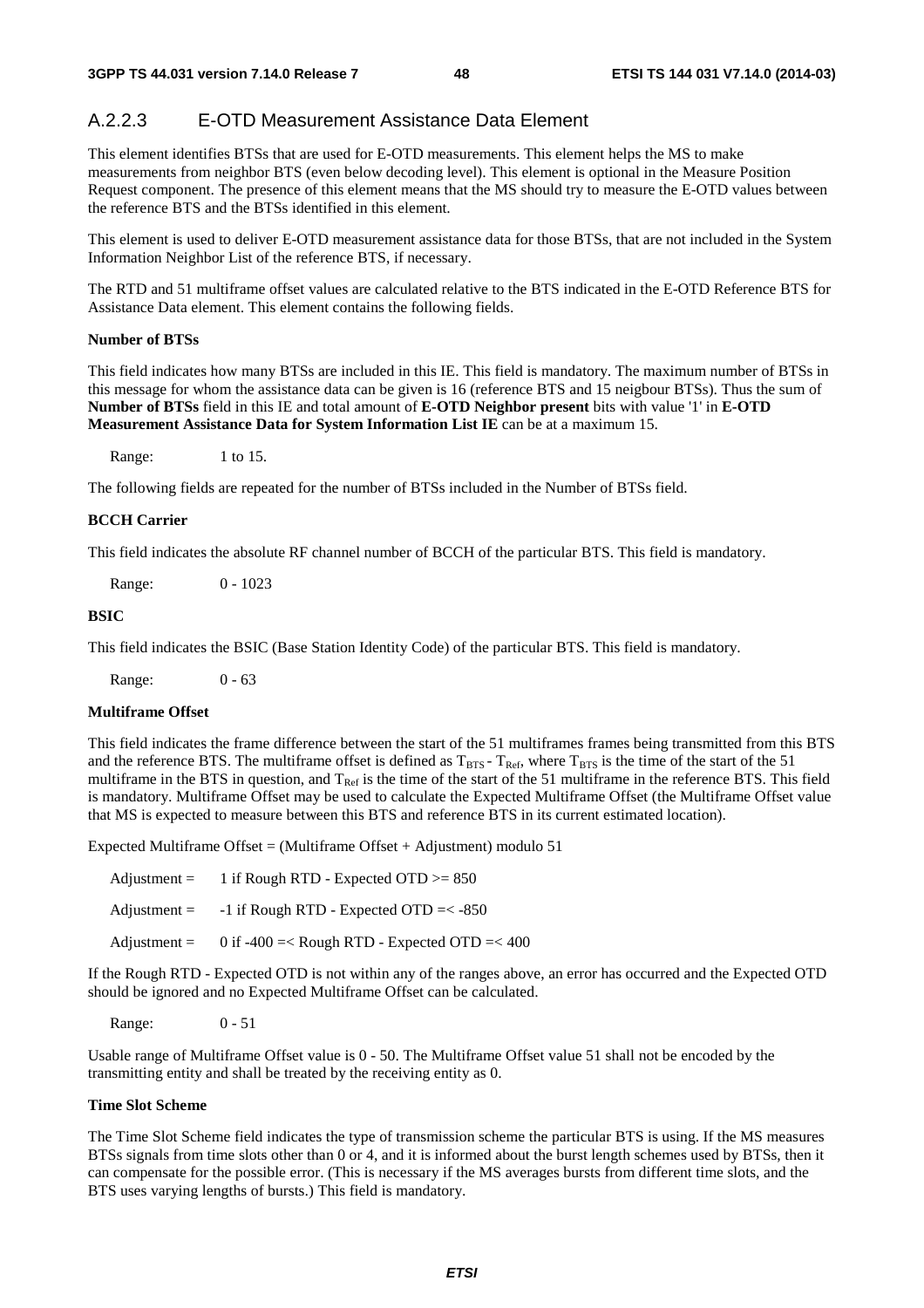## A.2.2.3 E-OTD Measurement Assistance Data Element

This element identifies BTSs that are used for E-OTD measurements. This element helps the MS to make measurements from neighbor BTS (even below decoding level). This element is optional in the Measure Position Request component. The presence of this element means that the MS should try to measure the E-OTD values between the reference BTS and the BTSs identified in this element.

This element is used to deliver E-OTD measurement assistance data for those BTSs, that are not included in the System Information Neighbor List of the reference BTS, if necessary.

The RTD and 51 multiframe offset values are calculated relative to the BTS indicated in the E-OTD Reference BTS for Assistance Data element. This element contains the following fields.

#### **Number of BTSs**

This field indicates how many BTSs are included in this IE. This field is mandatory. The maximum number of BTSs in this message for whom the assistance data can be given is 16 (reference BTS and 15 neigbour BTSs). Thus the sum of **Number of BTSs** field in this IE and total amount of **E-OTD Neighbor present** bits with value '1' in **E-OTD Measurement Assistance Data for System Information List IE** can be at a maximum 15.

Range: 1 to 15.

The following fields are repeated for the number of BTSs included in the Number of BTSs field.

#### **BCCH Carrier**

This field indicates the absolute RF channel number of BCCH of the particular BTS. This field is mandatory.

Range: 0 - 1023

#### **BSIC**

This field indicates the BSIC (Base Station Identity Code) of the particular BTS. This field is mandatory.

Range: 0 - 63

#### **Multiframe Offset**

This field indicates the frame difference between the start of the 51 multiframes frames being transmitted from this BTS and the reference BTS. The multiframe offset is defined as  $T_{\text{BTS}}$  -  $T_{\text{Ref}}$ , where  $T_{\text{BTS}}$  is the time of the start of the 51 multiframe in the BTS in question, and  $T_{Ref}$  is the time of the start of the 51 multiframe in the reference BTS. This field is mandatory. Multiframe Offset may be used to calculate the Expected Multiframe Offset (the Multiframe Offset value that MS is expected to measure between this BTS and reference BTS in its current estimated location).

Expected Multiframe Offset = (Multiframe Offset + Adjustment) modulo  $51$ 

| Adjustment $=$        | 1 if Rough RTD - Expected OTD $>= 850$            |
|-----------------------|---------------------------------------------------|
| $\text{Adjustment} =$ | $-1$ if Rough RTD - Expected OTD $=< -850$        |
| $\text{Adjustment} =$ | 0 if $-400 = <$ Rough RTD - Expected OTD $=< 400$ |

If the Rough RTD - Expected OTD is not within any of the ranges above, an error has occurred and the Expected OTD should be ignored and no Expected Multiframe Offset can be calculated.

Range: 0 - 51

Usable range of Multiframe Offset value is 0 - 50. The Multiframe Offset value 51 shall not be encoded by the transmitting entity and shall be treated by the receiving entity as 0.

#### **Time Slot Scheme**

The Time Slot Scheme field indicates the type of transmission scheme the particular BTS is using. If the MS measures BTSs signals from time slots other than 0 or 4, and it is informed about the burst length schemes used by BTSs, then it can compensate for the possible error. (This is necessary if the MS averages bursts from different time slots, and the BTS uses varying lengths of bursts.) This field is mandatory.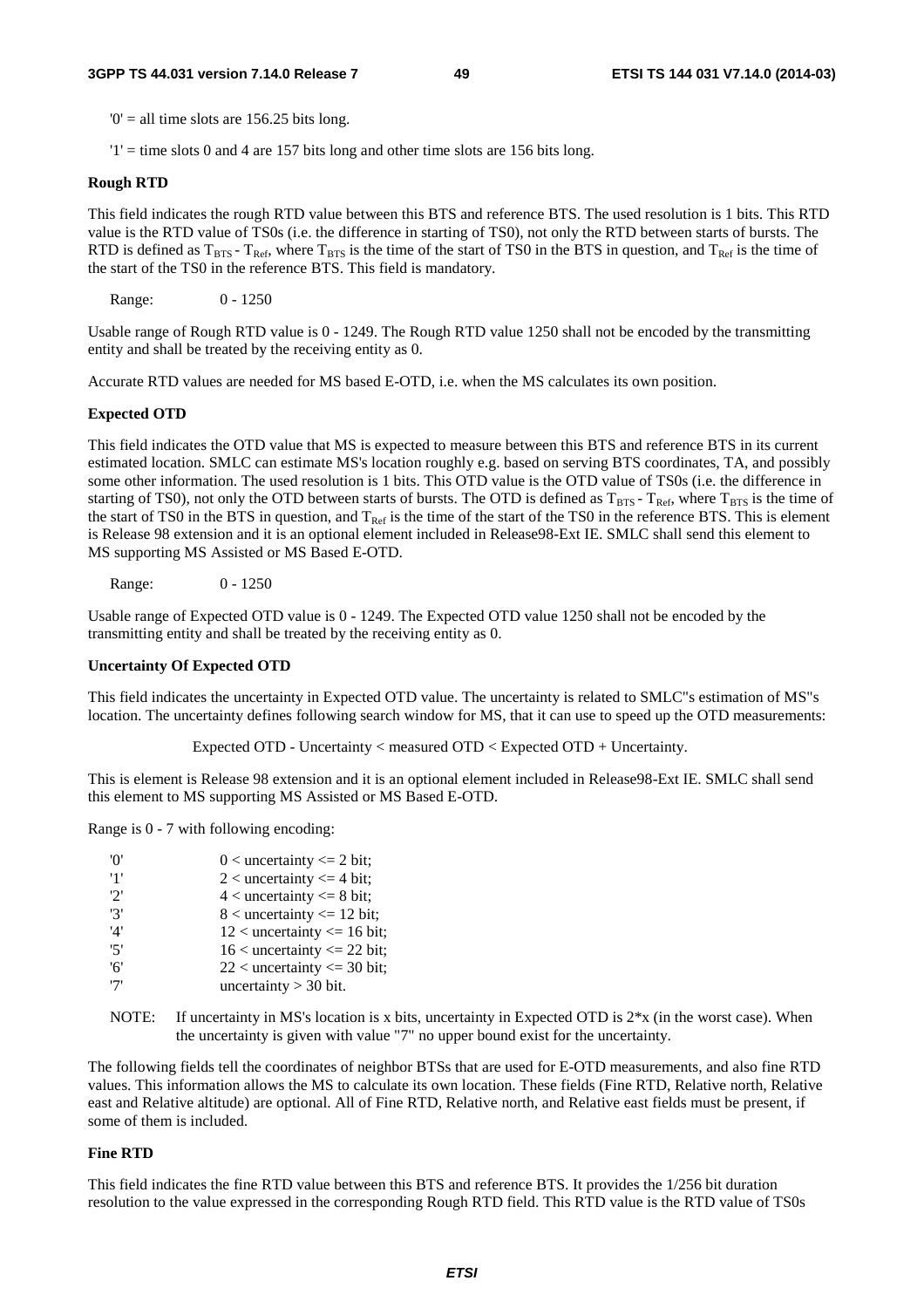$0'$  = all time slots are 156.25 bits long.

 $'1'$  = time slots 0 and 4 are 157 bits long and other time slots are 156 bits long.

#### **Rough RTD**

This field indicates the rough RTD value between this BTS and reference BTS. The used resolution is 1 bits. This RTD value is the RTD value of TS0s (i.e. the difference in starting of TS0), not only the RTD between starts of bursts. The RTD is defined as  $T_{BTS}$  -  $T_{Ref}$ , where  $T_{BTS}$  is the time of the start of TS0 in the BTS in question, and  $T_{Ref}$  is the time of the start of the TS0 in the reference BTS. This field is mandatory.

Range: 0 - 1250

Usable range of Rough RTD value is 0 - 1249. The Rough RTD value 1250 shall not be encoded by the transmitting entity and shall be treated by the receiving entity as 0.

Accurate RTD values are needed for MS based E-OTD, i.e. when the MS calculates its own position.

#### **Expected OTD**

This field indicates the OTD value that MS is expected to measure between this BTS and reference BTS in its current estimated location. SMLC can estimate MS's location roughly e.g. based on serving BTS coordinates, TA, and possibly some other information. The used resolution is 1 bits. This OTD value is the OTD value of TS0s (i.e. the difference in starting of TS0), not only the OTD between starts of bursts. The OTD is defined as  $T_{BTS}$ - T<sub>Ref</sub>, where T<sub>BTS</sub> is the time of the start of TS0 in the BTS in question, and  $T_{Ref}$  is the time of the start of the TS0 in the reference BTS. This is element is Release 98 extension and it is an optional element included in Release98-Ext IE. SMLC shall send this element to MS supporting MS Assisted or MS Based E-OTD.

Range: 0 - 1250

Usable range of Expected OTD value is 0 - 1249. The Expected OTD value 1250 shall not be encoded by the transmitting entity and shall be treated by the receiving entity as 0.

#### **Uncertainty Of Expected OTD**

This field indicates the uncertainty in Expected OTD value. The uncertainty is related to SMLC"s estimation of MS"s location. The uncertainty defines following search window for MS, that it can use to speed up the OTD measurements:

Expected OTD - Uncertainty < measured OTD < Expected OTD + Uncertainty.

This is element is Release 98 extension and it is an optional element included in Release98-Ext IE. SMLC shall send this element to MS supporting MS Assisted or MS Based E-OTD.

Range is 0 - 7 with following encoding:

| 'O' | $0$ < uncertainty <= 2 bit;      |
|-----|----------------------------------|
| '1' | $2$ < uncertainty $\leq$ 4 bit;  |
| 2'  | $4$ < uncertainty $\leq 8$ bit;  |
| '3' | $8$ < uncertainty $\leq 12$ bit; |
| '4' | $12$ < uncertainty <= 16 bit;    |
| '5' | $16$ < uncertainty <= 22 bit;    |
| '6' | $22$ < uncertainty <= 30 bit;    |
| '7' | uncertainty $>$ 30 bit.          |

NOTE: If uncertainty in MS's location is x bits, uncertainty in Expected OTD is  $2*x$  (in the worst case). When the uncertainty is given with value "7" no upper bound exist for the uncertainty.

The following fields tell the coordinates of neighbor BTSs that are used for E-OTD measurements, and also fine RTD values. This information allows the MS to calculate its own location. These fields (Fine RTD, Relative north, Relative east and Relative altitude) are optional. All of Fine RTD, Relative north, and Relative east fields must be present, if some of them is included.

#### **Fine RTD**

This field indicates the fine RTD value between this BTS and reference BTS. It provides the 1/256 bit duration resolution to the value expressed in the corresponding Rough RTD field. This RTD value is the RTD value of TS0s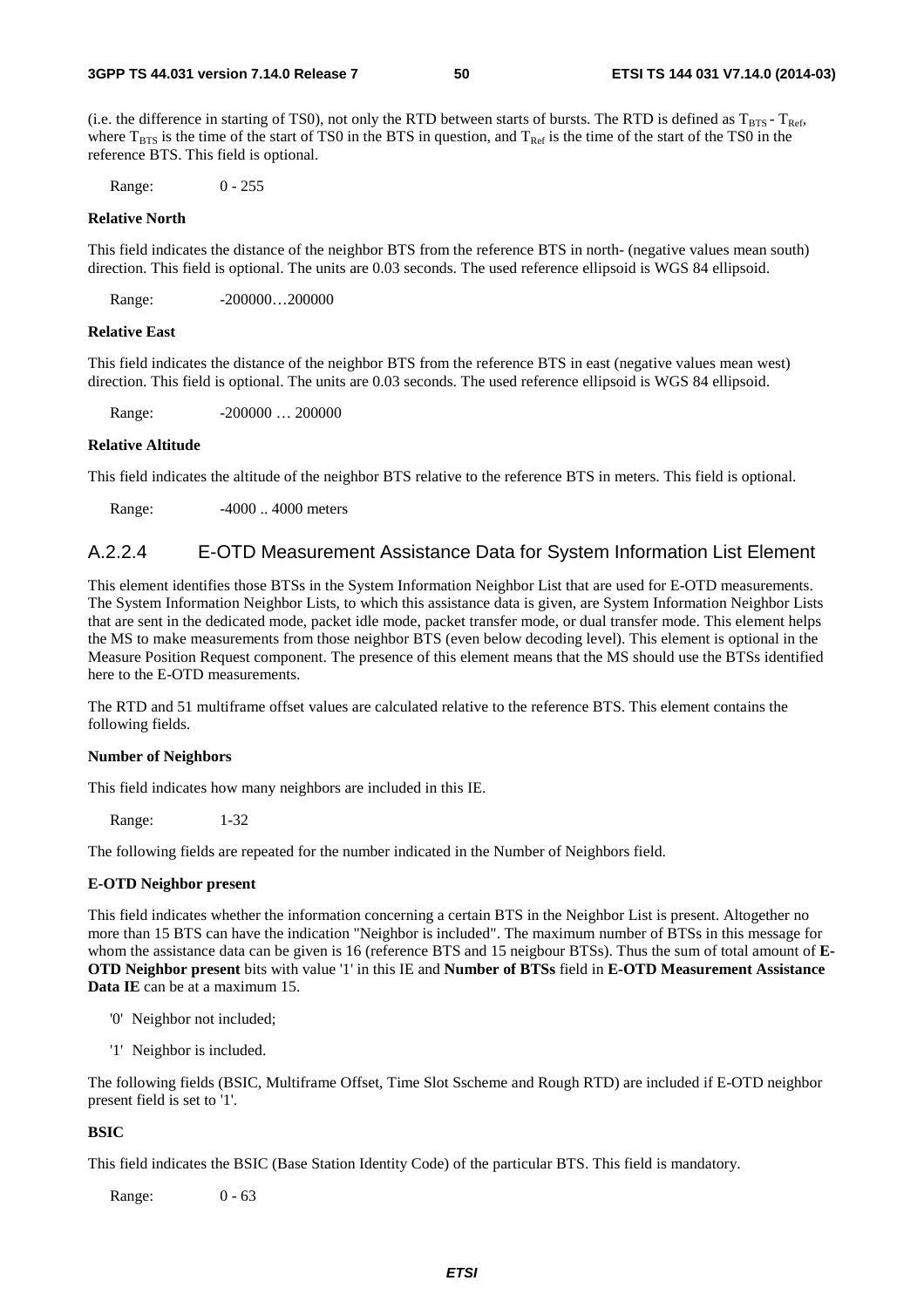(i.e. the difference in starting of TS0), not only the RTD between starts of bursts. The RTD is defined as  $T_{BTS}$  -  $T_{Ref}$ , where  $T_{\text{BTS}}$  is the time of the start of TS0 in the BTS in question, and  $T_{\text{Ref}}$  is the time of the start of the TS0 in the reference BTS. This field is optional.

Range: 0 - 255

#### **Relative North**

This field indicates the distance of the neighbor BTS from the reference BTS in north- (negative values mean south) direction. This field is optional. The units are 0.03 seconds. The used reference ellipsoid is WGS 84 ellipsoid.

Range: -200000...200000

#### **Relative East**

This field indicates the distance of the neighbor BTS from the reference BTS in east (negative values mean west) direction. This field is optional. The units are 0.03 seconds. The used reference ellipsoid is WGS 84 ellipsoid.

Range: -200000 ... 200000

#### **Relative Altitude**

This field indicates the altitude of the neighbor BTS relative to the reference BTS in meters. This field is optional.

Range:  $-4000...4000$  meters

## A.2.2.4 E-OTD Measurement Assistance Data for System Information List Element

This element identifies those BTSs in the System Information Neighbor List that are used for E-OTD measurements. The System Information Neighbor Lists, to which this assistance data is given, are System Information Neighbor Lists that are sent in the dedicated mode, packet idle mode, packet transfer mode, or dual transfer mode. This element helps the MS to make measurements from those neighbor BTS (even below decoding level). This element is optional in the Measure Position Request component. The presence of this element means that the MS should use the BTSs identified here to the E-OTD measurements.

The RTD and 51 multiframe offset values are calculated relative to the reference BTS. This element contains the following fields.

#### **Number of Neighbors**

This field indicates how many neighbors are included in this IE.

Range: 1-32

The following fields are repeated for the number indicated in the Number of Neighbors field.

#### **E-OTD Neighbor present**

This field indicates whether the information concerning a certain BTS in the Neighbor List is present. Altogether no more than 15 BTS can have the indication "Neighbor is included". The maximum number of BTSs in this message for whom the assistance data can be given is 16 (reference BTS and 15 neigbour BTSs). Thus the sum of total amount of **E-OTD Neighbor present** bits with value '1' in this IE and **Number of BTSs** field in **E-OTD Measurement Assistance Data IE** can be at a maximum 15.

- '0' Neighbor not included;
- '1' Neighbor is included.

The following fields (BSIC, Multiframe Offset, Time Slot Sscheme and Rough RTD) are included if E-OTD neighbor present field is set to '1'.

#### **BSIC**

This field indicates the BSIC (Base Station Identity Code) of the particular BTS. This field is mandatory.

Range: 0 - 63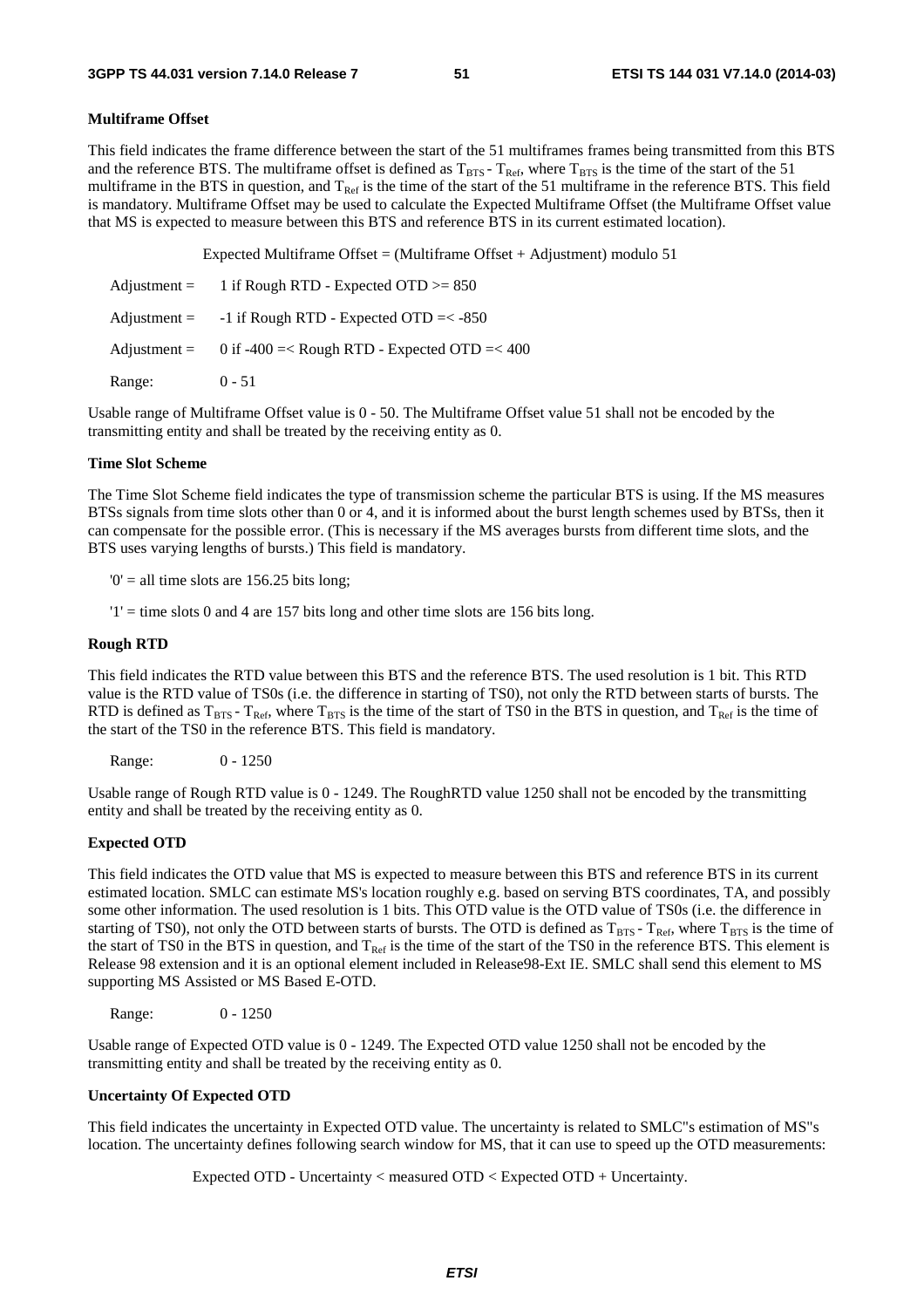#### **Multiframe Offset**

This field indicates the frame difference between the start of the 51 multiframes frames being transmitted from this BTS and the reference BTS. The multiframe offset is defined as  $T_{\text{RFS}}$  -  $T_{\text{Ref}}$ , where  $T_{\text{RTS}}$  is the time of the start of the 51 multiframe in the BTS in question, and  $T_{\text{Ref}}$  is the time of the start of the 51 multiframe in the reference BTS. This field is mandatory. Multiframe Offset may be used to calculate the Expected Multiframe Offset (the Multiframe Offset value that MS is expected to measure between this BTS and reference BTS in its current estimated location).

Expected Multiframe Offset = (Multiframe Offset + Adjustment) modulo  $51$ 

| $\text{Adjustment} =$ | 1 if Rough RTD - Expected OTD $>= 850$                      |
|-----------------------|-------------------------------------------------------------|
| $\text{Adjustment} =$ | -1 if Rough RTD - Expected OTD $=<$ -850                    |
|                       | Adjustment = $0$ if -400 =< Rough RTD - Expected OTD =< 400 |
| Range:                | $0 - 51$                                                    |

Usable range of Multiframe Offset value is 0 - 50. The Multiframe Offset value 51 shall not be encoded by the transmitting entity and shall be treated by the receiving entity as 0.

#### **Time Slot Scheme**

The Time Slot Scheme field indicates the type of transmission scheme the particular BTS is using. If the MS measures BTSs signals from time slots other than 0 or 4, and it is informed about the burst length schemes used by BTSs, then it can compensate for the possible error. (This is necessary if the MS averages bursts from different time slots, and the BTS uses varying lengths of bursts.) This field is mandatory.

 $0' =$  all time slots are 156.25 bits long;

 $'1'$  = time slots 0 and 4 are 157 bits long and other time slots are 156 bits long.

#### **Rough RTD**

This field indicates the RTD value between this BTS and the reference BTS. The used resolution is 1 bit. This RTD value is the RTD value of TS0s (i.e. the difference in starting of TS0), not only the RTD between starts of bursts. The RTD is defined as  $T_{BTS}$  -  $T_{Ref}$ , where  $T_{BTS}$  is the time of the start of TS0 in the BTS in question, and  $T_{Ref}$  is the time of the start of the TS0 in the reference BTS. This field is mandatory.

Range: 0 - 1250

Usable range of Rough RTD value is 0 - 1249. The RoughRTD value 1250 shall not be encoded by the transmitting entity and shall be treated by the receiving entity as 0.

### **Expected OTD**

This field indicates the OTD value that MS is expected to measure between this BTS and reference BTS in its current estimated location. SMLC can estimate MS's location roughly e.g. based on serving BTS coordinates, TA, and possibly some other information. The used resolution is 1 bits. This OTD value is the OTD value of TS0s (i.e. the difference in starting of TS0), not only the OTD between starts of bursts. The OTD is defined as  $T_{BTS} - T_{Ref}$ , where  $T_{BTS}$  is the time of the start of TS0 in the BTS in question, and  $T_{Ref}$  is the time of the start of the TS0 in the reference BTS. This element is Release 98 extension and it is an optional element included in Release98-Ext IE. SMLC shall send this element to MS supporting MS Assisted or MS Based E-OTD.

Range: 0 - 1250

Usable range of Expected OTD value is 0 - 1249. The Expected OTD value 1250 shall not be encoded by the transmitting entity and shall be treated by the receiving entity as 0.

#### **Uncertainty Of Expected OTD**

This field indicates the uncertainty in Expected OTD value. The uncertainty is related to SMLC"s estimation of MS"s location. The uncertainty defines following search window for MS, that it can use to speed up the OTD measurements:

Expected OTD - Uncertainty < measured OTD < Expected OTD + Uncertainty.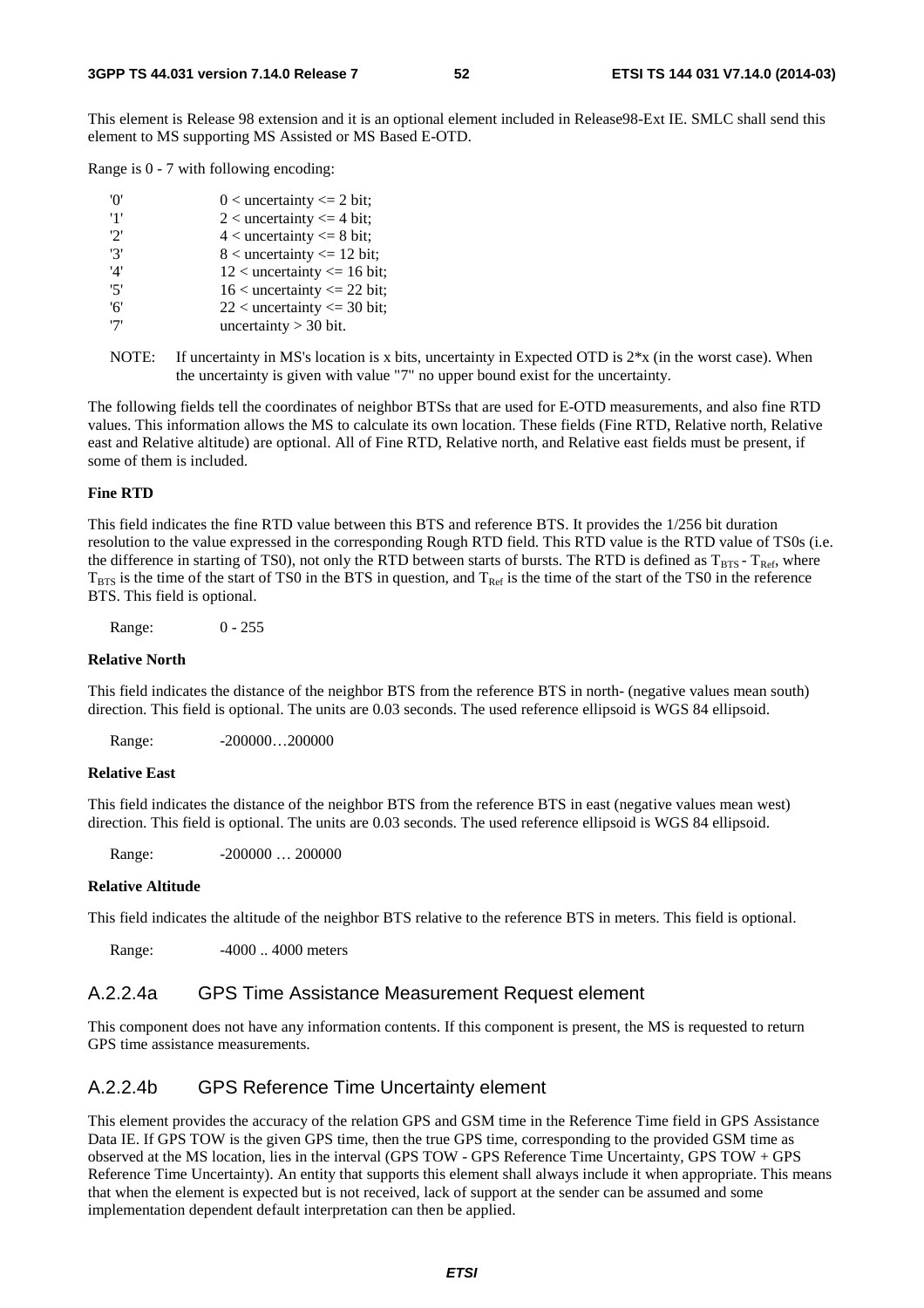This element is Release 98 extension and it is an optional element included in Release98-Ext IE. SMLC shall send this element to MS supporting MS Assisted or MS Based E-OTD.

Range is 0 - 7 with following encoding:

| 'N' | $0 <$ uncertainty $\leq 2$ bit;  |
|-----|----------------------------------|
| '1' | 2 < uncertainty $\leq$ 4 bit;    |
| '2' | $4$ < uncertainty $\leq 8$ bit;  |
| '3' | $8$ < uncertainty $\leq 12$ bit; |
| '4' | $12$ < uncertainty <= 16 bit;    |
| 5'  | $16$ < uncertainty <= 22 bit;    |
| '6' | $22$ < uncertainty <= 30 bit;    |
| '7' | uncertainty $>$ 30 bit.          |

NOTE: If uncertainty in MS's location is x bits, uncertainty in Expected OTD is  $2*x$  (in the worst case). When the uncertainty is given with value "7" no upper bound exist for the uncertainty.

The following fields tell the coordinates of neighbor BTSs that are used for E-OTD measurements, and also fine RTD values. This information allows the MS to calculate its own location. These fields (Fine RTD, Relative north, Relative east and Relative altitude) are optional. All of Fine RTD, Relative north, and Relative east fields must be present, if some of them is included.

#### **Fine RTD**

This field indicates the fine RTD value between this BTS and reference BTS. It provides the 1/256 bit duration resolution to the value expressed in the corresponding Rough RTD field. This RTD value is the RTD value of TS0s (i.e. the difference in starting of TS0), not only the RTD between starts of bursts. The RTD is defined as  $T_{BTS}$  -  $T_{Ref}$ , where  $T_{\rm BTS}$  is the time of the start of TS0 in the BTS in question, and  $T_{\rm Ref}$  is the time of the start of the TS0 in the reference BTS. This field is optional.

Range: 0 - 255

#### **Relative North**

This field indicates the distance of the neighbor BTS from the reference BTS in north- (negative values mean south) direction. This field is optional. The units are 0.03 seconds. The used reference ellipsoid is WGS 84 ellipsoid.

Range: -200000...200000

#### **Relative East**

This field indicates the distance of the neighbor BTS from the reference BTS in east (negative values mean west) direction. This field is optional. The units are 0.03 seconds. The used reference ellipsoid is WGS 84 ellipsoid.

Range: -200000 ... 200000

#### **Relative Altitude**

This field indicates the altitude of the neighbor BTS relative to the reference BTS in meters. This field is optional.

Range: -4000 ... 4000 meters

## A.2.2.4a GPS Time Assistance Measurement Request element

This component does not have any information contents. If this component is present, the MS is requested to return GPS time assistance measurements.

### A.2.2.4b GPS Reference Time Uncertainty element

This element provides the accuracy of the relation GPS and GSM time in the Reference Time field in GPS Assistance Data IE. If GPS TOW is the given GPS time, then the true GPS time, corresponding to the provided GSM time as observed at the MS location, lies in the interval (GPS TOW - GPS Reference Time Uncertainty, GPS TOW + GPS Reference Time Uncertainty). An entity that supports this element shall always include it when appropriate. This means that when the element is expected but is not received, lack of support at the sender can be assumed and some implementation dependent default interpretation can then be applied.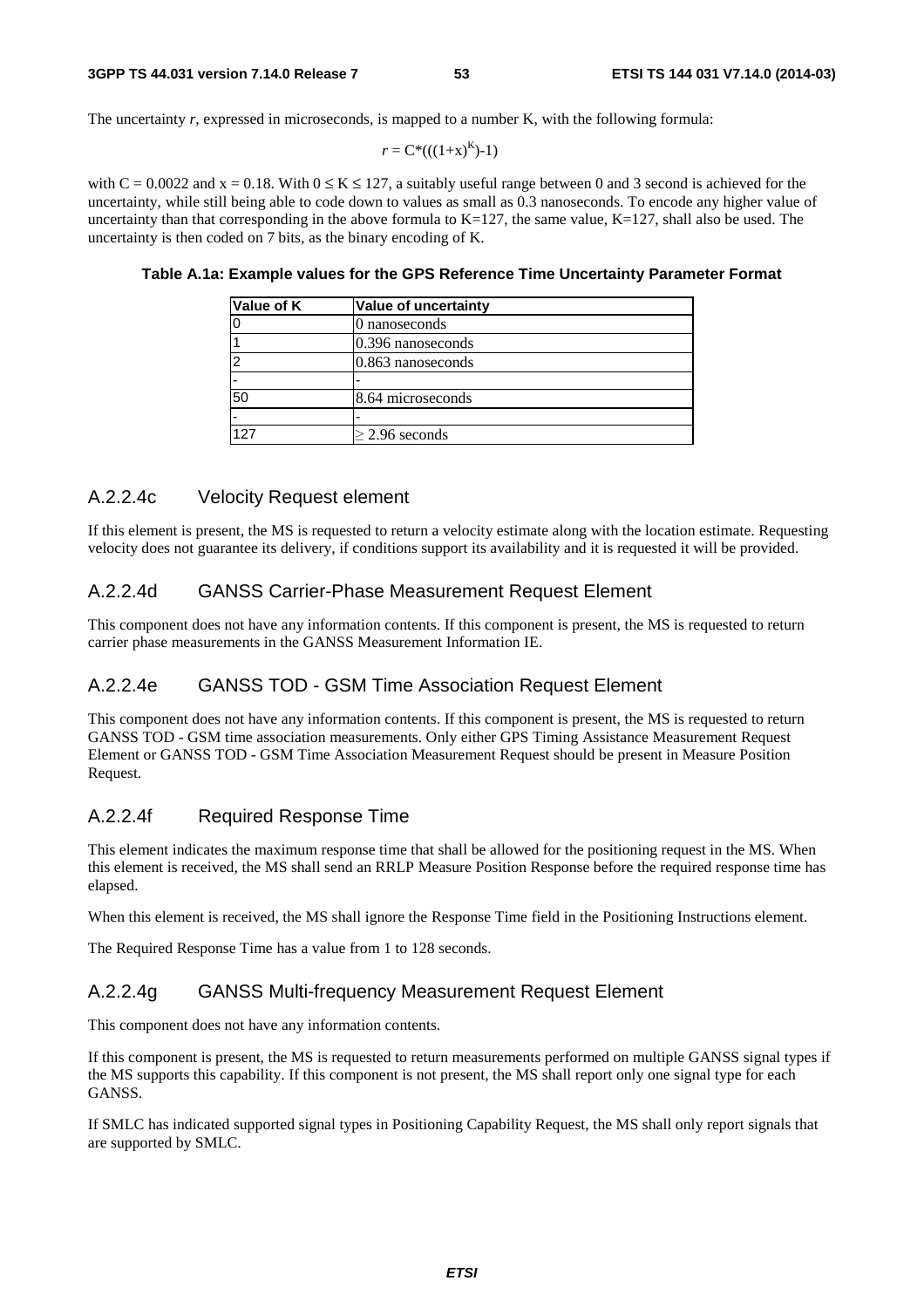The uncertainty *r*, expressed in microseconds, is mapped to a number K, with the following formula:

$$
r = C^*(( (1+x)^K )-1)
$$

with  $C = 0.0022$  and  $x = 0.18$ . With  $0 \le K \le 127$ , a suitably useful range between 0 and 3 second is achieved for the uncertainty, while still being able to code down to values as small as 0.3 nanoseconds. To encode any higher value of uncertainty than that corresponding in the above formula to  $K=127$ , the same value,  $K=127$ , shall also be used. The uncertainty is then coded on 7 bits, as the binary encoding of K.

| Value of K | <b>Value of uncertainty</b> |  |
|------------|-----------------------------|--|
|            | 0 nanoseconds               |  |
|            | $0.396$ nanoseconds         |  |
| c          | $0.863$ nanoseconds         |  |
|            |                             |  |
| 50         | 8.64 microseconds           |  |
|            | ٠                           |  |
| 127        | $\geq$ 2.96 seconds         |  |

**Table A.1a: Example values for the GPS Reference Time Uncertainty Parameter Format** 

## A.2.2.4c Velocity Request element

If this element is present, the MS is requested to return a velocity estimate along with the location estimate. Requesting velocity does not guarantee its delivery, if conditions support its availability and it is requested it will be provided.

## A.2.2.4d GANSS Carrier-Phase Measurement Request Element

This component does not have any information contents. If this component is present, the MS is requested to return carrier phase measurements in the GANSS Measurement Information IE.

## A.2.2.4e GANSS TOD - GSM Time Association Request Element

This component does not have any information contents. If this component is present, the MS is requested to return GANSS TOD - GSM time association measurements. Only either GPS Timing Assistance Measurement Request Element or GANSS TOD - GSM Time Association Measurement Request should be present in Measure Position Request.

## A.2.2.4f Required Response Time

This element indicates the maximum response time that shall be allowed for the positioning request in the MS. When this element is received, the MS shall send an RRLP Measure Position Response before the required response time has elapsed.

When this element is received, the MS shall ignore the Response Time field in the Positioning Instructions element.

The Required Response Time has a value from 1 to 128 seconds.

## A.2.2.4g GANSS Multi-frequency Measurement Request Element

This component does not have any information contents.

If this component is present, the MS is requested to return measurements performed on multiple GANSS signal types if the MS supports this capability. If this component is not present, the MS shall report only one signal type for each GANSS.

If SMLC has indicated supported signal types in Positioning Capability Request, the MS shall only report signals that are supported by SMLC.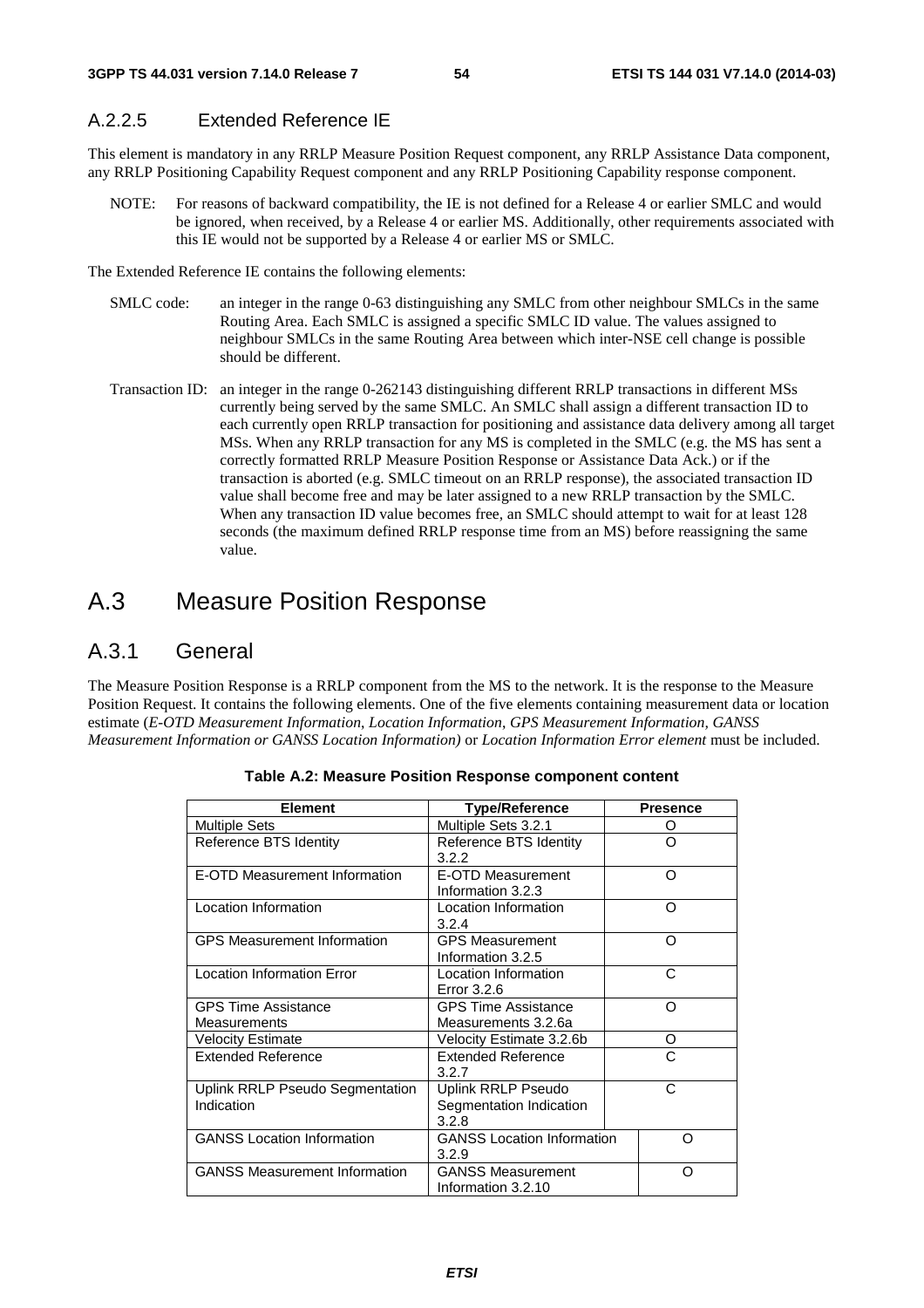## A.2.2.5 Extended Reference IE

This element is mandatory in any RRLP Measure Position Request component, any RRLP Assistance Data component, any RRLP Positioning Capability Request component and any RRLP Positioning Capability response component.

NOTE: For reasons of backward compatibility, the IE is not defined for a Release 4 or earlier SMLC and would be ignored, when received, by a Release 4 or earlier MS. Additionally, other requirements associated with this IE would not be supported by a Release 4 or earlier MS or SMLC.

The Extended Reference IE contains the following elements:

- SMLC code: an integer in the range 0-63 distinguishing any SMLC from other neighbour SMLCs in the same Routing Area. Each SMLC is assigned a specific SMLC ID value. The values assigned to neighbour SMLCs in the same Routing Area between which inter-NSE cell change is possible should be different.
- Transaction ID: an integer in the range 0-262143 distinguishing different RRLP transactions in different MSs currently being served by the same SMLC. An SMLC shall assign a different transaction ID to each currently open RRLP transaction for positioning and assistance data delivery among all target MSs. When any RRLP transaction for any MS is completed in the SMLC (e.g. the MS has sent a correctly formatted RRLP Measure Position Response or Assistance Data Ack.) or if the transaction is aborted (e.g. SMLC timeout on an RRLP response), the associated transaction ID value shall become free and may be later assigned to a new RRLP transaction by the SMLC. When any transaction ID value becomes free, an SMLC should attempt to wait for at least 128 seconds (the maximum defined RRLP response time from an MS) before reassigning the same value.

# A.3 Measure Position Response

## A.3.1 General

The Measure Position Response is a RRLP component from the MS to the network. It is the response to the Measure Position Request. It contains the following elements. One of the five elements containing measurement data or location estimate (*E-OTD Measurement Information*, *Location Information*, *GPS Measurement Information, GANSS Measurement Information or GANSS Location Information)* or *Location Information Error element* must be included.

| <b>Element</b>                       | <b>Type/Reference</b>             | <b>Presence</b> |  |
|--------------------------------------|-----------------------------------|-----------------|--|
| <b>Multiple Sets</b>                 | Multiple Sets 3.2.1               | O               |  |
| Reference BTS Identity               | Reference BTS Identity            | റ               |  |
|                                      | 3.2.2                             |                 |  |
| E-OTD Measurement Information        | E-OTD Measurement                 | O               |  |
|                                      | Information 3.2.3                 |                 |  |
| Location Information                 | Location Information              | $\Omega$        |  |
|                                      | 3.2.4                             |                 |  |
| <b>GPS Measurement Information</b>   | <b>GPS Measurement</b>            | Ω               |  |
|                                      | Information 3.2.5                 |                 |  |
| <b>Location Information Error</b>    | Location Information              | C               |  |
|                                      | Error 3.2.6                       |                 |  |
| <b>GPS Time Assistance</b>           | <b>GPS Time Assistance</b>        | Ω               |  |
| <b>Measurements</b>                  | Measurements 3.2.6a               |                 |  |
| <b>Velocity Estimate</b>             | Velocity Estimate 3.2.6b          | O               |  |
| <b>Extended Reference</b>            | <b>Extended Reference</b>         | C               |  |
|                                      | 3.2.7                             |                 |  |
| Uplink RRLP Pseudo Segmentation      | Uplink RRLP Pseudo                | C               |  |
| Indication                           | Segmentation Indication           |                 |  |
|                                      | 3.2.8                             |                 |  |
| <b>GANSS Location Information</b>    | <b>GANSS Location Information</b> | Ω               |  |
|                                      | 3.2.9                             |                 |  |
| <b>GANSS Measurement Information</b> | <b>GANSS Measurement</b>          | ∩               |  |
|                                      | Information 3.2.10                |                 |  |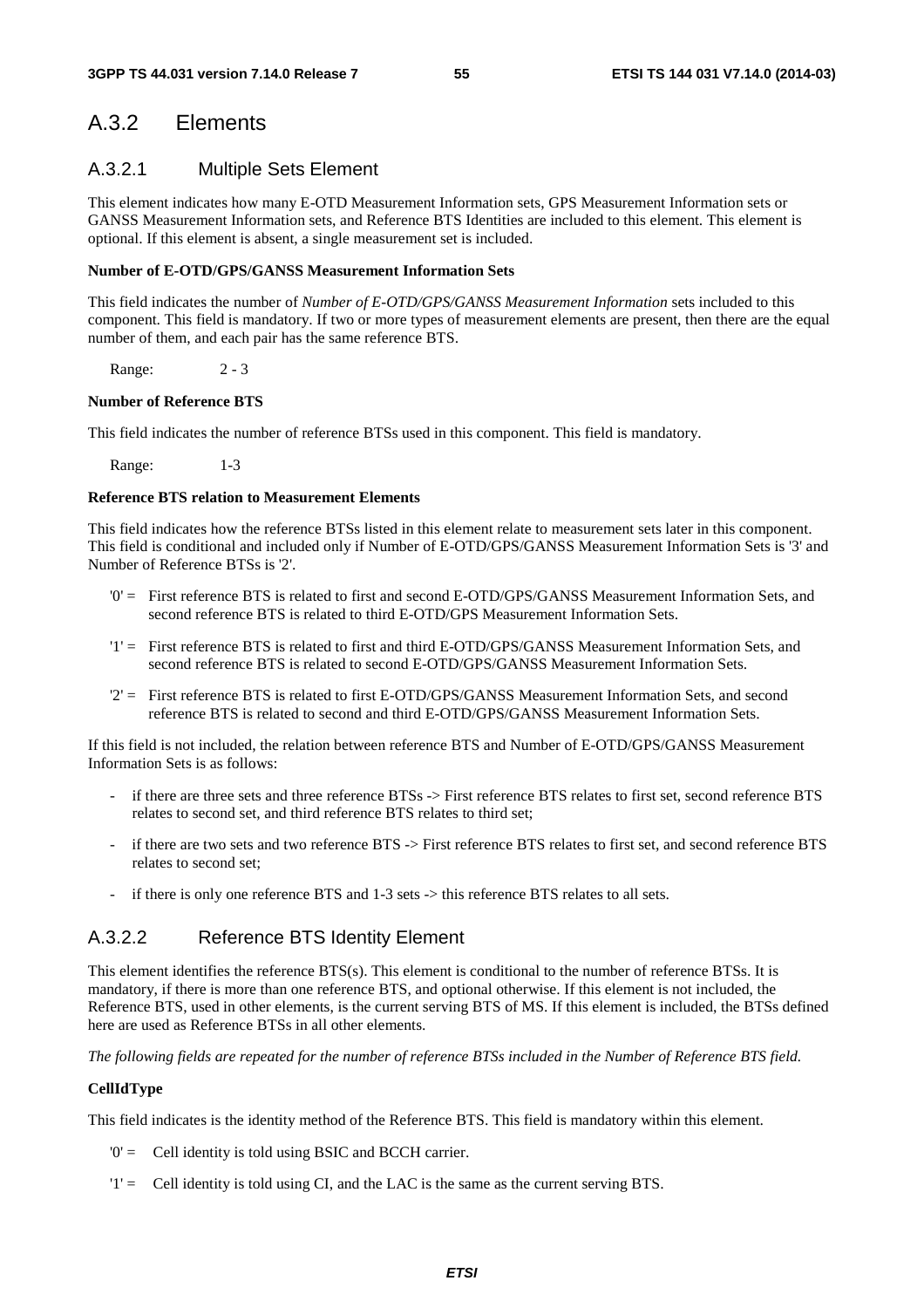## A.3.2 Elements

## A.3.2.1 Multiple Sets Element

This element indicates how many E-OTD Measurement Information sets, GPS Measurement Information sets or GANSS Measurement Information sets, and Reference BTS Identities are included to this element. This element is optional. If this element is absent, a single measurement set is included.

#### **Number of E-OTD/GPS/GANSS Measurement Information Sets**

This field indicates the number of *Number of E-OTD/GPS/GANSS Measurement Information* sets included to this component. This field is mandatory. If two or more types of measurement elements are present, then there are the equal number of them, and each pair has the same reference BTS.

Range: 2 - 3

#### **Number of Reference BTS**

This field indicates the number of reference BTSs used in this component. This field is mandatory.

Range: 1-3

#### **Reference BTS relation to Measurement Elements**

This field indicates how the reference BTSs listed in this element relate to measurement sets later in this component. This field is conditional and included only if Number of E-OTD/GPS/GANSS Measurement Information Sets is '3' and Number of Reference BTSs is '2'.

- '0' = First reference BTS is related to first and second E-OTD/GPS/GANSS Measurement Information Sets, and second reference BTS is related to third E-OTD/GPS Measurement Information Sets.
- '1' = First reference BTS is related to first and third E-OTD/GPS/GANSS Measurement Information Sets, and second reference BTS is related to second E-OTD/GPS/GANSS Measurement Information Sets.
- '2' = First reference BTS is related to first E-OTD/GPS/GANSS Measurement Information Sets, and second reference BTS is related to second and third E-OTD/GPS/GANSS Measurement Information Sets.

If this field is not included, the relation between reference BTS and Number of E-OTD/GPS/GANSS Measurement Information Sets is as follows:

- if there are three sets and three reference BTSs -> First reference BTS relates to first set, second reference BTS relates to second set, and third reference BTS relates to third set;
- if there are two sets and two reference BTS -> First reference BTS relates to first set, and second reference BTS relates to second set;
- if there is only one reference BTS and 1-3 sets -> this reference BTS relates to all sets.

## A.3.2.2 Reference BTS Identity Element

This element identifies the reference BTS(s). This element is conditional to the number of reference BTSs. It is mandatory, if there is more than one reference BTS, and optional otherwise. If this element is not included, the Reference BTS, used in other elements, is the current serving BTS of MS. If this element is included, the BTSs defined here are used as Reference BTSs in all other elements.

*The following fields are repeated for the number of reference BTSs included in the Number of Reference BTS field.* 

#### **CellIdType**

This field indicates is the identity method of the Reference BTS. This field is mandatory within this element.

- '0' = Cell identity is told using BSIC and BCCH carrier.
- '1' = Cell identity is told using CI, and the LAC is the same as the current serving BTS.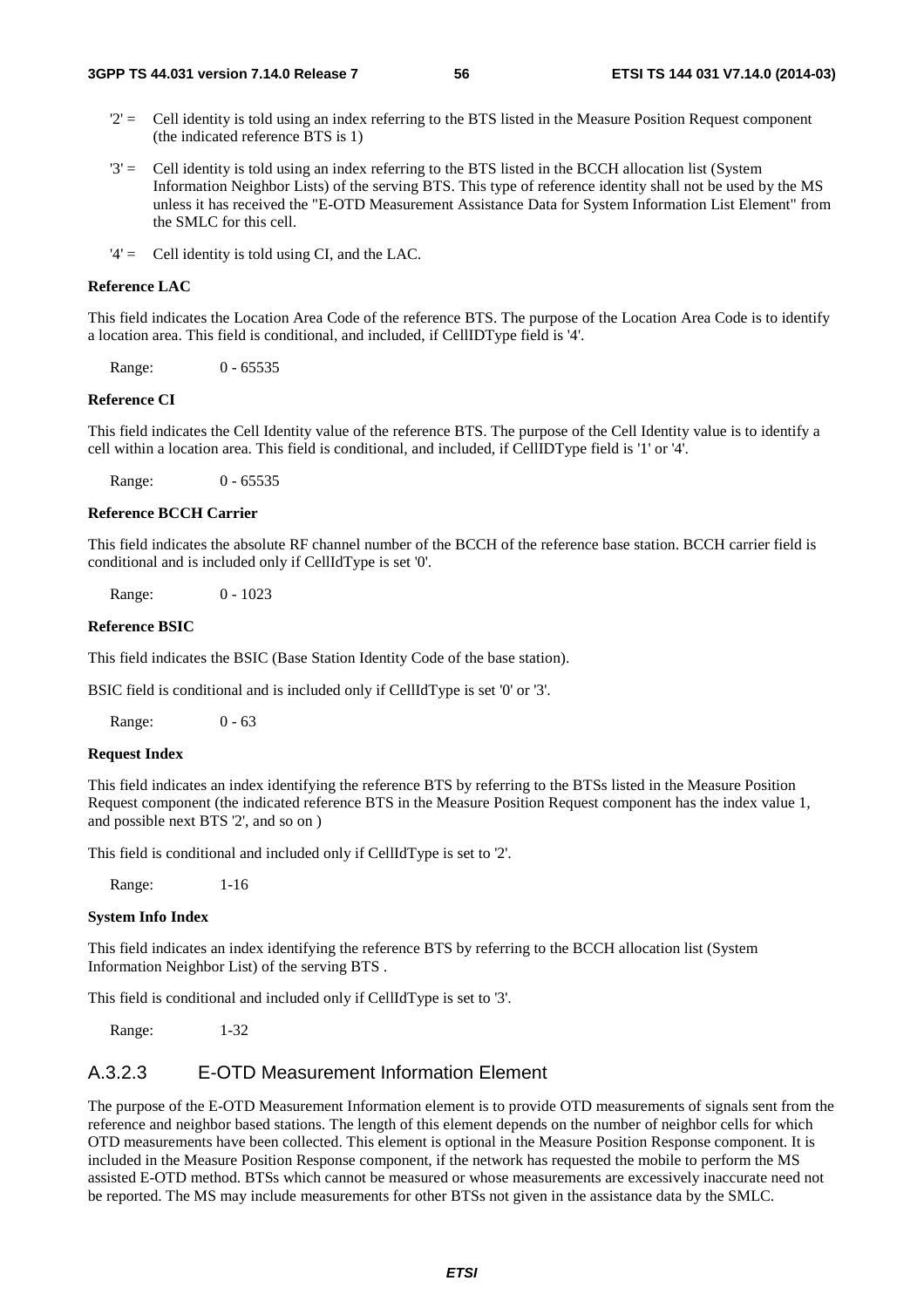- $2'$  = Cell identity is told using an index referring to the BTS listed in the Measure Position Request component (the indicated reference BTS is 1)
- '3' = Cell identity is told using an index referring to the BTS listed in the BCCH allocation list (System Information Neighbor Lists) of the serving BTS. This type of reference identity shall not be used by the MS unless it has received the "E-OTD Measurement Assistance Data for System Information List Element" from the SMLC for this cell.
- '4' = Cell identity is told using CI, and the LAC.

#### **Reference LAC**

This field indicates the Location Area Code of the reference BTS. The purpose of the Location Area Code is to identify a location area. This field is conditional, and included, if CellIDType field is '4'.

Range: 0 - 65535

#### **Reference CI**

This field indicates the Cell Identity value of the reference BTS. The purpose of the Cell Identity value is to identify a cell within a location area. This field is conditional, and included, if CellIDType field is '1' or '4'.

Range: 0 - 65535

#### **Reference BCCH Carrier**

This field indicates the absolute RF channel number of the BCCH of the reference base station. BCCH carrier field is conditional and is included only if CellIdType is set '0'.

Range: 0 - 1023

#### **Reference BSIC**

This field indicates the BSIC (Base Station Identity Code of the base station).

BSIC field is conditional and is included only if CellIdType is set '0' or '3'.

Range: 0 - 63

#### **Request Index**

This field indicates an index identifying the reference BTS by referring to the BTSs listed in the Measure Position Request component (the indicated reference BTS in the Measure Position Request component has the index value 1, and possible next BTS '2', and so on )

This field is conditional and included only if CellIdType is set to '2'.

Range: 1-16

#### **System Info Index**

This field indicates an index identifying the reference BTS by referring to the BCCH allocation list (System Information Neighbor List) of the serving BTS .

This field is conditional and included only if CellIdType is set to '3'.

Range: 1-32

## A.3.2.3 E-OTD Measurement Information Element

The purpose of the E-OTD Measurement Information element is to provide OTD measurements of signals sent from the reference and neighbor based stations. The length of this element depends on the number of neighbor cells for which OTD measurements have been collected. This element is optional in the Measure Position Response component. It is included in the Measure Position Response component, if the network has requested the mobile to perform the MS assisted E-OTD method. BTSs which cannot be measured or whose measurements are excessively inaccurate need not be reported. The MS may include measurements for other BTSs not given in the assistance data by the SMLC.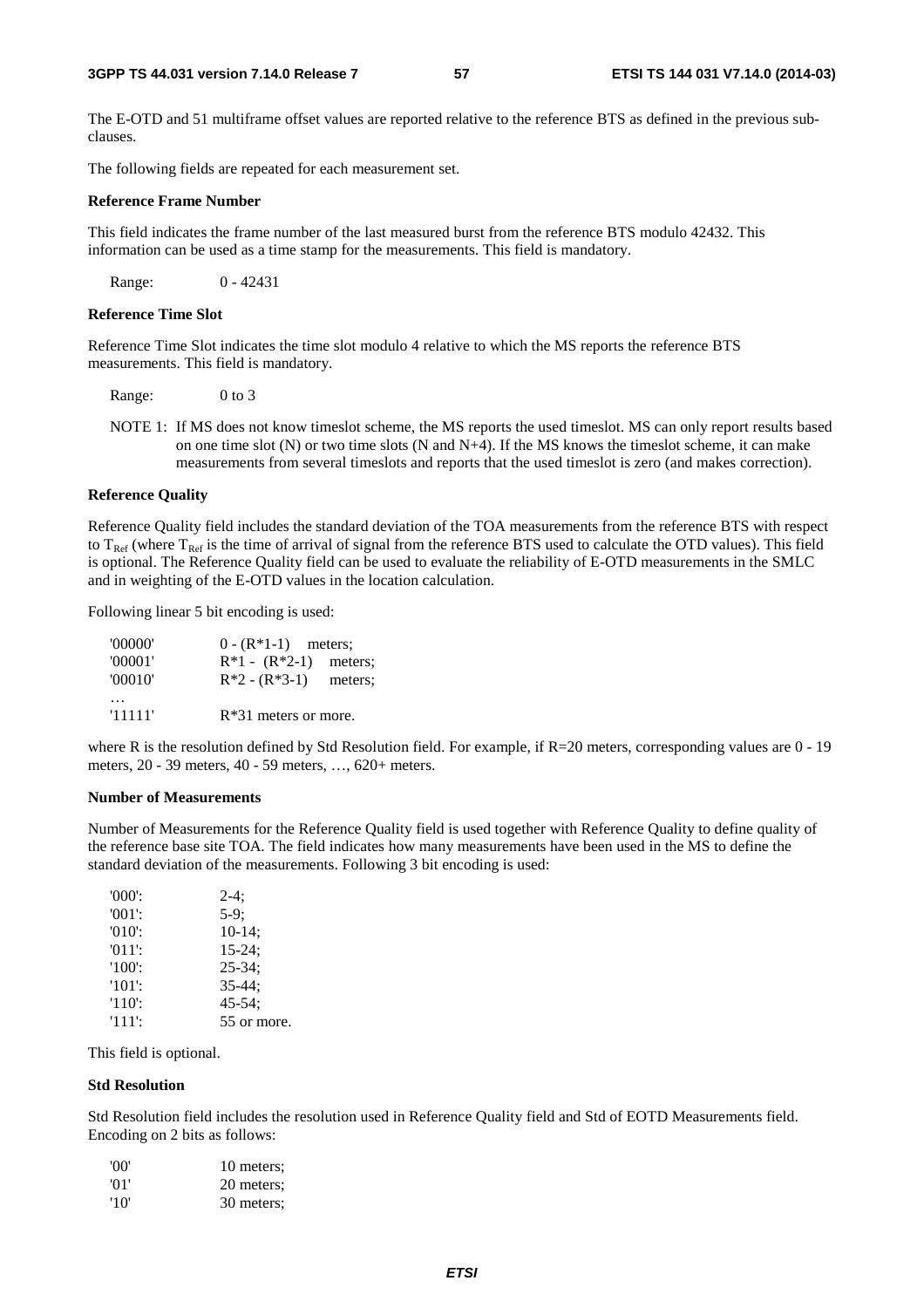The E-OTD and 51 multiframe offset values are reported relative to the reference BTS as defined in the previous subclauses.

The following fields are repeated for each measurement set.

#### **Reference Frame Number**

This field indicates the frame number of the last measured burst from the reference BTS modulo 42432. This information can be used as a time stamp for the measurements. This field is mandatory.

Range: 0 - 42431

#### **Reference Time Slot**

Reference Time Slot indicates the time slot modulo 4 relative to which the MS reports the reference BTS measurements. This field is mandatory.

Range: 0 to 3

NOTE 1: If MS does not know timeslot scheme, the MS reports the used timeslot. MS can only report results based on one time slot  $(N)$  or two time slots  $(N \text{ and } N+4)$ . If the MS knows the timeslot scheme, it can make measurements from several timeslots and reports that the used timeslot is zero (and makes correction).

#### **Reference Quality**

Reference Quality field includes the standard deviation of the TOA measurements from the reference BTS with respect to  $T_{\text{Ref}}$  (where  $T_{\text{Ref}}$  is the time of arrival of signal from the reference BTS used to calculate the OTD values). This field is optional. The Reference Quality field can be used to evaluate the reliability of E-OTD measurements in the SMLC and in weighting of the E-OTD values in the location calculation.

Following linear 5 bit encoding is used:

| '00000' | $0 - (R*1-1)$ meters;   |         |
|---------|-------------------------|---------|
| '00001' | $R*1 - (R*2-1)$ meters; |         |
| '00010' | $R*2 - (R*3-1)$         | meters: |
|         |                         |         |
| '11111' | $R*31$ meters or more.  |         |

where R is the resolution defined by Std Resolution field. For example, if R=20 meters, corresponding values are 0 - 19 meters, 20 - 39 meters, 40 - 59 meters, …, 620+ meters.

#### **Number of Measurements**

Number of Measurements for the Reference Quality field is used together with Reference Quality to define quality of the reference base site TOA. The field indicates how many measurements have been used in the MS to define the standard deviation of the measurements. Following 3 bit encoding is used:

| $'000$ .  | $2-4:$      |
|-----------|-------------|
| $'001'$ : | $5-9:$      |
| $'010'$ : | $10-14$ ;   |
| $'011'$ : | $15 - 24$ ; |
| $'100'$ : | $25 - 34$ ; |
| $'101'$ : | $35 - 44:$  |
| $'110'$ : | $45 - 54$ ; |
| '111':    | 55 or more. |

This field is optional.

#### **Std Resolution**

Std Resolution field includes the resolution used in Reference Quality field and Std of EOTD Measurements field. Encoding on 2 bits as follows:

| 'OO'            | 10 meters: |
|-----------------|------------|
| $^{\prime}$ 01' | 20 meters; |
| '10'            | 30 meters; |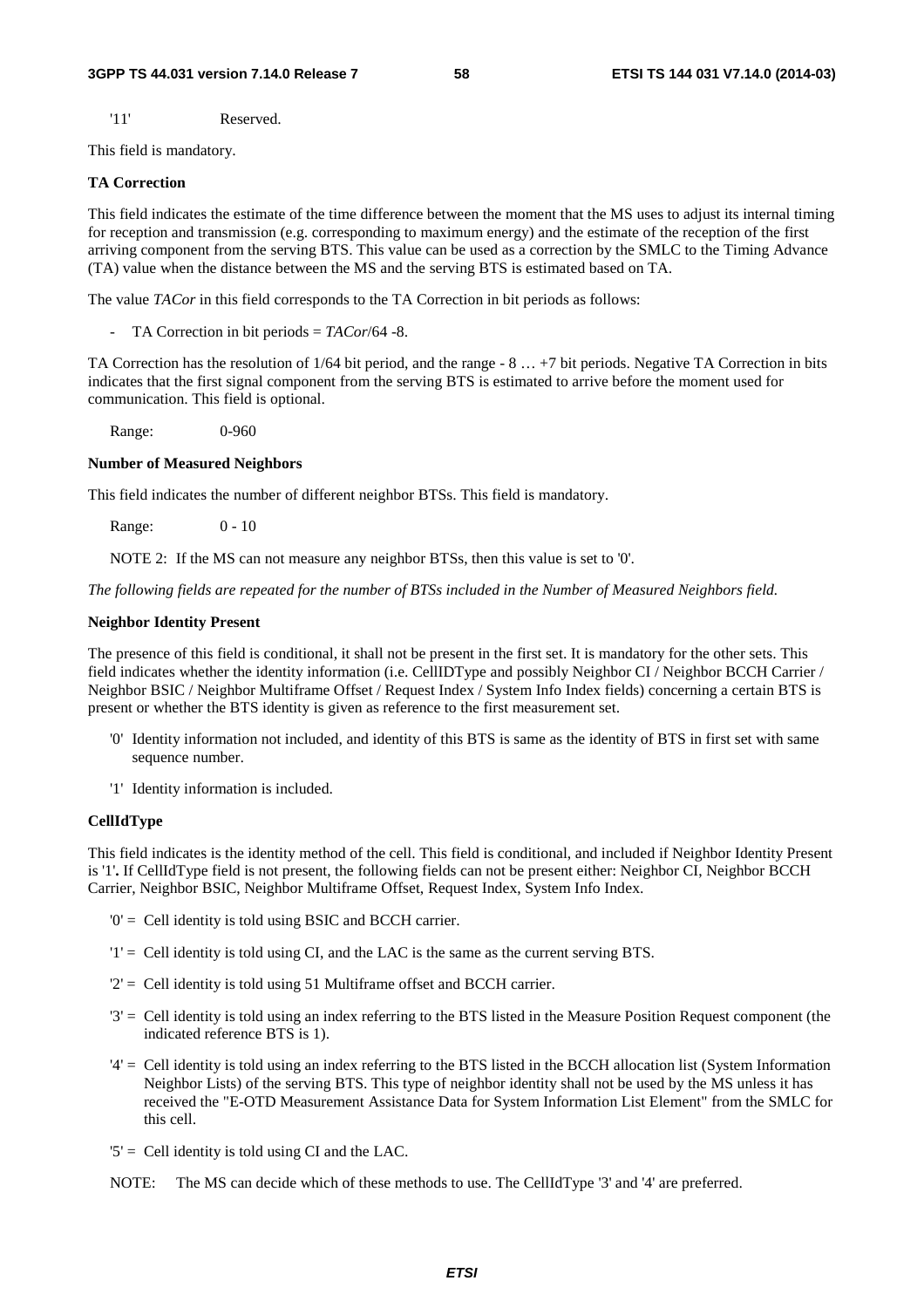'11' Reserved.

This field is mandatory.

#### **TA Correction**

This field indicates the estimate of the time difference between the moment that the MS uses to adjust its internal timing for reception and transmission (e.g. corresponding to maximum energy) and the estimate of the reception of the first arriving component from the serving BTS. This value can be used as a correction by the SMLC to the Timing Advance (TA) value when the distance between the MS and the serving BTS is estimated based on TA.

The value *TACor* in this field corresponds to the TA Correction in bit periods as follows:

- TA Correction in bit periods = *TACor*/64 -8.

TA Correction has the resolution of 1/64 bit period, and the range - 8 … +7 bit periods. Negative TA Correction in bits indicates that the first signal component from the serving BTS is estimated to arrive before the moment used for communication. This field is optional.

Range: 0-960

#### **Number of Measured Neighbors**

This field indicates the number of different neighbor BTSs. This field is mandatory.

Range: 0 - 10

NOTE 2: If the MS can not measure any neighbor BTSs, then this value is set to '0'.

*The following fields are repeated for the number of BTSs included in the Number of Measured Neighbors field.* 

#### **Neighbor Identity Present**

The presence of this field is conditional, it shall not be present in the first set. It is mandatory for the other sets. This field indicates whether the identity information (i.e. CellIDType and possibly Neighbor CI / Neighbor BCCH Carrier / Neighbor BSIC / Neighbor Multiframe Offset / Request Index / System Info Index fields) concerning a certain BTS is present or whether the BTS identity is given as reference to the first measurement set.

- '0' Identity information not included, and identity of this BTS is same as the identity of BTS in first set with same sequence number.
- '1' Identity information is included.

#### **CellIdType**

This field indicates is the identity method of the cell. This field is conditional, and included if Neighbor Identity Present is '1'**.** If CellIdType field is not present, the following fields can not be present either: Neighbor CI, Neighbor BCCH Carrier, Neighbor BSIC, Neighbor Multiframe Offset, Request Index, System Info Index.

- '0' = Cell identity is told using BSIC and BCCH carrier.
- '1' = Cell identity is told using CI, and the LAC is the same as the current serving BTS.
- '2' = Cell identity is told using 51 Multiframe offset and BCCH carrier.
- '3' = Cell identity is told using an index referring to the BTS listed in the Measure Position Request component (the indicated reference BTS is 1).
- '4' = Cell identity is told using an index referring to the BTS listed in the BCCH allocation list (System Information Neighbor Lists) of the serving BTS. This type of neighbor identity shall not be used by the MS unless it has received the "E-OTD Measurement Assistance Data for System Information List Element" from the SMLC for this cell.
- $5'$  = Cell identity is told using CI and the LAC.
- NOTE: The MS can decide which of these methods to use. The CellIdType '3' and '4' are preferred.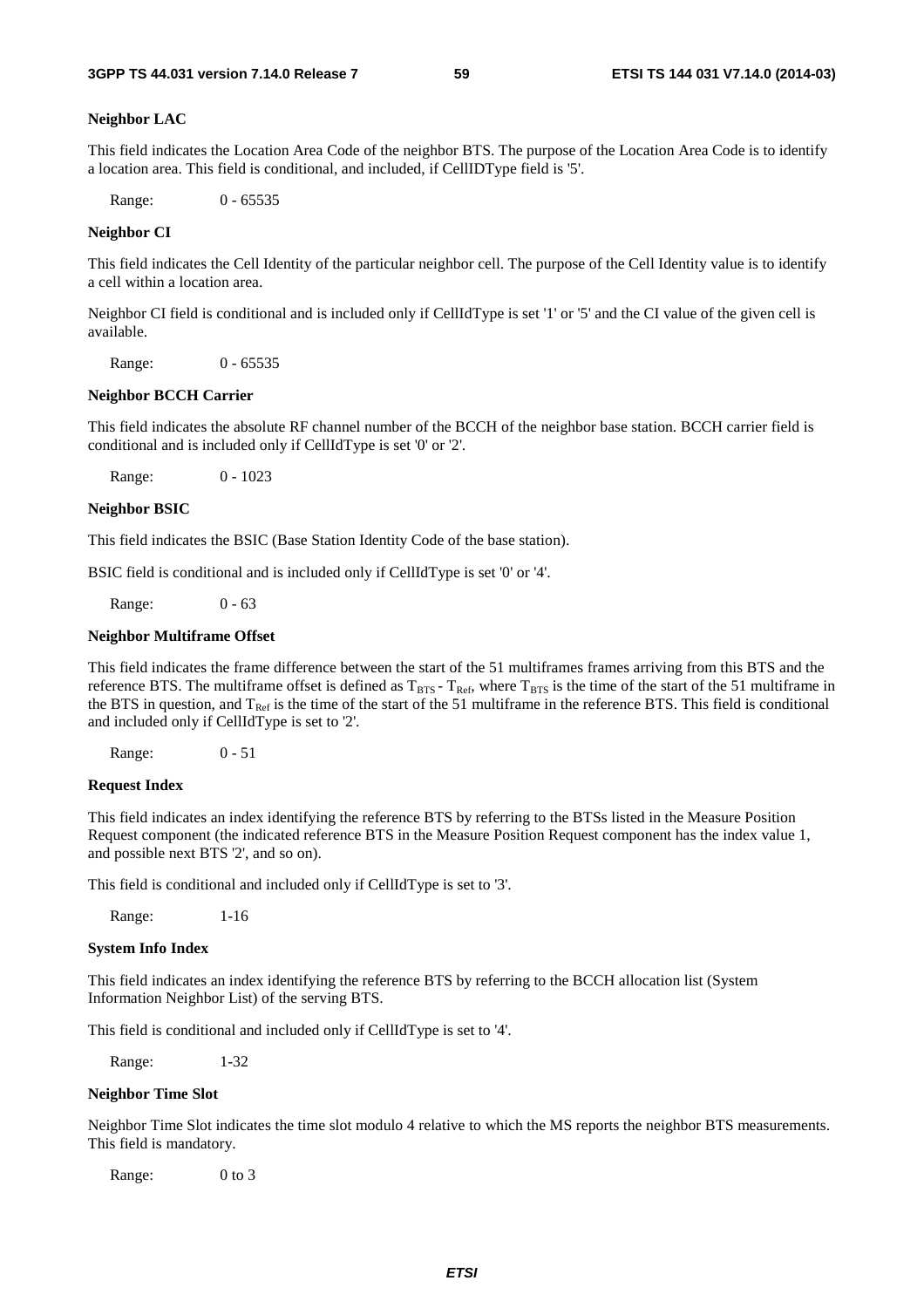#### **Neighbor LAC**

This field indicates the Location Area Code of the neighbor BTS. The purpose of the Location Area Code is to identify a location area. This field is conditional, and included, if CellIDType field is '5'.

Range: 0 - 65535

#### **Neighbor CI**

This field indicates the Cell Identity of the particular neighbor cell. The purpose of the Cell Identity value is to identify a cell within a location area.

Neighbor CI field is conditional and is included only if CellIdType is set '1' or '5' and the CI value of the given cell is available.

Range: 0 - 65535

#### **Neighbor BCCH Carrier**

This field indicates the absolute RF channel number of the BCCH of the neighbor base station. BCCH carrier field is conditional and is included only if CellIdType is set '0' or '2'.

Range: 0 - 1023

#### **Neighbor BSIC**

This field indicates the BSIC (Base Station Identity Code of the base station).

BSIC field is conditional and is included only if CellIdType is set '0' or '4'.

Range: 0 - 63

#### **Neighbor Multiframe Offset**

This field indicates the frame difference between the start of the 51 multiframes frames arriving from this BTS and the reference BTS. The multiframe offset is defined as  $T_{BTS}$  -  $T_{Ref}$ , where  $T_{BTS}$  is the time of the start of the 51 multiframe in the BTS in question, and  $T_{Ref}$  is the time of the start of the 51 multiframe in the reference BTS. This field is conditional and included only if CellIdType is set to '2'.

Range: 0 - 51

#### **Request Index**

This field indicates an index identifying the reference BTS by referring to the BTSs listed in the Measure Position Request component (the indicated reference BTS in the Measure Position Request component has the index value 1, and possible next BTS '2', and so on).

This field is conditional and included only if CellIdType is set to '3'.

Range: 1-16

#### **System Info Index**

This field indicates an index identifying the reference BTS by referring to the BCCH allocation list (System Information Neighbor List) of the serving BTS.

This field is conditional and included only if CellIdType is set to '4'.

Range: 1-32

#### **Neighbor Time Slot**

Neighbor Time Slot indicates the time slot modulo 4 relative to which the MS reports the neighbor BTS measurements. This field is mandatory.

Range: 0 to 3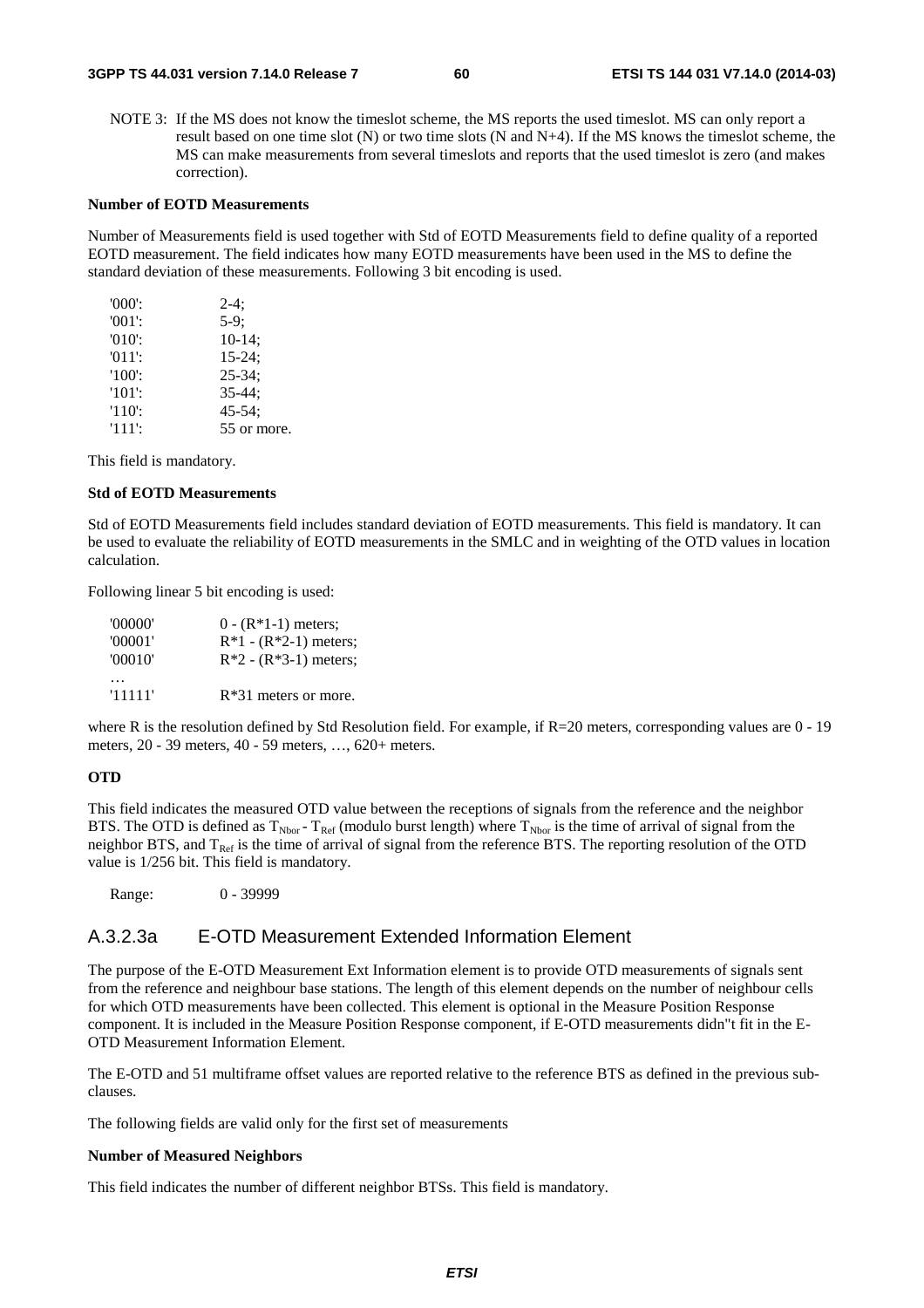NOTE 3: If the MS does not know the timeslot scheme, the MS reports the used timeslot. MS can only report a result based on one time slot (N) or two time slots (N and N+4). If the MS knows the timeslot scheme, the MS can make measurements from several timeslots and reports that the used timeslot is zero (and makes correction).

#### **Number of EOTD Measurements**

Number of Measurements field is used together with Std of EOTD Measurements field to define quality of a reported EOTD measurement. The field indicates how many EOTD measurements have been used in the MS to define the standard deviation of these measurements. Following 3 bit encoding is used.

| $'000'$ : | $2-4:$      |
|-----------|-------------|
| $'001$ :  | $5-9:$      |
| $'010'$ : | $10-14;$    |
| $'011'$ : | $15 - 24$ ; |
| $'100'$ : | $25 - 34$ ; |
| $'101'$ : | $35 - 44:$  |
| $'110'$ : | $45 - 54$ ; |
| $'111'$ : | 55 or more. |

This field is mandatory.

#### **Std of EOTD Measurements**

Std of EOTD Measurements field includes standard deviation of EOTD measurements. This field is mandatory. It can be used to evaluate the reliability of EOTD measurements in the SMLC and in weighting of the OTD values in location calculation.

Following linear 5 bit encoding is used:

| '00000' | $0 - (R*1-1)$ meters;   |
|---------|-------------------------|
| '00001' | $R*1 - (R*2-1)$ meters; |
| '00010' | $R*2 - (R*3-1)$ meters; |
|         |                         |
| '11111' | $R*31$ meters or more.  |

where R is the resolution defined by Std Resolution field. For example, if R=20 meters, corresponding values are 0 - 19 meters, 20 - 39 meters, 40 - 59 meters, …, 620+ meters.

#### **OTD**

This field indicates the measured OTD value between the receptions of signals from the reference and the neighbor BTS. The OTD is defined as  $T_{Nbor}$  -  $T_{Ref}$  (modulo burst length) where  $T_{Nbor}$  is the time of arrival of signal from the neighbor BTS, and  $T_{\text{Ref}}$  is the time of arrival of signal from the reference BTS. The reporting resolution of the OTD value is 1/256 bit. This field is mandatory.

Range: 0 - 39999

## A.3.2.3a E-OTD Measurement Extended Information Element

The purpose of the E-OTD Measurement Ext Information element is to provide OTD measurements of signals sent from the reference and neighbour base stations. The length of this element depends on the number of neighbour cells for which OTD measurements have been collected. This element is optional in the Measure Position Response component. It is included in the Measure Position Response component, if E-OTD measurements didn"t fit in the E-OTD Measurement Information Element.

The E-OTD and 51 multiframe offset values are reported relative to the reference BTS as defined in the previous subclauses.

The following fields are valid only for the first set of measurements

#### **Number of Measured Neighbors**

This field indicates the number of different neighbor BTSs. This field is mandatory.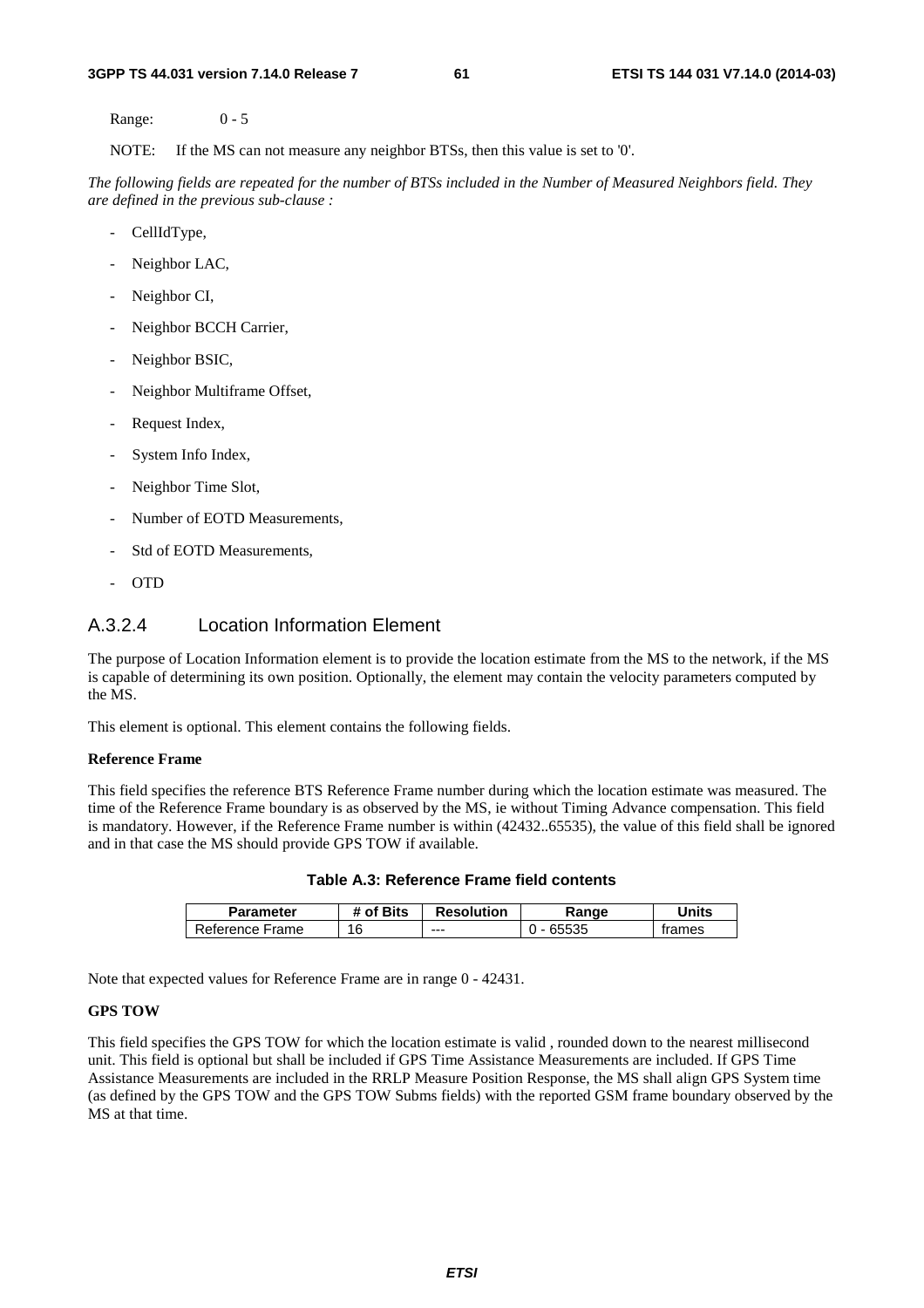Range: 0 - 5

NOTE: If the MS can not measure any neighbor BTSs, then this value is set to '0'.

*The following fields are repeated for the number of BTSs included in the Number of Measured Neighbors field. They are defined in the previous sub-clause :*

- CellIdType,
- Neighbor LAC,
- Neighbor CI,
- Neighbor BCCH Carrier,
- Neighbor BSIC,
- Neighbor Multiframe Offset,
- Request Index,
- System Info Index,
- Neighbor Time Slot,
- Number of EOTD Measurements,
- Std of EOTD Measurements,
- OTD

## A.3.2.4 Location Information Element

The purpose of Location Information element is to provide the location estimate from the MS to the network, if the MS is capable of determining its own position. Optionally, the element may contain the velocity parameters computed by the MS.

This element is optional. This element contains the following fields.

#### **Reference Frame**

This field specifies the reference BTS Reference Frame number during which the location estimate was measured. The time of the Reference Frame boundary is as observed by the MS, ie without Timing Advance compensation. This field is mandatory. However, if the Reference Frame number is within (42432..65535), the value of this field shall be ignored and in that case the MS should provide GPS TOW if available.

| <b>Parameter</b> | # of Bits | <b>Resolution</b> | kange     | Jnits  |
|------------------|-----------|-------------------|-----------|--------|
| Reference Frame  | 16        | ---               | J - 65535 | trames |

**Table A.3: Reference Frame field contents** 

Note that expected values for Reference Frame are in range 0 - 42431.

#### **GPS TOW**

This field specifies the GPS TOW for which the location estimate is valid , rounded down to the nearest millisecond unit. This field is optional but shall be included if GPS Time Assistance Measurements are included. If GPS Time Assistance Measurements are included in the RRLP Measure Position Response, the MS shall align GPS System time (as defined by the GPS TOW and the GPS TOW Subms fields) with the reported GSM frame boundary observed by the MS at that time.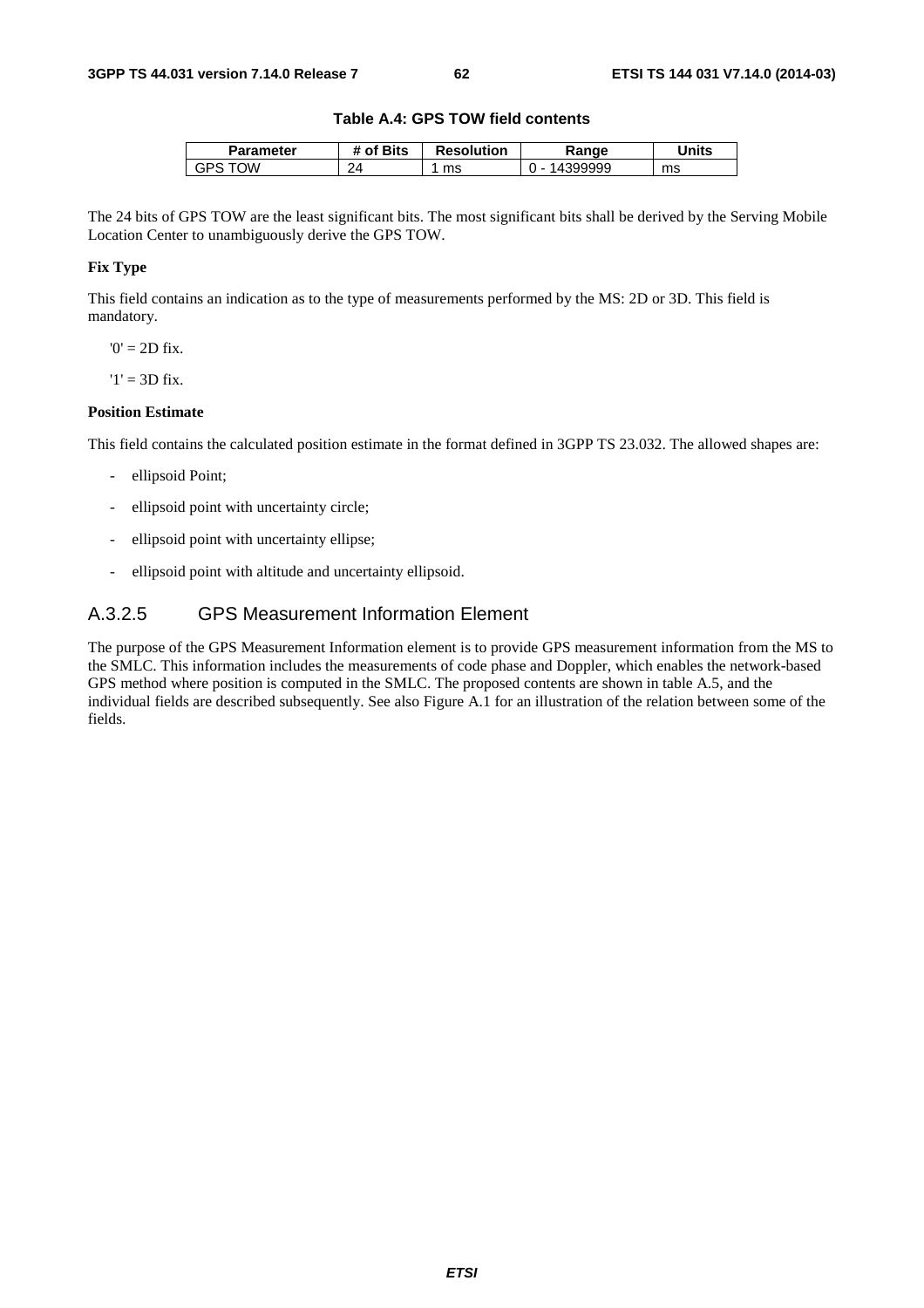#### **Table A.4: GPS TOW field contents**

| Parameter | <b>Bits</b><br>Οf | <b>Resolution</b> | 'ange | <b>Jnits</b> |
|-----------|-------------------|-------------------|-------|--------------|
| ١W<br>GP۲ | つん                | ms                |       | ms           |

The 24 bits of GPS TOW are the least significant bits. The most significant bits shall be derived by the Serving Mobile Location Center to unambiguously derive the GPS TOW.

## **Fix Type**

This field contains an indication as to the type of measurements performed by the MS: 2D or 3D. This field is mandatory.

 $0' = 2D$  fix.

 $'1' = 3D$  fix.

#### **Position Estimate**

This field contains the calculated position estimate in the format defined in 3GPP TS 23.032. The allowed shapes are:

- ellipsoid Point;
- ellipsoid point with uncertainty circle;
- ellipsoid point with uncertainty ellipse;
- ellipsoid point with altitude and uncertainty ellipsoid.

## A.3.2.5 GPS Measurement Information Element

The purpose of the GPS Measurement Information element is to provide GPS measurement information from the MS to the SMLC. This information includes the measurements of code phase and Doppler, which enables the network-based GPS method where position is computed in the SMLC. The proposed contents are shown in table A.5, and the individual fields are described subsequently. See also Figure A.1 for an illustration of the relation between some of the fields.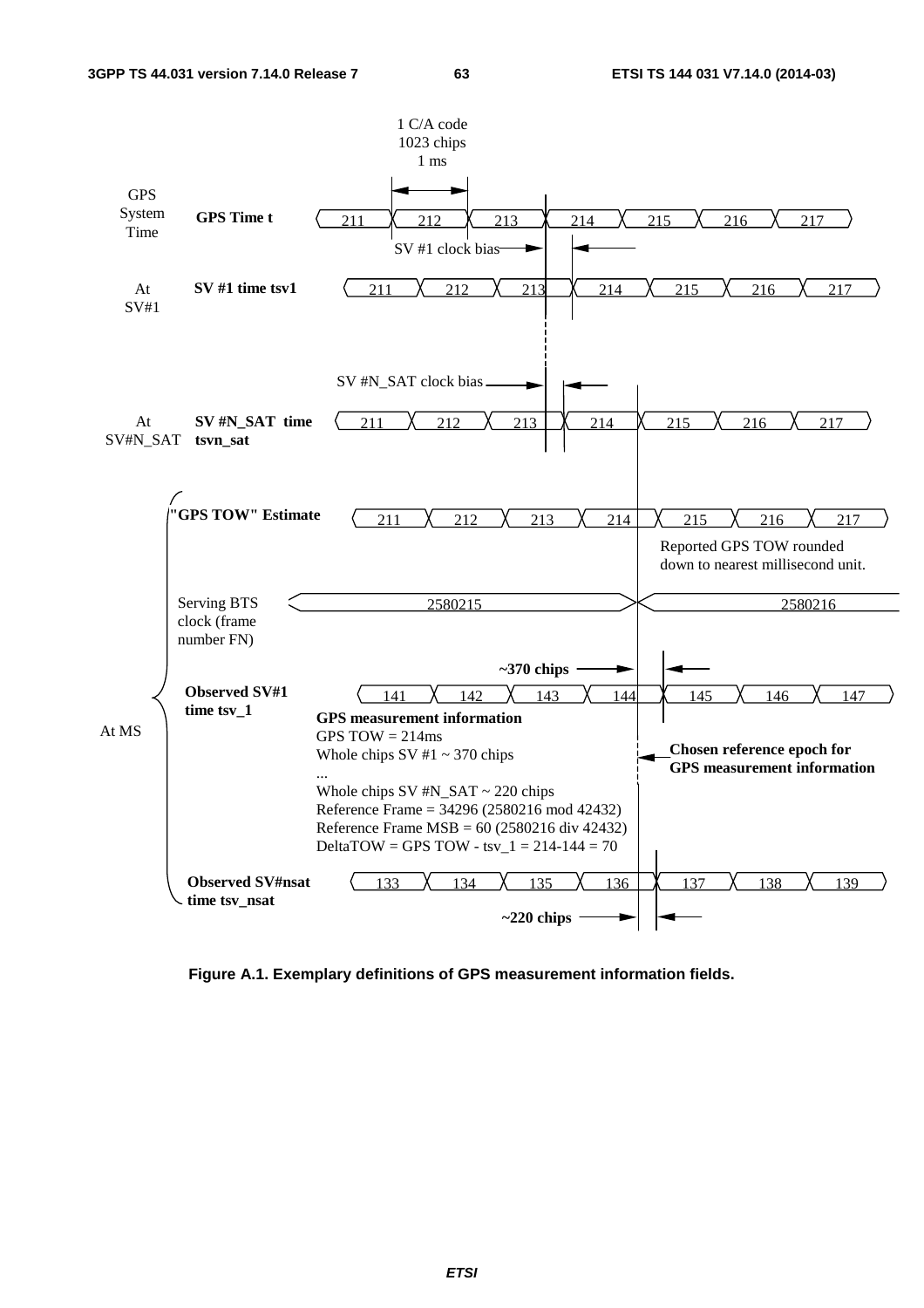

**Figure A.1. Exemplary definitions of GPS measurement information fields.**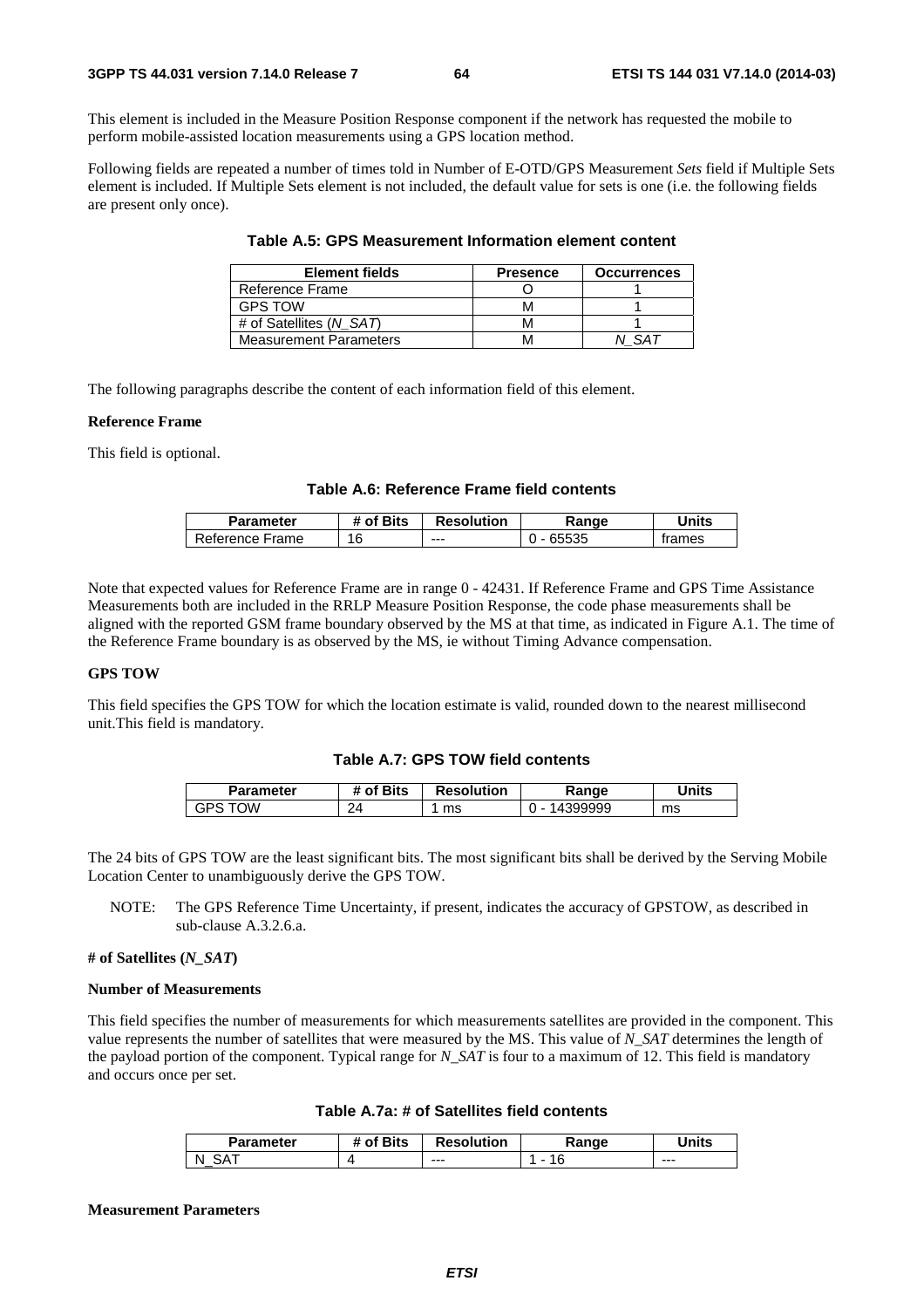This element is included in the Measure Position Response component if the network has requested the mobile to perform mobile-assisted location measurements using a GPS location method.

Following fields are repeated a number of times told in Number of E-OTD/GPS Measurement *Sets* field if Multiple Sets element is included. If Multiple Sets element is not included, the default value for sets is one (i.e. the following fields are present only once).

| <b>Element fields</b>         | <b>Presence</b> | <b>Occurrences</b> |
|-------------------------------|-----------------|--------------------|
| Reference Frame               |                 |                    |
| <b>GPS TOW</b>                |                 |                    |
| # of Satellites (N SAT)       |                 |                    |
| <b>Measurement Parameters</b> |                 |                    |

**Table A.5: GPS Measurement Information element content** 

The following paragraphs describe the content of each information field of this element.

#### **Reference Frame**

This field is optional.

### **Table A.6: Reference Frame field contents**

| Parameter       | # of Bits | <b>Resolution</b> | Range | Units  |
|-----------------|-----------|-------------------|-------|--------|
| Reference Frame | 16        | $--$              | 65535 | trames |

Note that expected values for Reference Frame are in range 0 - 42431. If Reference Frame and GPS Time Assistance Measurements both are included in the RRLP Measure Position Response, the code phase measurements shall be aligned with the reported GSM frame boundary observed by the MS at that time, as indicated in Figure A.1. The time of the Reference Frame boundary is as observed by the MS, ie without Timing Advance compensation.

### **GPS TOW**

This field specifies the GPS TOW for which the location estimate is valid, rounded down to the nearest millisecond unit.This field is mandatory.

#### **Table A.7: GPS TOW field contents**

| Parameter | f Bits <b>B</b>      | <b>Resolution</b> | Range                              | Units |
|-----------|----------------------|-------------------|------------------------------------|-------|
| Ŵ<br>'۲ن  | $\mathcal{D}$<br>- 1 | ms                | 399999<br>$\overline{\phantom{a}}$ | ms    |

The 24 bits of GPS TOW are the least significant bits. The most significant bits shall be derived by the Serving Mobile Location Center to unambiguously derive the GPS TOW.

NOTE: The GPS Reference Time Uncertainty, if present, indicates the accuracy of GPSTOW, as described in sub-clause A.3.2.6.a.

#### **# of Satellites (***N\_SAT***)**

#### **Number of Measurements**

This field specifies the number of measurements for which measurements satellites are provided in the component. This value represents the number of satellites that were measured by the MS. This value of *N\_SAT* determines the length of the payload portion of the component. Typical range for *N\_SAT* is four to a maximum of 12. This field is mandatory and occurs once per set.

| Parameter | <sup>4</sup> of Bits | <b>Resolution</b> | Range | <b>Inits</b> |
|-----------|----------------------|-------------------|-------|--------------|
| N<br>_    |                      | $--$              |       | $- - -$      |

#### **Measurement Parameters**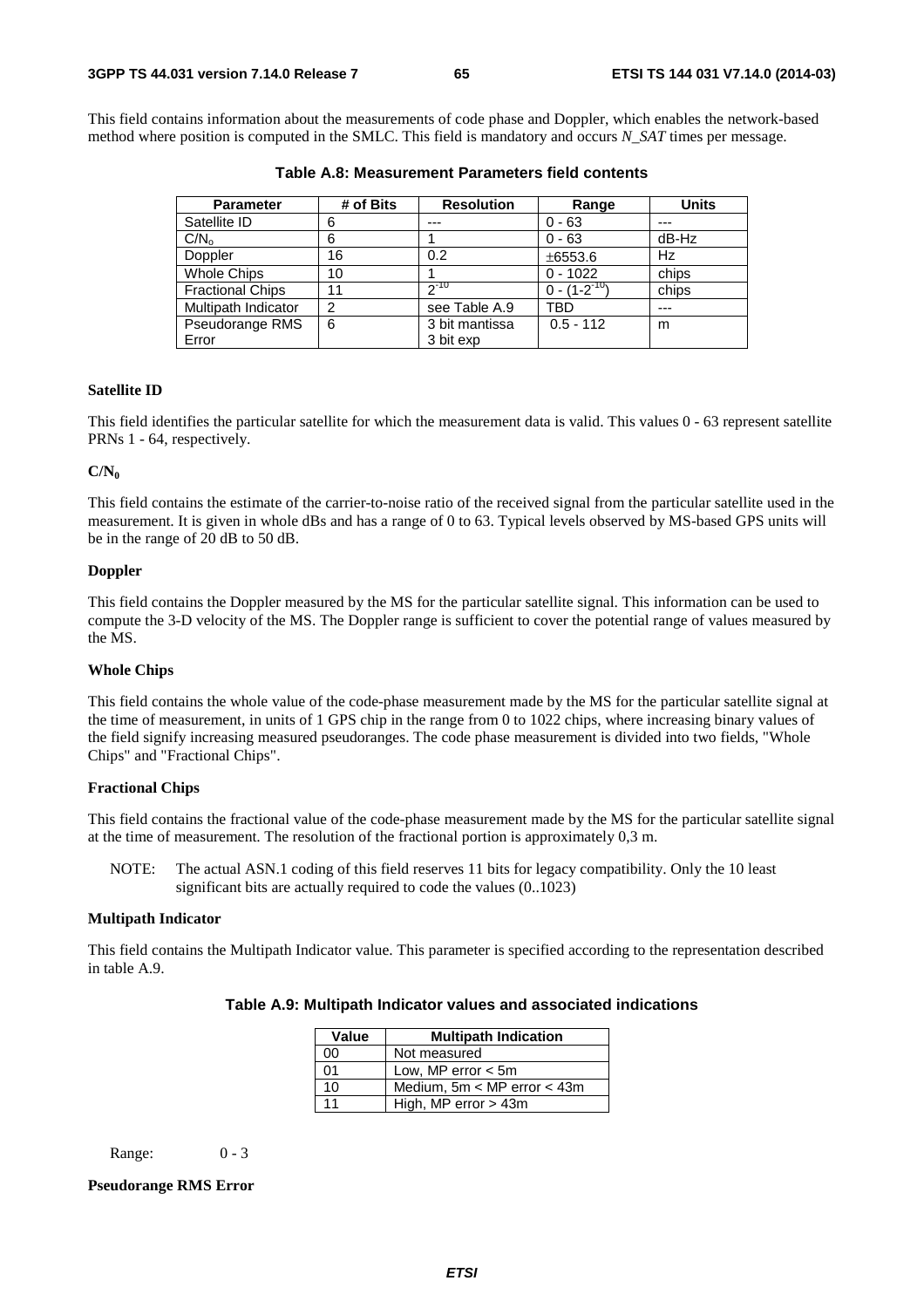This field contains information about the measurements of code phase and Doppler, which enables the network-based method where position is computed in the SMLC. This field is mandatory and occurs *N\_SAT* times per message.

| <b>Parameter</b>        | # of Bits      | <b>Resolution</b> | Range               | <b>Units</b> |
|-------------------------|----------------|-------------------|---------------------|--------------|
| Satellite ID            | 6              | ---               | $0 - 63$            | ---          |
| C/N <sub>o</sub>        | 6              |                   | $0 - 63$            | dB-Hz        |
| Doppler                 | 16             | 0.2               | ±6553.6             | Hz           |
| <b>Whole Chips</b>      | 10             |                   | $0 - 1022$          | chips        |
| <b>Fractional Chips</b> | 11             | $2^{-10}$         | $0 - (1 - 2^{-10})$ | chips        |
| Multipath Indicator     | $\overline{2}$ | see Table A.9     | TBD                 | ---          |
| Pseudorange RMS         | 6              | 3 bit mantissa    | $0.5 - 112$         | m            |
| Error                   |                | 3 bit exp         |                     |              |

**Table A.8: Measurement Parameters field contents** 

#### **Satellite ID**

This field identifies the particular satellite for which the measurement data is valid. This values 0 - 63 represent satellite PRNs 1 - 64, respectively.

#### **C/N0**

This field contains the estimate of the carrier-to-noise ratio of the received signal from the particular satellite used in the measurement. It is given in whole dBs and has a range of 0 to 63. Typical levels observed by MS-based GPS units will be in the range of 20 dB to 50 dB.

#### **Doppler**

This field contains the Doppler measured by the MS for the particular satellite signal. This information can be used to compute the 3-D velocity of the MS. The Doppler range is sufficient to cover the potential range of values measured by the MS.

#### **Whole Chips**

This field contains the whole value of the code-phase measurement made by the MS for the particular satellite signal at the time of measurement, in units of 1 GPS chip in the range from 0 to 1022 chips, where increasing binary values of the field signify increasing measured pseudoranges. The code phase measurement is divided into two fields, "Whole Chips" and "Fractional Chips".

#### **Fractional Chips**

This field contains the fractional value of the code-phase measurement made by the MS for the particular satellite signal at the time of measurement. The resolution of the fractional portion is approximately 0,3 m.

NOTE: The actual ASN.1 coding of this field reserves 11 bits for legacy compatibility. Only the 10 least significant bits are actually required to code the values (0..1023)

#### **Multipath Indicator**

This field contains the Multipath Indicator value. This parameter is specified according to the representation described in table A.9.

| Value | <b>Multipath Indication</b>     |  |  |
|-------|---------------------------------|--|--|
| 00    | Not measured                    |  |  |
| 01    | Low, MP error $<$ 5m            |  |  |
| 10    | Medium, $5m < MP$ error $<$ 43m |  |  |
| 11    | High, MP error $>$ 43m          |  |  |

Range: 0 - 3

#### **Pseudorange RMS Error**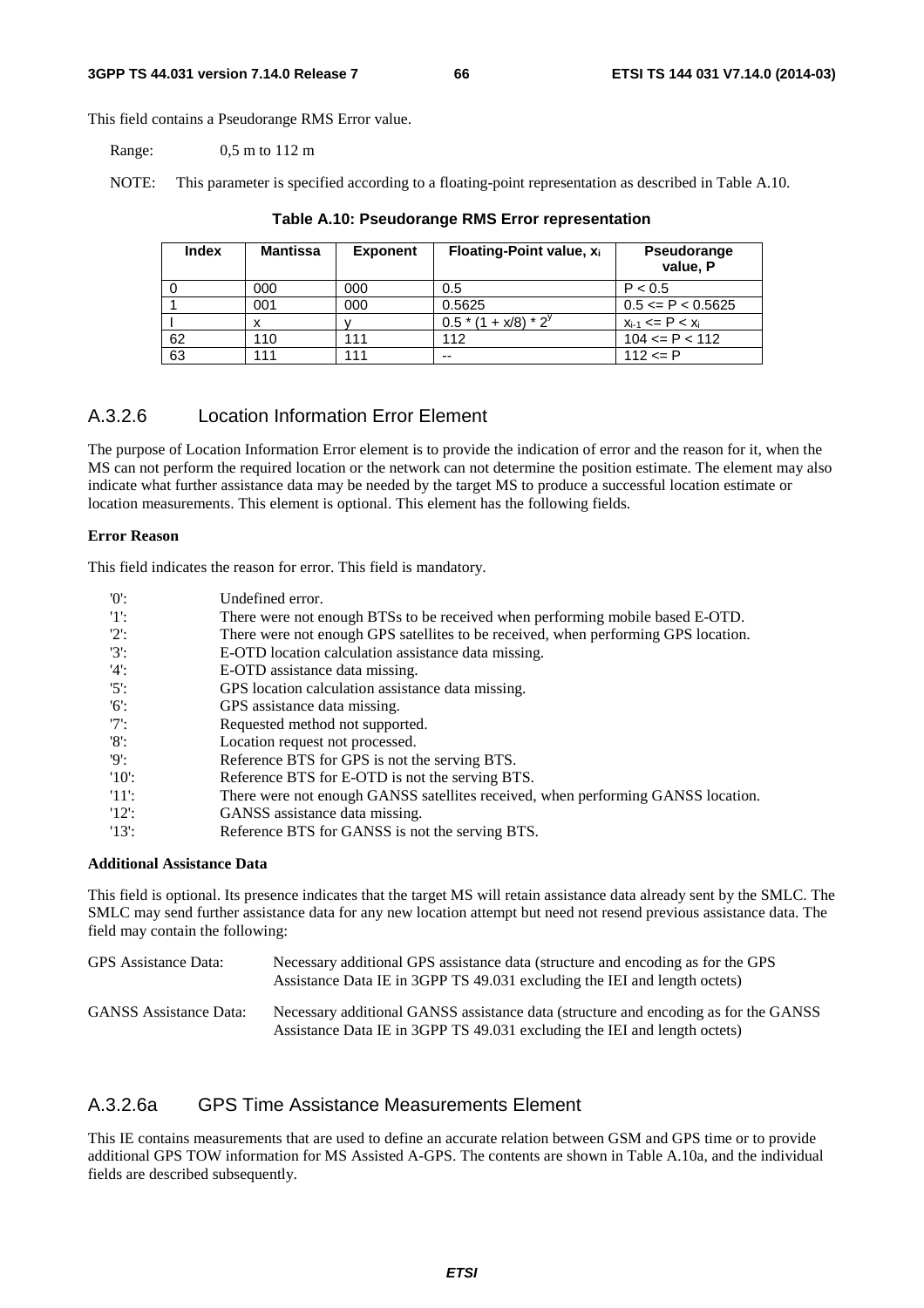This field contains a Pseudorange RMS Error value.

Range: 0,5 m to 112 m

NOTE: This parameter is specified according to a floating-point representation as described in Table A.10.

| <b>Index</b> | <b>Mantissa</b> | <b>Exponent</b> | Floating-Point value, $x_i$ | Pseudorange<br>value, P  |
|--------------|-----------------|-----------------|-----------------------------|--------------------------|
|              | 000             | 000             | 0.5                         | P < 0.5                  |
|              | 001             | 000             | 0.5625                      | $0.5 \leq P \leq 0.5625$ |
|              |                 |                 | $0.5*(1 + x/8)*2^{y}$       | $x_{i-1}$ <= P < $x_i$   |
| 62           | 110             | 111             | 112                         | $104 \leq P \leq 112$    |
| 63           | 111             | 111             | --                          | $112 \le P$              |

#### **Table A.10: Pseudorange RMS Error representation**

## A.3.2.6 Location Information Error Element

The purpose of Location Information Error element is to provide the indication of error and the reason for it, when the MS can not perform the required location or the network can not determine the position estimate. The element may also indicate what further assistance data may be needed by the target MS to produce a successful location estimate or location measurements. This element is optional. This element has the following fields.

#### **Error Reason**

This field indicates the reason for error. This field is mandatory.

| '0'      | Undefined error.                                                                   |
|----------|------------------------------------------------------------------------------------|
| 11:      | There were not enough BTSs to be received when performing mobile based E-OTD.      |
| $'2$ :   | There were not enough GPS satellites to be received, when performing GPS location. |
| $'3'$ :  | E-OTD location calculation assistance data missing.                                |
| $'4$ :   | E-OTD assistance data missing.                                                     |
| $'5$ :   | GPS location calculation assistance data missing.                                  |
| $'6$ :   | GPS assistance data missing.                                                       |
| $'7$ :   | Requested method not supported.                                                    |
| $'8$ :   | Location request not processed.                                                    |
| 'Q':     | Reference BTS for GPS is not the serving BTS.                                      |
| $'10'$ : | Reference BTS for E-OTD is not the serving BTS.                                    |
| -'11':   | There were not enough GANSS satellites received, when performing GANSS location.   |
| 12:      | GANSS assistance data missing.                                                     |
| $'13'$ : | Reference BTS for GANSS is not the serving BTS.                                    |

### **Additional Assistance Data**

This field is optional. Its presence indicates that the target MS will retain assistance data already sent by the SMLC. The SMLC may send further assistance data for any new location attempt but need not resend previous assistance data. The field may contain the following:

| GPS Assistance Data:          | Necessary additional GPS assistance data (structure and encoding as for the GPS<br>Assistance Data IE in 3GPP TS 49.031 excluding the IEI and length octets)     |
|-------------------------------|------------------------------------------------------------------------------------------------------------------------------------------------------------------|
| <b>GANSS</b> Assistance Data: | Necessary additional GANSS assistance data (structure and encoding as for the GANSS<br>Assistance Data IE in 3GPP TS 49.031 excluding the IEI and length octets) |

## A.3.2.6a GPS Time Assistance Measurements Element

This IE contains measurements that are used to define an accurate relation between GSM and GPS time or to provide additional GPS TOW information for MS Assisted A-GPS. The contents are shown in Table A.10a, and the individual fields are described subsequently.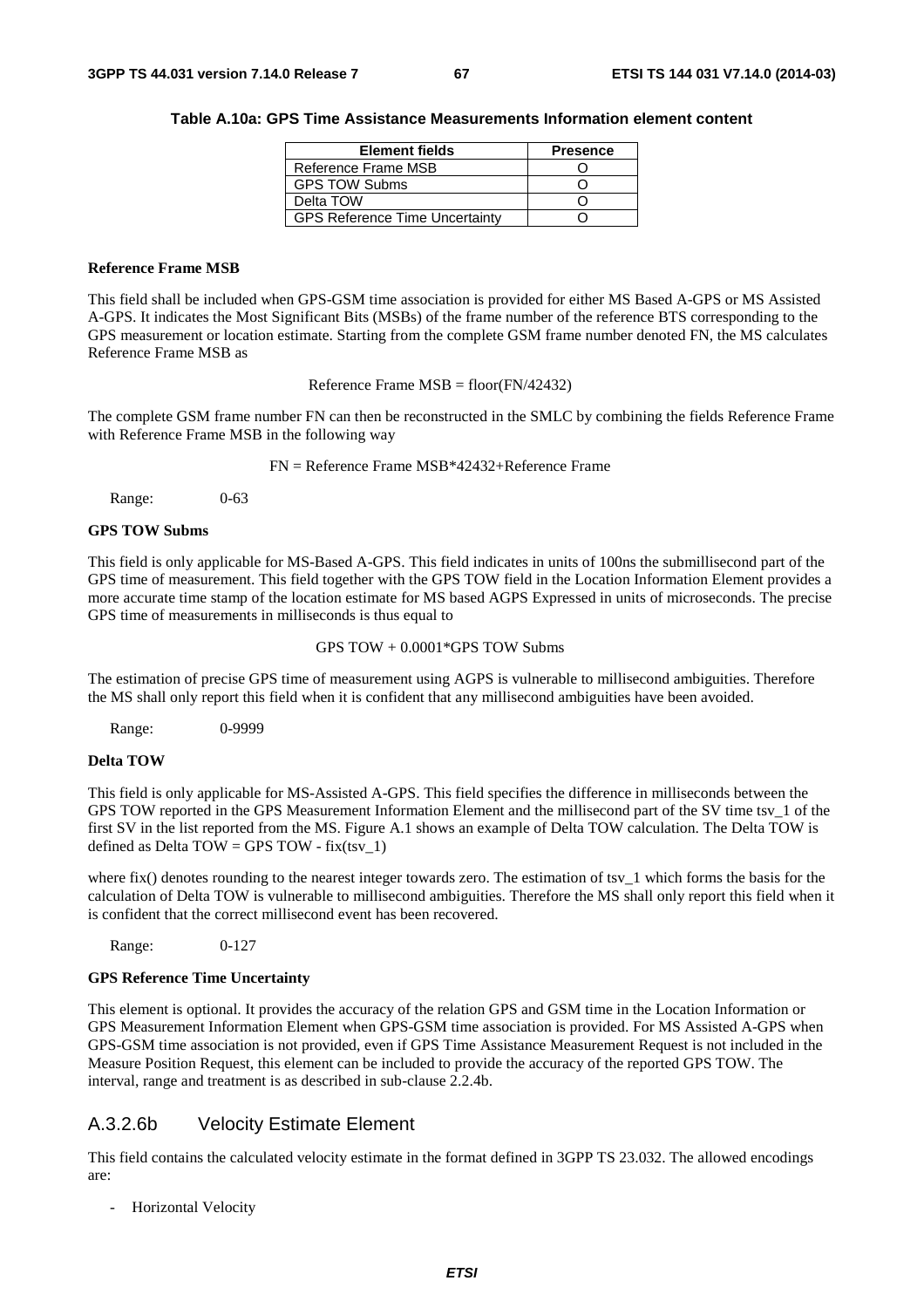#### **Table A.10a: GPS Time Assistance Measurements Information element content**

| <b>Element fields</b>                 | <b>Presence</b> |
|---------------------------------------|-----------------|
| Reference Frame MSB                   |                 |
| <b>GPS TOW Subms</b>                  |                 |
| Delta TOW                             |                 |
| <b>GPS Reference Time Uncertainty</b> |                 |

#### **Reference Frame MSB**

This field shall be included when GPS-GSM time association is provided for either MS Based A-GPS or MS Assisted A-GPS. It indicates the Most Significant Bits (MSBs) of the frame number of the reference BTS corresponding to the GPS measurement or location estimate. Starting from the complete GSM frame number denoted FN, the MS calculates Reference Frame MSB as

Reference Frame MSB = floor(FN/42432)

The complete GSM frame number FN can then be reconstructed in the SMLC by combining the fields Reference Frame with Reference Frame MSB in the following way

FN = Reference Frame MSB\*42432+Reference Frame

Range: 0-63

#### **GPS TOW Subms**

This field is only applicable for MS-Based A-GPS. This field indicates in units of 100ns the submillisecond part of the GPS time of measurement. This field together with the GPS TOW field in the Location Information Element provides a more accurate time stamp of the location estimate for MS based AGPS Expressed in units of microseconds. The precise GPS time of measurements in milliseconds is thus equal to

GPS TOW + 0.0001\*GPS TOW Subms

The estimation of precise GPS time of measurement using AGPS is vulnerable to millisecond ambiguities. Therefore the MS shall only report this field when it is confident that any millisecond ambiguities have been avoided.

Range: 0-9999

#### **Delta TOW**

This field is only applicable for MS-Assisted A-GPS. This field specifies the difference in milliseconds between the GPS TOW reported in the GPS Measurement Information Element and the millisecond part of the SV time tsv\_1 of the first SV in the list reported from the MS. Figure A.1 shows an example of Delta TOW calculation. The Delta TOW is defined as Delta TOW = GPS TOW - fix(tsy\_1)

where fix() denotes rounding to the nearest integer towards zero. The estimation of tsv $1$  which forms the basis for the calculation of Delta TOW is vulnerable to millisecond ambiguities. Therefore the MS shall only report this field when it is confident that the correct millisecond event has been recovered.

Range: 0-127

#### **GPS Reference Time Uncertainty**

This element is optional. It provides the accuracy of the relation GPS and GSM time in the Location Information or GPS Measurement Information Element when GPS-GSM time association is provided. For MS Assisted A-GPS when GPS-GSM time association is not provided, even if GPS Time Assistance Measurement Request is not included in the Measure Position Request, this element can be included to provide the accuracy of the reported GPS TOW. The interval, range and treatment is as described in sub-clause 2.2.4b.

## A.3.2.6b Velocity Estimate Element

This field contains the calculated velocity estimate in the format defined in 3GPP TS 23.032. The allowed encodings are:

- Horizontal Velocity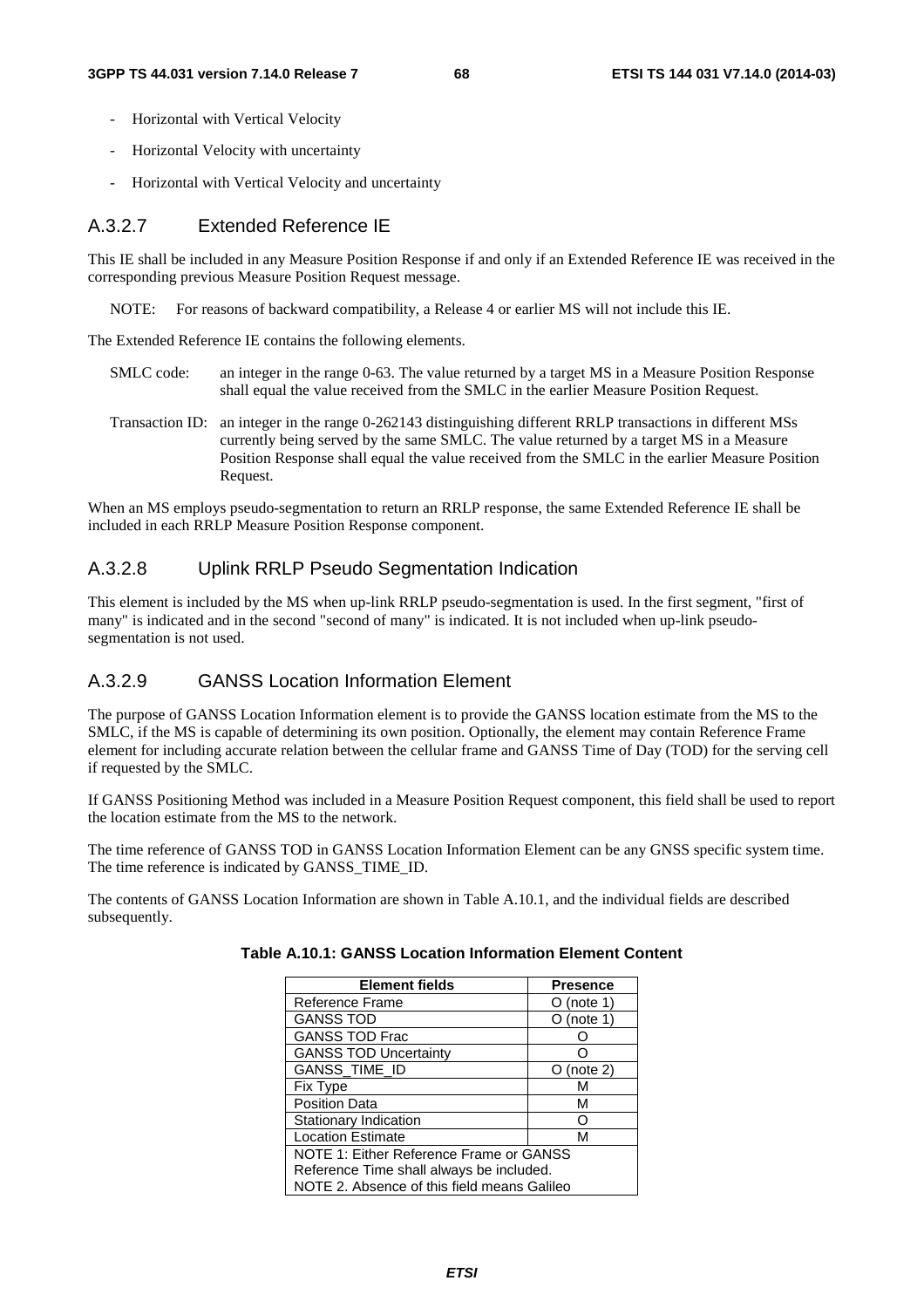- Horizontal with Vertical Velocity
- Horizontal Velocity with uncertainty
- Horizontal with Vertical Velocity and uncertainty

## A.3.2.7 Extended Reference IE

This IE shall be included in any Measure Position Response if and only if an Extended Reference IE was received in the corresponding previous Measure Position Request message.

NOTE: For reasons of backward compatibility, a Release 4 or earlier MS will not include this IE.

The Extended Reference IE contains the following elements.

- SMLC code: an integer in the range 0-63. The value returned by a target MS in a Measure Position Response shall equal the value received from the SMLC in the earlier Measure Position Request.
- Transaction ID: an integer in the range 0-262143 distinguishing different RRLP transactions in different MSs currently being served by the same SMLC. The value returned by a target MS in a Measure Position Response shall equal the value received from the SMLC in the earlier Measure Position Request.

When an MS employs pseudo-segmentation to return an RRLP response, the same Extended Reference IE shall be included in each RRLP Measure Position Response component.

## A.3.2.8 Uplink RRLP Pseudo Segmentation Indication

This element is included by the MS when up-link RRLP pseudo-segmentation is used. In the first segment, "first of many" is indicated and in the second "second of many" is indicated. It is not included when up-link pseudosegmentation is not used.

## A.3.2.9 GANSS Location Information Element

The purpose of GANSS Location Information element is to provide the GANSS location estimate from the MS to the SMLC, if the MS is capable of determining its own position. Optionally, the element may contain Reference Frame element for including accurate relation between the cellular frame and GANSS Time of Day (TOD) for the serving cell if requested by the SMLC.

If GANSS Positioning Method was included in a Measure Position Request component, this field shall be used to report the location estimate from the MS to the network.

The time reference of GANSS TOD in GANSS Location Information Element can be any GNSS specific system time. The time reference is indicated by GANSS\_TIME\_ID.

The contents of GANSS Location Information are shown in Table A.10.1, and the individual fields are described subsequently.

| <b>Element fields</b>                       | <b>Presence</b> |  |  |  |
|---------------------------------------------|-----------------|--|--|--|
| Reference Frame                             | (note 1)        |  |  |  |
| <b>GANSS TOD</b>                            | (note 1)        |  |  |  |
| <b>GANSS TOD Frac</b>                       |                 |  |  |  |
| <b>GANSS TOD Uncertainty</b>                |                 |  |  |  |
| GANSS_TIME_ID                               | (note 2)        |  |  |  |
| Fix Type                                    | м               |  |  |  |
| <b>Position Data</b><br>м                   |                 |  |  |  |
| Stationary Indication                       |                 |  |  |  |
| <b>Location Estimate</b><br>м               |                 |  |  |  |
| NOTE 1: Either Reference Frame or GANSS     |                 |  |  |  |
| Reference Time shall always be included.    |                 |  |  |  |
| NOTE 2. Absence of this field means Galileo |                 |  |  |  |

| Table A.10.1: GANSS Location Information Element Content |  |  |
|----------------------------------------------------------|--|--|
|----------------------------------------------------------|--|--|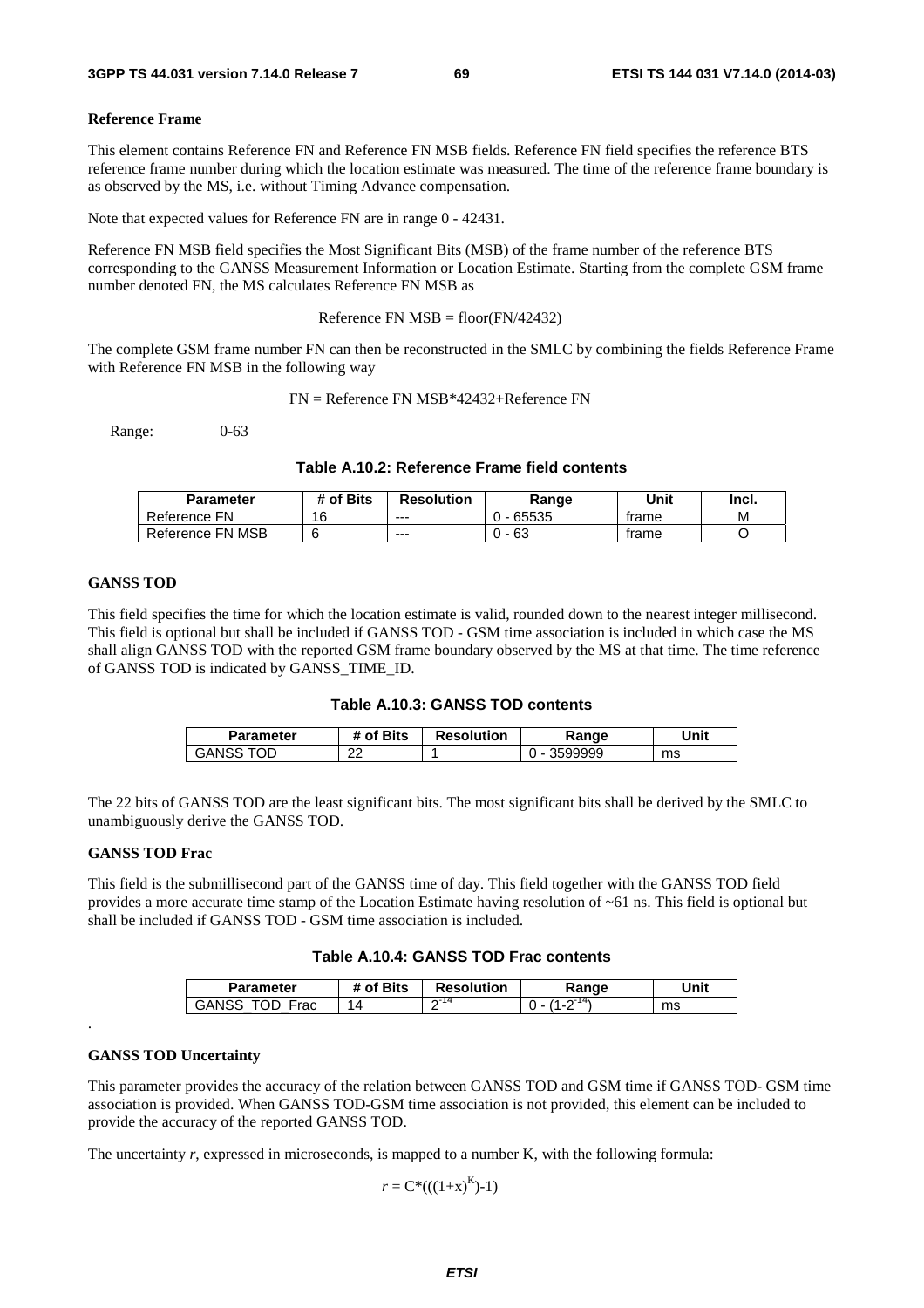#### **Reference Frame**

This element contains Reference FN and Reference FN MSB fields. Reference FN field specifies the reference BTS reference frame number during which the location estimate was measured. The time of the reference frame boundary is as observed by the MS, i.e. without Timing Advance compensation.

Note that expected values for Reference FN are in range 0 - 42431.

Reference FN MSB field specifies the Most Significant Bits (MSB) of the frame number of the reference BTS corresponding to the GANSS Measurement Information or Location Estimate. Starting from the complete GSM frame number denoted FN, the MS calculates Reference FN MSB as

Reference FN  $MSB = floor(FN/42432)$ 

The complete GSM frame number FN can then be reconstructed in the SMLC by combining the fields Reference Frame with Reference FN MSB in the following way

FN = Reference FN MSB\*42432+Reference FN

Range: 0-63

#### **Table A.10.2: Reference Frame field contents**

| Parameter        | # of Bits | <b>Resolution</b> | Range | Unit  | Incl. |
|------------------|-----------|-------------------|-------|-------|-------|
| Reference FN     | 16        | $- - -$           | 65535 | trame | М     |
| Reference FN MSB |           | $--$              | 63    | trame |       |

#### **GANSS TOD**

This field specifies the time for which the location estimate is valid, rounded down to the nearest integer millisecond. This field is optional but shall be included if GANSS TOD - GSM time association is included in which case the MS shall align GANSS TOD with the reported GSM frame boundary observed by the MS at that time. The time reference of GANSS TOD is indicated by GANSS\_TIME\_ID.

| Table A.10.3: GANSS TOD contents |  |  |  |
|----------------------------------|--|--|--|
|----------------------------------|--|--|--|

| Parameter      | # of Bits   | <b>Resolution</b> | Range   | Unit |
|----------------|-------------|-------------------|---------|------|
| TOD.<br>GANSS. | ົ<br>$\sim$ |                   | 3599999 | ms   |

The 22 bits of GANSS TOD are the least significant bits. The most significant bits shall be derived by the SMLC to unambiguously derive the GANSS TOD.

#### **GANSS TOD Frac**

This field is the submillisecond part of the GANSS time of day. This field together with the GANSS TOD field provides a more accurate time stamp of the Location Estimate having resolution of ~61 ns. This field is optional but shall be included if GANSS TOD - GSM time association is included.

#### **Table A.10.4: GANSS TOD Frac contents**

| <b>Parameter</b>   | <b>Bits</b><br>nt. | <b>Resolution</b> | ange | <b>Jnit</b> |
|--------------------|--------------------|-------------------|------|-------------|
| Eroc<br>GAN:<br>au | $\Delta$           | $\sim$ - 14<br>-  |      | ms          |

#### **GANSS TOD Uncertainty**

.

This parameter provides the accuracy of the relation between GANSS TOD and GSM time if GANSS TOD- GSM time association is provided. When GANSS TOD-GSM time association is not provided, this element can be included to provide the accuracy of the reported GANSS TOD.

The uncertainty *r*, expressed in microseconds, is mapped to a number K, with the following formula:

 $r = C^*((1+x)^K)-1)$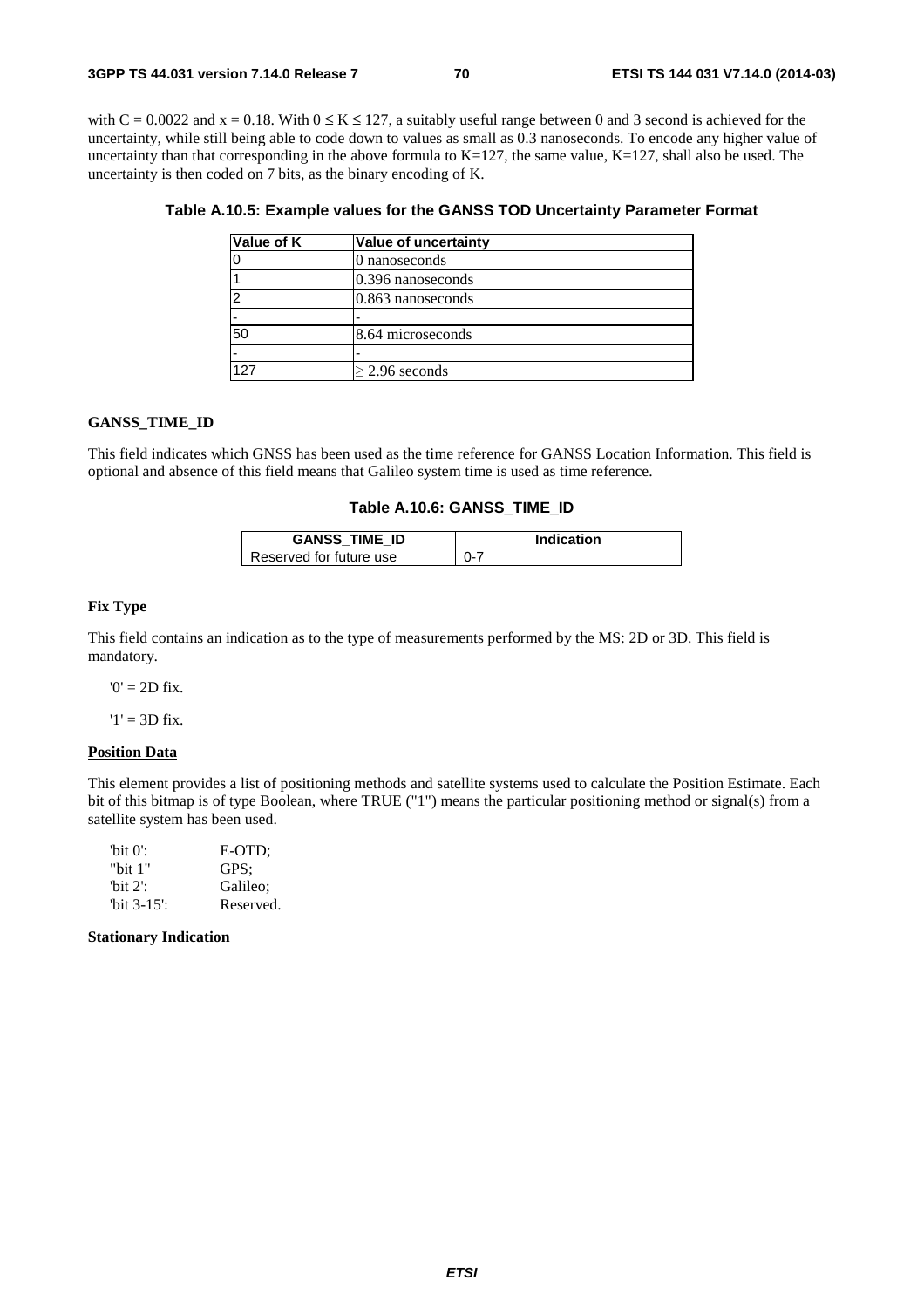with C = 0.0022 and x = 0.18. With  $0 \le K \le 127$ , a suitably useful range between 0 and 3 second is achieved for the uncertainty, while still being able to code down to values as small as 0.3 nanoseconds. To encode any higher value of uncertainty than that corresponding in the above formula to  $K=127$ , the same value,  $K=127$ , shall also be used. The uncertainty is then coded on 7 bits, as the binary encoding of K.

| Value of K | Value of uncertainty |
|------------|----------------------|
|            | 0 nanoseconds        |
|            | 0.396 nanoseconds    |
|            | 0.863 nanoseconds    |
|            |                      |
| 50         | 8.64 microseconds    |
|            |                      |
| 127        | $\geq$ 2.96 seconds  |

## **Table A.10.5: Example values for the GANSS TOD Uncertainty Parameter Format**

#### **GANSS\_TIME\_ID**

This field indicates which GNSS has been used as the time reference for GANSS Location Information. This field is optional and absence of this field means that Galileo system time is used as time reference.

#### **Table A.10.6: GANSS\_TIME\_ID**

| <b>GANSS TIME ID</b>    | Indication |
|-------------------------|------------|
| Reserved for future use | 0-7        |

#### **Fix Type**

This field contains an indication as to the type of measurements performed by the MS: 2D or 3D. This field is mandatory.

 $0' = 2D$  fix.

 $'1' = 3D$  fix.

#### **Position Data**

This element provides a list of positioning methods and satellite systems used to calculate the Position Estimate. Each bit of this bitmap is of type Boolean, where TRUE ("1") means the particular positioning method or signal(s) from a satellite system has been used.

| 'bit $0$ ':    | E-OTD:    |
|----------------|-----------|
| "bit 1"        | GPS:      |
| 'bit $2$ ':    | Galileo:  |
| "bit $3-15$ ": | Reserved. |

#### **Stationary Indication**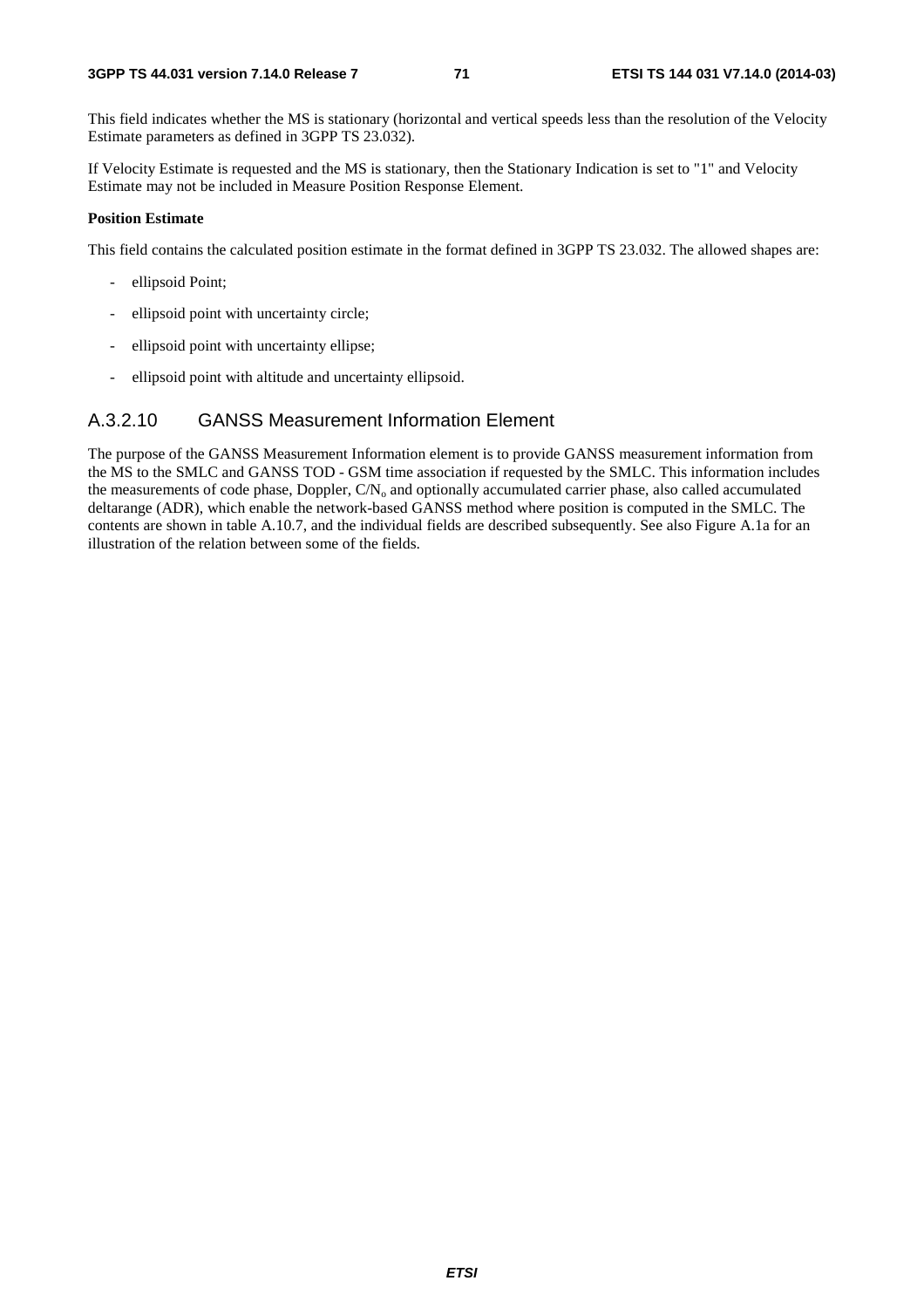This field indicates whether the MS is stationary (horizontal and vertical speeds less than the resolution of the Velocity Estimate parameters as defined in 3GPP TS 23.032).

If Velocity Estimate is requested and the MS is stationary, then the Stationary Indication is set to "1" and Velocity Estimate may not be included in Measure Position Response Element.

#### **Position Estimate**

This field contains the calculated position estimate in the format defined in 3GPP TS 23.032. The allowed shapes are:

- ellipsoid Point;
- ellipsoid point with uncertainty circle;
- ellipsoid point with uncertainty ellipse;
- ellipsoid point with altitude and uncertainty ellipsoid.

## A.3.2.10 GANSS Measurement Information Element

The purpose of the GANSS Measurement Information element is to provide GANSS measurement information from the MS to the SMLC and GANSS TOD - GSM time association if requested by the SMLC. This information includes the measurements of code phase, Doppler,  $CN_0$  and optionally accumulated carrier phase, also called accumulated deltarange (ADR), which enable the network-based GANSS method where position is computed in the SMLC. The contents are shown in table A.10.7, and the individual fields are described subsequently. See also Figure A.1a for an illustration of the relation between some of the fields.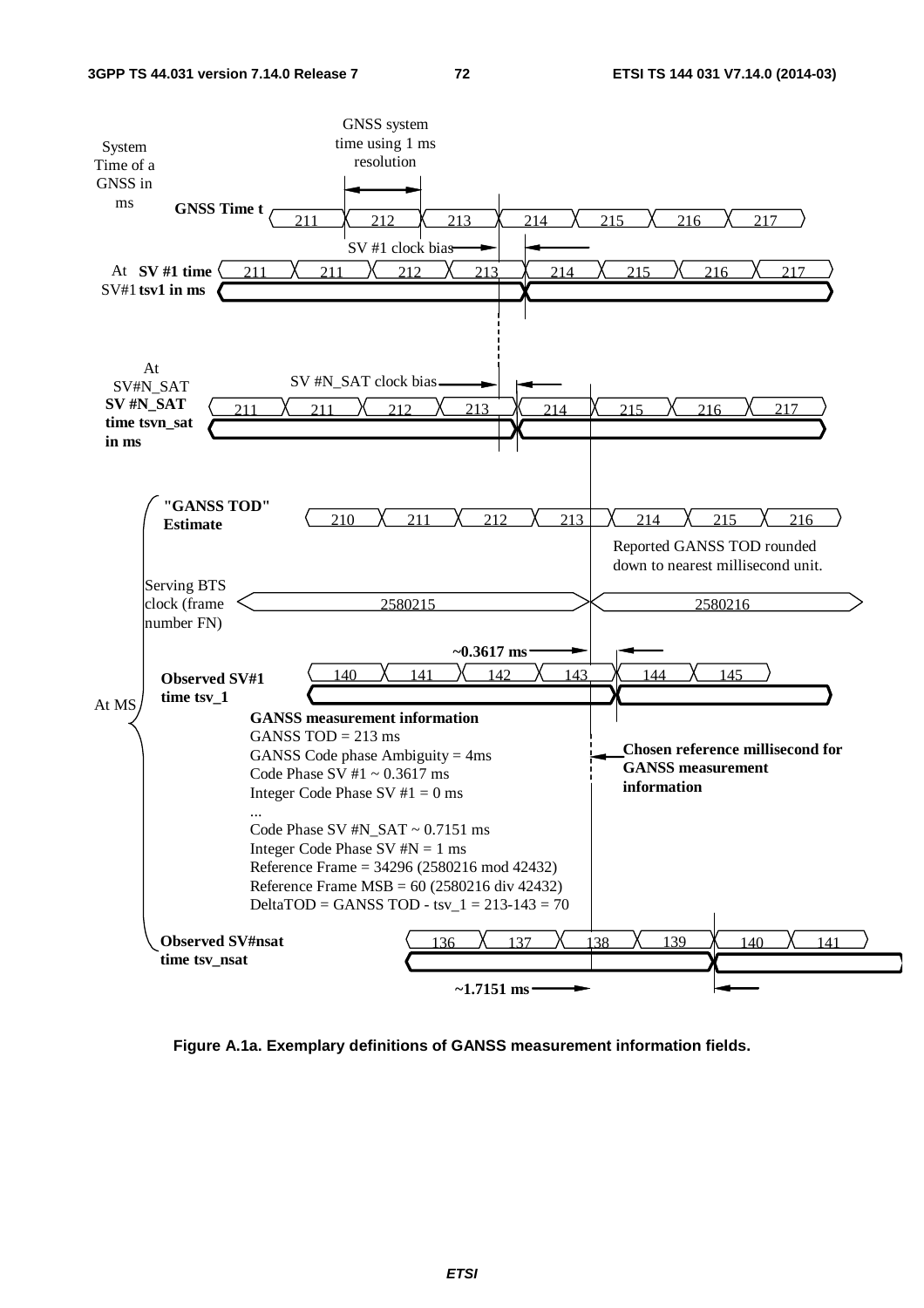

**Figure A.1a. Exemplary definitions of GANSS measurement information fields.**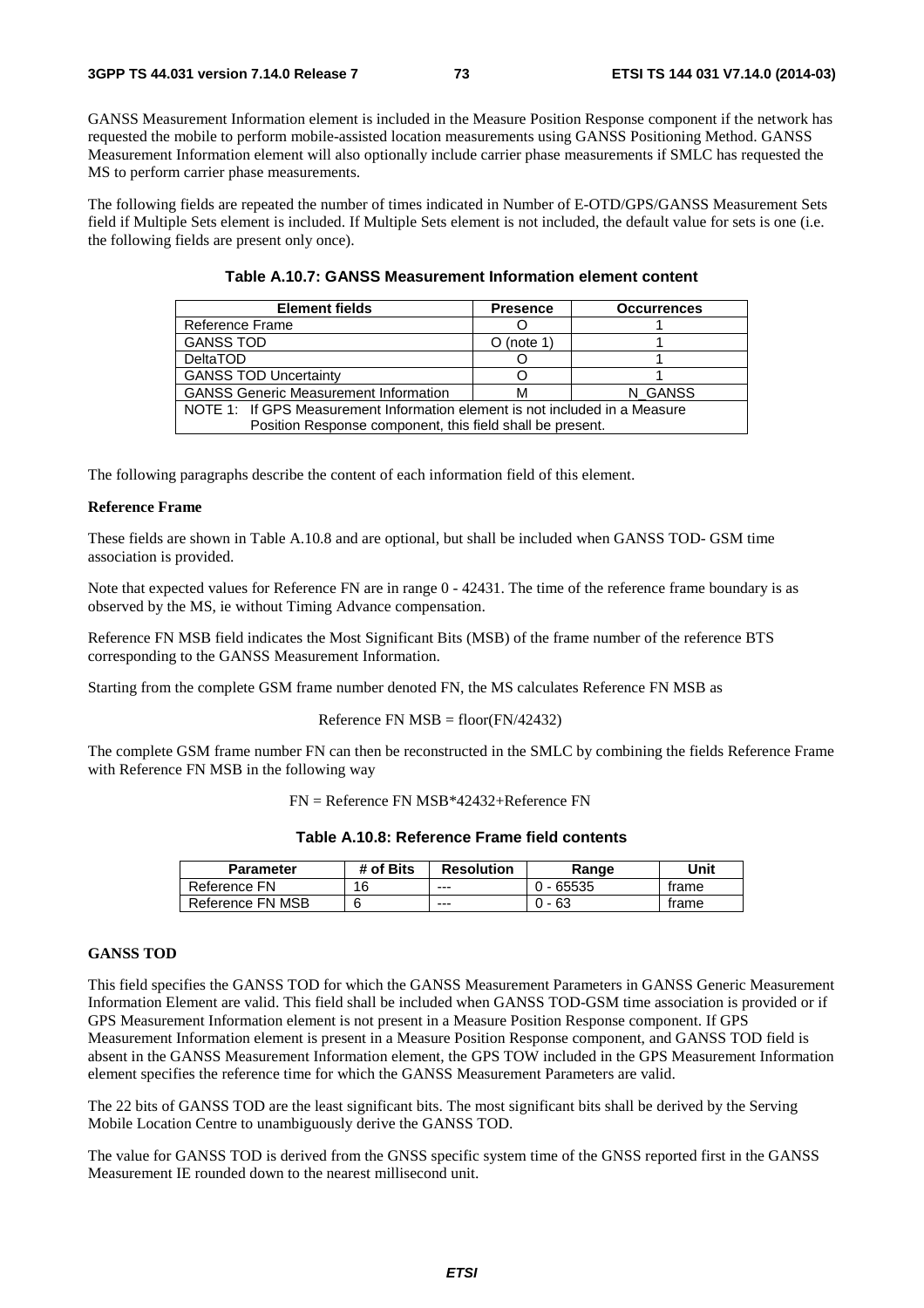GANSS Measurement Information element is included in the Measure Position Response component if the network has requested the mobile to perform mobile-assisted location measurements using GANSS Positioning Method. GANSS Measurement Information element will also optionally include carrier phase measurements if SMLC has requested the MS to perform carrier phase measurements.

The following fields are repeated the number of times indicated in Number of E-OTD/GPS/GANSS Measurement Sets field if Multiple Sets element is included. If Multiple Sets element is not included, the default value for sets is one (i.e. the following fields are present only once).

| <b>Element fields</b>                                                       | <b>Presence</b> | <b>Occurrences</b> |  |
|-----------------------------------------------------------------------------|-----------------|--------------------|--|
| Reference Frame                                                             |                 |                    |  |
| <b>GANSS TOD</b>                                                            | $O$ (note 1)    |                    |  |
| <b>DeltaTOD</b>                                                             |                 |                    |  |
| <b>GANSS TOD Uncertainty</b>                                                |                 |                    |  |
| <b>GANSS Generic Measurement Information</b>                                |                 | N GANSS            |  |
| NOTE 1: If GPS Measurement Information element is not included in a Measure |                 |                    |  |
| Position Response component, this field shall be present.                   |                 |                    |  |

| Table A.10.7: GANSS Measurement Information element content |  |
|-------------------------------------------------------------|--|
|-------------------------------------------------------------|--|

The following paragraphs describe the content of each information field of this element.

## **Reference Frame**

These fields are shown in Table A.10.8 and are optional, but shall be included when GANSS TOD- GSM time association is provided.

Note that expected values for Reference FN are in range  $0 - 42431$ . The time of the reference frame boundary is as observed by the MS, ie without Timing Advance compensation.

Reference FN MSB field indicates the Most Significant Bits (MSB) of the frame number of the reference BTS corresponding to the GANSS Measurement Information.

Starting from the complete GSM frame number denoted FN, the MS calculates Reference FN MSB as

#### Reference FN  $MSB = floor(FN/42432)$

The complete GSM frame number FN can then be reconstructed in the SMLC by combining the fields Reference Frame with Reference FN MSB in the following way

FN = Reference FN MSB\*42432+Reference FN

|  | Table A.10.8: Reference Frame field contents |  |  |
|--|----------------------------------------------|--|--|
|--|----------------------------------------------|--|--|

| <b>Parameter</b> | # of Bits | <b>Resolution</b> | Range       | Unit  |
|------------------|-----------|-------------------|-------------|-------|
| Reference FN     | 16        | $- - -$           | $0 - 65535$ | trame |
| Reference FN MSB |           | $--$              | - 63<br>ົາ. | trame |

## **GANSS TOD**

This field specifies the GANSS TOD for which the GANSS Measurement Parameters in GANSS Generic Measurement Information Element are valid. This field shall be included when GANSS TOD-GSM time association is provided or if GPS Measurement Information element is not present in a Measure Position Response component. If GPS Measurement Information element is present in a Measure Position Response component, and GANSS TOD field is absent in the GANSS Measurement Information element, the GPS TOW included in the GPS Measurement Information element specifies the reference time for which the GANSS Measurement Parameters are valid.

The 22 bits of GANSS TOD are the least significant bits. The most significant bits shall be derived by the Serving Mobile Location Centre to unambiguously derive the GANSS TOD.

The value for GANSS TOD is derived from the GNSS specific system time of the GNSS reported first in the GANSS Measurement IE rounded down to the nearest millisecond unit.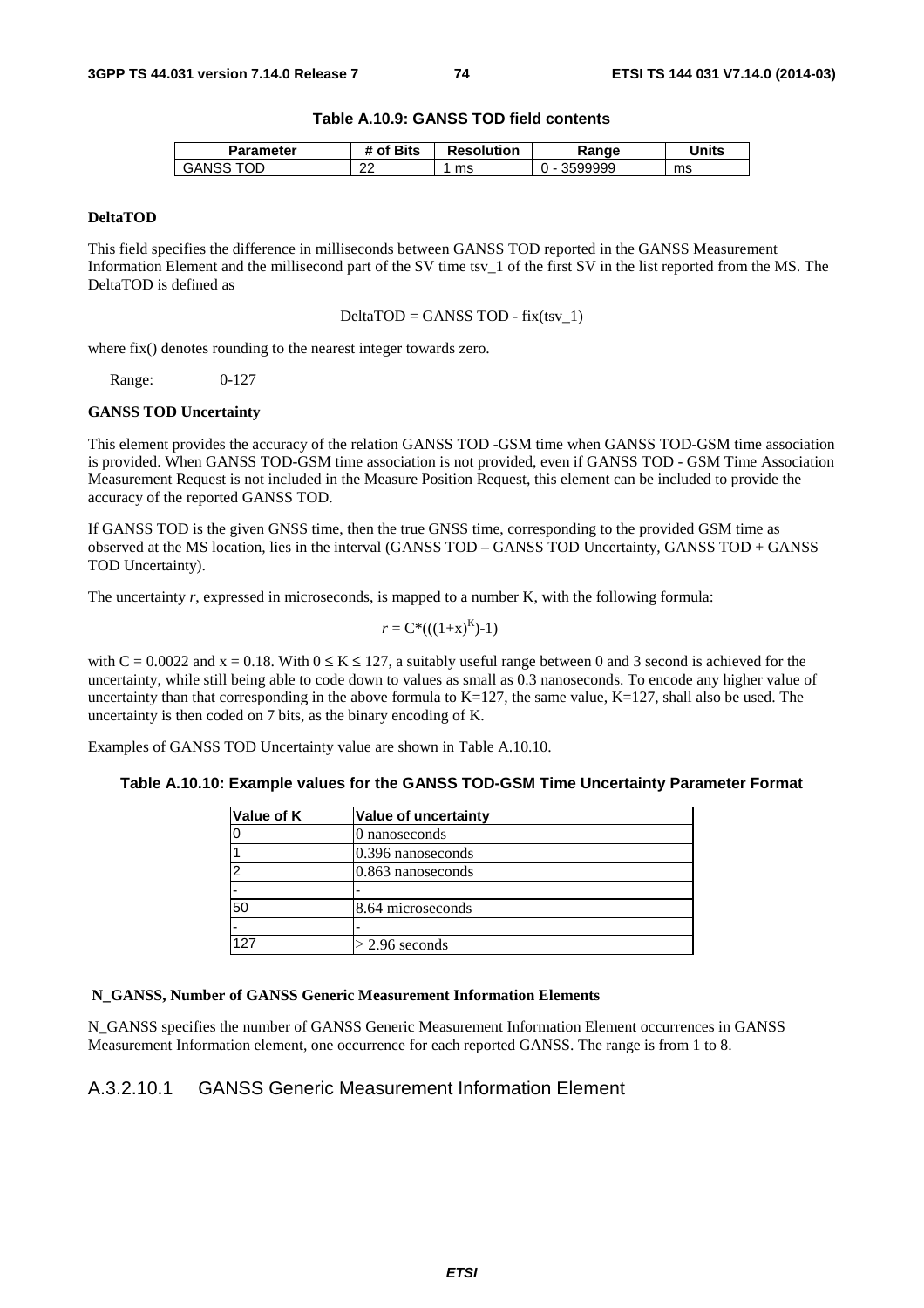## **Table A.10.9: GANSS TOD field contents**

| Parameter   | <b>Sits</b><br>ാf | <b>Resolution</b> | Range   | <b>Units</b> |
|-------------|-------------------|-------------------|---------|--------------|
| OΕ<br>GANS. | $\sim$<br>∼       | ms                | 3599999 | ms           |

### **DeltaTOD**

This field specifies the difference in milliseconds between GANSS TOD reported in the GANSS Measurement Information Element and the millisecond part of the SV time tsv\_1 of the first SV in the list reported from the MS. The DeltaTOD is defined as

 $DeltaTOP = GANSS TOP - fix(tsv_1)$ 

where fix() denotes rounding to the nearest integer towards zero.

Range: 0-127

#### **GANSS TOD Uncertainty**

This element provides the accuracy of the relation GANSS TOD -GSM time when GANSS TOD-GSM time association is provided. When GANSS TOD-GSM time association is not provided, even if GANSS TOD - GSM Time Association Measurement Request is not included in the Measure Position Request, this element can be included to provide the accuracy of the reported GANSS TOD.

If GANSS TOD is the given GNSS time, then the true GNSS time, corresponding to the provided GSM time as observed at the MS location, lies in the interval (GANSS TOD – GANSS TOD Uncertainty, GANSS TOD + GANSS TOD Uncertainty).

The uncertainty *r*, expressed in microseconds, is mapped to a number K, with the following formula:

$$
r = C^*(( (1+x)^K )-1)
$$

with  $C = 0.0022$  and  $x = 0.18$ . With  $0 \le K \le 127$ , a suitably useful range between 0 and 3 second is achieved for the uncertainty, while still being able to code down to values as small as 0.3 nanoseconds. To encode any higher value of uncertainty than that corresponding in the above formula to  $K=127$ , the same value,  $K=127$ , shall also be used. The uncertainty is then coded on 7 bits, as the binary encoding of K.

Examples of GANSS TOD Uncertainty value are shown in Table A.10.10.

## **Table A.10.10: Example values for the GANSS TOD-GSM Time Uncertainty Parameter Format**

| Value of K | Value of uncertainty |
|------------|----------------------|
|            | 0 nanoseconds        |
|            | $0.396$ nanoseconds  |
| ≏          | $0.863$ nanoseconds  |
|            |                      |
| 50         | 8.64 microseconds    |
| -          |                      |
| 127        | $\geq$ 2.96 seconds  |

### **N\_GANSS, Number of GANSS Generic Measurement Information Elements**

N\_GANSS specifies the number of GANSS Generic Measurement Information Element occurrences in GANSS Measurement Information element, one occurrence for each reported GANSS. The range is from 1 to 8.

## A.3.2.10.1 GANSS Generic Measurement Information Element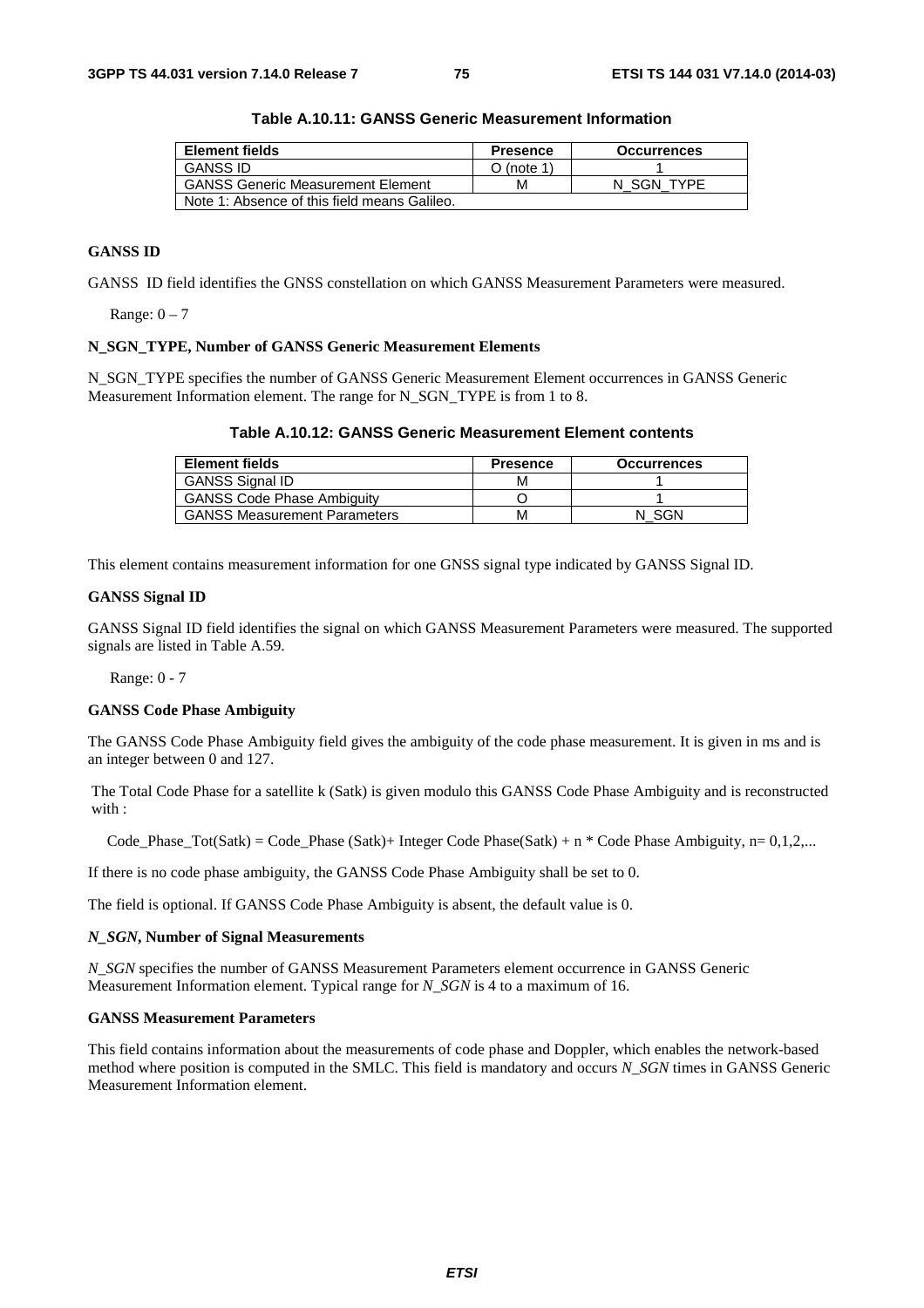| <b>Element fields</b>                        | <b>Presence</b> | <b>Occurrences</b> |
|----------------------------------------------|-----------------|--------------------|
| <b>GANSS ID</b>                              | $O$ (note 1)    |                    |
| <b>GANSS Generic Measurement Element</b>     | м               | N SGN TYPE         |
| Note 1: Absence of this field means Galileo. |                 |                    |

**Table A.10.11: GANSS Generic Measurement Information** 

## **GANSS ID**

GANSS ID field identifies the GNSS constellation on which GANSS Measurement Parameters were measured.

Range:  $0 - 7$ 

### **N\_SGN\_TYPE, Number of GANSS Generic Measurement Elements**

N\_SGN\_TYPE specifies the number of GANSS Generic Measurement Element occurrences in GANSS Generic Measurement Information element. The range for N\_SGN\_TYPE is from 1 to 8.

## **Table A.10.12: GANSS Generic Measurement Element contents**

| <b>Element fields</b>               | <b>Presence</b> | <b>Occurrences</b> |
|-------------------------------------|-----------------|--------------------|
| <b>GANSS Signal ID</b>              | м               |                    |
| <b>GANSS Code Phase Ambiguity</b>   |                 |                    |
| <b>GANSS Measurement Parameters</b> | м               | SGN                |

This element contains measurement information for one GNSS signal type indicated by GANSS Signal ID.

#### **GANSS Signal ID**

GANSS Signal ID field identifies the signal on which GANSS Measurement Parameters were measured. The supported signals are listed in Table A.59.

Range: 0 - 7

#### **GANSS Code Phase Ambiguity**

The GANSS Code Phase Ambiguity field gives the ambiguity of the code phase measurement. It is given in ms and is an integer between 0 and 127.

The Total Code Phase for a satellite k (Satk) is given modulo this GANSS Code Phase Ambiguity and is reconstructed with  $\cdot$ 

Code Phase Tot(Satk) = Code Phase (Satk)+ Integer Code Phase(Satk) + n \* Code Phase Ambiguity, n= 0,1,2,...

If there is no code phase ambiguity, the GANSS Code Phase Ambiguity shall be set to 0.

The field is optional. If GANSS Code Phase Ambiguity is absent, the default value is 0.

#### *N\_SGN***, Number of Signal Measurements**

*N\_SGN* specifies the number of GANSS Measurement Parameters element occurrence in GANSS Generic Measurement Information element. Typical range for *N\_SGN* is 4 to a maximum of 16.

## **GANSS Measurement Parameters**

This field contains information about the measurements of code phase and Doppler, which enables the network-based method where position is computed in the SMLC. This field is mandatory and occurs *N\_SGN* times in GANSS Generic Measurement Information element.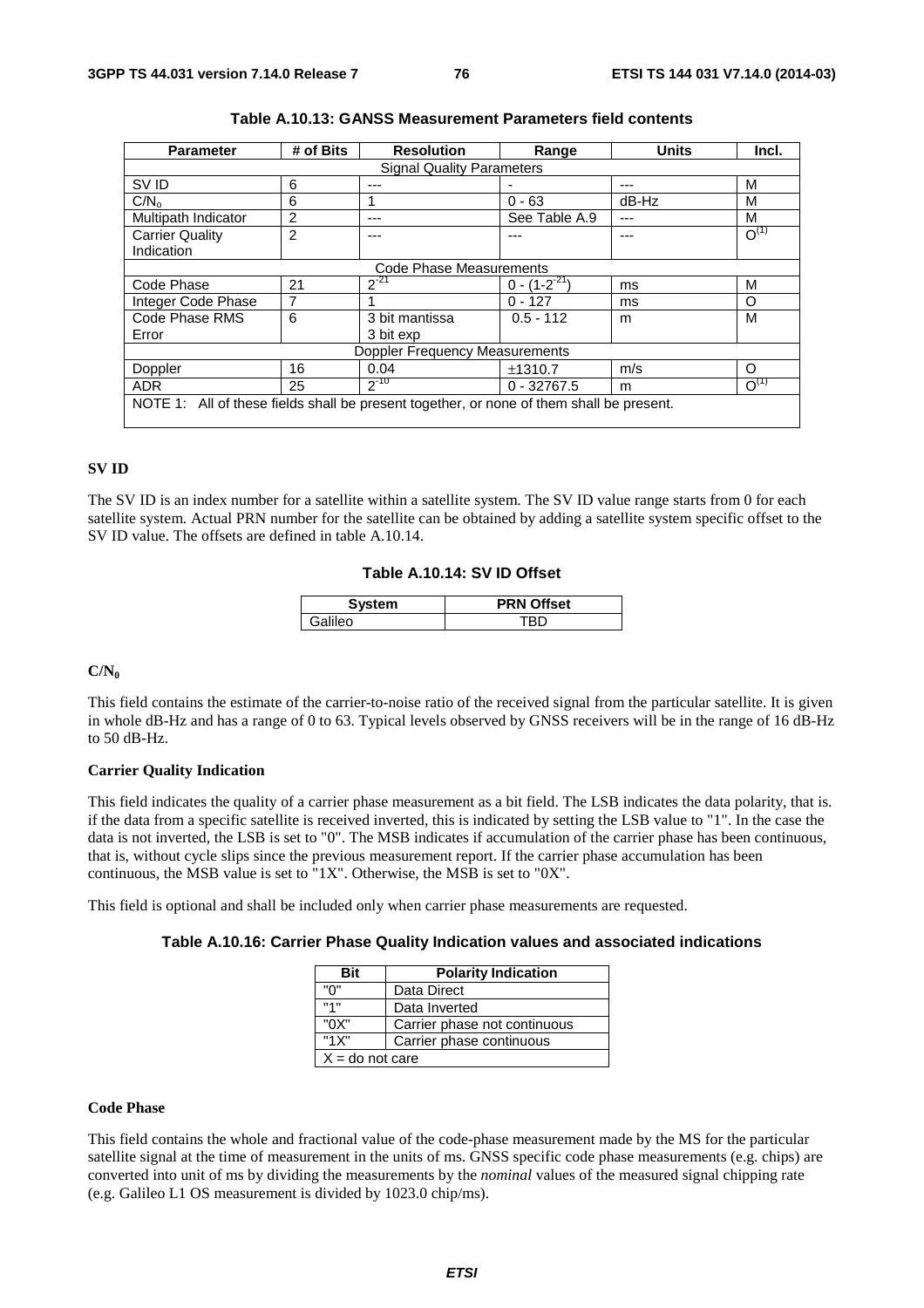| <b>Parameter</b>                                                                         | # of Bits | <b>Resolution</b> | Range               | <b>Units</b> | Incl.     |
|------------------------------------------------------------------------------------------|-----------|-------------------|---------------------|--------------|-----------|
| <b>Signal Quality Parameters</b>                                                         |           |                   |                     |              |           |
| SV ID                                                                                    | 6         | ---               |                     |              | м         |
| C/N <sub>o</sub>                                                                         | 6         |                   | $0 - 63$            | $dB-Hz$      | М         |
| Multipath Indicator                                                                      | 2         |                   | See Table A.9       |              | м         |
| <b>Carrier Quality</b>                                                                   | 2         |                   |                     |              | $O^{(1)}$ |
| Indication                                                                               |           |                   |                     |              |           |
| Code Phase Measurements                                                                  |           |                   |                     |              |           |
| Code Phase                                                                               | 21        | $2^{-21}$         | $0 - (1 - 2^{-21})$ | ms           | М         |
| Integer Code Phase                                                                       | 7         |                   | $0 - 127$           | ms           | O         |
| Code Phase RMS                                                                           | 6         | 3 bit mantissa    | $0.5 - 112$         | m            | м         |
| Error                                                                                    |           | 3 bit exp         |                     |              |           |
| <b>Doppler Frequency Measurements</b>                                                    |           |                   |                     |              |           |
| Doppler                                                                                  | 16        | 0.04              | ±1310.7             | m/s          | $\Omega$  |
| <b>ADR</b>                                                                               | 25        | $2^{-10}$         | $0 - 32767.5$       | m            | $O^{(1)}$ |
| NOTE 1: All of these fields shall be present together, or none of them shall be present. |           |                   |                     |              |           |

| Table A.10.13: GANSS Measurement Parameters field contents |  |
|------------------------------------------------------------|--|
|------------------------------------------------------------|--|

## **SV ID**

The SV ID is an index number for a satellite within a satellite system. The SV ID value range starts from 0 for each satellite system. Actual PRN number for the satellite can be obtained by adding a satellite system specific offset to the SV ID value. The offsets are defined in table A.10.14.

## **Table A.10.14: SV ID Offset**

| эm | <b>N</b> Offset<br> |
|----|---------------------|
|    |                     |

## $C/N_0$

This field contains the estimate of the carrier-to-noise ratio of the received signal from the particular satellite. It is given in whole dB-Hz and has a range of 0 to 63. Typical levels observed by GNSS receivers will be in the range of 16 dB-Hz to 50 dB-Hz.

#### **Carrier Quality Indication**

This field indicates the quality of a carrier phase measurement as a bit field. The LSB indicates the data polarity, that is. if the data from a specific satellite is received inverted, this is indicated by setting the LSB value to "1". In the case the data is not inverted, the LSB is set to "0". The MSB indicates if accumulation of the carrier phase has been continuous, that is, without cycle slips since the previous measurement report. If the carrier phase accumulation has been continuous, the MSB value is set to "1X". Otherwise, the MSB is set to "0X".

This field is optional and shall be included only when carrier phase measurements are requested.

|  | Table A.10.16: Carrier Phase Quality Indication values and associated indications |
|--|-----------------------------------------------------------------------------------|
|--|-----------------------------------------------------------------------------------|

| <b>Bit</b>        | <b>Polarity Indication</b>   |  |  |  |
|-------------------|------------------------------|--|--|--|
| "በ"               | Data Direct                  |  |  |  |
| "1"               | Data Inverted                |  |  |  |
| "0X"              | Carrier phase not continuous |  |  |  |
| "1X"              | Carrier phase continuous     |  |  |  |
| $X =$ do not care |                              |  |  |  |

## **Code Phase**

This field contains the whole and fractional value of the code-phase measurement made by the MS for the particular satellite signal at the time of measurement in the units of ms. GNSS specific code phase measurements (e.g. chips) are converted into unit of ms by dividing the measurements by the *nominal* values of the measured signal chipping rate (e.g. Galileo L1 OS measurement is divided by 1023.0 chip/ms).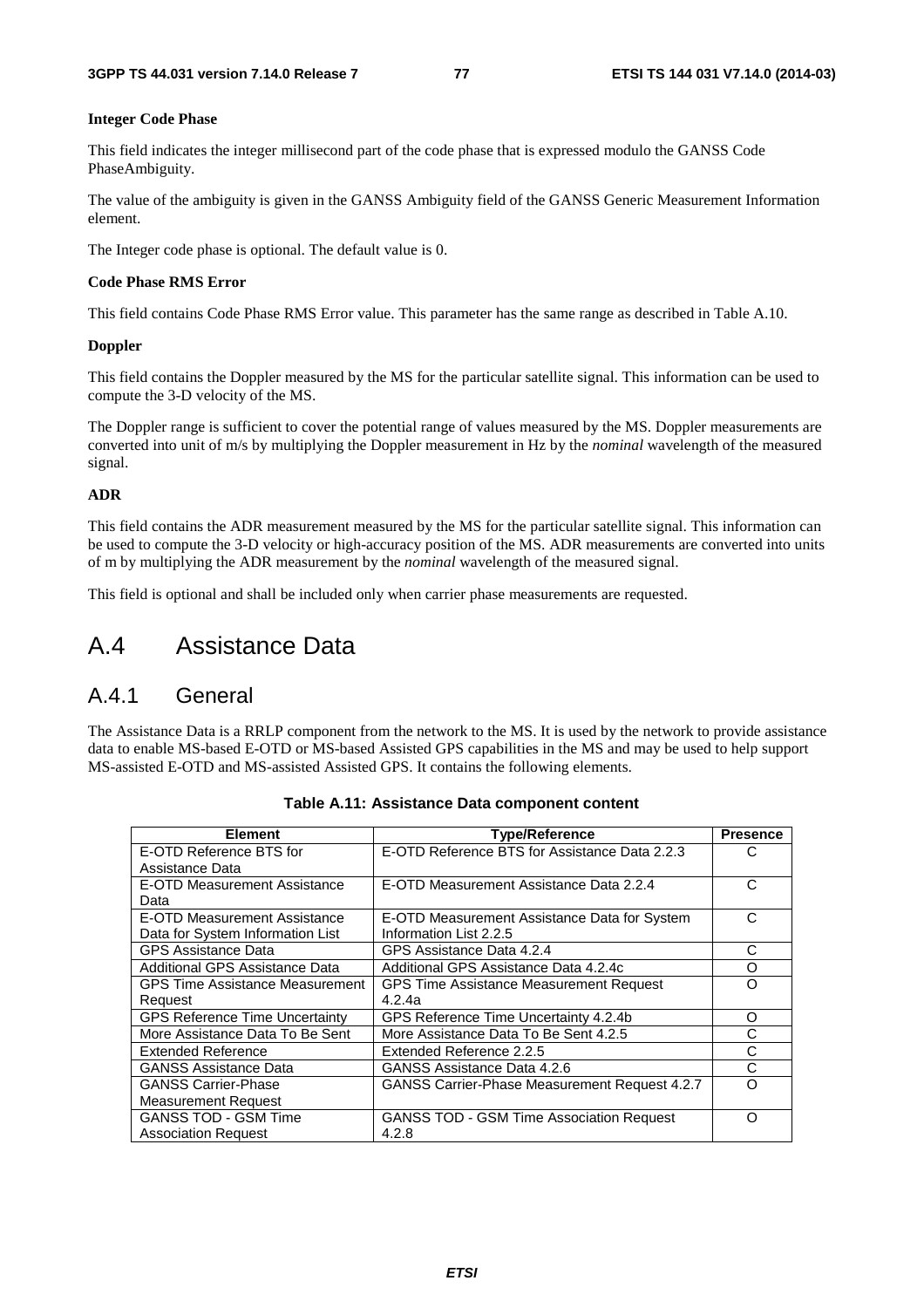#### **Integer Code Phase**

This field indicates the integer millisecond part of the code phase that is expressed modulo the GANSS Code PhaseAmbiguity.

The value of the ambiguity is given in the GANSS Ambiguity field of the GANSS Generic Measurement Information element.

The Integer code phase is optional. The default value is 0.

#### **Code Phase RMS Error**

This field contains Code Phase RMS Error value. This parameter has the same range as described in Table A.10.

#### **Doppler**

This field contains the Doppler measured by the MS for the particular satellite signal. This information can be used to compute the 3-D velocity of the MS.

The Doppler range is sufficient to cover the potential range of values measured by the MS. Doppler measurements are converted into unit of m/s by multiplying the Doppler measurement in Hz by the *nominal* wavelength of the measured signal.

#### **ADR**

This field contains the ADR measurement measured by the MS for the particular satellite signal. This information can be used to compute the 3-D velocity or high-accuracy position of the MS. ADR measurements are converted into units of m by multiplying the ADR measurement by the *nominal* wavelength of the measured signal.

This field is optional and shall be included only when carrier phase measurements are requested.

# A.4 Assistance Data

## A.4.1 General

The Assistance Data is a RRLP component from the network to the MS. It is used by the network to provide assistance data to enable MS-based E-OTD or MS-based Assisted GPS capabilities in the MS and may be used to help support MS-assisted E-OTD and MS-assisted Assisted GPS. It contains the following elements.

| <b>Element</b>                         | <b>Type/Reference</b>                                | <b>Presence</b> |
|----------------------------------------|------------------------------------------------------|-----------------|
| E-OTD Reference BTS for                | E-OTD Reference BTS for Assistance Data 2.2.3        | C               |
| Assistance Data                        |                                                      |                 |
| E-OTD Measurement Assistance           | E-OTD Measurement Assistance Data 2.2.4              | C               |
| Data                                   |                                                      |                 |
| E-OTD Measurement Assistance           | E-OTD Measurement Assistance Data for System         | C               |
| Data for System Information List       | Information List 2.2.5                               |                 |
| <b>GPS Assistance Data</b>             | GPS Assistance Data 4.2.4                            | С               |
| Additional GPS Assistance Data         | Additional GPS Assistance Data 4.2.4c                | O               |
| <b>GPS Time Assistance Measurement</b> | <b>GPS Time Assistance Measurement Request</b>       | Ω               |
| Request                                | 4.2.4a                                               |                 |
| <b>GPS Reference Time Uncertainty</b>  | GPS Reference Time Uncertainty 4.2.4b                | O               |
| More Assistance Data To Be Sent        | More Assistance Data To Be Sent 4.2.5                | С               |
| <b>Extended Reference</b>              | Extended Reference 2.2.5                             | С               |
| <b>GANSS Assistance Data</b>           | GANSS Assistance Data 4.2.6                          | C               |
| <b>GANSS Carrier-Phase</b>             | <b>GANSS Carrier-Phase Measurement Request 4.2.7</b> | റ               |
| <b>Measurement Request</b>             |                                                      |                 |
| <b>GANSS TOD - GSM Time</b>            | <b>GANSS TOD - GSM Time Association Request</b>      | Ω               |
| <b>Association Request</b>             | 4.2.8                                                |                 |

|  |  |  |  | Table A.11: Assistance Data component content |  |
|--|--|--|--|-----------------------------------------------|--|
|--|--|--|--|-----------------------------------------------|--|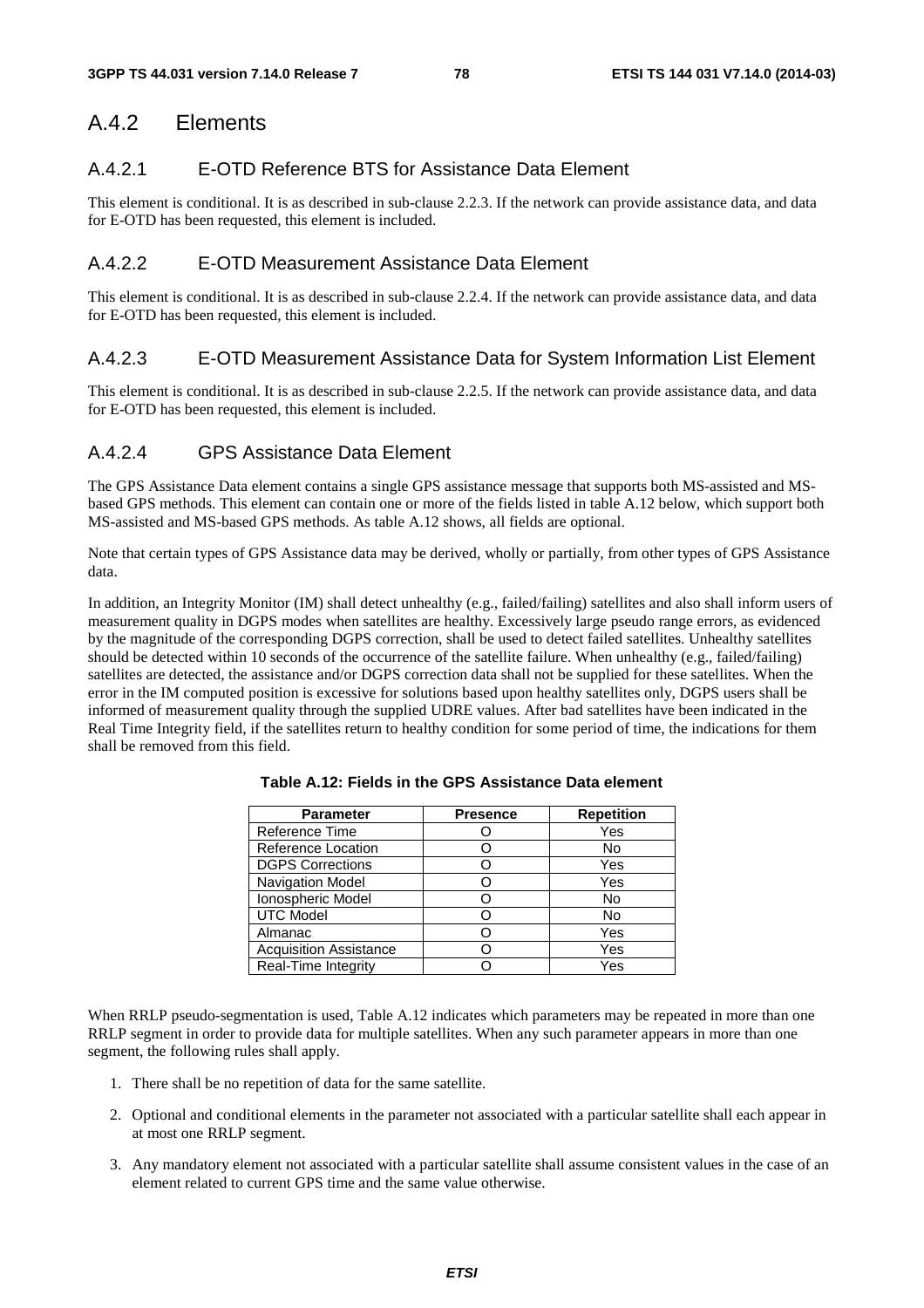# A.4.2 Elements

## A.4.2.1 E-OTD Reference BTS for Assistance Data Element

This element is conditional. It is as described in sub-clause 2.2.3. If the network can provide assistance data, and data for E-OTD has been requested, this element is included.

## A.4.2.2 E-OTD Measurement Assistance Data Element

This element is conditional. It is as described in sub-clause 2.2.4. If the network can provide assistance data, and data for E-OTD has been requested, this element is included.

## A.4.2.3 E-OTD Measurement Assistance Data for System Information List Element

This element is conditional. It is as described in sub-clause 2.2.5. If the network can provide assistance data, and data for E-OTD has been requested, this element is included.

## A.4.2.4 GPS Assistance Data Element

The GPS Assistance Data element contains a single GPS assistance message that supports both MS-assisted and MSbased GPS methods. This element can contain one or more of the fields listed in table A.12 below, which support both MS-assisted and MS-based GPS methods. As table A.12 shows, all fields are optional.

Note that certain types of GPS Assistance data may be derived, wholly or partially, from other types of GPS Assistance data.

In addition, an Integrity Monitor (IM) shall detect unhealthy (e.g., failed/failing) satellites and also shall inform users of measurement quality in DGPS modes when satellites are healthy. Excessively large pseudo range errors, as evidenced by the magnitude of the corresponding DGPS correction, shall be used to detect failed satellites. Unhealthy satellites should be detected within 10 seconds of the occurrence of the satellite failure. When unhealthy (e.g., failed/failing) satellites are detected, the assistance and/or DGPS correction data shall not be supplied for these satellites. When the error in the IM computed position is excessive for solutions based upon healthy satellites only, DGPS users shall be informed of measurement quality through the supplied UDRE values. After bad satellites have been indicated in the Real Time Integrity field, if the satellites return to healthy condition for some period of time, the indications for them shall be removed from this field.

| <b>Parameter</b>              | <b>Presence</b> | <b>Repetition</b> |
|-------------------------------|-----------------|-------------------|
| Reference Time                |                 | Yes               |
| Reference Location            |                 | No                |
| <b>DGPS Corrections</b>       |                 | Yes               |
| Navigation Model              |                 | Yes               |
| Ionospheric Model             |                 | No                |
| <b>UTC Model</b>              |                 | No                |
| Almanac                       |                 | Yes               |
| <b>Acquisition Assistance</b> |                 | Yes               |
| Real-Time Integrity           |                 | Yes               |

**Table A.12: Fields in the GPS Assistance Data element** 

When RRLP pseudo-segmentation is used. Table A.12 indicates which parameters may be repeated in more than one RRLP segment in order to provide data for multiple satellites. When any such parameter appears in more than one segment, the following rules shall apply.

- 1. There shall be no repetition of data for the same satellite.
- 2. Optional and conditional elements in the parameter not associated with a particular satellite shall each appear in at most one RRLP segment.
- 3. Any mandatory element not associated with a particular satellite shall assume consistent values in the case of an element related to current GPS time and the same value otherwise.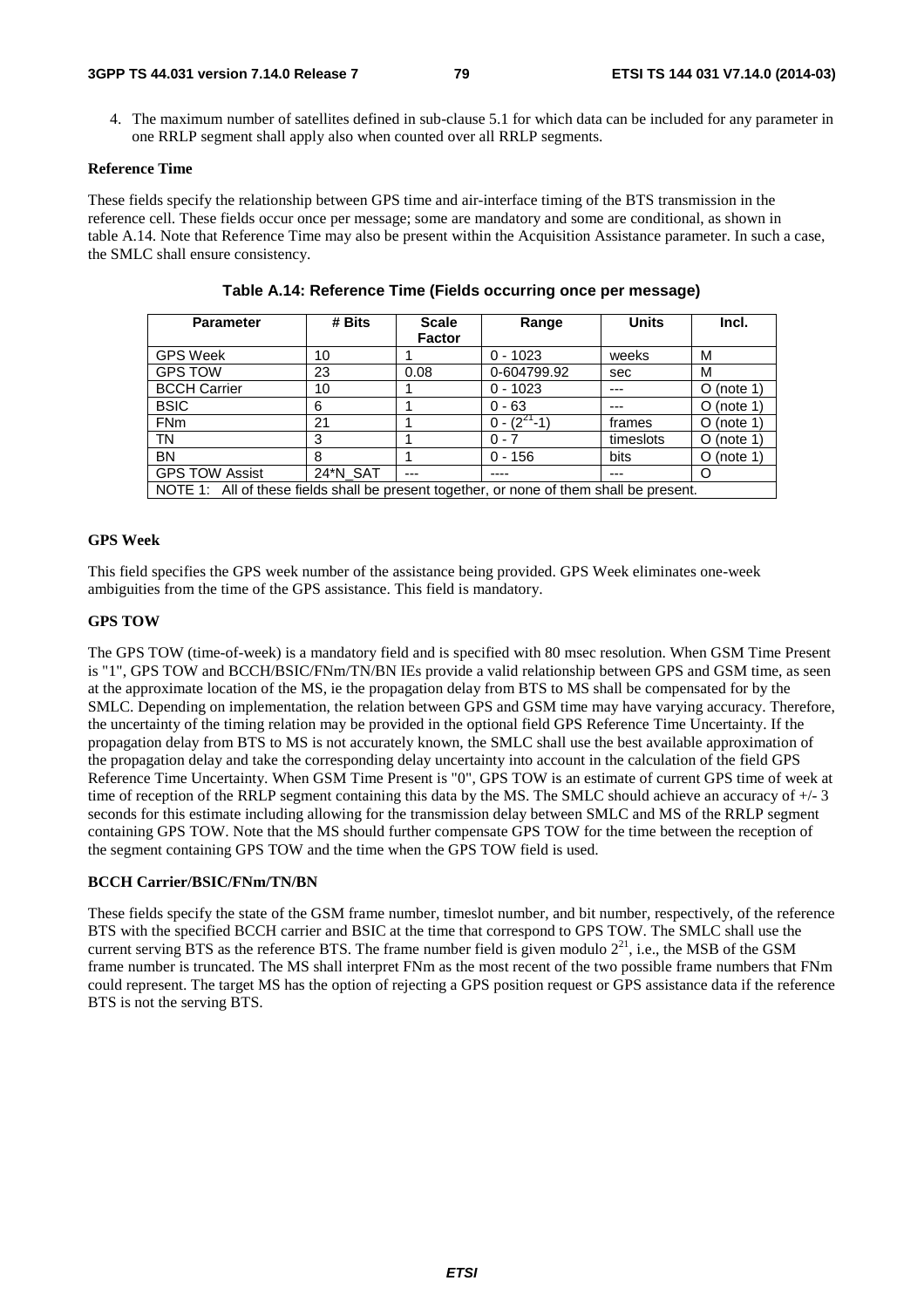4. The maximum number of satellites defined in sub-clause 5.1 for which data can be included for any parameter in one RRLP segment shall apply also when counted over all RRLP segments.

#### **Reference Time**

These fields specify the relationship between GPS time and air-interface timing of the BTS transmission in the reference cell. These fields occur once per message; some are mandatory and some are conditional, as shown in table A.14. Note that Reference Time may also be present within the Acquisition Assistance parameter. In such a case, the SMLC shall ensure consistency.

| <b>Parameter</b>                                                                         | # Bits   | <b>Scale</b>  | Range              | <b>Units</b> | Incl.         |
|------------------------------------------------------------------------------------------|----------|---------------|--------------------|--------------|---------------|
|                                                                                          |          | <b>Factor</b> |                    |              |               |
| <b>GPS Week</b>                                                                          | 10       |               | $0 - 1023$         | weeks        | M             |
| <b>GPS TOW</b>                                                                           | 23       | 0.08          | 0-604799.92        | sec          | M             |
| <b>BCCH Carrier</b>                                                                      | 10       |               | $0 - 1023$         |              | (note 1)<br>O |
| <b>BSIC</b>                                                                              | 6        |               | $0 - 63$           |              | $O$ (note 1)  |
| <b>FNm</b>                                                                               | 21       |               | $0 - (2^{21} - 1)$ | frames       | $O$ (note 1)  |
| <b>TN</b>                                                                                | 3        |               | $0 - 7$            | timeslots    | $O$ (note 1)  |
| <b>BN</b>                                                                                | 8        |               | $0 - 156$          | bits         | (note 1)<br>O |
| <b>GPS TOW Assist</b>                                                                    | 24*N_SAT | ---           |                    | ---          | O             |
| NOTE 1: All of these fields shall be present together, or none of them shall be present. |          |               |                    |              |               |

**Table A.14: Reference Time (Fields occurring once per message)** 

### **GPS Week**

This field specifies the GPS week number of the assistance being provided. GPS Week eliminates one-week ambiguities from the time of the GPS assistance. This field is mandatory.

## **GPS TOW**

The GPS TOW (time-of-week) is a mandatory field and is specified with 80 msec resolution. When GSM Time Present is "1", GPS TOW and BCCH/BSIC/FNm/TN/BN IEs provide a valid relationship between GPS and GSM time, as seen at the approximate location of the MS, ie the propagation delay from BTS to MS shall be compensated for by the SMLC. Depending on implementation, the relation between GPS and GSM time may have varying accuracy. Therefore, the uncertainty of the timing relation may be provided in the optional field GPS Reference Time Uncertainty. If the propagation delay from BTS to MS is not accurately known, the SMLC shall use the best available approximation of the propagation delay and take the corresponding delay uncertainty into account in the calculation of the field GPS Reference Time Uncertainty. When GSM Time Present is "0", GPS TOW is an estimate of current GPS time of week at time of reception of the RRLP segment containing this data by the MS. The SMLC should achieve an accuracy of +/- 3 seconds for this estimate including allowing for the transmission delay between SMLC and MS of the RRLP segment containing GPS TOW. Note that the MS should further compensate GPS TOW for the time between the reception of the segment containing GPS TOW and the time when the GPS TOW field is used.

#### **BCCH Carrier/BSIC/FNm/TN/BN**

These fields specify the state of the GSM frame number, timeslot number, and bit number, respectively, of the reference BTS with the specified BCCH carrier and BSIC at the time that correspond to GPS TOW. The SMLC shall use the current serving BTS as the reference BTS. The frame number field is given modulo  $2^{21}$ , i.e., the MSB of the GSM frame number is truncated. The MS shall interpret FNm as the most recent of the two possible frame numbers that FNm could represent. The target MS has the option of rejecting a GPS position request or GPS assistance data if the reference BTS is not the serving BTS.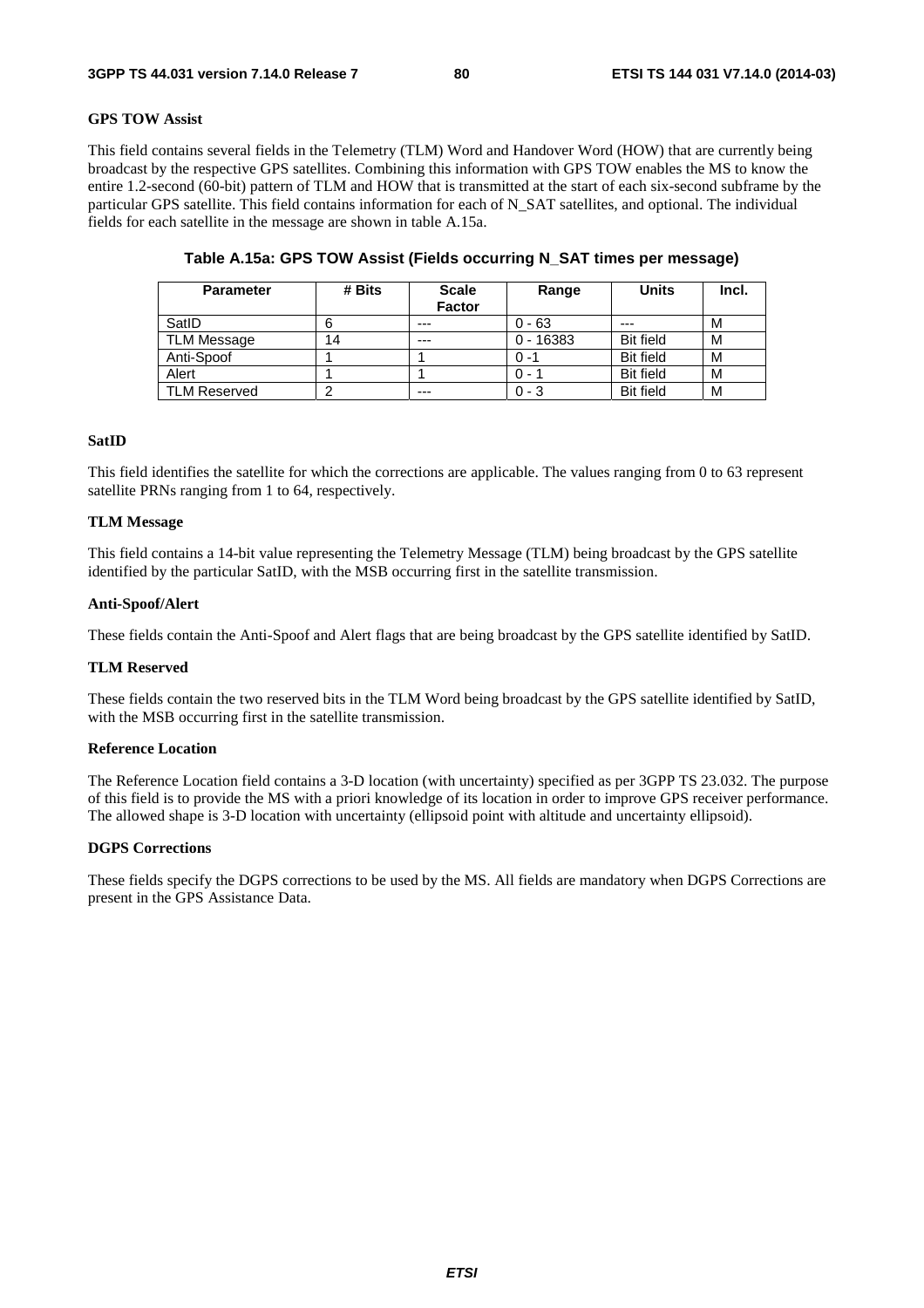## **GPS TOW Assist**

This field contains several fields in the Telemetry (TLM) Word and Handover Word (HOW) that are currently being broadcast by the respective GPS satellites. Combining this information with GPS TOW enables the MS to know the entire 1.2-second (60-bit) pattern of TLM and HOW that is transmitted at the start of each six-second subframe by the particular GPS satellite. This field contains information for each of N\_SAT satellites, and optional. The individual fields for each satellite in the message are shown in table A.15a.

| <b>Parameter</b>    | # Bits | <b>Scale</b>  | Range       | <b>Units</b>     | Incl. |
|---------------------|--------|---------------|-------------|------------------|-------|
|                     |        | <b>Factor</b> |             |                  |       |
| SatID               |        | $---$         | $0 - 63$    | ---              | м     |
| <b>TLM Message</b>  | 14     | $---$         | $0 - 16383$ | <b>Bit field</b> | м     |
| Anti-Spoof          |        |               | $0 - 1$     | <b>Bit field</b> | M     |
| Alert               |        |               | 0 - 1       | <b>Bit field</b> | м     |
| <b>TLM Reserved</b> | ◠      | ---           | $0 - 3$     | <b>Bit field</b> | M     |

## **Table A.15a: GPS TOW Assist (Fields occurring N\_SAT times per message)**

#### **SatID**

This field identifies the satellite for which the corrections are applicable. The values ranging from 0 to 63 represent satellite PRNs ranging from 1 to 64, respectively.

#### **TLM Message**

This field contains a 14-bit value representing the Telemetry Message (TLM) being broadcast by the GPS satellite identified by the particular SatID, with the MSB occurring first in the satellite transmission.

#### **Anti-Spoof/Alert**

These fields contain the Anti-Spoof and Alert flags that are being broadcast by the GPS satellite identified by SatID.

#### **TLM Reserved**

These fields contain the two reserved bits in the TLM Word being broadcast by the GPS satellite identified by SatID, with the MSB occurring first in the satellite transmission.

#### **Reference Location**

The Reference Location field contains a 3-D location (with uncertainty) specified as per 3GPP TS 23.032. The purpose of this field is to provide the MS with a priori knowledge of its location in order to improve GPS receiver performance. The allowed shape is 3-D location with uncertainty (ellipsoid point with altitude and uncertainty ellipsoid).

#### **DGPS Corrections**

These fields specify the DGPS corrections to be used by the MS. All fields are mandatory when DGPS Corrections are present in the GPS Assistance Data.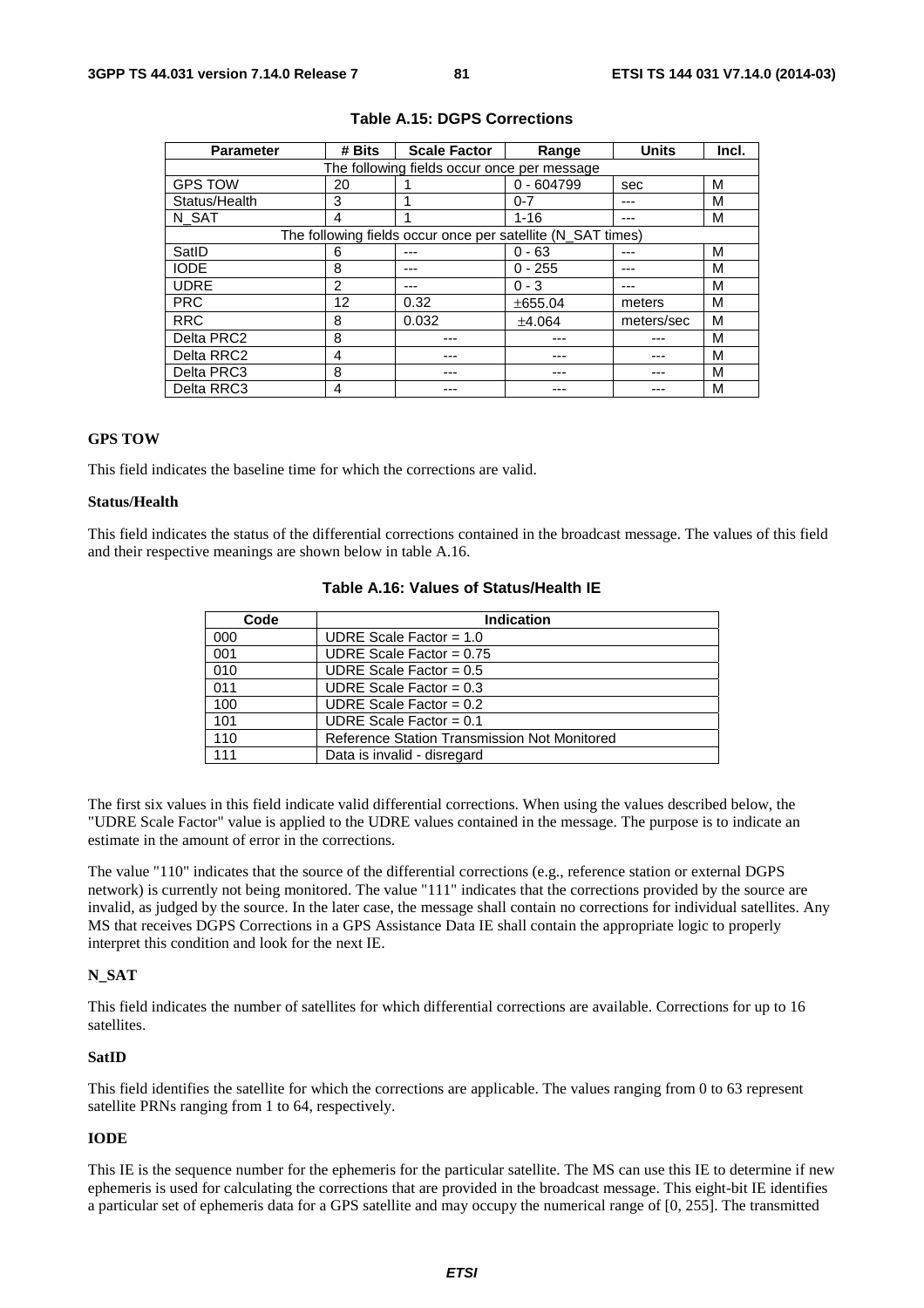| <b>Parameter</b> | # Bits            | <b>Scale Factor</b><br>Range                                |              | <b>Units</b> | Incl. |
|------------------|-------------------|-------------------------------------------------------------|--------------|--------------|-------|
|                  |                   | The following fields occur once per message                 |              |              |       |
| <b>GPS TOW</b>   | 20                |                                                             | $0 - 604799$ | sec          | м     |
| Status/Health    | 3                 |                                                             | $0 - 7$      |              | м     |
| N SAT            | 4                 |                                                             | $1 - 16$     | ---          | м     |
|                  |                   | The following fields occur once per satellite (N SAT times) |              |              |       |
| SatID            | 6                 |                                                             | $0 - 63$     | ---          | м     |
| <b>IODE</b>      | 8                 |                                                             | $0 - 255$    |              | м     |
| <b>UDRE</b>      | 2                 |                                                             | $0 - 3$      | ---          | м     |
| <b>PRC</b>       | $12 \overline{ }$ | 0.32                                                        | ±655.04      | meters       | м     |
| <b>RRC</b>       | 8                 | 0.032                                                       | ±4.064       | meters/sec   | м     |
| Delta PRC2       | 8                 |                                                             |              |              | м     |
| Delta RRC2       | 4                 |                                                             |              |              | м     |
| Delta PRC3       | 8                 |                                                             |              |              | м     |
| Delta RRC3       | 4                 |                                                             |              |              | м     |

### **Table A.15: DGPS Corrections**

### **GPS TOW**

This field indicates the baseline time for which the corrections are valid.

## **Status/Health**

This field indicates the status of the differential corrections contained in the broadcast message. The values of this field and their respective meanings are shown below in table A.16.

| Code | <b>Indication</b>                            |  |  |  |
|------|----------------------------------------------|--|--|--|
| 000  | UDRE Scale Factor = $1.0$                    |  |  |  |
| 001  | UDRE Scale Factor = $0.75$                   |  |  |  |
| 010  | UDRE Scale Factor = $0.5$                    |  |  |  |
| 011  | UDRE Scale Factor = $0.3$                    |  |  |  |
| 100  | UDRE Scale Factor = $0.2$                    |  |  |  |
| 101  | UDRE Scale Factor = $0.1$                    |  |  |  |
| 110  | Reference Station Transmission Not Monitored |  |  |  |
| 111  | Data is invalid - disregard                  |  |  |  |

## **Table A.16: Values of Status/Health IE**

The first six values in this field indicate valid differential corrections. When using the values described below, the "UDRE Scale Factor" value is applied to the UDRE values contained in the message. The purpose is to indicate an estimate in the amount of error in the corrections.

The value "110" indicates that the source of the differential corrections (e.g., reference station or external DGPS network) is currently not being monitored. The value "111" indicates that the corrections provided by the source are invalid, as judged by the source. In the later case, the message shall contain no corrections for individual satellites. Any MS that receives DGPS Corrections in a GPS Assistance Data IE shall contain the appropriate logic to properly interpret this condition and look for the next IE.

#### **N\_SAT**

This field indicates the number of satellites for which differential corrections are available. Corrections for up to 16 satellites.

#### **SatID**

This field identifies the satellite for which the corrections are applicable. The values ranging from 0 to 63 represent satellite PRNs ranging from 1 to 64, respectively.

#### **IODE**

This IE is the sequence number for the ephemeris for the particular satellite. The MS can use this IE to determine if new ephemeris is used for calculating the corrections that are provided in the broadcast message. This eight-bit IE identifies a particular set of ephemeris data for a GPS satellite and may occupy the numerical range of [0, 255]. The transmitted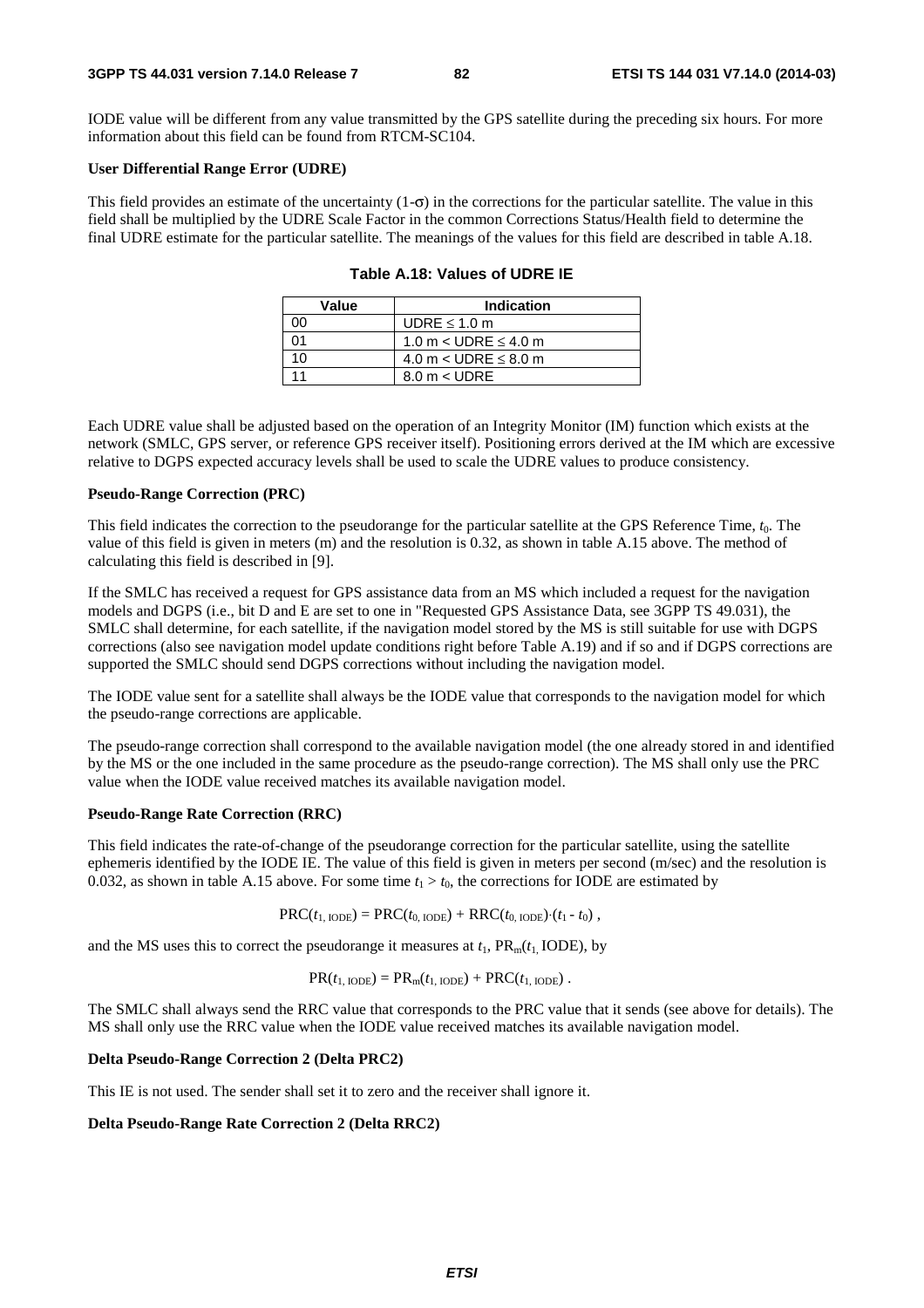IODE value will be different from any value transmitted by the GPS satellite during the preceding six hours. For more information about this field can be found from RTCM-SC104.

#### **User Differential Range Error (UDRE)**

This field provides an estimate of the uncertainty  $(1-\sigma)$  in the corrections for the particular satellite. The value in this field shall be multiplied by the UDRE Scale Factor in the common Corrections Status/Health field to determine the final UDRE estimate for the particular satellite. The meanings of the values for this field are described in table A.18.

| Value | <b>Indication</b>           |
|-------|-----------------------------|
| ററ    | UDRE $\leq 1.0$ m           |
| ሰ1    | 1.0 m $<$ UDRE $\leq$ 4.0 m |
| 10    | 4.0 m $<$ UDRE $\leq$ 8.0 m |
|       | $8.0 m <$ UDRE              |

|  |  |  |  | Table A.18: Values of UDRE IE |  |
|--|--|--|--|-------------------------------|--|
|--|--|--|--|-------------------------------|--|

Each UDRE value shall be adjusted based on the operation of an Integrity Monitor (IM) function which exists at the network (SMLC, GPS server, or reference GPS receiver itself). Positioning errors derived at the IM which are excessive relative to DGPS expected accuracy levels shall be used to scale the UDRE values to produce consistency.

#### **Pseudo-Range Correction (PRC)**

This field indicates the correction to the pseudorange for the particular satellite at the GPS Reference Time, *t*0. The value of this field is given in meters (m) and the resolution is 0.32, as shown in table A.15 above. The method of calculating this field is described in [9].

If the SMLC has received a request for GPS assistance data from an MS which included a request for the navigation models and DGPS (i.e., bit D and E are set to one in "Requested GPS Assistance Data, see 3GPP TS 49.031), the SMLC shall determine, for each satellite, if the navigation model stored by the MS is still suitable for use with DGPS corrections (also see navigation model update conditions right before Table A.19) and if so and if DGPS corrections are supported the SMLC should send DGPS corrections without including the navigation model.

The IODE value sent for a satellite shall always be the IODE value that corresponds to the navigation model for which the pseudo-range corrections are applicable.

The pseudo-range correction shall correspond to the available navigation model (the one already stored in and identified by the MS or the one included in the same procedure as the pseudo-range correction). The MS shall only use the PRC value when the IODE value received matches its available navigation model.

#### **Pseudo-Range Rate Correction (RRC)**

This field indicates the rate-of-change of the pseudorange correction for the particular satellite, using the satellite ephemeris identified by the IODE IE. The value of this field is given in meters per second (m/sec) and the resolution is 0.032, as shown in table A.15 above. For some time  $t_1 > t_0$ , the corrections for IODE are estimated by

$$
PRC(t_{1,\text{IODE}}) = PRC(t_{0,\text{IODE}}) + RRC(t_{0,\text{IODE}}) (t_1 - t_0),
$$

and the MS uses this to correct the pseudorange it measures at  $t_1$ ,  $PR_m(t_1 \text{ IODE})$ , by

$$
PR(t_{1,\text{IODE}}) = PR_{m}(t_{1,\text{IODE}}) + PRC(t_{1,\text{IODE}}).
$$

The SMLC shall always send the RRC value that corresponds to the PRC value that it sends (see above for details). The MS shall only use the RRC value when the IODE value received matches its available navigation model.

### **Delta Pseudo-Range Correction 2 (Delta PRC2)**

This IE is not used. The sender shall set it to zero and the receiver shall ignore it.

#### **Delta Pseudo-Range Rate Correction 2 (Delta RRC2)**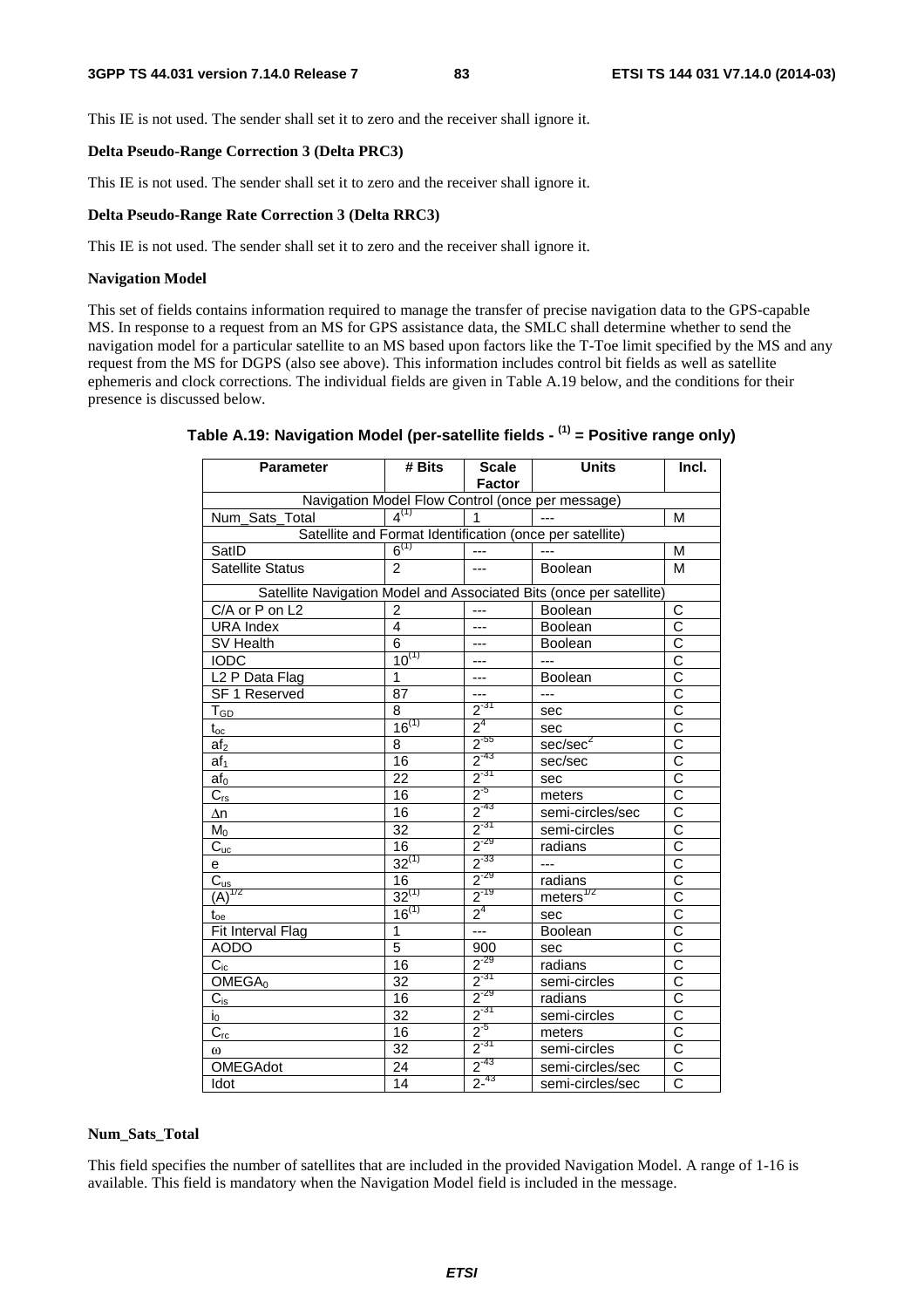This IE is not used. The sender shall set it to zero and the receiver shall ignore it.

#### **Delta Pseudo-Range Correction 3 (Delta PRC3)**

This IE is not used. The sender shall set it to zero and the receiver shall ignore it.

## **Delta Pseudo-Range Rate Correction 3 (Delta RRC3)**

This IE is not used. The sender shall set it to zero and the receiver shall ignore it.

### **Navigation Model**

This set of fields contains information required to manage the transfer of precise navigation data to the GPS-capable MS. In response to a request from an MS for GPS assistance data, the SMLC shall determine whether to send the navigation model for a particular satellite to an MS based upon factors like the T-Toe limit specified by the MS and any request from the MS for DGPS (also see above). This information includes control bit fields as well as satellite ephemeris and clock corrections. The individual fields are given in Table A.19 below, and the conditions for their presence is discussed below.

| <b>Parameter</b>                | # Bits          | <b>Scale</b><br><b>Factor</b> | <b>Units</b>                                                        | Incl.                     |
|---------------------------------|-----------------|-------------------------------|---------------------------------------------------------------------|---------------------------|
|                                 |                 |                               | Navigation Model Flow Control (once per message)                    |                           |
| Num Sats_Total                  | $4^{(1)}$       | 1                             | $\sim$                                                              | M                         |
|                                 |                 |                               | Satellite and Format Identification (once per satellite)            |                           |
| SatID                           | $6^{(1)}$       | $\overline{a}$                | $\frac{1}{2}$                                                       | М                         |
| <b>Satellite Status</b>         | $\mathcal{P}$   | ---                           | Boolean                                                             | M                         |
|                                 |                 |                               | Satellite Navigation Model and Associated Bits (once per satellite) |                           |
| C/A or P on L2                  | $\overline{2}$  | $---$                         | Boolean                                                             | С                         |
| <b>URA</b> Index                | 4               | $\overline{a}$                | Boolean                                                             | $\overline{\text{c}}$     |
| SV Health                       | 6               | ---                           | <b>Boolean</b>                                                      | $\overline{C}$            |
| <b>IODC</b>                     | $10^{(1)}$      | ---                           | $\overline{a}$                                                      | $\overline{\text{c}}$     |
| L <sub>2</sub> P Data Flag      | 1               | ---                           | Boolean                                                             | $\overline{C}$            |
| SF 1 Reserved                   | 87              | $---$                         | $---$                                                               | $\overline{\text{c}}$     |
| $\mathsf{T}_{\mathsf{GD}}$      | 8               | $2^{31}$                      | sec                                                                 | $\overline{\text{c}}$     |
| $\mathfrak{t}_{\mathrm{oc}}$    | $16^{(1)}$      | 2 <sup>4</sup>                | sec                                                                 | $\overline{\text{c}}$     |
| af <sub>2</sub>                 | 8               | $2^{-55}$                     | sec/sec <sup>2</sup>                                                | $\overline{\overline{c}}$ |
| af <sub>1</sub>                 | 16              | $2^{-43}$                     | sec/sec                                                             | $\overline{\text{c}}$     |
| af∩                             | $\overline{22}$ |                               | sec                                                                 | $\overline{\text{c}}$     |
| $\overline{C}_{\underline{rs}}$ | 16              | $\frac{2^{37}}{2^{5}}$        | meters                                                              | $\overline{\text{c}}$     |
| Δn                              | 16              | $2^{-43}$                     | semi-circles/sec                                                    | $\overline{\text{c}}$     |
| $M_0$                           | $\overline{32}$ | $2^{-31}$                     | semi-circles                                                        | $\overline{\text{c}}$     |
| $\overline{C}_{\underline{uc}}$ | 16              | $2^{-29}$                     | radians                                                             | $\overline{\text{c}}$     |
| e                               | $32^{(1)}$      | $2^{-33}$                     | $---$                                                               | $\overline{\rm c}$        |
| $\overline{C}_{us}$             | 16              | $2^{-29}$                     | radians                                                             | $\overline{\text{c}}$     |
| $\overline{(A)}^{1/2}$          | $32^{(1)}$      | $2^{-19}$                     | meters $^{1/2}$                                                     | $\overline{\text{c}}$     |
| $\mathfrak{t}_{\text{oe}}$      | $16^{(1)}$      | $2^4$                         | sec                                                                 | $\overline{\text{c}}$     |
| Fit Interval Flag               | $\mathbf{1}$    |                               | Boolean                                                             | $\overline{\text{c}}$     |
| <b>AODO</b>                     | 5               | 900                           | sec                                                                 | $\overline{\text{c}}$     |
| $C_{ic}$                        | 16              | $2^{-29}$                     | radians                                                             | $\overline{\text{c}}$     |
| OMEGA <sub>0</sub>              | $\overline{32}$ | $2^{-31}$                     | semi-circles                                                        | $\overline{\text{c}}$     |
| $C_{is}$                        | 16              | $2^{-29}$                     | radians                                                             | $\overline{\text{c}}$     |
| $\mathsf{i}_0$                  | $\overline{32}$ | $2^{31}$                      | semi-circles                                                        | C                         |
| $C_{rc}$                        | 16              | $2^{5}$                       | meters                                                              | $\overline{\text{c}}$     |
| ω                               | 32              | $2^{31}$                      | semi-circles                                                        | $\overline{\text{c}}$     |
| <b>OMEGAdot</b>                 | 24              | $2^{-43}$                     | semi-circles/sec                                                    | $\overline{C}$            |
| Idot                            | 14              | $2^{-43}$                     | semi-circles/sec                                                    | $\overline{C}$            |

## **Table A.19: Navigation Model (per-satellite fields - (1) = Positive range only)**

#### **Num\_Sats\_Total**

This field specifies the number of satellites that are included in the provided Navigation Model. A range of 1-16 is available. This field is mandatory when the Navigation Model field is included in the message.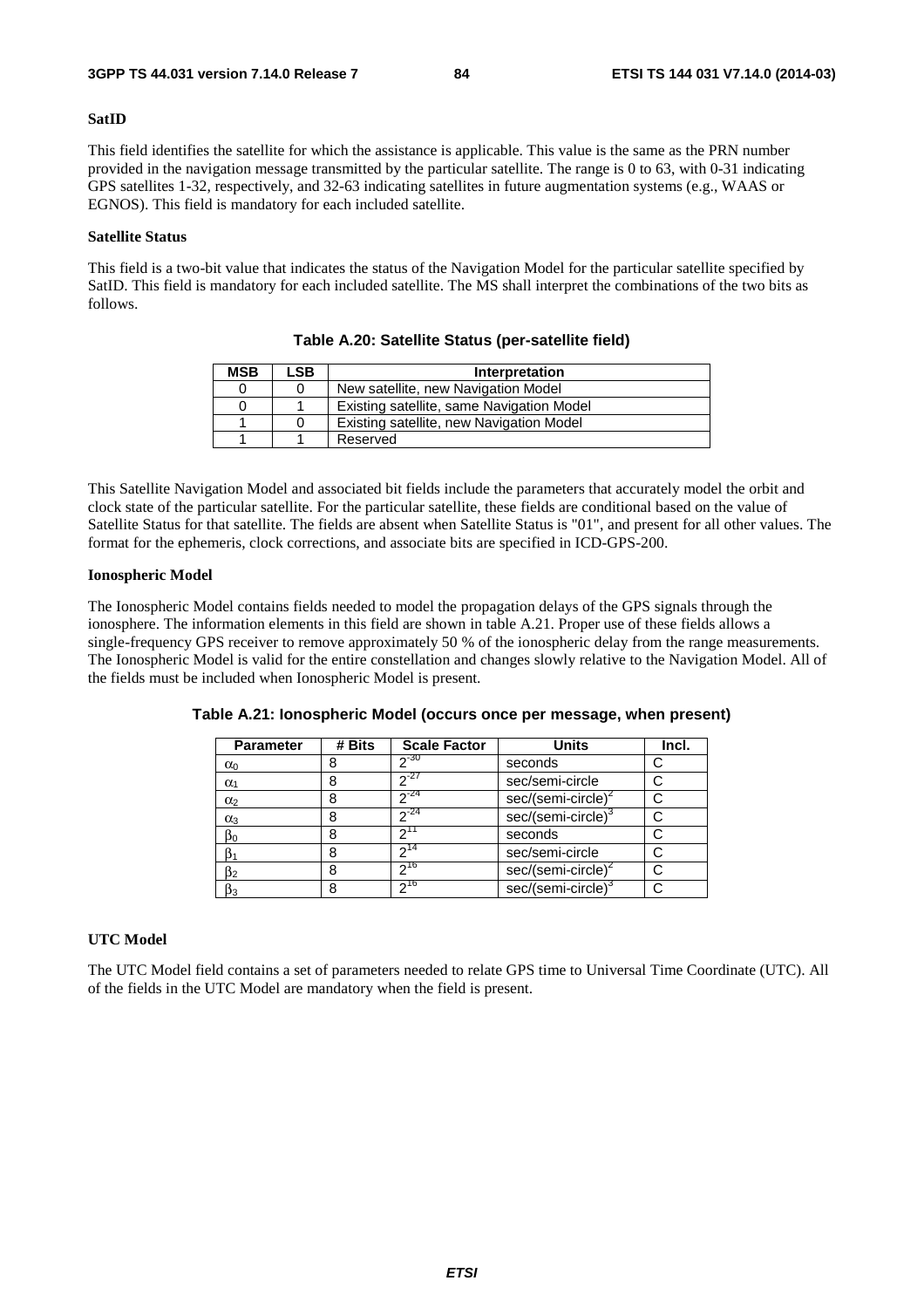#### **SatID**

This field identifies the satellite for which the assistance is applicable. This value is the same as the PRN number provided in the navigation message transmitted by the particular satellite. The range is 0 to 63, with 0-31 indicating GPS satellites 1-32, respectively, and 32-63 indicating satellites in future augmentation systems (e.g., WAAS or EGNOS). This field is mandatory for each included satellite.

### **Satellite Status**

This field is a two-bit value that indicates the status of the Navigation Model for the particular satellite specified by SatID. This field is mandatory for each included satellite. The MS shall interpret the combinations of the two bits as follows.

| <b>MSB</b> | ∟SB. | Interpretation                            |
|------------|------|-------------------------------------------|
|            |      | New satellite, new Navigation Model       |
| 0          |      | Existing satellite, same Navigation Model |
|            |      | Existing satellite, new Navigation Model  |
|            |      | Reserved                                  |

**Table A.20: Satellite Status (per-satellite field)** 

This Satellite Navigation Model and associated bit fields include the parameters that accurately model the orbit and clock state of the particular satellite. For the particular satellite, these fields are conditional based on the value of Satellite Status for that satellite. The fields are absent when Satellite Status is "01", and present for all other values. The format for the ephemeris, clock corrections, and associate bits are specified in ICD-GPS-200.

#### **Ionospheric Model**

The Ionospheric Model contains fields needed to model the propagation delays of the GPS signals through the ionosphere. The information elements in this field are shown in table A.21. Proper use of these fields allows a single-frequency GPS receiver to remove approximately 50 % of the ionospheric delay from the range measurements. The Ionospheric Model is valid for the entire constellation and changes slowly relative to the Navigation Model. All of the fields must be included when Ionospheric Model is present.

| <b>Parameter</b> | # Bits | <b>Scale Factor</b> | <b>Units</b>                   | Incl. |
|------------------|--------|---------------------|--------------------------------|-------|
| $\alpha_0$       | 8      | $2^{-30}$           | seconds                        |       |
| $\alpha_1$       | 8      | $2^{27}$            | sec/semi-circle                |       |
| $\alpha_2$       | 8      | $2^{-24}$           | $sec/(semi-circle)^2$          |       |
| $\alpha_3$       | 8      | $2^{-24}$           | sec/(semi-circle) <sup>3</sup> |       |
| $\beta_0$        | 8      | 11 ص                | seconds                        |       |
|                  | 8      | 14                  | sec/semi-circle                |       |
| $\beta_2$        | 8      | $2^{16}$            | sec/(semi-circle) <sup>2</sup> |       |
| $\beta_3$        | 8      | $2^{16}$            | sec/(semi-circle) <sup>3</sup> |       |

**Table A.21: Ionospheric Model (occurs once per message, when present)** 

## **UTC Model**

The UTC Model field contains a set of parameters needed to relate GPS time to Universal Time Coordinate (UTC). All of the fields in the UTC Model are mandatory when the field is present.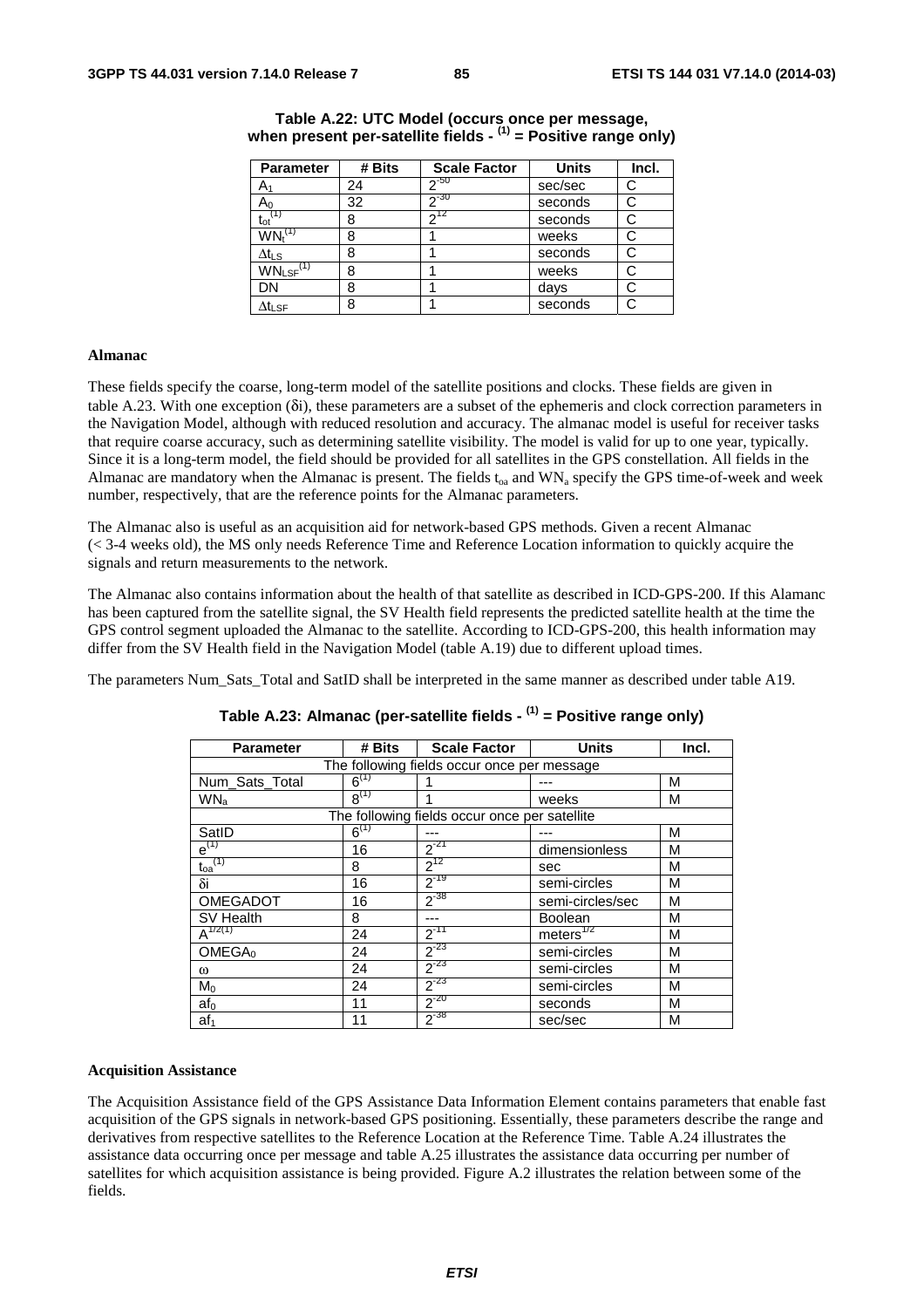| <b>Parameter</b>                      | # Bits | <b>Scale Factor</b> | <b>Units</b> | Incl. |
|---------------------------------------|--------|---------------------|--------------|-------|
| A٠                                    | 24     | $2^{-50}$           | sec/sec      | C     |
| Aი                                    | 32     | $20 - 30$           | seconds      | С     |
| $\mathfrak{t}_{\mathrm{ot}}$          | 8      | 712                 | seconds      | С     |
| $\mathsf{WN}_{\mathsf{t}}^\mathsf{C}$ | 8      |                     | weeks        | С     |
| $\Delta t_{LS}$                       | 8      |                     | seconds      | С     |
| $WN_{LSF}$ <sup>(1)</sup>             | 8      |                     | weeks        |       |
| DN                                    | 8      |                     | days         |       |
| $\Delta t_{\text{LSF}}$               | 8      |                     | seconds      | С     |

## **Table A.22: UTC Model (occurs once per message, when present per-satellite fields - (1) = Positive range only)**

#### **Almanac**

These fields specify the coarse, long-term model of the satellite positions and clocks. These fields are given in table A.23. With one exception (δi), these parameters are a subset of the ephemeris and clock correction parameters in the Navigation Model, although with reduced resolution and accuracy. The almanac model is useful for receiver tasks that require coarse accuracy, such as determining satellite visibility. The model is valid for up to one year, typically. Since it is a long-term model, the field should be provided for all satellites in the GPS constellation. All fields in the Almanac are mandatory when the Almanac is present. The fields  $t_{0a}$  and WN<sub>a</sub> specify the GPS time-of-week and week number, respectively, that are the reference points for the Almanac parameters.

The Almanac also is useful as an acquisition aid for network-based GPS methods. Given a recent Almanac (< 3-4 weeks old), the MS only needs Reference Time and Reference Location information to quickly acquire the signals and return measurements to the network.

The Almanac also contains information about the health of that satellite as described in ICD-GPS-200. If this Alamanc has been captured from the satellite signal, the SV Health field represents the predicted satellite health at the time the GPS control segment uploaded the Almanac to the satellite. According to ICD-GPS-200, this health information may differ from the SV Health field in the Navigation Model (table A.19) due to different upload times.

The parameters Num\_Sats\_Total and SatID shall be interpreted in the same manner as described under table A19.

| <b>Parameter</b>                 | # Bits    | <b>Scale Factor</b>                           | <b>Units</b>     | Incl. |
|----------------------------------|-----------|-----------------------------------------------|------------------|-------|
|                                  |           | The following fields occur once per message   |                  |       |
| Num_Sats_Total                   | $6^{(1)}$ |                                               |                  | М     |
| WN <sub>a</sub>                  | $R^{(1)}$ | 1                                             | weeks            | M     |
|                                  |           | The following fields occur once per satellite |                  |       |
| SatID                            | $6^{(1)}$ |                                               |                  | M     |
| $e^{(1)}$                        | 16        | $2^{-21}$                                     | dimensionless    | M     |
| $\mathfrak{t}_{\text{oa}}^{(1)}$ | 8         | $2^{12}$                                      | sec              | M     |
| δi                               | 16        | $2^{-19}$                                     | semi-circles     | M     |
| OMEGADOT                         | 16        | $2^{-38}$                                     | semi-circles/sec | M     |
| SV Health                        | 8         |                                               | <b>Boolean</b>   | M     |
| $A^{1/2(1)}$                     | 24        | $2^{-11}$                                     | meters $^{1/2}$  | М     |
| OMEGA <sub>0</sub>               | 24        | $2^{-23}$                                     | semi-circles     | M     |
| ω                                | 24        | $2^{-23}$                                     | semi-circles     | M     |
| $M_0$                            | 24        | $2^{-23}$                                     | semi-circles     | M     |
| $af_0$                           | 11        | $2^{-20}$                                     | seconds          | M     |
| af <sub>1</sub>                  | 11        | $2^{-38}$                                     | sec/sec          | M     |

## **Table A.23: Almanac (per-satellite fields - (1) = Positive range only)**

#### **Acquisition Assistance**

The Acquisition Assistance field of the GPS Assistance Data Information Element contains parameters that enable fast acquisition of the GPS signals in network-based GPS positioning. Essentially, these parameters describe the range and derivatives from respective satellites to the Reference Location at the Reference Time. Table A.24 illustrates the assistance data occurring once per message and table A.25 illustrates the assistance data occurring per number of satellites for which acquisition assistance is being provided. Figure A.2 illustrates the relation between some of the fields.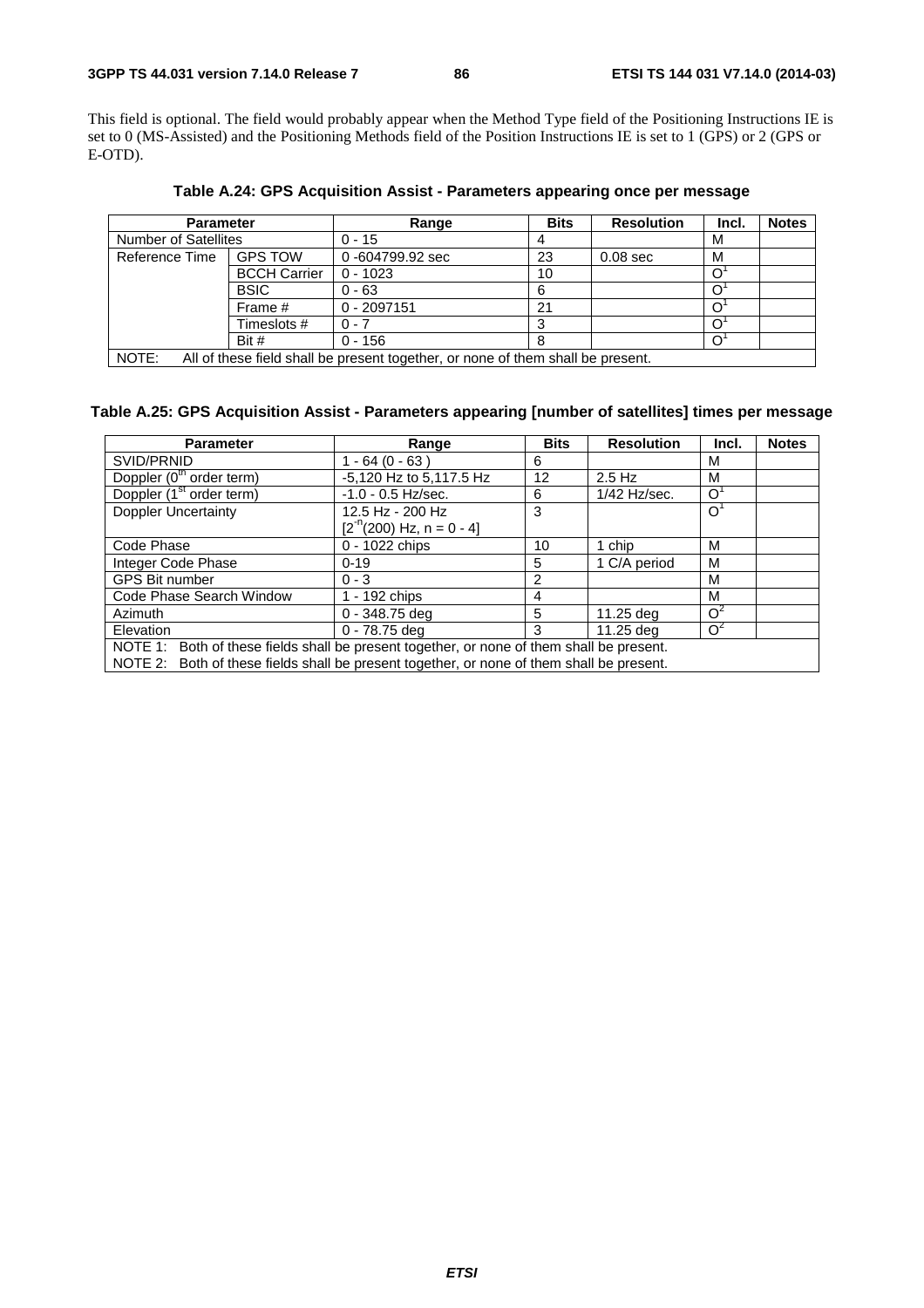## **3GPP TS 44.031 version 7.14.0 Release 7 86 ETSI TS 144 031 V7.14.0 (2014-03)**

This field is optional. The field would probably appear when the Method Type field of the Positioning Instructions IE is set to 0 (MS-Assisted) and the Positioning Methods field of the Position Instructions IE is set to 1 (GPS) or 2 (GPS or E-OTD).

| <b>Parameter</b>                                                                         |                     | Range           | <b>Bits</b> | <b>Resolution</b> | Incl. | <b>Notes</b> |
|------------------------------------------------------------------------------------------|---------------------|-----------------|-------------|-------------------|-------|--------------|
| <b>Number of Satellites</b>                                                              |                     | $0 - 15$        |             |                   | M     |              |
| Reference Time                                                                           | <b>GPS TOW</b>      | 0-604799.92 sec | 23          | $0.08$ sec        | М     |              |
|                                                                                          | <b>BCCH Carrier</b> | $0 - 1023$      | 10          |                   |       |              |
|                                                                                          | <b>BSIC</b>         | $0 - 63$        | 6           |                   |       |              |
|                                                                                          | Frame #             | $0 - 2097151$   | 21          |                   |       |              |
|                                                                                          | Timeslots #         | $0 - 7$         |             |                   |       |              |
|                                                                                          | Bit #               | $0 - 156$       |             |                   |       |              |
| NOTE:<br>All of these field shall be present together, or none of them shall be present. |                     |                 |             |                   |       |              |

**Table A.24: GPS Acquisition Assist - Parameters appearing once per message** 

NOTE: All of these field shall be present together, or none of them shall be present.

## **Table A.25: GPS Acquisition Assist - Parameters appearing [number of satellites] times per message**

| <b>Parameter</b>                                                                          | Range                        | <b>Bits</b> | <b>Resolution</b> | Incl.          | <b>Notes</b> |  |
|-------------------------------------------------------------------------------------------|------------------------------|-------------|-------------------|----------------|--------------|--|
| SVID/PRNID                                                                                | $1 - 64 (0 - 63)$            | 6           |                   | М              |              |  |
| Doppler (0 <sup>th</sup> order term)                                                      | -5,120 Hz to 5,117.5 Hz      | 12          | $2.5$ Hz          | м              |              |  |
| Doppler (1 <sup>st</sup> order term)                                                      | $-1.0 - 0.5$ Hz/sec.         | 6           | 1/42 Hz/sec.      | $\Omega$       |              |  |
| <b>Doppler Uncertainty</b>                                                                | 12.5 Hz - 200 Hz             | 3           |                   | $\overline{O}$ |              |  |
|                                                                                           | $[2^{n}(200)$ Hz, n = 0 - 4] |             |                   |                |              |  |
| Code Phase                                                                                | 0 - 1022 chips               | 10          | 1 chip            | M              |              |  |
| Integer Code Phase                                                                        | $0 - 19$                     | 5           | 1 C/A period      | M              |              |  |
| <b>GPS Bit number</b>                                                                     | $0 - 3$                      | 2           |                   | М              |              |  |
| Code Phase Search Window                                                                  | 1 - 192 chips                | 4           |                   | м              |              |  |
| <b>Azimuth</b>                                                                            | $0 - 348.75$ deg             | 5           | 11.25 deg         | O <sup>2</sup> |              |  |
| Elevation                                                                                 | 0 - 78.75 deg                | 3           | 11.25 deg         | $O^2$          |              |  |
| NOTE 1: Both of these fields shall be present together, or none of them shall be present. |                              |             |                   |                |              |  |
| NOTE 2: Both of these fields shall be present together, or none of them shall be present. |                              |             |                   |                |              |  |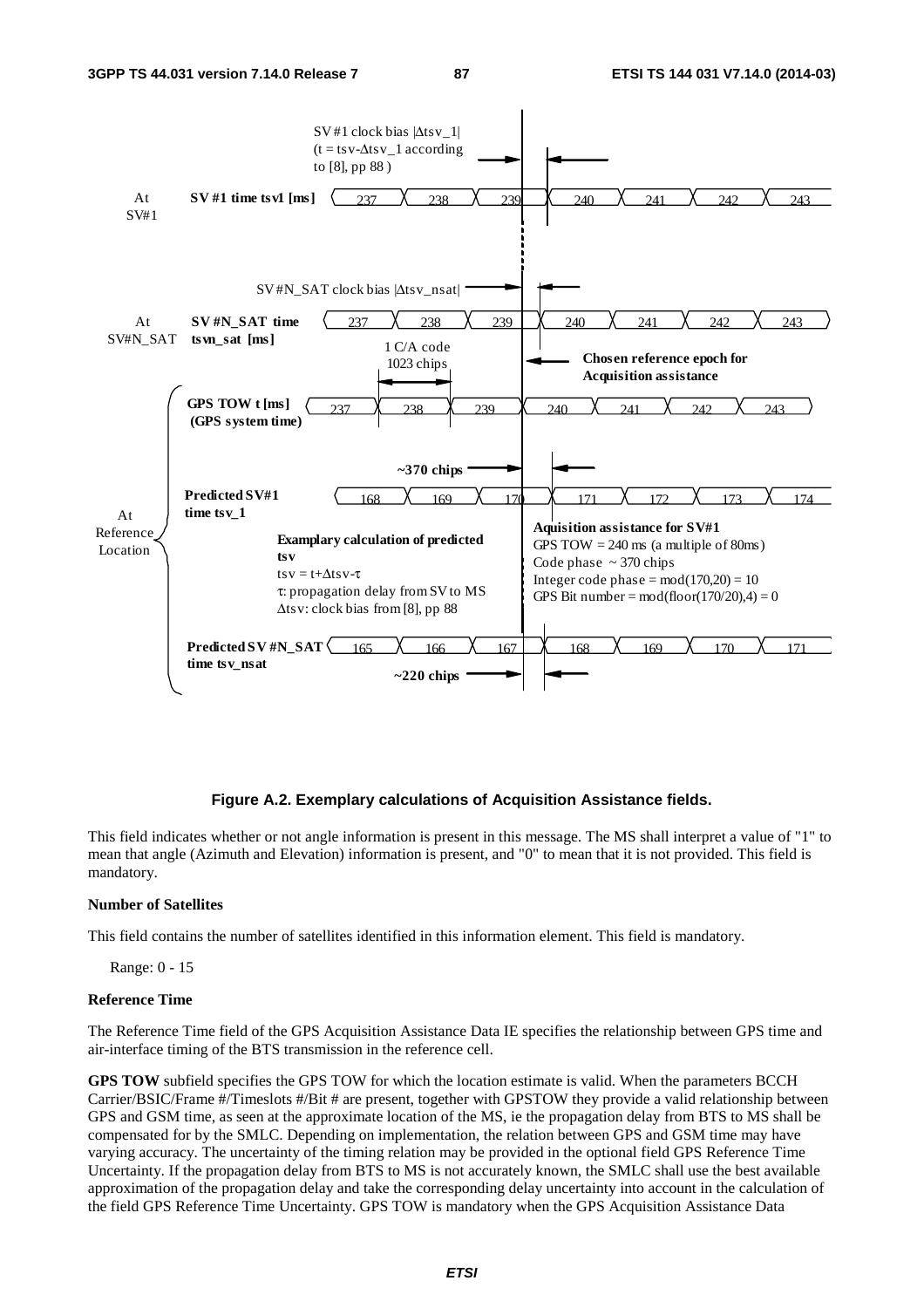

#### **Figure A.2. Exemplary calculations of Acquisition Assistance fields.**

This field indicates whether or not angle information is present in this message. The MS shall interpret a value of "1" to mean that angle (Azimuth and Elevation) information is present, and "0" to mean that it is not provided. This field is mandatory.

#### **Number of Satellites**

This field contains the number of satellites identified in this information element. This field is mandatory.

Range: 0 - 15

#### **Reference Time**

The Reference Time field of the GPS Acquisition Assistance Data IE specifies the relationship between GPS time and air-interface timing of the BTS transmission in the reference cell.

**GPS TOW** subfield specifies the GPS TOW for which the location estimate is valid. When the parameters BCCH Carrier/BSIC/Frame #/Timeslots #/Bit # are present, together with GPSTOW they provide a valid relationship between GPS and GSM time, as seen at the approximate location of the MS, ie the propagation delay from BTS to MS shall be compensated for by the SMLC. Depending on implementation, the relation between GPS and GSM time may have varying accuracy. The uncertainty of the timing relation may be provided in the optional field GPS Reference Time Uncertainty. If the propagation delay from BTS to MS is not accurately known, the SMLC shall use the best available approximation of the propagation delay and take the corresponding delay uncertainty into account in the calculation of the field GPS Reference Time Uncertainty. GPS TOW is mandatory when the GPS Acquisition Assistance Data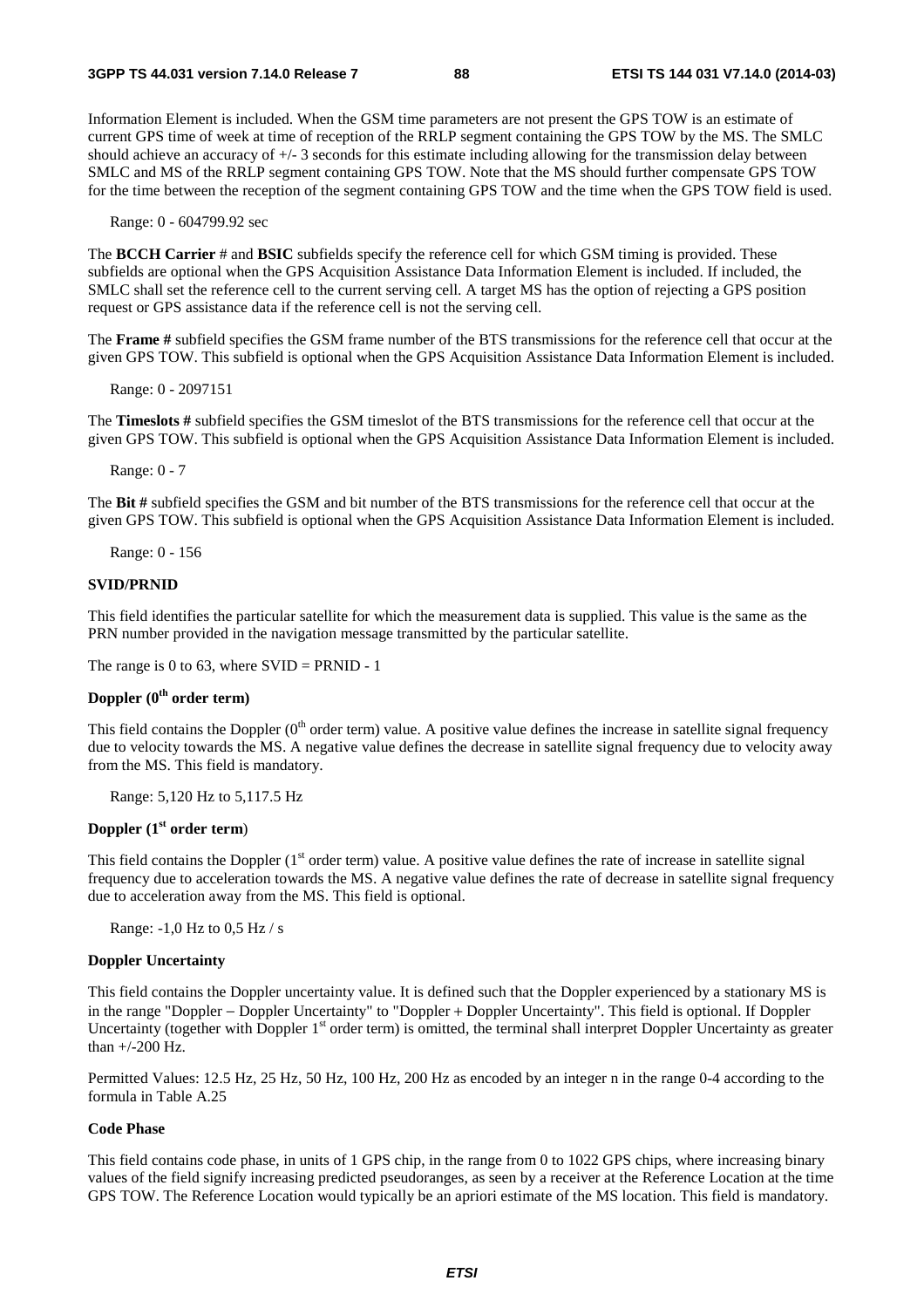Information Element is included. When the GSM time parameters are not present the GPS TOW is an estimate of current GPS time of week at time of reception of the RRLP segment containing the GPS TOW by the MS. The SMLC should achieve an accuracy of +/- 3 seconds for this estimate including allowing for the transmission delay between SMLC and MS of the RRLP segment containing GPS TOW. Note that the MS should further compensate GPS TOW for the time between the reception of the segment containing GPS TOW and the time when the GPS TOW field is used.

Range: 0 - 604799.92 sec

The **BCCH Carrier** # and **BSIC** subfields specify the reference cell for which GSM timing is provided. These subfields are optional when the GPS Acquisition Assistance Data Information Element is included. If included, the SMLC shall set the reference cell to the current serving cell. A target MS has the option of rejecting a GPS position request or GPS assistance data if the reference cell is not the serving cell.

The **Frame #** subfield specifies the GSM frame number of the BTS transmissions for the reference cell that occur at the given GPS TOW. This subfield is optional when the GPS Acquisition Assistance Data Information Element is included.

Range: 0 - 2097151

The **Timeslots #** subfield specifies the GSM timeslot of the BTS transmissions for the reference cell that occur at the given GPS TOW. This subfield is optional when the GPS Acquisition Assistance Data Information Element is included.

Range: 0 - 7

The **Bit #** subfield specifies the GSM and bit number of the BTS transmissions for the reference cell that occur at the given GPS TOW. This subfield is optional when the GPS Acquisition Assistance Data Information Element is included.

Range: 0 - 156

#### **SVID/PRNID**

This field identifies the particular satellite for which the measurement data is supplied. This value is the same as the PRN number provided in the navigation message transmitted by the particular satellite.

The range is 0 to 63, where  $SVID = PRNID - 1$ 

## **Doppler (0th order term)**

This field contains the Doppler  $(0<sup>th</sup>$  order term) value. A positive value defines the increase in satellite signal frequency due to velocity towards the MS. A negative value defines the decrease in satellite signal frequency due to velocity away from the MS. This field is mandatory.

Range: 5,120 Hz to 5,117.5 Hz

## **Doppler (1st order term**)

This field contains the Doppler  $(1<sup>st</sup> order term)$  value. A positive value defines the rate of increase in satellite signal frequency due to acceleration towards the MS. A negative value defines the rate of decrease in satellite signal frequency due to acceleration away from the MS. This field is optional.

Range: -1,0 Hz to 0,5 Hz / s

## **Doppler Uncertainty**

This field contains the Doppler uncertainty value. It is defined such that the Doppler experienced by a stationary MS is in the range "Doppler − Doppler Uncertainty" to "Doppler + Doppler Uncertainty". This field is optional. If Doppler Uncertainty (together with Doppler  $1<sup>st</sup>$  order term) is omitted, the terminal shall interpret Doppler Uncertainty as greater than +/-200 Hz.

Permitted Values: 12.5 Hz, 25 Hz, 50 Hz, 100 Hz, 200 Hz as encoded by an integer n in the range 0-4 according to the formula in Table A.25

## **Code Phase**

This field contains code phase, in units of 1 GPS chip, in the range from 0 to 1022 GPS chips, where increasing binary values of the field signify increasing predicted pseudoranges, as seen by a receiver at the Reference Location at the time GPS TOW. The Reference Location would typically be an apriori estimate of the MS location. This field is mandatory.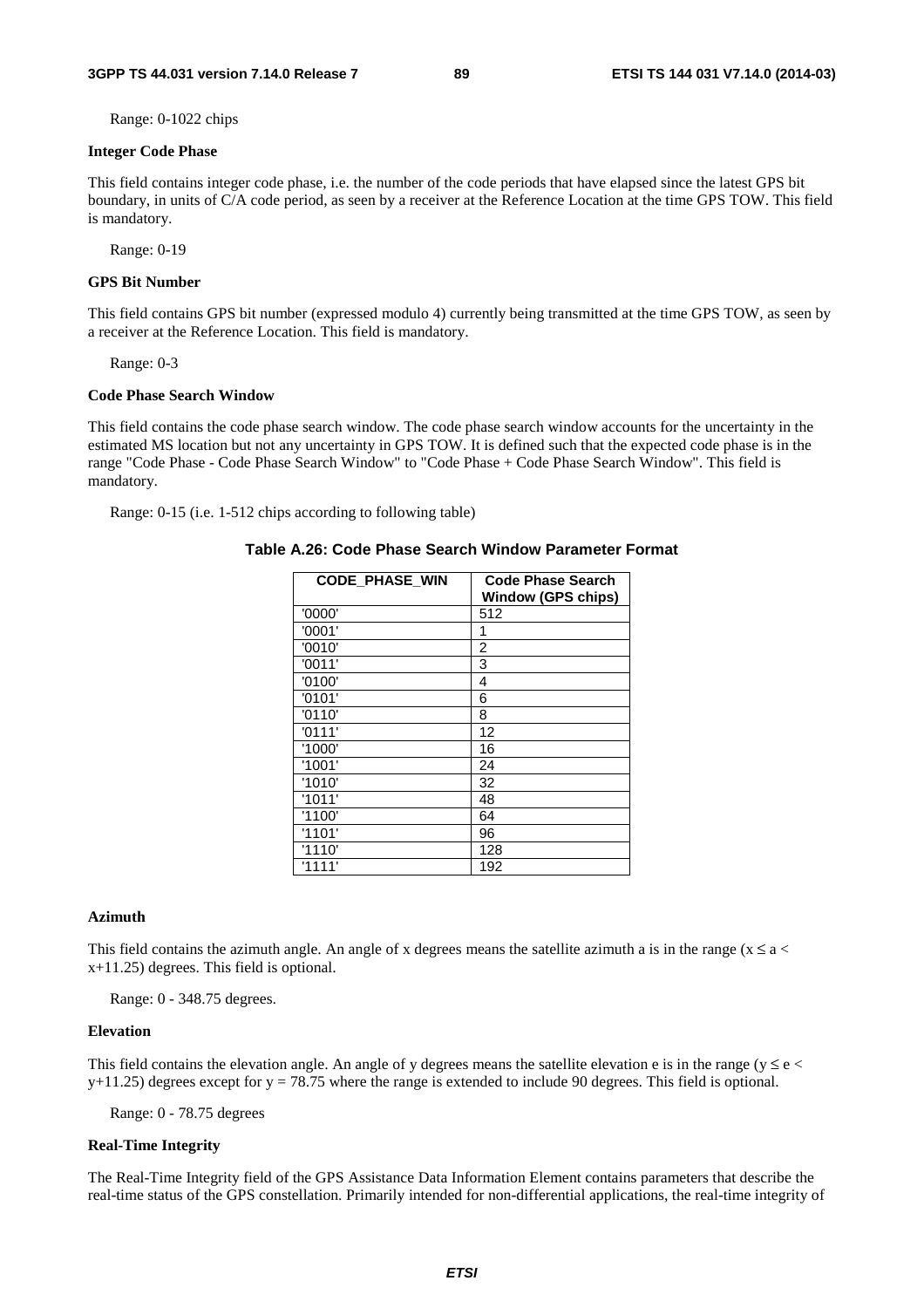Range: 0-1022 chips

#### **Integer Code Phase**

This field contains integer code phase, i.e. the number of the code periods that have elapsed since the latest GPS bit boundary, in units of C/A code period, as seen by a receiver at the Reference Location at the time GPS TOW. This field is mandatory.

Range: 0-19

#### **GPS Bit Number**

This field contains GPS bit number (expressed modulo 4) currently being transmitted at the time GPS TOW, as seen by a receiver at the Reference Location. This field is mandatory.

Range: 0-3

#### **Code Phase Search Window**

This field contains the code phase search window. The code phase search window accounts for the uncertainty in the estimated MS location but not any uncertainty in GPS TOW. It is defined such that the expected code phase is in the range "Code Phase - Code Phase Search Window" to "Code Phase + Code Phase Search Window". This field is mandatory.

Range: 0-15 (i.e. 1-512 chips according to following table)

#### **Table A.26: Code Phase Search Window Parameter Format**

| <b>CODE_PHASE_WIN</b> | <b>Code Phase Search</b><br><b>Window (GPS chips)</b> |
|-----------------------|-------------------------------------------------------|
| '0000'                | 512                                                   |
| '0001'                | 1                                                     |
| '0010'                | 2                                                     |
| '0011'                | 3                                                     |
| '0100'                | 4                                                     |
| '0101'                | 6                                                     |
| '0110'                | 8                                                     |
| '0111'                | 12                                                    |
| '1000'                | 16                                                    |
| '1001'                | 24                                                    |
| '1010'                | 32                                                    |
| '1011'                | 48                                                    |
| '1100'                | 64                                                    |
| '1101'                | 96                                                    |
| '1110'                | 128                                                   |
| '1111'                | 192                                                   |

### **Azimuth**

This field contains the azimuth angle. An angle of x degrees means the satellite azimuth a is in the range ( $x \le a$ x+11.25) degrees. This field is optional.

Range: 0 - 348.75 degrees.

#### **Elevation**

This field contains the elevation angle. An angle of y degrees means the satellite elevation e is in the range ( $y \le e$  $y+11.25$ ) degrees except for  $y = 78.75$  where the range is extended to include 90 degrees. This field is optional.

Range: 0 - 78.75 degrees

#### **Real-Time Integrity**

The Real-Time Integrity field of the GPS Assistance Data Information Element contains parameters that describe the real-time status of the GPS constellation. Primarily intended for non-differential applications, the real-time integrity of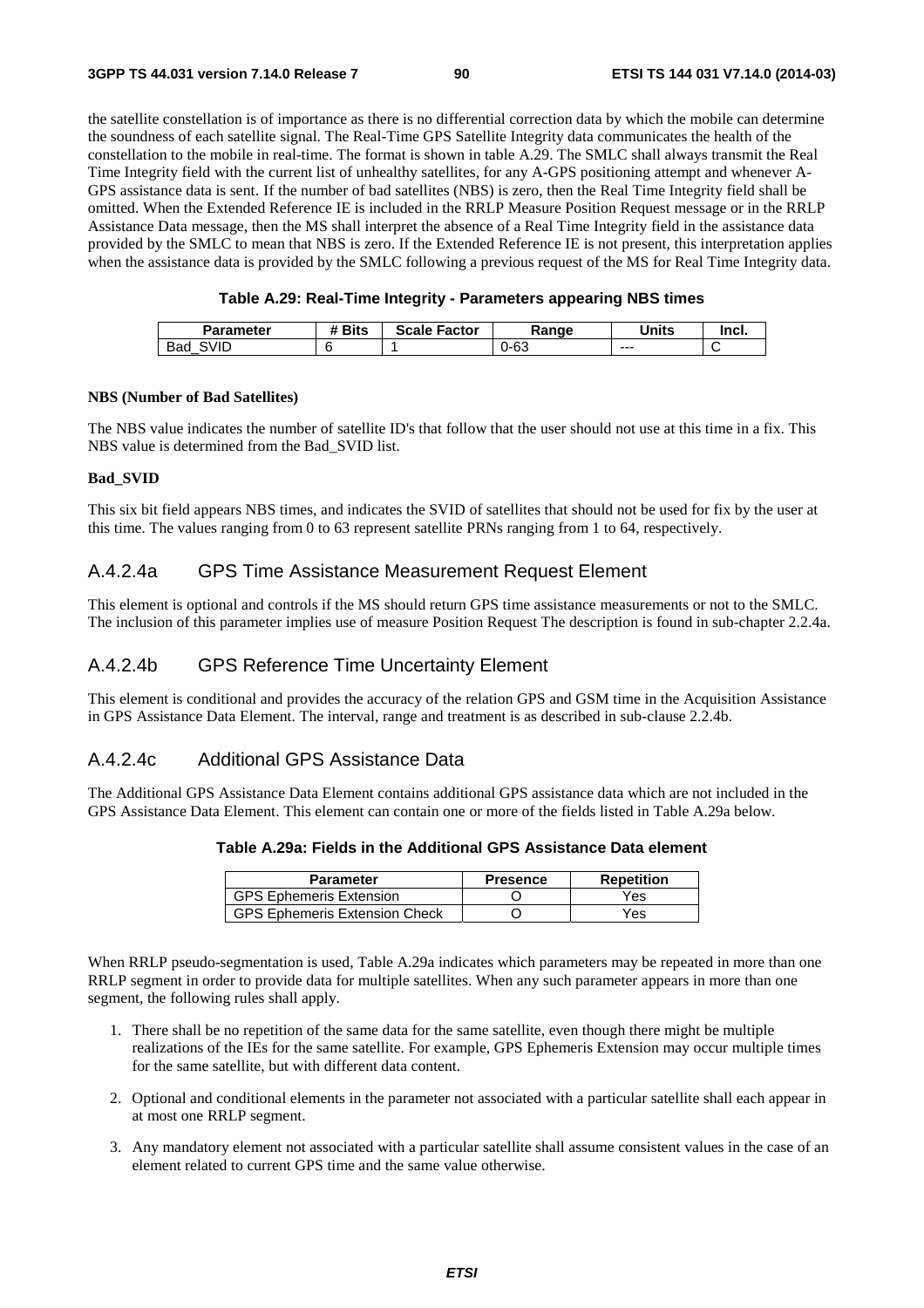#### **3GPP TS 44.031 version 7.14.0 Release 7 90 ETSI TS 144 031 V7.14.0 (2014-03)**

the satellite constellation is of importance as there is no differential correction data by which the mobile can determine the soundness of each satellite signal. The Real-Time GPS Satellite Integrity data communicates the health of the constellation to the mobile in real-time. The format is shown in table A.29. The SMLC shall always transmit the Real Time Integrity field with the current list of unhealthy satellites, for any A-GPS positioning attempt and whenever A-GPS assistance data is sent. If the number of bad satellites (NBS) is zero, then the Real Time Integrity field shall be omitted. When the Extended Reference IE is included in the RRLP Measure Position Request message or in the RRLP Assistance Data message, then the MS shall interpret the absence of a Real Time Integrity field in the assistance data provided by the SMLC to mean that NBS is zero. If the Extended Reference IE is not present, this interpretation applies when the assistance data is provided by the SMLC following a previous request of the MS for Real Time Integrity data.

| Parameter   | # Bits | <b>Scale</b><br>Factor | Range | <b>Jnits</b> | lncl. |
|-------------|--------|------------------------|-------|--------------|-------|
| 3VID<br>Bad |        |                        | 0-63  | $- - -$      |       |

#### **NBS (Number of Bad Satellites)**

The NBS value indicates the number of satellite ID's that follow that the user should not use at this time in a fix. This NBS value is determined from the Bad\_SVID list.

#### **Bad\_SVID**

This six bit field appears NBS times, and indicates the SVID of satellites that should not be used for fix by the user at this time. The values ranging from 0 to 63 represent satellite PRNs ranging from 1 to 64, respectively.

## A.4.2.4a GPS Time Assistance Measurement Request Element

This element is optional and controls if the MS should return GPS time assistance measurements or not to the SMLC. The inclusion of this parameter implies use of measure Position Request The description is found in sub-chapter 2.2.4a.

## A.4.2.4b GPS Reference Time Uncertainty Element

This element is conditional and provides the accuracy of the relation GPS and GSM time in the Acquisition Assistance in GPS Assistance Data Element. The interval, range and treatment is as described in sub-clause 2.2.4b.

## A.4.2.4c Additional GPS Assistance Data

The Additional GPS Assistance Data Element contains additional GPS assistance data which are not included in the GPS Assistance Data Element. This element can contain one or more of the fields listed in Table A.29a below.

| Table A.29a: Fields in the Additional GPS Assistance Data element |  |  |  |
|-------------------------------------------------------------------|--|--|--|
|-------------------------------------------------------------------|--|--|--|

| <b>Parameter</b>                     | <b>Presence</b> | Repetition |
|--------------------------------------|-----------------|------------|
| <b>GPS Ephemeris Extension</b>       |                 | Yes        |
| <b>GPS Ephemeris Extension Check</b> |                 | Yes        |

When RRLP pseudo-segmentation is used, Table A.29a indicates which parameters may be repeated in more than one RRLP segment in order to provide data for multiple satellites. When any such parameter appears in more than one segment, the following rules shall apply.

- 1. There shall be no repetition of the same data for the same satellite, even though there might be multiple realizations of the IEs for the same satellite. For example, GPS Ephemeris Extension may occur multiple times for the same satellite, but with different data content.
- 2. Optional and conditional elements in the parameter not associated with a particular satellite shall each appear in at most one RRLP segment.
- 3. Any mandatory element not associated with a particular satellite shall assume consistent values in the case of an element related to current GPS time and the same value otherwise.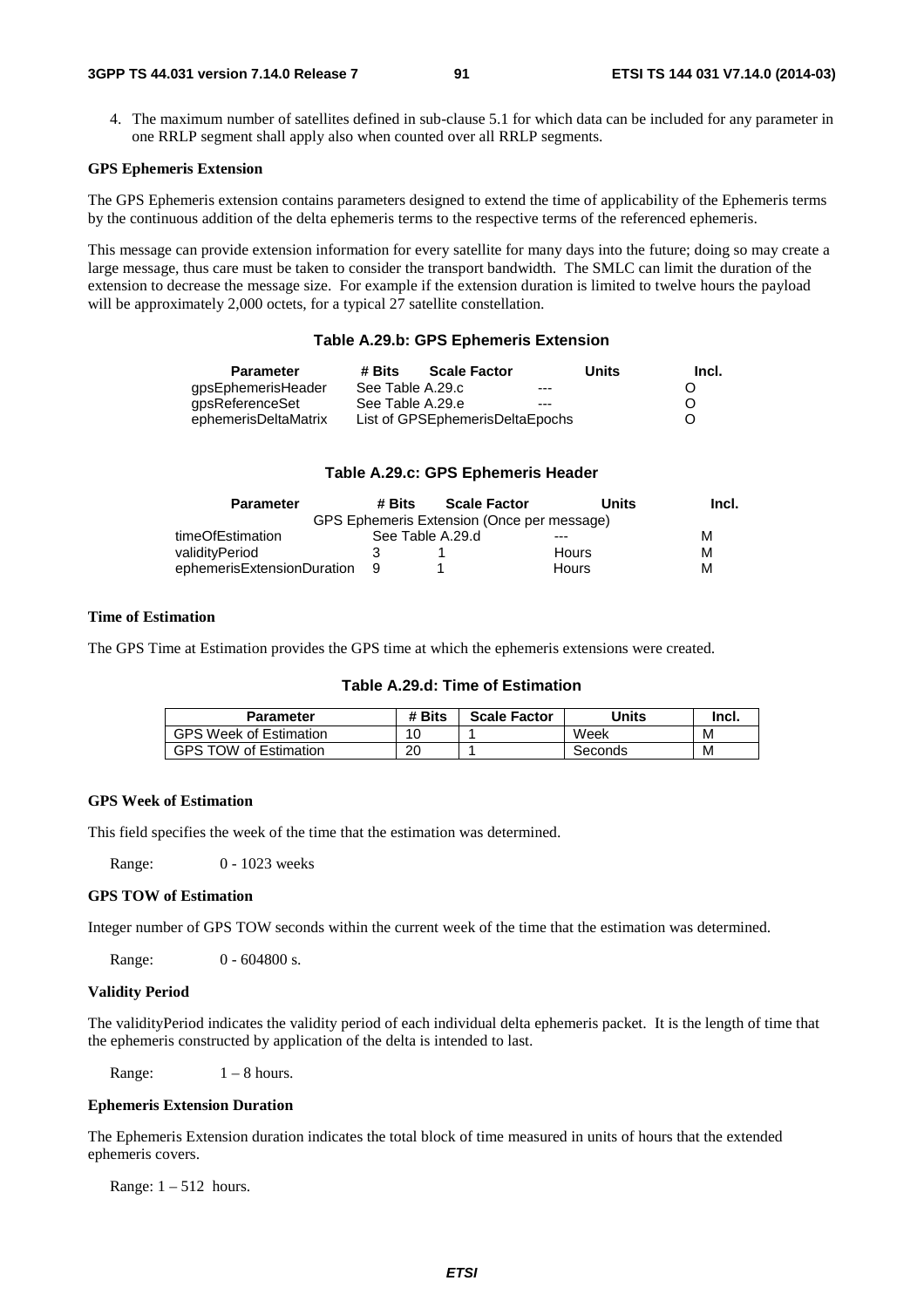4. The maximum number of satellites defined in sub-clause 5.1 for which data can be included for any parameter in one RRLP segment shall apply also when counted over all RRLP segments.

### **GPS Ephemeris Extension**

The GPS Ephemeris extension contains parameters designed to extend the time of applicability of the Ephemeris terms by the continuous addition of the delta ephemeris terms to the respective terms of the referenced ephemeris.

This message can provide extension information for every satellite for many days into the future; doing so may create a large message, thus care must be taken to consider the transport bandwidth. The SMLC can limit the duration of the extension to decrease the message size. For example if the extension duration is limited to twelve hours the payload will be approximately 2,000 octets, for a typical 27 satellite constellation.

## **Table A.29.b: GPS Ephemeris Extension**

| <b>Parameter</b>     | # Bits           | <b>Scale Factor</b>             |       | Units | Incl.            |
|----------------------|------------------|---------------------------------|-------|-------|------------------|
| qpsEphemerisHeader   | See Table A.29.c |                                 | $--$  |       | $\left( \right)$ |
| gpsReferenceSet      | See Table A.29.e |                                 | $---$ |       | O                |
| ephemerisDeltaMatrix |                  | List of GPSEphemerisDeltaEpochs |       |       | O                |

## **Table A.29.c: GPS Ephemeris Header**

| <b>Parameter</b>           | # Bits           | <b>Scale Factor</b>                        | Units        | Incl. |
|----------------------------|------------------|--------------------------------------------|--------------|-------|
|                            |                  | GPS Ephemeris Extension (Once per message) |              |       |
| timeOfEstimation           | See Table A.29.d |                                            | $- - -$      | M     |
| validitvPeriod             |                  |                                            | <b>Hours</b> | м     |
| ephemerisExtensionDuration |                  |                                            | Hours        | M     |

#### **Time of Estimation**

The GPS Time at Estimation provides the GPS time at which the ephemeris extensions were created.

## **Table A.29.d: Time of Estimation**

| Parameter                     | <b>Bits</b><br># | <b>Scale Factor</b> | Units   | Incl. |
|-------------------------------|------------------|---------------------|---------|-------|
| <b>GPS Week of Estimation</b> |                  |                     | Week    | M     |
| <b>GPS TOW of Estimation</b>  | ററ<br>۷J         |                     | Seconds | M     |

#### **GPS Week of Estimation**

This field specifies the week of the time that the estimation was determined.

Range: 0 - 1023 weeks

## **GPS TOW of Estimation**

Integer number of GPS TOW seconds within the current week of the time that the estimation was determined.

Range: 0 - 604800 s.

#### **Validity Period**

The validityPeriod indicates the validity period of each individual delta ephemeris packet. It is the length of time that the ephemeris constructed by application of the delta is intended to last.

Range:  $1 - 8$  hours.

#### **Ephemeris Extension Duration**

The Ephemeris Extension duration indicates the total block of time measured in units of hours that the extended ephemeris covers.

Range:  $1 - 512$  hours.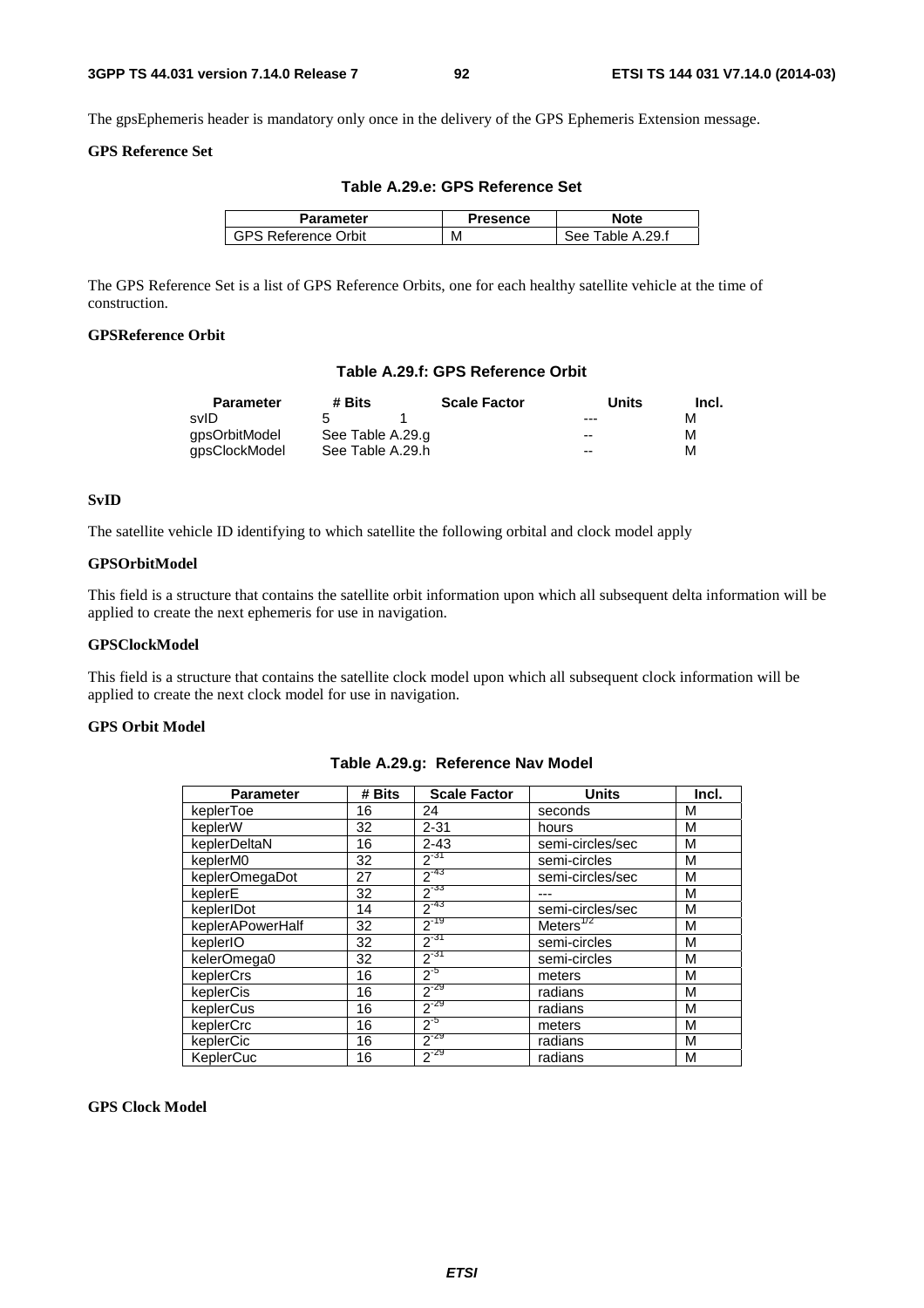The gpsEphemeris header is mandatory only once in the delivery of the GPS Ephemeris Extension message.

## **GPS Reference Set**

| Parameter                  | <b>Presence</b> | Note             |
|----------------------------|-----------------|------------------|
| <b>GPS Reference Orbit</b> | м               | See Table A.29.f |

**Table A.29.e: GPS Reference Set** 

The GPS Reference Set is a list of GPS Reference Orbits, one for each healthy satellite vehicle at the time of

## **GPSReference Orbit**

construction.

## **Table A.29.f: GPS Reference Orbit**

| <b>Parameter</b> | # Bits           | <b>Scale Factor</b> | Units | Incl. |
|------------------|------------------|---------------------|-------|-------|
| svID             |                  |                     | $---$ | м     |
| qpsOrbitModel    | See Table A.29.g |                     | $-$   | м     |
| gpsClockModel    | See Table A.29.h |                     | $-$   | м     |

## **SvID**

The satellite vehicle ID identifying to which satellite the following orbital and clock model apply

### **GPSOrbitModel**

This field is a structure that contains the satellite orbit information upon which all subsequent delta information will be applied to create the next ephemeris for use in navigation.

## **GPSClockModel**

This field is a structure that contains the satellite clock model upon which all subsequent clock information will be applied to create the next clock model for use in navigation.

## **GPS Orbit Model**

| <b>Parameter</b> | # Bits | <b>Scale Factor</b> | <b>Units</b>     | Incl. |
|------------------|--------|---------------------|------------------|-------|
| keplerToe        | 16     | 24                  | seconds          | М     |
| keplerW          | 32     | $2 - 31$            | hours            | M     |
| keplerDeltaN     | 16     | $2 - 43$            | semi-circles/sec | M     |
| keplerM0         | 32     | $2^{-31}$           | semi-circles     | M     |
| keplerOmegaDot   | 27     | $2^{-43}$           | semi-circles/sec | M     |
| keplerE          | 32     | $2^{-33}$           |                  | М     |
| keplerIDot       | 14     | $2^{-43}$           | semi-circles/sec | M     |
| keplerAPowerHalf | 32     | $2^{-19}$           | Meters $^{772}$  | M     |
| keplerIO         | 32     | $2^{-31}$           | semi-circles     | M     |
| kelerOmega0      | 32     | $2^{-31}$           | semi-circles     | M     |
| keplerCrs        | 16     | $2^{-5}$            | meters           | M     |
| keplerCis        | 16     | $2^{-29}$           | radians          | M     |
| keplerCus        | 16     | $2^{-29}$           | radians          | M     |
| keplerCrc        | 16     | $2^{5}$             | meters           | M     |
| keplerCic        | 16     | $2^{-29}$           | radians          | M     |
| KeplerCuc        | 16     | $2^{-29}$           | radians          | М     |

### **Table A.29.g: Reference Nav Model**

#### **GPS Clock Model**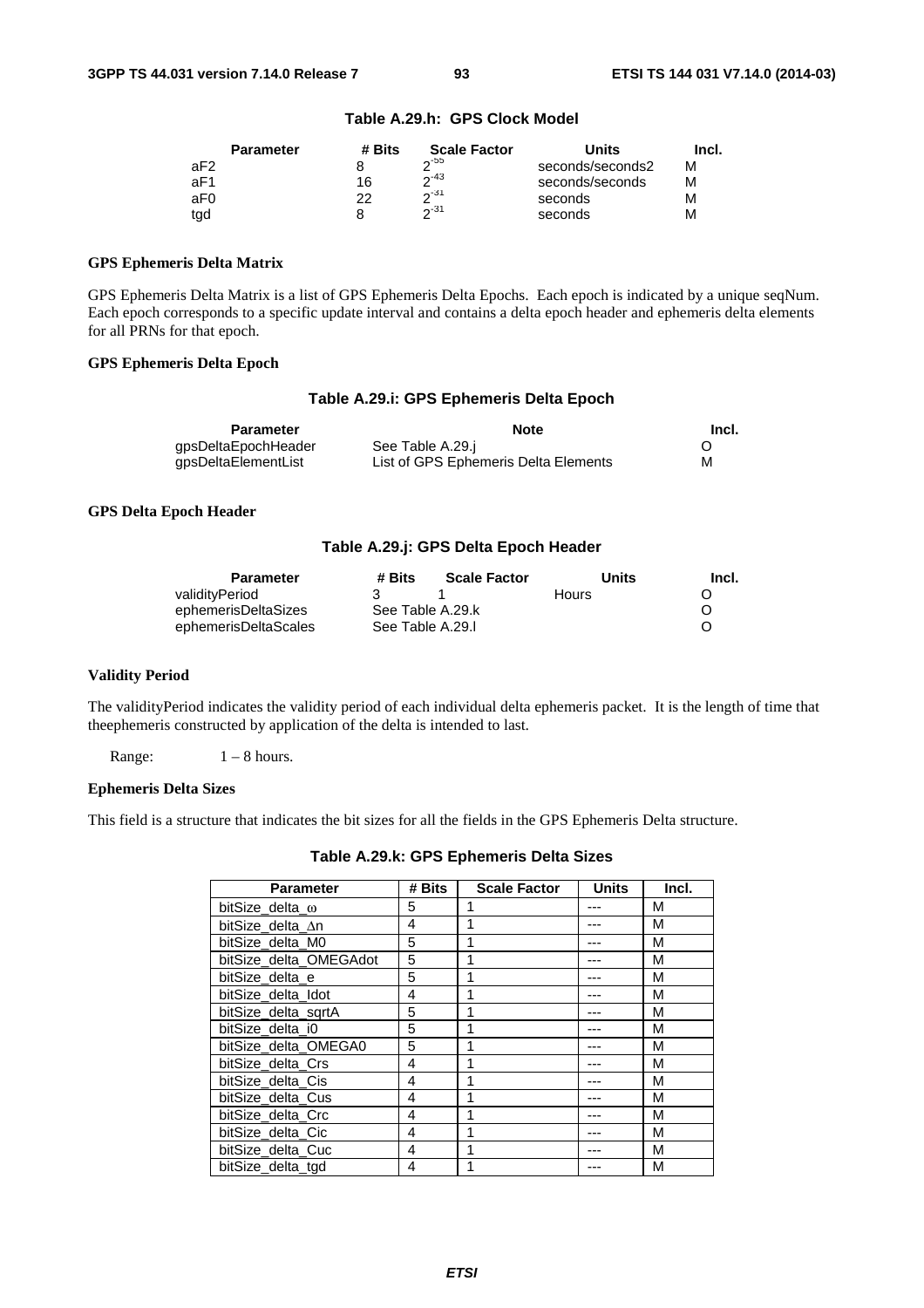|     | <b>Parameter</b> | # Bits | <b>Scale Factor</b> | Units            | Incl. |
|-----|------------------|--------|---------------------|------------------|-------|
| aF2 |                  |        | $\sim$ 55           | seconds/seconds2 | м     |
| aF1 |                  | 16     | $2^{-43}$           | seconds/seconds  | м     |
| aF0 |                  | つつ     | 2.31                | seconds          | м     |
| tgd |                  |        | $\sim$ 31           | seconds          | М     |

## **Table A.29.h: GPS Clock Model**

## **GPS Ephemeris Delta Matrix**

GPS Ephemeris Delta Matrix is a list of GPS Ephemeris Delta Epochs. Each epoch is indicated by a unique seqNum. Each epoch corresponds to a specific update interval and contains a delta epoch header and ephemeris delta elements for all PRNs for that epoch.

## **GPS Ephemeris Delta Epoch**

## **Table A.29.i: GPS Ephemeris Delta Epoch**

| Parameter           | <b>Note</b>                          | Incl. |
|---------------------|--------------------------------------|-------|
| qpsDeltaEpochHeader | See Table A.29.j                     |       |
| qpsDeltaElementList | List of GPS Ephemeris Delta Elements | М     |

## **GPS Delta Epoch Header**

## **Table A.29.j: GPS Delta Epoch Header**

| <b>Parameter</b>     | # Bits           | <b>Scale Factor</b> | Units | Incl. |
|----------------------|------------------|---------------------|-------|-------|
| validityPeriod       |                  |                     | Hours |       |
| ephemerisDeltaSizes  |                  | See Table A.29.k    |       | O     |
| ephemerisDeltaScales | See Table A.29.I |                     |       |       |

#### **Validity Period**

The validityPeriod indicates the validity period of each individual delta ephemeris packet. It is the length of time that theephemeris constructed by application of the delta is intended to last.

Range:  $1 - 8$  hours.

### **Ephemeris Delta Sizes**

This field is a structure that indicates the bit sizes for all the fields in the GPS Ephemeris Delta structure.

| Table A.29.k: GPS Ephemeris Delta Sizes |  |  |  |
|-----------------------------------------|--|--|--|
|-----------------------------------------|--|--|--|

| <b>Parameter</b>       | # Bits | <b>Scale Factor</b> | <b>Units</b> | Incl. |
|------------------------|--------|---------------------|--------------|-------|
| bitSize delta ω        | 5      | 1                   |              | М     |
| bitSize delta ∆n       | 4      | 1                   |              | М     |
| bitSize_delta_M0       | 5      | 1                   |              | M     |
| bitSize_delta_OMEGAdot | 5      | 1                   |              | М     |
| bitSize delta e        | 5      | 1                   |              | M     |
| bitSize delta Idot     | 4      | 1                   |              | M     |
| bitSize_delta_sqrtA    | 5      | 1                   |              | M     |
| bitSize delta i0       | 5      | 1                   |              | М     |
| bitSize_delta_OMEGA0   | 5      | 1                   |              | М     |
| bitSize delta Crs      | 4      | 1                   |              | M     |
| bitSize delta Cis      | 4      | 1                   |              | М     |
| bitSize delta Cus      | 4      | 1                   |              | M     |
| bitSize_delta_Crc      | 4      | 1                   |              | М     |
| bitSize delta Cic      | 4      | 1                   |              | M     |
| bitSize_delta_Cuc      | 4      | 1                   |              | М     |
| bitSize delta tgd      | 4      | 1                   |              | М     |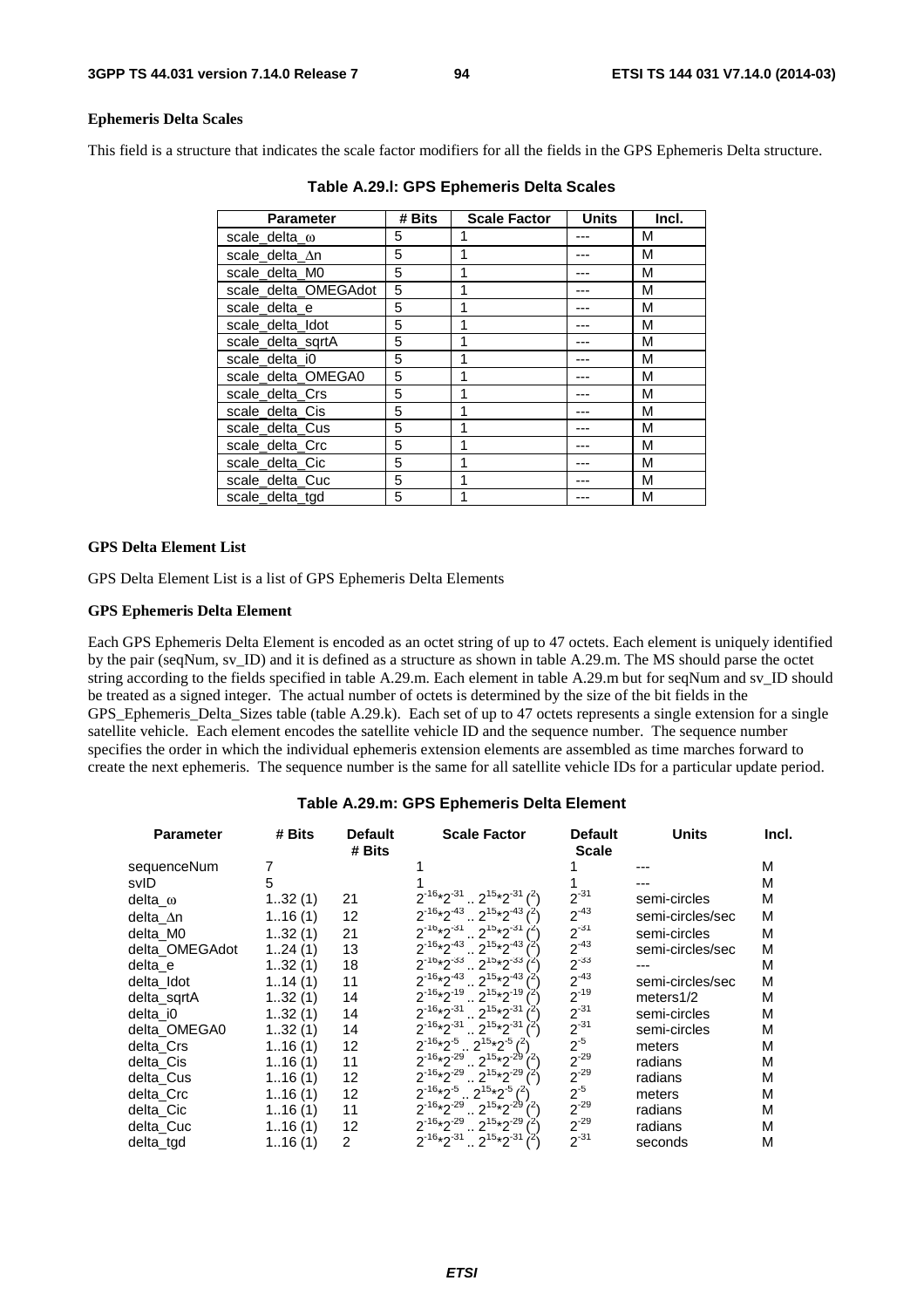## **Ephemeris Delta Scales**

This field is a structure that indicates the scale factor modifiers for all the fields in the GPS Ephemeris Delta structure.

| <b>Parameter</b>      | # Bits | <b>Scale Factor</b> | <b>Units</b> | Incl. |
|-----------------------|--------|---------------------|--------------|-------|
| scale_delta_ $\omega$ | 5      |                     |              | M     |
| scale_delta_∆n        | 5      |                     |              | М     |
| scale delta M0        | 5      |                     |              | М     |
| scale_delta_OMEGAdot  | 5      |                     |              | М     |
| scale delta e         | 5      |                     |              | М     |
| scale_delta_Idot      | 5      |                     |              | M     |
| scale_delta_sqrtA     | 5      |                     |              | M     |
| scale delta i0        | 5      |                     |              | M     |
| scale_delta_OMEGA0    | 5      |                     |              | M     |
| scale delta Crs       | 5      | 1                   |              | М     |
| scale delta Cis       | 5      |                     |              | М     |
| scale_delta_Cus       | 5      |                     |              | М     |
| scale_delta_Crc       | 5      |                     |              | М     |
| scale delta Cic       | 5      |                     |              | M     |
| scale delta Cuc       | 5      |                     |              | M     |
| scale delta tgd       | 5      |                     |              | м     |

**Table A.29.l: GPS Ephemeris Delta Scales** 

#### **GPS Delta Element List**

GPS Delta Element List is a list of GPS Ephemeris Delta Elements

## **GPS Ephemeris Delta Element**

Each GPS Ephemeris Delta Element is encoded as an octet string of up to 47 octets. Each element is uniquely identified by the pair (seqNum, sv\_ID) and it is defined as a structure as shown in table A.29.m. The MS should parse the octet string according to the fields specified in table A.29.m. Each element in table A.29.m but for seqNum and sv\_ID should be treated as a signed integer. The actual number of octets is determined by the size of the bit fields in the GPS\_Ephemeris\_Delta\_Sizes table (table A.29.k). Each set of up to 47 octets represents a single extension for a single satellite vehicle. Each element encodes the satellite vehicle ID and the sequence number. The sequence number specifies the order in which the individual ephemeris extension elements are assembled as time marches forward to create the next ephemeris. The sequence number is the same for all satellite vehicle IDs for a particular update period.

| <b>Parameter</b> | # Bits | <b>Default</b><br># Bits | <b>Scale Factor</b>                                     | <b>Default</b><br><b>Scale</b> | <b>Units</b>     | Incl. |
|------------------|--------|--------------------------|---------------------------------------------------------|--------------------------------|------------------|-------|
| sequenceNum      |        |                          |                                                         |                                |                  | М     |
| svID             | 5      |                          |                                                         |                                |                  | М     |
| delta_ω          | 132(1) | 21                       | $2^{-16*2^{-31}} \cdot 2^{15*2^{-31}}$ ( <sup>2</sup> ) | $2^{-31}$                      | semi-circles     | м     |
| delta ∆n         | 116(1) | 12                       | $2^{-16}*2^{-43}$ $2^{15}*2^{-43}$ $3^{-16}$            | $2^{-43}$                      | semi-circles/sec | М     |
| delta M0         | 132(1) | 21                       | $2^{-16*}2^{-31}$ $2^{15*}2^{-31}$ $l^{25}$             | $2^{-31}$                      | semi-circles     | M     |
| delta_OMEGAdot   | 124(1) | 13                       | $2^{-16}*2^{-43}$ $2^{15}*2^{-43}$                      | $2^{-43}$                      | semi-circles/sec | M     |
| delta e          | 132(1) | 18                       | $2^{-16}*2^{-33}$ $2^{15}*2^{-33}$                      | $2^{-33}$                      |                  | M     |
| delta Idot       | 114(1) | 11                       | $2^{-16}*2^{-43}$ $2^{15}*2^{-43}$                      | $2^{-43}$                      | semi-circles/sec | M     |
| delta sgrtA      | 132(1) | 14                       | $2^{-16}*2^{-19}$ $2^{15}*2^{-19}$ $7^2$                | $2^{-19}$                      | meters $1/2$     | м     |
| delta i0         | 132(1) | 14                       | $2^{-16}*2^{-31}$ , $2^{15}*2^{-31}$                    | $2^{-31}$                      | semi-circles     | М     |
| delta OMEGA0     | 132(1) | 14                       | $2^{-16*2^{-31}} \cdot 2^{15*2^{-31}}$                  | $2^{-31}$                      | semi-circles     | м     |
| delta Crs        | 116(1) | 12                       | $2^{-16*}2^{-5}$ $2^{15*}2^{-5}$ ( <sup>2</sup> )       | $2^{-5}$                       | meters           | м     |
| delta Cis        | 116(1) | 11                       | $2^{16*2^{29}} \cdot 2^{15*2^{29}}$                     | $2^{-29}$                      | radians          | M     |
| delta Cus        | 116(1) | 12                       | $2^{-16}*2^{-29}$ $2^{15}*2^{-29}$                      | $2^{-29}$                      | radians          | М     |
| delta_Crc        | 116(1) | 12                       | $2^{-16}*2^{-5}$ $2^{15}*2^{-5}$ $(2)$                  | $2^{-5}$                       | meters           | м     |
| delta Cic        | 116(1) | 11                       | $2^{-16*2^{-29}} \cdot 2^{15*2^{-29}}$ ( <sup>2</sup> ) | $2^{-29}$                      | radians          | М     |
| delta Cuc        | 116(1) | 12                       | $2^{-16*2^{29}}$ $2^{15*2^{29}}$                        | $2^{-29}$                      | radians          | M     |
| delta tgd        | 116(1) | $\overline{2}$           | $2^{-16}*2^{-31}$ , $2^{15}*2^{-31}$ $(2)$              | $2^{-31}$                      | seconds          | М     |

#### **Table A.29.m: GPS Ephemeris Delta Element**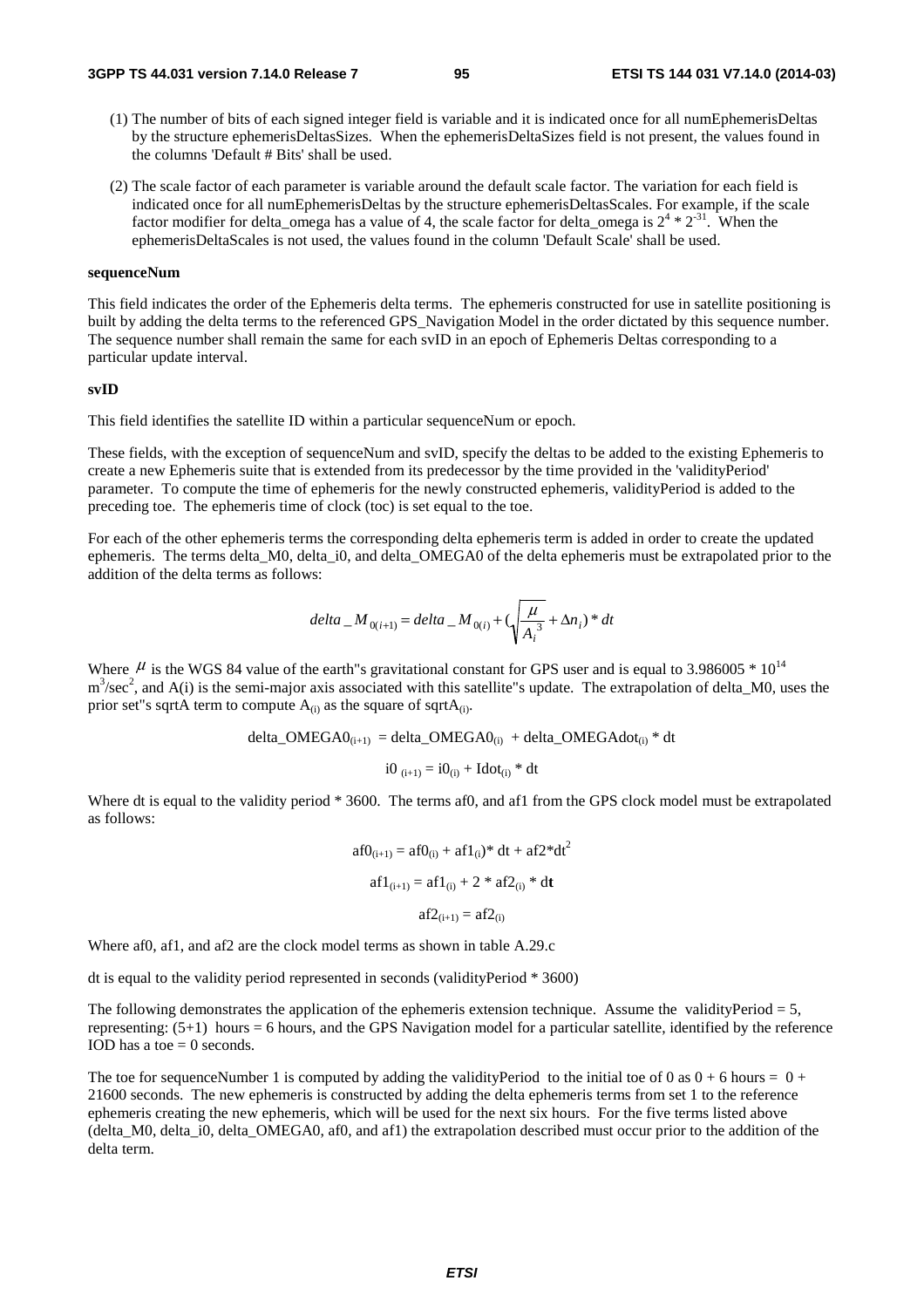- (1) The number of bits of each signed integer field is variable and it is indicated once for all numEphemerisDeltas by the structure ephemerisDeltasSizes. When the ephemerisDeltaSizes field is not present, the values found in the columns 'Default # Bits' shall be used.
- (2) The scale factor of each parameter is variable around the default scale factor. The variation for each field is indicated once for all numEphemerisDeltas by the structure ephemerisDeltasScales. For example, if the scale factor modifier for delta\_omega has a value of 4, the scale factor for delta\_omega is  $2^4 * 2^{31}$ . When the ephemerisDeltaScales is not used, the values found in the column 'Default Scale' shall be used.

#### **sequenceNum**

This field indicates the order of the Ephemeris delta terms. The ephemeris constructed for use in satellite positioning is built by adding the delta terms to the referenced GPS\_Navigation Model in the order dictated by this sequence number. The sequence number shall remain the same for each svID in an epoch of Ephemeris Deltas corresponding to a particular update interval.

#### **svID**

This field identifies the satellite ID within a particular sequenceNum or epoch.

These fields, with the exception of sequenceNum and svID, specify the deltas to be added to the existing Ephemeris to create a new Ephemeris suite that is extended from its predecessor by the time provided in the 'validityPeriod' parameter. To compute the time of ephemeris for the newly constructed ephemeris, validityPeriod is added to the preceding toe. The ephemeris time of clock (toc) is set equal to the toe.

For each of the other ephemeris terms the corresponding delta ephemeris term is added in order to create the updated ephemeris. The terms delta M0, delta i0, and delta OMEGA0 of the delta ephemeris must be extrapolated prior to the addition of the delta terms as follows:

$$
delta_{i} M_{0(i+1)} = delta_{i} M_{0(i)} + (\sqrt{\frac{\mu}{A_i^{3}}} + \Delta n_i)^* dt
$$

Where  $\mu$  is the WGS 84 value of the earth"s gravitational constant for GPS user and is equal to 3.986005  $*10^{14}$  $m<sup>3</sup>/sec<sup>2</sup>$ , and A(i) is the semi-major axis associated with this satellite"s update. The extrapolation of delta\_M0, uses the prior set"s sqrtA term to compute  $A_{(i)}$  as the square of sqrt $A_{(i)}$ .

$$
delta\_OMEGA0_{(i+1)} = delta\_OMEGA0_{(i)} + delta\_OMEGA0_{(i)} * dt
$$

$$
i0_{(i+1)} = i0_{(i)} + Idot_{(i)} * dt
$$

Where dt is equal to the validity period \* 3600. The terms af0, and af1 from the GPS clock model must be extrapolated as follows:

$$
af0_{(i+1)} = af0_{(i)} + af1_{(i)} * dt + af2 * dt2
$$

$$
af1_{(i+1)} = af1_{(i)} + 2 * af2_{(i)} * dt
$$

$$
af2_{(i+1)} = af2_{(i)}
$$

Where af0, af1, and af2 are the clock model terms as shown in table A.29.c

dt is equal to the validity period represented in seconds (validityPeriod \* 3600)

The following demonstrates the application of the ephemeris extension technique. Assume the validityPeriod  $= 5$ , representing: (5+1) hours = 6 hours, and the GPS Navigation model for a particular satellite, identified by the reference IOD has a toe  $= 0$  seconds.

The toe for sequenceNumber 1 is computed by adding the validityPeriod to the initial toe of 0 as  $0 + 6$  hours =  $0 + 6$ 21600 seconds. The new ephemeris is constructed by adding the delta ephemeris terms from set 1 to the reference ephemeris creating the new ephemeris, which will be used for the next six hours. For the five terms listed above (delta\_M0, delta\_i0, delta\_OMEGA0, af0, and af1) the extrapolation described must occur prior to the addition of the delta term.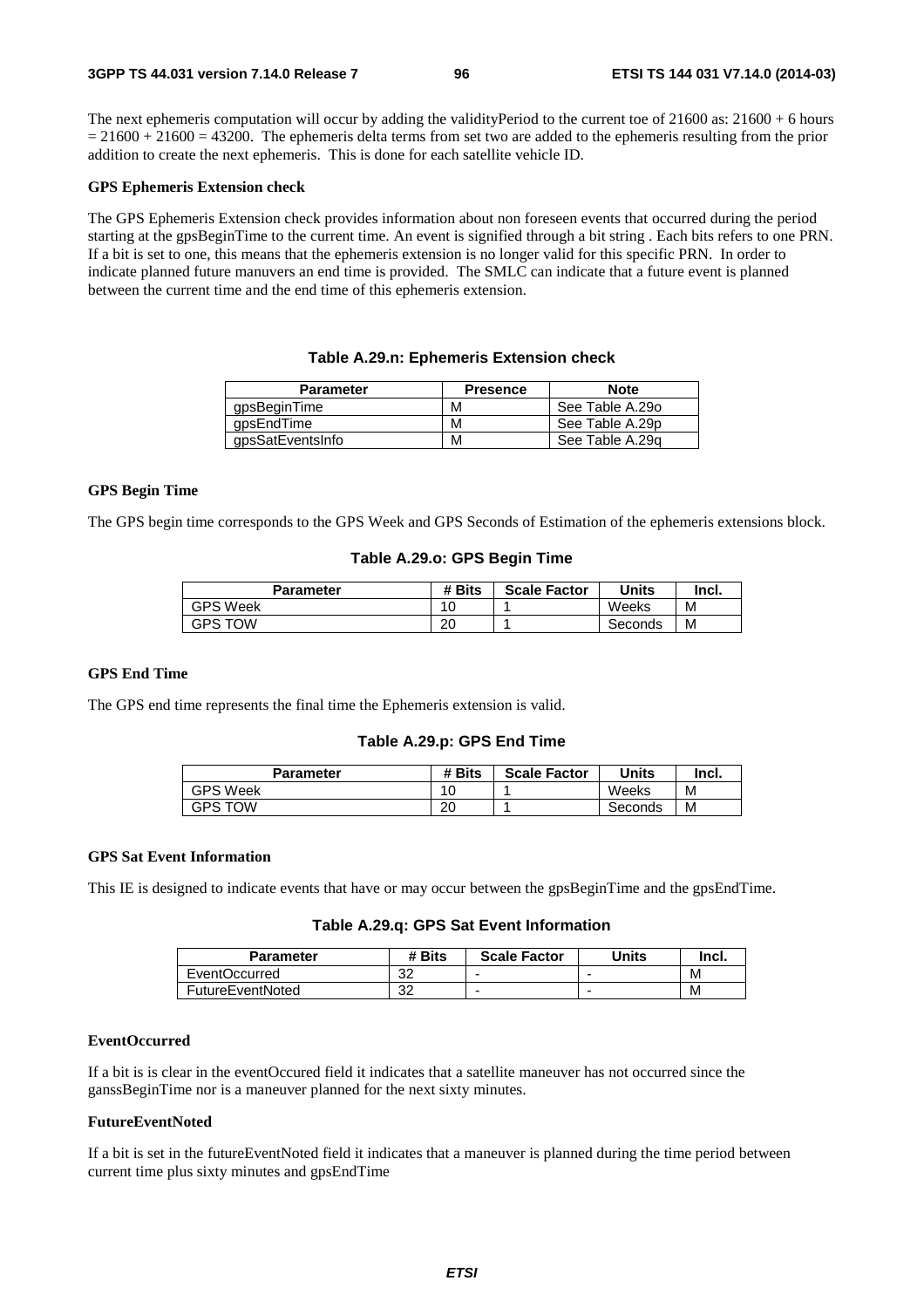The next ephemeris computation will occur by adding the validityPeriod to the current toe of  $21600$  as:  $21600 + 6$  hours  $= 21600 + 21600 = 43200$ . The ephemeris delta terms from set two are added to the ephemeris resulting from the prior addition to create the next ephemeris. This is done for each satellite vehicle ID.

#### **GPS Ephemeris Extension check**

The GPS Ephemeris Extension check provides information about non foreseen events that occurred during the period starting at the gpsBeginTime to the current time. An event is signified through a bit string . Each bits refers to one PRN. If a bit is set to one, this means that the ephemeris extension is no longer valid for this specific PRN. In order to indicate planned future manuvers an end time is provided. The SMLC can indicate that a future event is planned between the current time and the end time of this ephemeris extension.

## **Table A.29.n: Ephemeris Extension check**

| <b>Parameter</b> | <b>Presence</b> | <b>Note</b>     |
|------------------|-----------------|-----------------|
| gpsBeginTime     | М               | See Table A.29o |
| qpsEndTime       | М               | See Table A.29p |
| gpsSatEventsInfo | м               | See Table A.29g |

## **GPS Begin Time**

The GPS begin time corresponds to the GPS Week and GPS Seconds of Estimation of the ephemeris extensions block.

### **Table A.29.o: GPS Begin Time**

| Parameter       | # Bits | <b>Scale Factor</b> | Units   | lncl. |
|-----------------|--------|---------------------|---------|-------|
| <b>GPS Week</b> | 10     |                     | Weeks   | M     |
| GPS TOW         | 20     |                     | Seconds | M     |

## **GPS End Time**

The GPS end time represents the final time the Ephemeris extension is valid.

## **Table A.29.p: GPS End Time**

| Parameter       | # Bits         | <b>Scale Factor</b> | Units   | Incl. |
|-----------------|----------------|---------------------|---------|-------|
| <b>GPS Week</b> | $\overline{ }$ |                     | Weeks   | М     |
| <b>GPS TOW</b>  | 20             |                     | Seconds | М     |

## **GPS Sat Event Information**

This IE is designed to indicate events that have or may occur between the gpsBeginTime and the gpsEndTime.

## **Table A.29.q: GPS Sat Event Information**

| Parameter               | # Bits   | <b>Scale Factor</b> | Units | Incl. |
|-------------------------|----------|---------------------|-------|-------|
| <b>EventOccurred</b>    | ົດ<br>ےت | -                   | -     | М     |
| <b>FutureEventNoted</b> | າາ<br>ےت | ۰                   | -     | M     |

#### **EventOccurred**

If a bit is is clear in the eventOccured field it indicates that a satellite maneuver has not occurred since the ganssBeginTime nor is a maneuver planned for the next sixty minutes.

### **FutureEventNoted**

If a bit is set in the futureEventNoted field it indicates that a maneuver is planned during the time period between current time plus sixty minutes and gpsEndTime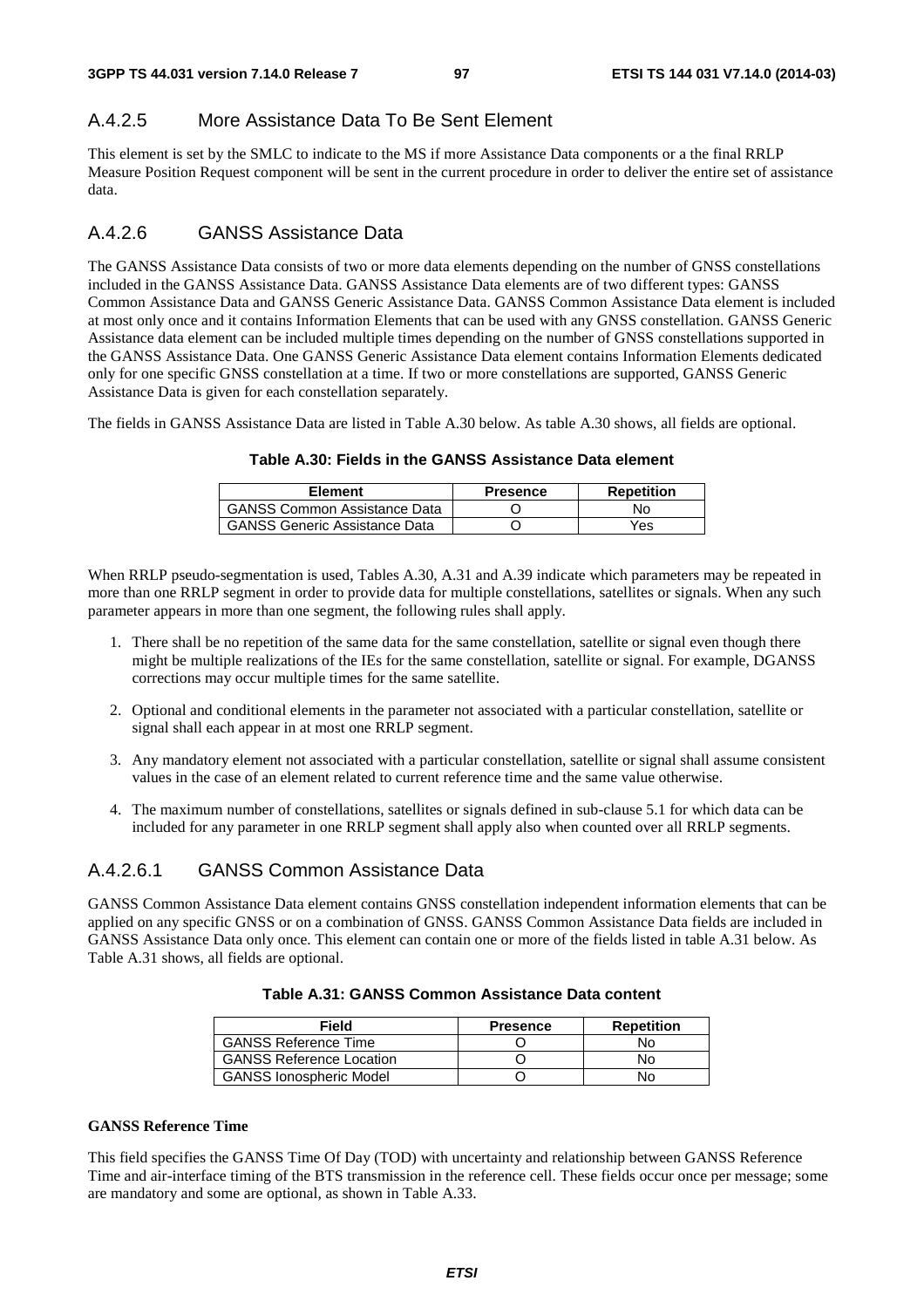## A.4.2.5 More Assistance Data To Be Sent Element

This element is set by the SMLC to indicate to the MS if more Assistance Data components or a the final RRLP Measure Position Request component will be sent in the current procedure in order to deliver the entire set of assistance data.

## A.4.2.6 GANSS Assistance Data

The GANSS Assistance Data consists of two or more data elements depending on the number of GNSS constellations included in the GANSS Assistance Data. GANSS Assistance Data elements are of two different types: GANSS Common Assistance Data and GANSS Generic Assistance Data. GANSS Common Assistance Data element is included at most only once and it contains Information Elements that can be used with any GNSS constellation. GANSS Generic Assistance data element can be included multiple times depending on the number of GNSS constellations supported in the GANSS Assistance Data. One GANSS Generic Assistance Data element contains Information Elements dedicated only for one specific GNSS constellation at a time. If two or more constellations are supported, GANSS Generic Assistance Data is given for each constellation separately.

The fields in GANSS Assistance Data are listed in Table A.30 below. As table A.30 shows, all fields are optional.

| Table A.30: Fields in the GANSS Assistance Data element |
|---------------------------------------------------------|
|---------------------------------------------------------|

| Element                              | <b>Presence</b> | Repetition |
|--------------------------------------|-----------------|------------|
| <b>GANSS Common Assistance Data</b>  |                 | No.        |
| <b>GANSS Generic Assistance Data</b> |                 | Yes        |

When RRLP pseudo-segmentation is used, Tables A.30, A.31 and A.39 indicate which parameters may be repeated in more than one RRLP segment in order to provide data for multiple constellations, satellites or signals. When any such parameter appears in more than one segment, the following rules shall apply.

- 1. There shall be no repetition of the same data for the same constellation, satellite or signal even though there might be multiple realizations of the IEs for the same constellation, satellite or signal. For example, DGANSS corrections may occur multiple times for the same satellite.
- 2. Optional and conditional elements in the parameter not associated with a particular constellation, satellite or signal shall each appear in at most one RRLP segment.
- 3. Any mandatory element not associated with a particular constellation, satellite or signal shall assume consistent values in the case of an element related to current reference time and the same value otherwise.
- 4. The maximum number of constellations, satellites or signals defined in sub-clause 5.1 for which data can be included for any parameter in one RRLP segment shall apply also when counted over all RRLP segments.

## A.4.2.6.1 GANSS Common Assistance Data

GANSS Common Assistance Data element contains GNSS constellation independent information elements that can be applied on any specific GNSS or on a combination of GNSS. GANSS Common Assistance Data fields are included in GANSS Assistance Data only once. This element can contain one or more of the fields listed in table A.31 below. As Table A.31 shows, all fields are optional.

| Field                           | <b>Presence</b> | <b>Repetition</b> |
|---------------------------------|-----------------|-------------------|
| <b>GANSS Reference Time</b>     |                 | No                |
| <b>GANSS Reference Location</b> |                 | No                |
| <b>GANSS Ionospheric Model</b>  |                 | No                |

## **GANSS Reference Time**

This field specifies the GANSS Time Of Day (TOD) with uncertainty and relationship between GANSS Reference Time and air-interface timing of the BTS transmission in the reference cell. These fields occur once per message; some are mandatory and some are optional, as shown in Table A.33.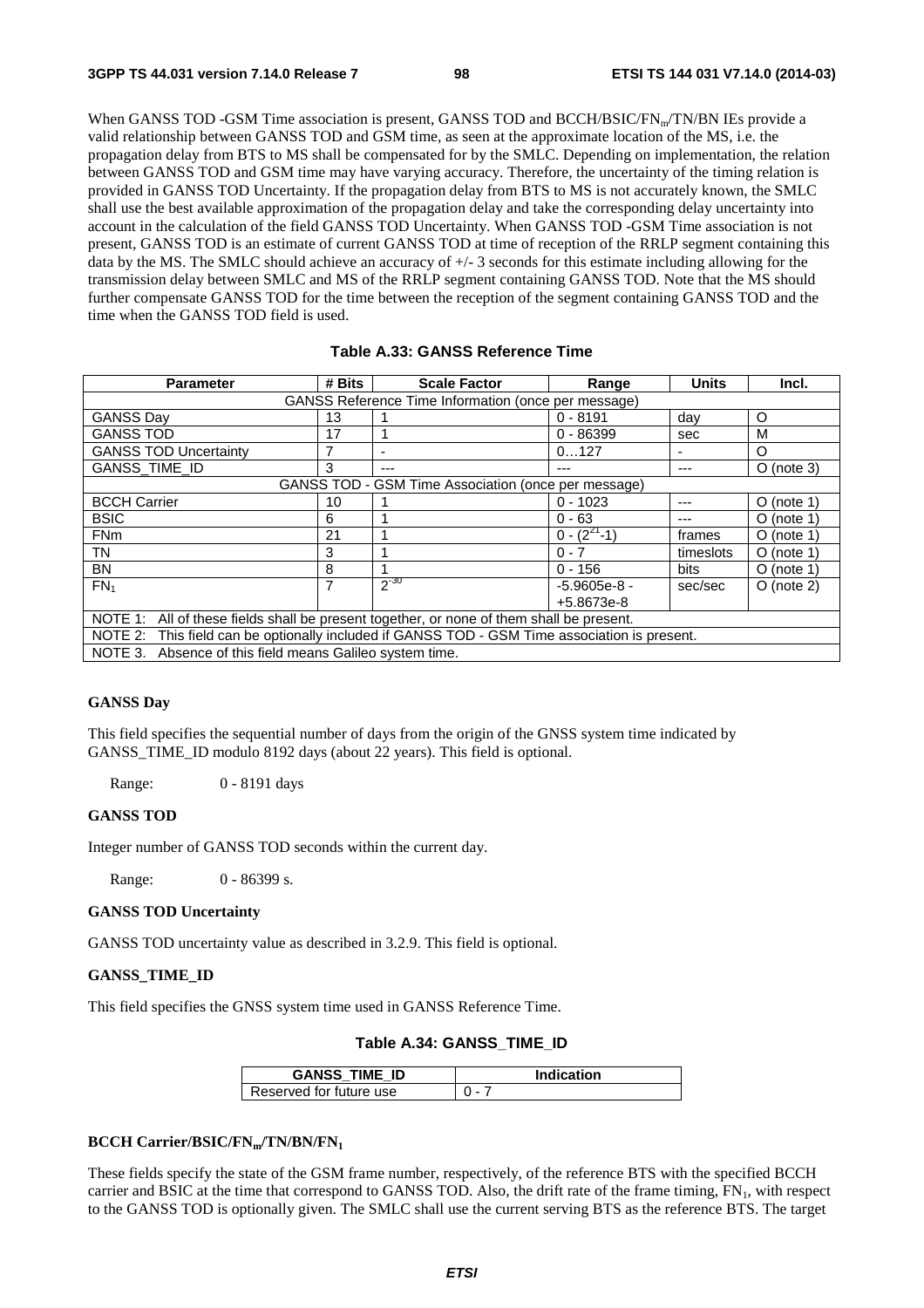When GANSS TOD -GSM Time association is present, GANSS TOD and BCCH/BSIC/FN<sub>m</sub>/TN/BN IEs provide a valid relationship between GANSS TOD and GSM time, as seen at the approximate location of the MS, i.e. the propagation delay from BTS to MS shall be compensated for by the SMLC. Depending on implementation, the relation between GANSS TOD and GSM time may have varying accuracy. Therefore, the uncertainty of the timing relation is provided in GANSS TOD Uncertainty. If the propagation delay from BTS to MS is not accurately known, the SMLC shall use the best available approximation of the propagation delay and take the corresponding delay uncertainty into account in the calculation of the field GANSS TOD Uncertainty. When GANSS TOD -GSM Time association is not present, GANSS TOD is an estimate of current GANSS TOD at time of reception of the RRLP segment containing this data by the MS. The SMLC should achieve an accuracy of +/- 3 seconds for this estimate including allowing for the transmission delay between SMLC and MS of the RRLP segment containing GANSS TOD. Note that the MS should further compensate GANSS TOD for the time between the reception of the segment containing GANSS TOD and the time when the GANSS TOD field is used.

## **Table A.33: GANSS Reference Time**

| <b>Parameter</b>                                                                              | # Bits | <b>Scale Factor</b>                                 | Range              | <b>Units</b> | Incl.        |
|-----------------------------------------------------------------------------------------------|--------|-----------------------------------------------------|--------------------|--------------|--------------|
| GANSS Reference Time Information (once per message)                                           |        |                                                     |                    |              |              |
| <b>GANSS Day</b>                                                                              | 13     |                                                     | $0 - 8191$         | day          | O            |
| <b>GANSS TOD</b>                                                                              | 17     |                                                     | $0 - 86399$        | sec          | м            |
| <b>GANSS TOD Uncertainty</b>                                                                  |        |                                                     | 0127               |              | O            |
| GANSS_TIME_ID                                                                                 | 3      | ---                                                 | ---                | ---          | $O$ (note 3) |
|                                                                                               |        | GANSS TOD - GSM Time Association (once per message) |                    |              |              |
| <b>BCCH Carrier</b>                                                                           | 10     |                                                     | $0 - 1023$         | ---          | $O$ (note 1) |
| <b>BSIC</b>                                                                                   | 6      |                                                     | $0 - 63$           | ---          | $O$ (note 1) |
| <b>FNm</b>                                                                                    | 21     |                                                     | $0 - (2^{21} - 1)$ | frames       | $O$ (note 1) |
| TN                                                                                            | 3      |                                                     | $0 - 7$            | timeslots    | $O$ (note 1) |
| BN                                                                                            | 8      |                                                     | $0 - 156$          | bits         | $O$ (note 1) |
| FN <sub>1</sub>                                                                               | 7      | $2^{-30}$                                           | $-5.9605e-8 -$     | sec/sec      | $O$ (note 2) |
|                                                                                               |        |                                                     | +5.8673e-8         |              |              |
| NOTE 1: All of these fields shall be present together, or none of them shall be present.      |        |                                                     |                    |              |              |
| NOTE 2: This field can be optionally included if GANSS TOD - GSM Time association is present. |        |                                                     |                    |              |              |
| NOTE 3. Absence of this field means Galileo system time.                                      |        |                                                     |                    |              |              |

## **GANSS Day**

This field specifies the sequential number of days from the origin of the GNSS system time indicated by GANSS\_TIME\_ID modulo 8192 days (about 22 years). This field is optional.

Range: 0 - 8191 days

## **GANSS TOD**

Integer number of GANSS TOD seconds within the current day.

Range: 0 - 86399 s.

## **GANSS TOD Uncertainty**

GANSS TOD uncertainty value as described in 3.2.9. This field is optional.

## **GANSS\_TIME\_ID**

This field specifies the GNSS system time used in GANSS Reference Time.

## **Table A.34: GANSS\_TIME\_ID**

| <b>GANSS TIME ID</b>    | <b>Indication</b> |
|-------------------------|-------------------|
| Reserved for future use | $\mathbf{u}$      |

## **BCCH Carrier/BSIC/FNm/TN/BN/FN1**

These fields specify the state of the GSM frame number, respectively, of the reference BTS with the specified BCCH carrier and BSIC at the time that correspond to GANSS TOD. Also, the drift rate of the frame timing,  $FN_1$ , with respect to the GANSS TOD is optionally given. The SMLC shall use the current serving BTS as the reference BTS. The target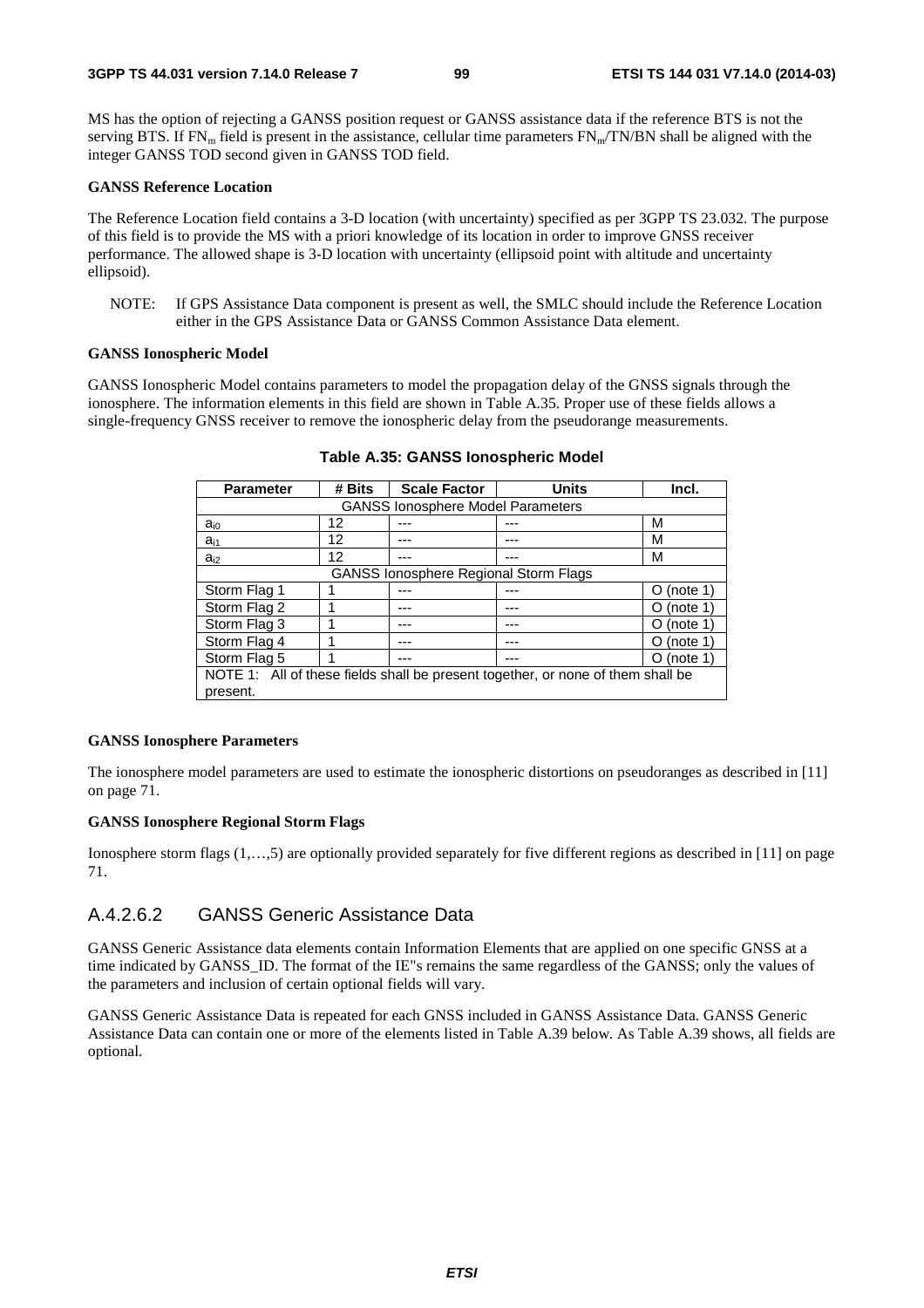MS has the option of rejecting a GANSS position request or GANSS assistance data if the reference BTS is not the serving BTS. If  $FN_m$  field is present in the assistance, cellular time parameters  $FN_m/TN/BN$  shall be aligned with the integer GANSS TOD second given in GANSS TOD field.

#### **GANSS Reference Location**

The Reference Location field contains a 3-D location (with uncertainty) specified as per 3GPP TS 23.032. The purpose of this field is to provide the MS with a priori knowledge of its location in order to improve GNSS receiver performance. The allowed shape is 3-D location with uncertainty (ellipsoid point with altitude and uncertainty ellipsoid).

NOTE: If GPS Assistance Data component is present as well, the SMLC should include the Reference Location either in the GPS Assistance Data or GANSS Common Assistance Data element.

## **GANSS Ionospheric Model**

GANSS Ionospheric Model contains parameters to model the propagation delay of the GNSS signals through the ionosphere. The information elements in this field are shown in Table A.35. Proper use of these fields allows a single-frequency GNSS receiver to remove the ionospheric delay from the pseudorange measurements.

| <b>Parameter</b>                                                                | # Bits                                       | <b>Scale Factor</b> | <b>Units</b> | Incl.         |  |
|---------------------------------------------------------------------------------|----------------------------------------------|---------------------|--------------|---------------|--|
|                                                                                 | <b>GANSS lonosphere Model Parameters</b>     |                     |              |               |  |
| $a_{i0}$                                                                        | 12                                           |                     |              | м             |  |
| $a_{i1}$                                                                        | 12                                           |                     |              | М             |  |
| $a_{i2}$                                                                        | 12                                           |                     | ---          | м             |  |
|                                                                                 | <b>GANSS lonosphere Regional Storm Flags</b> |                     |              |               |  |
| Storm Flag 1                                                                    |                                              |                     |              | $O$ (note 1)  |  |
| Storm Flag 2                                                                    |                                              |                     |              | (note 1)<br>O |  |
| Storm Flag 3                                                                    |                                              |                     | ---          | (note 1)<br>0 |  |
| Storm Flag 4                                                                    |                                              | ---                 | ---          | (note 1)<br>O |  |
| Storm Flag 5                                                                    |                                              |                     | ---          | (note 1)<br>O |  |
| NOTE 1: All of these fields shall be present together, or none of them shall be |                                              |                     |              |               |  |
| present.                                                                        |                                              |                     |              |               |  |

**Table A.35: GANSS Ionospheric Model** 

#### **GANSS Ionosphere Parameters**

The ionosphere model parameters are used to estimate the ionospheric distortions on pseudoranges as described in [11] on page 71.

## **GANSS Ionosphere Regional Storm Flags**

Ionosphere storm flags (1,…,5) are optionally provided separately for five different regions as described in [11] on page 71.

## A.4.2.6.2 GANSS Generic Assistance Data

GANSS Generic Assistance data elements contain Information Elements that are applied on one specific GNSS at a time indicated by GANSS ID. The format of the IE"s remains the same regardless of the GANSS; only the values of the parameters and inclusion of certain optional fields will vary.

GANSS Generic Assistance Data is repeated for each GNSS included in GANSS Assistance Data. GANSS Generic Assistance Data can contain one or more of the elements listed in Table A.39 below. As Table A.39 shows, all fields are optional.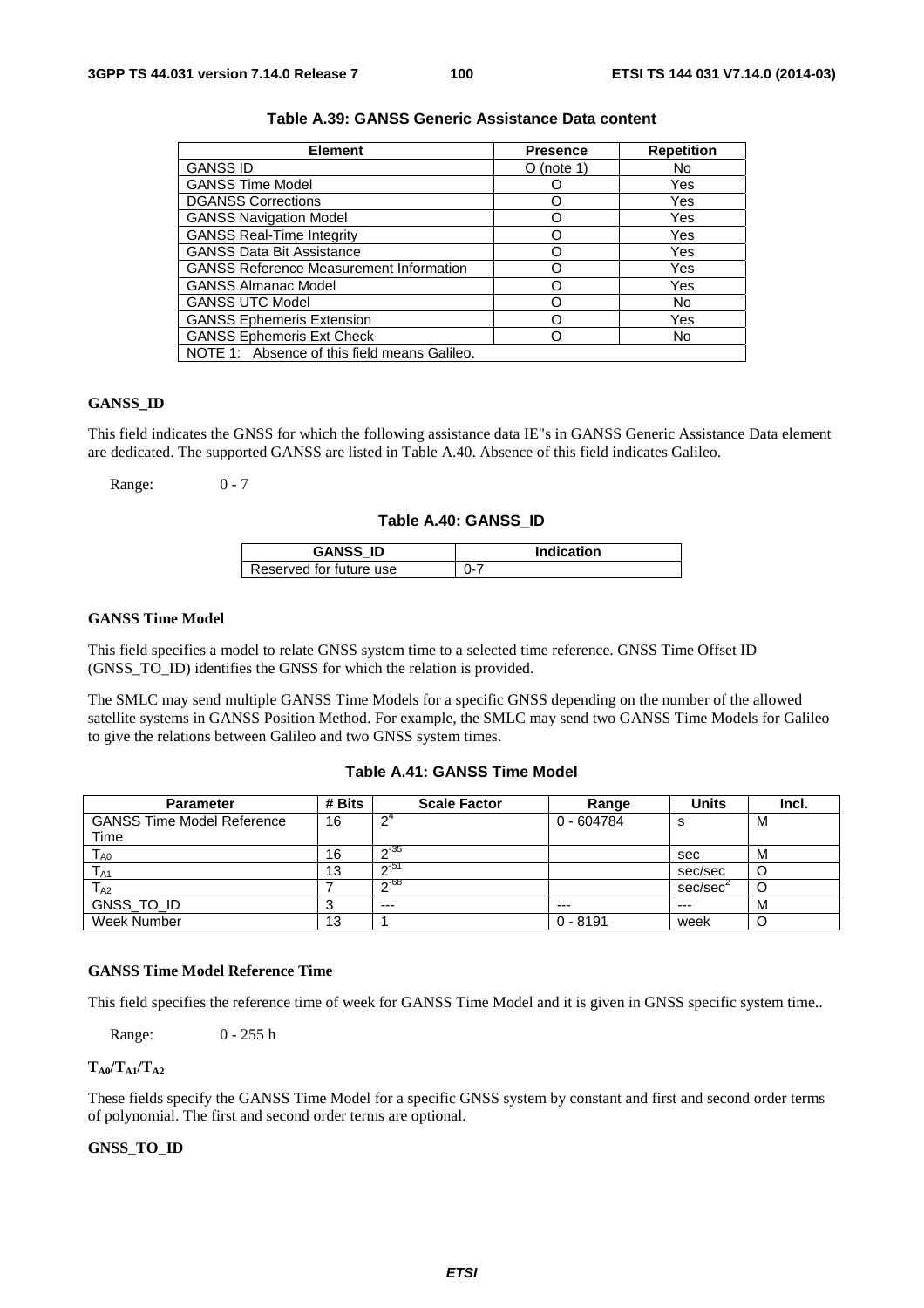| <b>Element</b>                                 | <b>Presence</b> | <b>Repetition</b> |
|------------------------------------------------|-----------------|-------------------|
| <b>GANSS ID</b>                                | $O$ (note 1)    | No                |
| <b>GANSS Time Model</b>                        |                 | Yes               |
| <b>DGANSS Corrections</b>                      |                 | Yes               |
| <b>GANSS Navigation Model</b>                  |                 | Yes               |
| <b>GANSS Real-Time Integrity</b>               |                 | Yes               |
| <b>GANSS Data Bit Assistance</b>               |                 | Yes               |
| <b>GANSS Reference Measurement Information</b> |                 | Yes               |
| <b>GANSS Almanac Model</b>                     |                 | Yes               |
| <b>GANSS UTC Model</b>                         |                 | No                |
| <b>GANSS Ephemeris Extension</b>               |                 | Yes               |
| <b>GANSS Ephemeris Ext Check</b>               |                 | No                |
| NOTE 1: Absence of this field means Galileo.   |                 |                   |

## **Table A.39: GANSS Generic Assistance Data content**

## **GANSS\_ID**

This field indicates the GNSS for which the following assistance data IE"s in GANSS Generic Assistance Data element are dedicated. The supported GANSS are listed in Table A.40. Absence of this field indicates Galileo.

Range: 0 - 7

#### **Table A.40: GANSS\_ID**

| <b>GANSS ID</b>         | <b>Indication</b> |
|-------------------------|-------------------|
| Reserved for future use | ດ-                |

### **GANSS Time Model**

This field specifies a model to relate GNSS system time to a selected time reference. GNSS Time Offset ID (GNSS\_TO\_ID) identifies the GNSS for which the relation is provided.

The SMLC may send multiple GANSS Time Models for a specific GNSS depending on the number of the allowed satellite systems in GANSS Position Method. For example, the SMLC may send two GANSS Time Models for Galileo to give the relations between Galileo and two GNSS system times.

## **Table A.41: GANSS Time Model**

| <b>Parameter</b>                  | # Bits | <b>Scale Factor</b> | Range        | Units                | Incl. |
|-----------------------------------|--------|---------------------|--------------|----------------------|-------|
| <b>GANSS Time Model Reference</b> | 16     | ∱∩                  | $0 - 604784$ | S                    | M     |
| Time                              |        |                     |              |                      |       |
| l ao                              | 16     | $-35$               |              | sec                  | м     |
| l A1                              | 13     | ∩-51                |              | sec/sec              |       |
| l <sub>A2</sub>                   |        | $-68$               |              | sec/sec <sup>2</sup> | U     |
| GNSS_TO_ID                        | J      | $---$               | $---$        | $---$                | M     |
| Week Number                       | 13     |                     | $0 - 8191$   | week                 |       |

#### **GANSS Time Model Reference Time**

This field specifies the reference time of week for GANSS Time Model and it is given in GNSS specific system time..

Range: 0 - 255 h

## $T_{A0}/T_{A1}/T_{A2}$

These fields specify the GANSS Time Model for a specific GNSS system by constant and first and second order terms of polynomial. The first and second order terms are optional.

### **GNSS\_TO\_ID**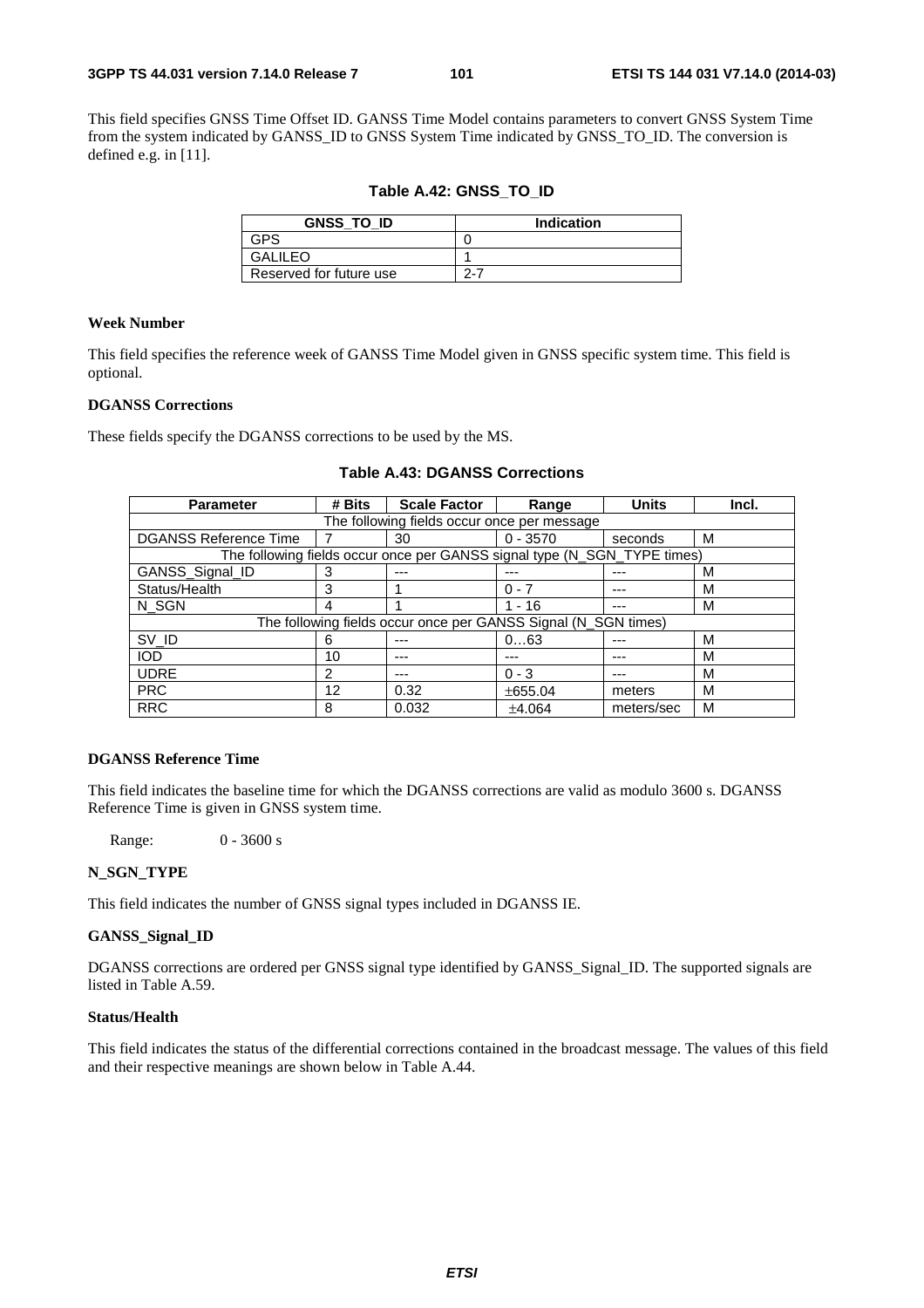This field specifies GNSS Time Offset ID. GANSS Time Model contains parameters to convert GNSS System Time from the system indicated by GANSS\_ID to GNSS System Time indicated by GNSS\_TO\_ID. The conversion is defined e.g. in [11].

**Table A.42: GNSS\_TO\_ID** 

| <b>GNSS TO ID</b>       | Indication |
|-------------------------|------------|
| rdo                     |            |
| <b>GALILEO</b>          |            |
| Reserved for future use | 2-7        |

## **Week Number**

This field specifies the reference week of GANSS Time Model given in GNSS specific system time. This field is optional.

## **DGANSS Corrections**

These fields specify the DGANSS corrections to be used by the MS.

| <b>Parameter</b>                                               | # Bits        | <b>Scale Factor</b>                                                      | Range      | <b>Units</b> | Incl. |  |
|----------------------------------------------------------------|---------------|--------------------------------------------------------------------------|------------|--------------|-------|--|
| The following fields occur once per message                    |               |                                                                          |            |              |       |  |
| <b>DGANSS Reference Time</b>                                   |               | 30                                                                       | $0 - 3570$ | seconds      | м     |  |
|                                                                |               | The following fields occur once per GANSS signal type (N_SGN_TYPE times) |            |              |       |  |
| GANSS_Signal_ID                                                | 3             | ---                                                                      | ---        |              | м     |  |
| Status/Health                                                  | 3             |                                                                          | $0 - 7$    |              | м     |  |
| N SGN                                                          | 4             |                                                                          | $1 - 16$   | ---          | м     |  |
| The following fields occur once per GANSS Signal (N_SGN times) |               |                                                                          |            |              |       |  |
| SV_ID                                                          | 6             |                                                                          | 063        |              | M     |  |
| <b>IOD</b>                                                     | 10            | ---                                                                      |            |              | м     |  |
| <b>UDRE</b>                                                    | $\mathcal{P}$ | ---                                                                      | $0 - 3$    | $---$        | м     |  |
| <b>PRC</b>                                                     | 12            | 0.32                                                                     | ±655.04    | meters       | м     |  |
| <b>RRC</b>                                                     | 8             | 0.032                                                                    | ±4.064     | meters/sec   | м     |  |

## **Table A.43: DGANSS Corrections**

## **DGANSS Reference Time**

This field indicates the baseline time for which the DGANSS corrections are valid as modulo 3600 s. DGANSS Reference Time is given in GNSS system time.

Range: 0 - 3600 s

## **N\_SGN\_TYPE**

This field indicates the number of GNSS signal types included in DGANSS IE.

## **GANSS\_Signal\_ID**

DGANSS corrections are ordered per GNSS signal type identified by GANSS\_Signal\_ID. The supported signals are listed in Table A.59.

## **Status/Health**

This field indicates the status of the differential corrections contained in the broadcast message. The values of this field and their respective meanings are shown below in Table A.44.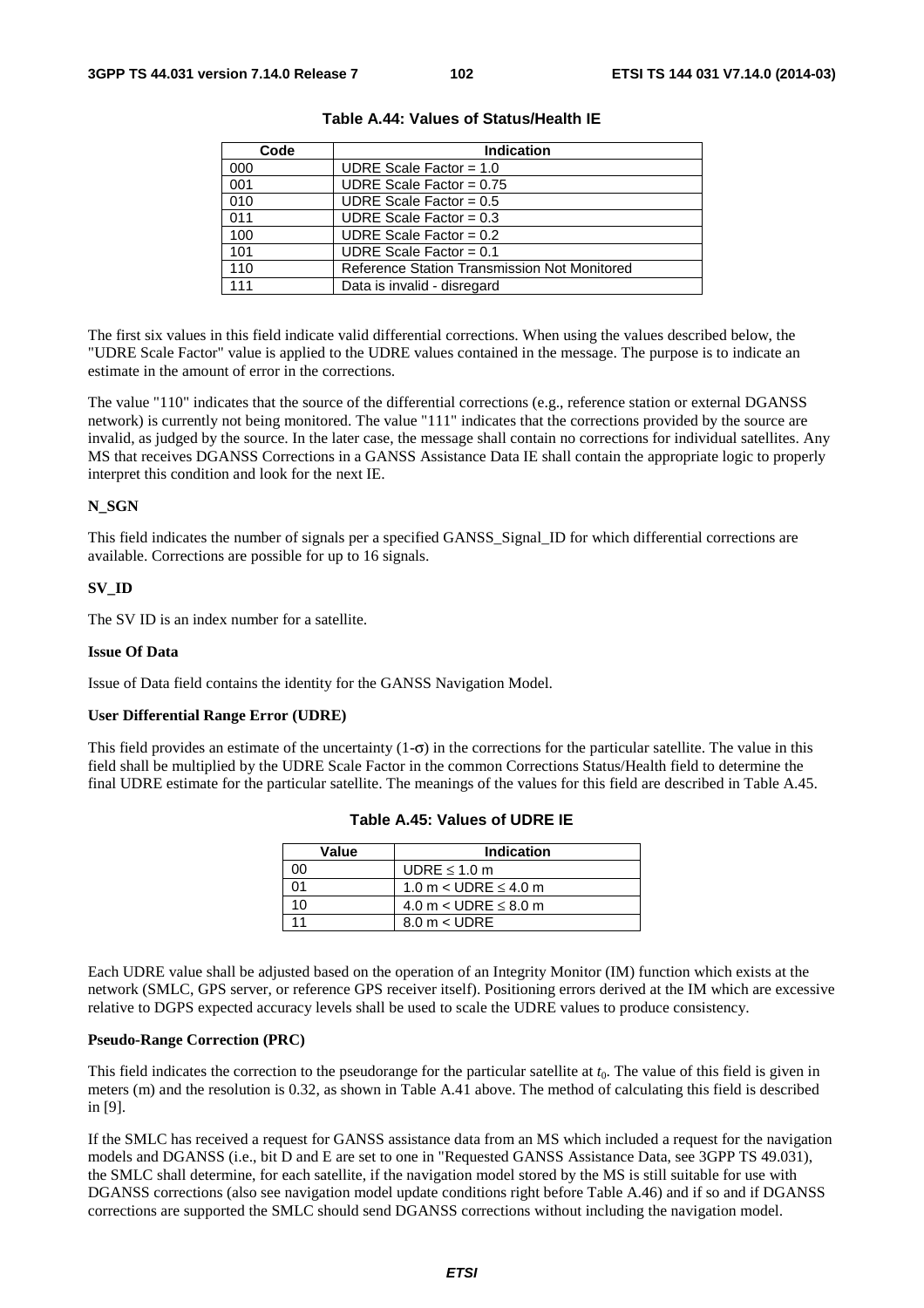| Code | <b>Indication</b>                            |  |  |
|------|----------------------------------------------|--|--|
| 000  | UDRE Scale Factor = $1.0$                    |  |  |
| 001  | UDRE Scale Factor = $0.75$                   |  |  |
| 010  | UDRE Scale Factor = $0.5$                    |  |  |
| 011  | UDRE Scale Factor = $0.3$                    |  |  |
| 100  | UDRE Scale Factor = $0.2$                    |  |  |
| 101  | UDRE Scale Factor = $0.1$                    |  |  |
| 110  | Reference Station Transmission Not Monitored |  |  |
| 111  | Data is invalid - disregard                  |  |  |

**Table A.44: Values of Status/Health IE** 

The first six values in this field indicate valid differential corrections. When using the values described below, the "UDRE Scale Factor" value is applied to the UDRE values contained in the message. The purpose is to indicate an estimate in the amount of error in the corrections.

The value "110" indicates that the source of the differential corrections (e.g., reference station or external DGANSS network) is currently not being monitored. The value "111" indicates that the corrections provided by the source are invalid, as judged by the source. In the later case, the message shall contain no corrections for individual satellites. Any MS that receives DGANSS Corrections in a GANSS Assistance Data IE shall contain the appropriate logic to properly interpret this condition and look for the next IE.

## **N\_SGN**

This field indicates the number of signals per a specified GANSS\_Signal\_ID for which differential corrections are available. Corrections are possible for up to 16 signals.

## **SV\_ID**

The SV ID is an index number for a satellite.

#### **Issue Of Data**

Issue of Data field contains the identity for the GANSS Navigation Model.

#### **User Differential Range Error (UDRE)**

This field provides an estimate of the uncertainty  $(1-\sigma)$  in the corrections for the particular satellite. The value in this field shall be multiplied by the UDRE Scale Factor in the common Corrections Status/Health field to determine the final UDRE estimate for the particular satellite. The meanings of the values for this field are described in Table A.45.

| Value | <b>Indication</b>             |
|-------|-------------------------------|
| າດ    | UDRE $\leq 1.0$ m             |
|       | 1.0 m < UDRE $\leq$ 4.0 m     |
| ۱۸    | 4.0 m $<$ UDRE $\leq$ 8.0 m   |
|       | $8.0 \text{ m} < \text{UDRE}$ |

**Table A.45: Values of UDRE IE** 

Each UDRE value shall be adjusted based on the operation of an Integrity Monitor (IM) function which exists at the network (SMLC, GPS server, or reference GPS receiver itself). Positioning errors derived at the IM which are excessive relative to DGPS expected accuracy levels shall be used to scale the UDRE values to produce consistency.

### **Pseudo-Range Correction (PRC)**

This field indicates the correction to the pseudorange for the particular satellite at  $t_0$ . The value of this field is given in meters (m) and the resolution is 0.32, as shown in Table A.41 above. The method of calculating this field is described in [9].

If the SMLC has received a request for GANSS assistance data from an MS which included a request for the navigation models and DGANSS (i.e., bit D and E are set to one in "Requested GANSS Assistance Data, see 3GPP TS 49.031), the SMLC shall determine, for each satellite, if the navigation model stored by the MS is still suitable for use with DGANSS corrections (also see navigation model update conditions right before Table A.46) and if so and if DGANSS corrections are supported the SMLC should send DGANSS corrections without including the navigation model.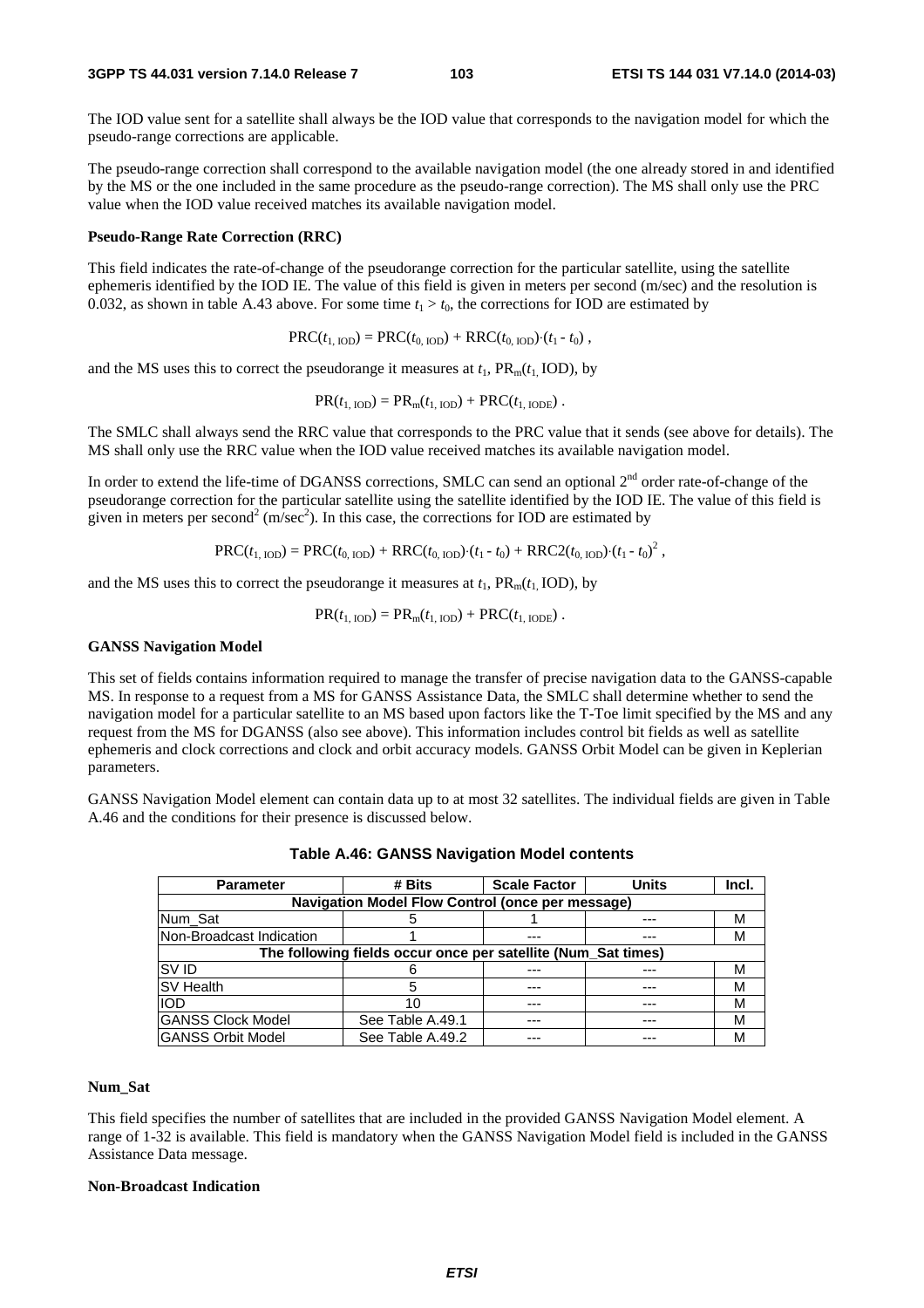#### **3GPP TS 44.031 version 7.14.0 Release 7 103 ETSI TS 144 031 V7.14.0 (2014-03)**

The IOD value sent for a satellite shall always be the IOD value that corresponds to the navigation model for which the pseudo-range corrections are applicable.

The pseudo-range correction shall correspond to the available navigation model (the one already stored in and identified by the MS or the one included in the same procedure as the pseudo-range correction). The MS shall only use the PRC value when the IOD value received matches its available navigation model.

#### **Pseudo-Range Rate Correction (RRC)**

This field indicates the rate-of-change of the pseudorange correction for the particular satellite, using the satellite ephemeris identified by the IOD IE. The value of this field is given in meters per second (m/sec) and the resolution is 0.032, as shown in table A.43 above. For some time  $t_1 > t_0$ , the corrections for IOD are estimated by

$$
PRC(t_{1,\text{IOD}}) = PRC(t_{0,\text{IOD}}) + RRC(t_{0,\text{IOD}}) \cdot (t_1 - t_0),
$$

and the MS uses this to correct the pseudorange it measures at  $t_1$ ,  $PR_m(t_1, IOD)$ , by

$$
PR(t_{1,\text{IOD}}) = PR_{m}(t_{1,\text{IOD}}) + PRC(t_{1,\text{IODE}}).
$$

The SMLC shall always send the RRC value that corresponds to the PRC value that it sends (see above for details). The MS shall only use the RRC value when the IOD value received matches its available navigation model.

In order to extend the life-time of DGANSS corrections, SMLC can send an optional  $2<sup>nd</sup>$  order rate-of-change of the pseudorange correction for the particular satellite using the satellite identified by the IOD IE. The value of this field is given in meters per second<sup>2</sup> (m/sec<sup>2</sup>). In this case, the corrections for IOD are estimated by

$$
PRC(t_{1,\text{IOD}}) = PRC(t_{0,\text{IOD}}) + RRC(t_{0,\text{IOD}}) \cdot (t_1 - t_0) + RRC2(t_{0,\text{IOD}}) \cdot (t_1 - t_0)^2,
$$

and the MS uses this to correct the pseudorange it measures at  $t_1$ ,  $PR_m(t_1, IOD)$ , by

$$
PR(t_{1,\text{IOD}}) = PR_{m}(t_{1,\text{IOD}}) + PRC(t_{1,\text{IODE}}).
$$

#### **GANSS Navigation Model**

This set of fields contains information required to manage the transfer of precise navigation data to the GANSS-capable MS. In response to a request from a MS for GANSS Assistance Data, the SMLC shall determine whether to send the navigation model for a particular satellite to an MS based upon factors like the T-Toe limit specified by the MS and any request from the MS for DGANSS (also see above). This information includes control bit fields as well as satellite ephemeris and clock corrections and clock and orbit accuracy models. GANSS Orbit Model can be given in Keplerian parameters.

GANSS Navigation Model element can contain data up to at most 32 satellites. The individual fields are given in Table A.46 and the conditions for their presence is discussed below.

| <b>Parameter</b>                                              | # Bits           | <b>Scale Factor</b> | <b>Units</b> | Incl. |  |  |
|---------------------------------------------------------------|------------------|---------------------|--------------|-------|--|--|
| Navigation Model Flow Control (once per message)              |                  |                     |              |       |  |  |
| Num_Sat                                                       |                  |                     |              | М     |  |  |
| Non-Broadcast Indication                                      |                  |                     |              | М     |  |  |
| The following fields occur once per satellite (Num_Sat times) |                  |                     |              |       |  |  |
| <b>SVID</b>                                                   |                  |                     |              | м     |  |  |
| <b>SV Health</b>                                              |                  | ---                 |              | М     |  |  |
| <b>IOD</b>                                                    |                  |                     |              | М     |  |  |
| <b>GANSS Clock Model</b>                                      | See Table A.49.1 | ---                 |              | М     |  |  |
| <b>GANSS Orbit Model</b>                                      | See Table A.49.2 |                     | ---          | М     |  |  |

**Table A.46: GANSS Navigation Model contents** 

#### **Num\_Sat**

This field specifies the number of satellites that are included in the provided GANSS Navigation Model element. A range of 1-32 is available. This field is mandatory when the GANSS Navigation Model field is included in the GANSS Assistance Data message.

### **Non-Broadcast Indication**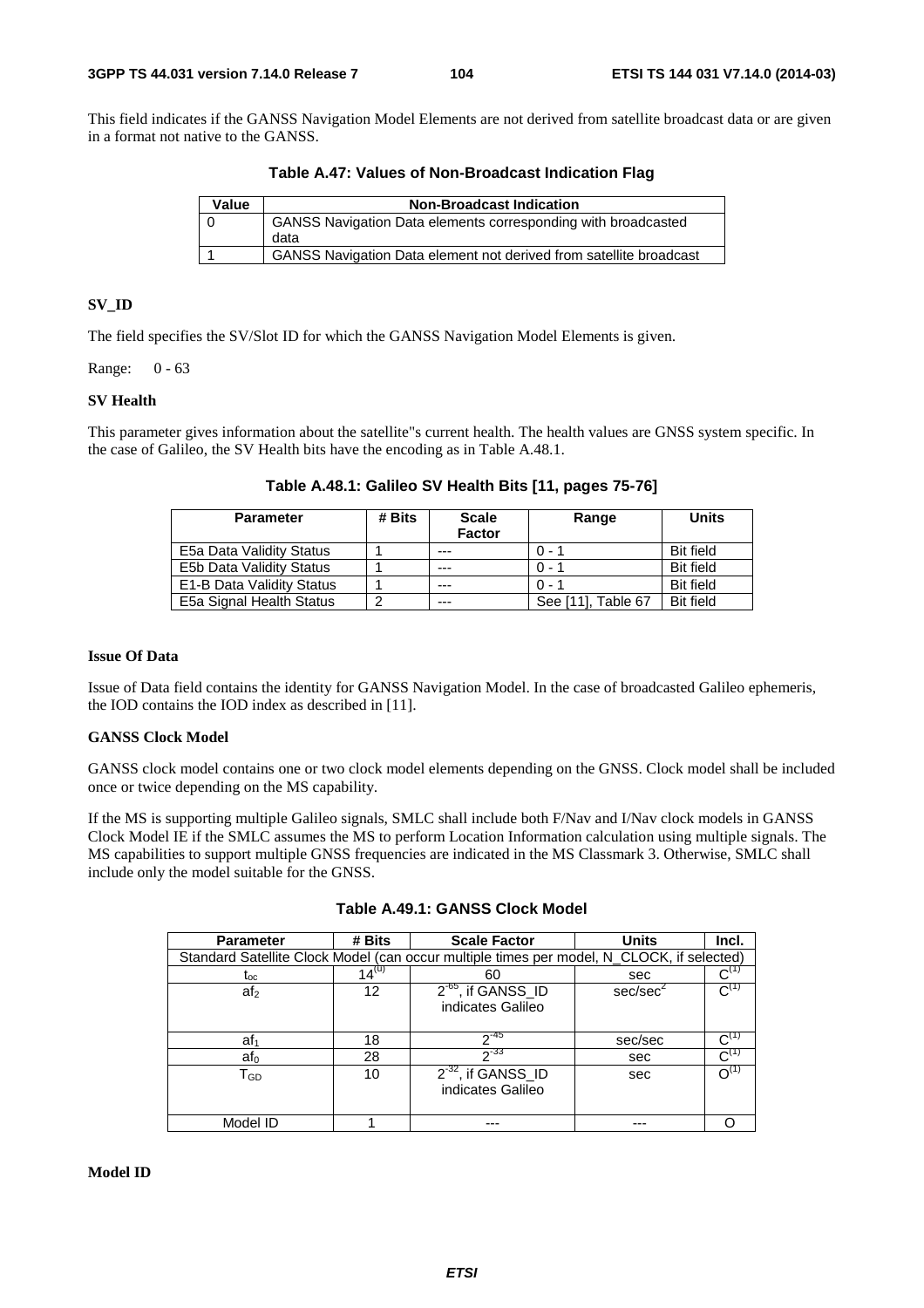This field indicates if the GANSS Navigation Model Elements are not derived from satellite broadcast data or are given in a format not native to the GANSS.

**Table A.47: Values of Non-Broadcast Indication Flag** 

| Value | <b>Non-Broadcast Indication</b>                                              |
|-------|------------------------------------------------------------------------------|
|       | <b>GANSS Navigation Data elements corresponding with broadcasted</b><br>data |
|       | GANSS Navigation Data element not derived from satellite broadcast           |

## **SV\_ID**

The field specifies the SV/Slot ID for which the GANSS Navigation Model Elements is given.

Range: 0 - 63

## **SV Health**

This parameter gives information about the satellite"s current health. The health values are GNSS system specific. In the case of Galileo, the SV Health bits have the encoding as in Table A.48.1.

| <b>Parameter</b>          | # Bits | <b>Scale</b><br>Factor | Range              | <b>Units</b>     |
|---------------------------|--------|------------------------|--------------------|------------------|
| E5a Data Validity Status  |        | $- - -$                | ი - 1              | <b>Bit field</b> |
| E5b Data Validity Status  |        | ---                    | . ი - 1            | <b>Bit field</b> |
| E1-B Data Validity Status |        | $- - -$                | $0 - 1$            | <b>Bit field</b> |
| E5a Signal Health Status  | 2      | $- - -$                | See [11]. Table 67 | <b>Bit field</b> |

**Table A.48.1: Galileo SV Health Bits [11, pages 75-76]** 

## **Issue Of Data**

Issue of Data field contains the identity for GANSS Navigation Model. In the case of broadcasted Galileo ephemeris, the IOD contains the IOD index as described in [11].

## **GANSS Clock Model**

GANSS clock model contains one or two clock model elements depending on the GNSS. Clock model shall be included once or twice depending on the MS capability.

If the MS is supporting multiple Galileo signals, SMLC shall include both F/Nav and I/Nav clock models in GANSS Clock Model IE if the SMLC assumes the MS to perform Location Information calculation using multiple signals. The MS capabilities to support multiple GNSS frequencies are indicated in the MS Classmark 3. Otherwise, SMLC shall include only the model suitable for the GNSS.

| <b>Parameter</b>                                                                          | # Bits     | <b>Scale Factor</b>                          | <b>Units</b>         | Incl.              |
|-------------------------------------------------------------------------------------------|------------|----------------------------------------------|----------------------|--------------------|
| Standard Satellite Clock Model (can occur multiple times per model, N_CLOCK, if selected) |            |                                              |                      |                    |
| lос                                                                                       | $14^{(u)}$ | 60                                           | sec                  |                    |
| af <sub>2</sub>                                                                           | 12         | $2^{-65}$ , if GANSS ID<br>indicates Galileo | sec/sec <sup>2</sup> |                    |
|                                                                                           |            |                                              |                      |                    |
| af <sub>1</sub>                                                                           | 18         | $2^{-45}$                                    | sec/sec              |                    |
| af <sub>0</sub>                                                                           | 28         | $2^{-33}$                                    | sec                  | $\mathsf{C}^{(1)}$ |
| TGD                                                                                       | 10         | $2^{-32}$ , if GANSS_ID                      | sec                  |                    |
|                                                                                           |            | indicates Galileo                            |                      |                    |
|                                                                                           |            |                                              |                      |                    |
| Model ID                                                                                  |            |                                              |                      |                    |

| Table A.49.1: GANSS Clock Model |
|---------------------------------|
|---------------------------------|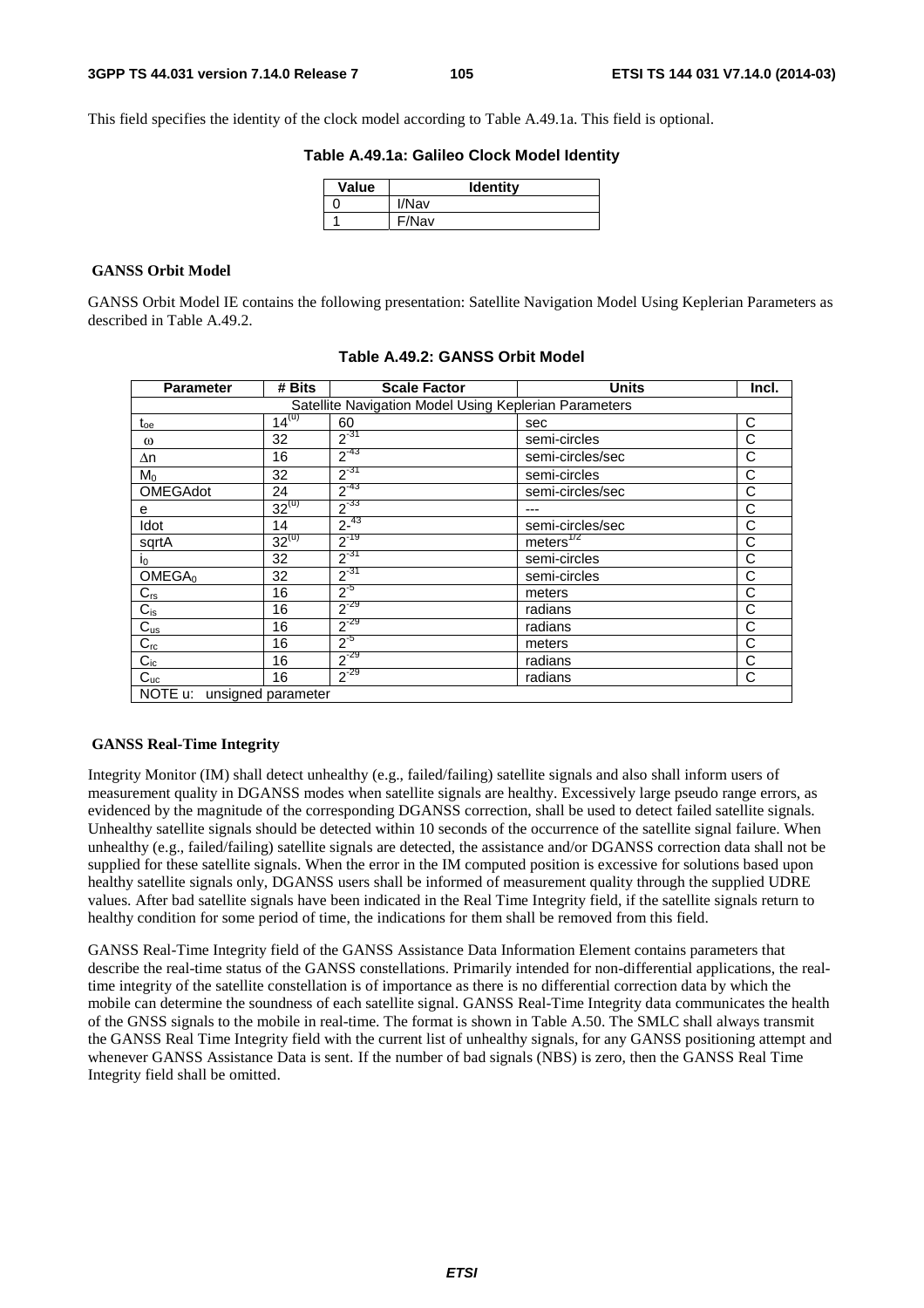This field specifies the identity of the clock model according to Table A.49.1a. This field is optional.

## **Table A.49.1a: Galileo Clock Model Identity**

| Value | <b>Identity</b> |
|-------|-----------------|
|       | I/Nav           |
|       | F/Nav           |

## **GANSS Orbit Model**

GANSS Orbit Model IE contains the following presentation: Satellite Navigation Model Using Keplerian Parameters as described in Table A.49.2.

| <b>Parameter</b>           | # Bits     | <b>Scale Factor</b>                                   | <b>Units</b>          | Incl. |  |  |
|----------------------------|------------|-------------------------------------------------------|-----------------------|-------|--|--|
|                            |            | Satellite Navigation Model Using Keplerian Parameters |                       |       |  |  |
| $t_{oe}$                   | $14^{(u)}$ | 60                                                    | sec                   | C     |  |  |
| $\omega$                   | 32         | $2^{-31}$                                             | semi-circles          | C     |  |  |
| Δn                         | 16         | $2^{-43}$                                             | semi-circles/sec      | C     |  |  |
| $M_0$                      | 32         | $2^{-31}$                                             | semi-circles          | С     |  |  |
| <b>OMEGAdot</b>            | 24         | $2^{-43}$                                             | semi-circles/sec      | C     |  |  |
| е                          | $32^{(u)}$ | $2^{-33}$                                             |                       | С     |  |  |
| Idot                       | 14         | $2^{-43}$                                             | semi-circles/sec      | C     |  |  |
| sqrtA                      | $32^{(u)}$ | $2^{-19}$                                             | meters <sup>172</sup> | C     |  |  |
| I <sub>0</sub>             | 32         | $2^{-31}$                                             | semi-circles          | C     |  |  |
| OMEGA <sub>0</sub>         | 32         | $2^{-31}$                                             | semi-circles          | C     |  |  |
| $C_{rs}$                   | 16         | $2^{5}$                                               | meters                | С     |  |  |
| $C_{is}$                   | 16         | $2^{-29}$                                             | radians               | C     |  |  |
| $C_{us}$                   | 16         | $2^{-29}$                                             | radians               | С     |  |  |
| $C_{rc}$                   | 16         | $2^{5}$                                               | meters                | C     |  |  |
| $C_{ic}$                   | 16         | $2^{-29}$                                             | radians               | С     |  |  |
| $C_{uc}$                   | 16         | $2^{-29}$                                             | radians               | C     |  |  |
| NOTE u: unsigned parameter |            |                                                       |                       |       |  |  |

**Table A.49.2: GANSS Orbit Model** 

## **GANSS Real-Time Integrity**

Integrity Monitor (IM) shall detect unhealthy (e.g., failed/failing) satellite signals and also shall inform users of measurement quality in DGANSS modes when satellite signals are healthy. Excessively large pseudo range errors, as evidenced by the magnitude of the corresponding DGANSS correction, shall be used to detect failed satellite signals. Unhealthy satellite signals should be detected within 10 seconds of the occurrence of the satellite signal failure. When unhealthy (e.g., failed/failing) satellite signals are detected, the assistance and/or DGANSS correction data shall not be supplied for these satellite signals. When the error in the IM computed position is excessive for solutions based upon healthy satellite signals only, DGANSS users shall be informed of measurement quality through the supplied UDRE values. After bad satellite signals have been indicated in the Real Time Integrity field, if the satellite signals return to healthy condition for some period of time, the indications for them shall be removed from this field.

GANSS Real-Time Integrity field of the GANSS Assistance Data Information Element contains parameters that describe the real-time status of the GANSS constellations. Primarily intended for non-differential applications, the realtime integrity of the satellite constellation is of importance as there is no differential correction data by which the mobile can determine the soundness of each satellite signal. GANSS Real-Time Integrity data communicates the health of the GNSS signals to the mobile in real-time. The format is shown in Table A.50. The SMLC shall always transmit the GANSS Real Time Integrity field with the current list of unhealthy signals, for any GANSS positioning attempt and whenever GANSS Assistance Data is sent. If the number of bad signals (NBS) is zero, then the GANSS Real Time Integrity field shall be omitted.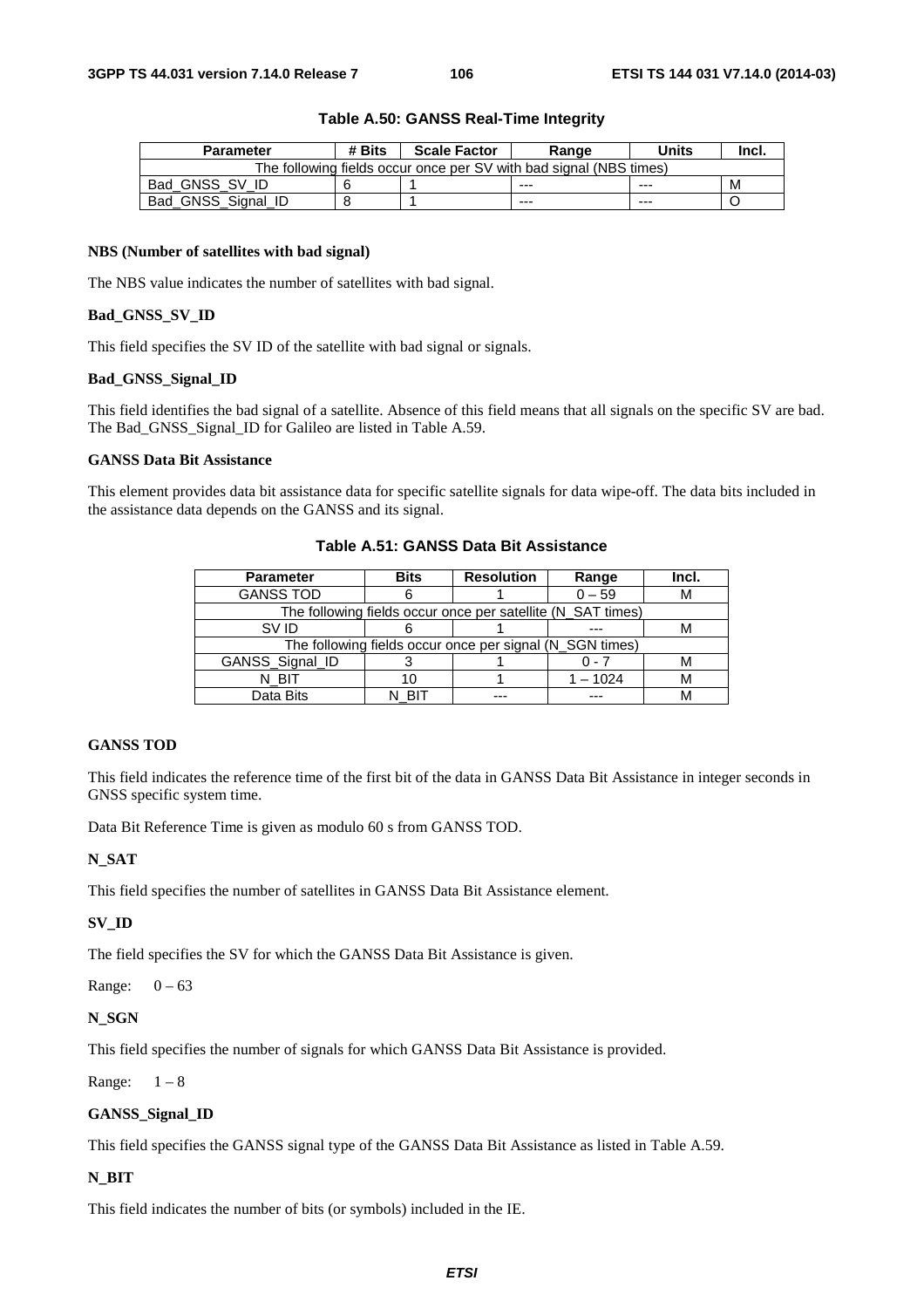| <b>Parameter</b>                                                   | # Bits | <b>Scale Factor</b> | Range   | Units   | Incl. |  |
|--------------------------------------------------------------------|--------|---------------------|---------|---------|-------|--|
| The following fields occur once per SV with bad signal (NBS times) |        |                     |         |         |       |  |
| Bad GNSS SV ID                                                     |        |                     | $- - -$ | $- - -$ | м     |  |
| Bad_GNSS_Signal_ID                                                 |        |                     | $- - -$ | ---     |       |  |

#### **Table A.50: GANSS Real-Time Integrity**

#### **NBS (Number of satellites with bad signal)**

The NBS value indicates the number of satellites with bad signal.

## **Bad\_GNSS\_SV\_ID**

This field specifies the SV ID of the satellite with bad signal or signals.

## **Bad\_GNSS\_Signal\_ID**

This field identifies the bad signal of a satellite. Absence of this field means that all signals on the specific SV are bad. The Bad\_GNSS\_Signal\_ID for Galileo are listed in Table A.59.

## **GANSS Data Bit Assistance**

This element provides data bit assistance data for specific satellite signals for data wipe-off. The data bits included in the assistance data depends on the GANSS and its signal.

| Table A.51: GANSS Data Bit Assistance |
|---------------------------------------|
|                                       |

| <b>Parameter</b>                                            | <b>Bits</b> | <b>Resolution</b> | Range    | Incl. |  |
|-------------------------------------------------------------|-------------|-------------------|----------|-------|--|
| <b>GANSS TOD</b>                                            |             |                   | $0 - 59$ | M     |  |
| The following fields occur once per satellite (N_SAT times) |             |                   |          |       |  |
| SV ID                                                       |             |                   |          |       |  |
| The following fields occur once per signal (N_SGN times)    |             |                   |          |       |  |
| GANSS_Signal_ID                                             |             |                   |          |       |  |
| N BIT                                                       |             |                   | 1 – 1024 |       |  |
| Data Bits                                                   |             |                   |          |       |  |

## **GANSS TOD**

This field indicates the reference time of the first bit of the data in GANSS Data Bit Assistance in integer seconds in GNSS specific system time.

Data Bit Reference Time is given as modulo 60 s from GANSS TOD.

## **N\_SAT**

This field specifies the number of satellites in GANSS Data Bit Assistance element.

## **SV\_ID**

The field specifies the SV for which the GANSS Data Bit Assistance is given.

Range:  $0 - 63$ 

## **N\_SGN**

This field specifies the number of signals for which GANSS Data Bit Assistance is provided.

Range:  $1-8$ 

## **GANSS\_Signal\_ID**

This field specifies the GANSS signal type of the GANSS Data Bit Assistance as listed in Table A.59.

## **N\_BIT**

This field indicates the number of bits (or symbols) included in the IE.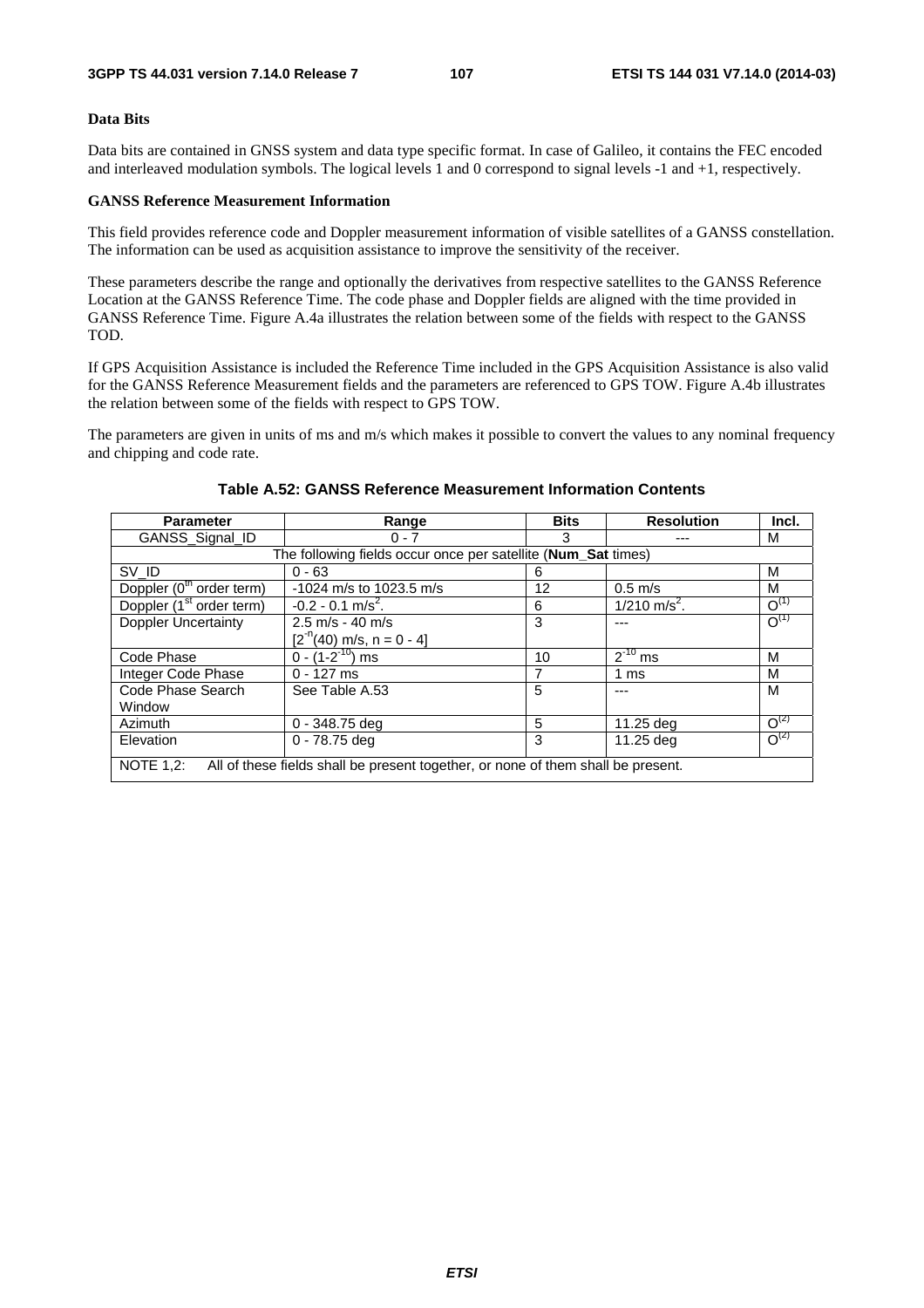### **Data Bits**

Data bits are contained in GNSS system and data type specific format. In case of Galileo, it contains the FEC encoded and interleaved modulation symbols. The logical levels 1 and 0 correspond to signal levels -1 and +1, respectively.

### **GANSS Reference Measurement Information**

This field provides reference code and Doppler measurement information of visible satellites of a GANSS constellation. The information can be used as acquisition assistance to improve the sensitivity of the receiver.

These parameters describe the range and optionally the derivatives from respective satellites to the GANSS Reference Location at the GANSS Reference Time. The code phase and Doppler fields are aligned with the time provided in GANSS Reference Time. Figure A.4a illustrates the relation between some of the fields with respect to the GANSS TOD.

If GPS Acquisition Assistance is included the Reference Time included in the GPS Acquisition Assistance is also valid for the GANSS Reference Measurement fields and the parameters are referenced to GPS TOW. Figure A.4b illustrates the relation between some of the fields with respect to GPS TOW.

The parameters are given in units of ms and m/s which makes it possible to convert the values to any nominal frequency and chipping and code rate.

| <b>Parameter</b>                                                                                     | Range                              | <b>Bits</b> | <b>Resolution</b>          | Incl.          |  |
|------------------------------------------------------------------------------------------------------|------------------------------------|-------------|----------------------------|----------------|--|
| GANSS Signal ID                                                                                      | $0 - 7$                            | 3           |                            | м              |  |
| The following fields occur once per satellite (Num_Sat times)                                        |                                    |             |                            |                |  |
| SV_ID                                                                                                | $0 - 63$                           | 6           |                            | м              |  |
| Doppler (0 <sup>th</sup> order term)                                                                 | -1024 m/s to 1023.5 m/s            | 12          | $0.5$ m/s                  | M              |  |
| Doppler (1 <sup>st</sup> order term)                                                                 | $-0.2 - 0.1$ m/s <sup>2</sup> .    | 6           | $1/210$ m/s <sup>2</sup> . | $O^{(1)}$      |  |
| <b>Doppler Uncertainty</b>                                                                           | $2.5 \text{ m/s} - 40 \text{ m/s}$ | 3           | ---                        | $O^{(1)}$      |  |
|                                                                                                      | $[2^{n}(40)$ m/s, n = 0 - 4]       |             |                            |                |  |
| Code Phase                                                                                           | $0 - (1 - 2^{-10})$ ms             | 10          | $2^{-10}$ ms               | M              |  |
| Integer Code Phase                                                                                   | $0 - 127$ ms                       | 7           | 1 ms                       | м              |  |
| Code Phase Search                                                                                    | See Table A.53                     | 5           | ---                        | M              |  |
| Window                                                                                               |                                    |             |                            |                |  |
| Azimuth                                                                                              | $0 - 348.75$ deg                   | 5           | 11.25 deg                  | $\Omega^{(2)}$ |  |
| Elevation                                                                                            | $0 - 78.75$ deg                    | 3           | 11.25 deg                  | $O^{(2)}$      |  |
| <b>NOTE 1.2:</b><br>All of these fields shall be present together, or none of them shall be present. |                                    |             |                            |                |  |

## **Table A.52: GANSS Reference Measurement Information Contents**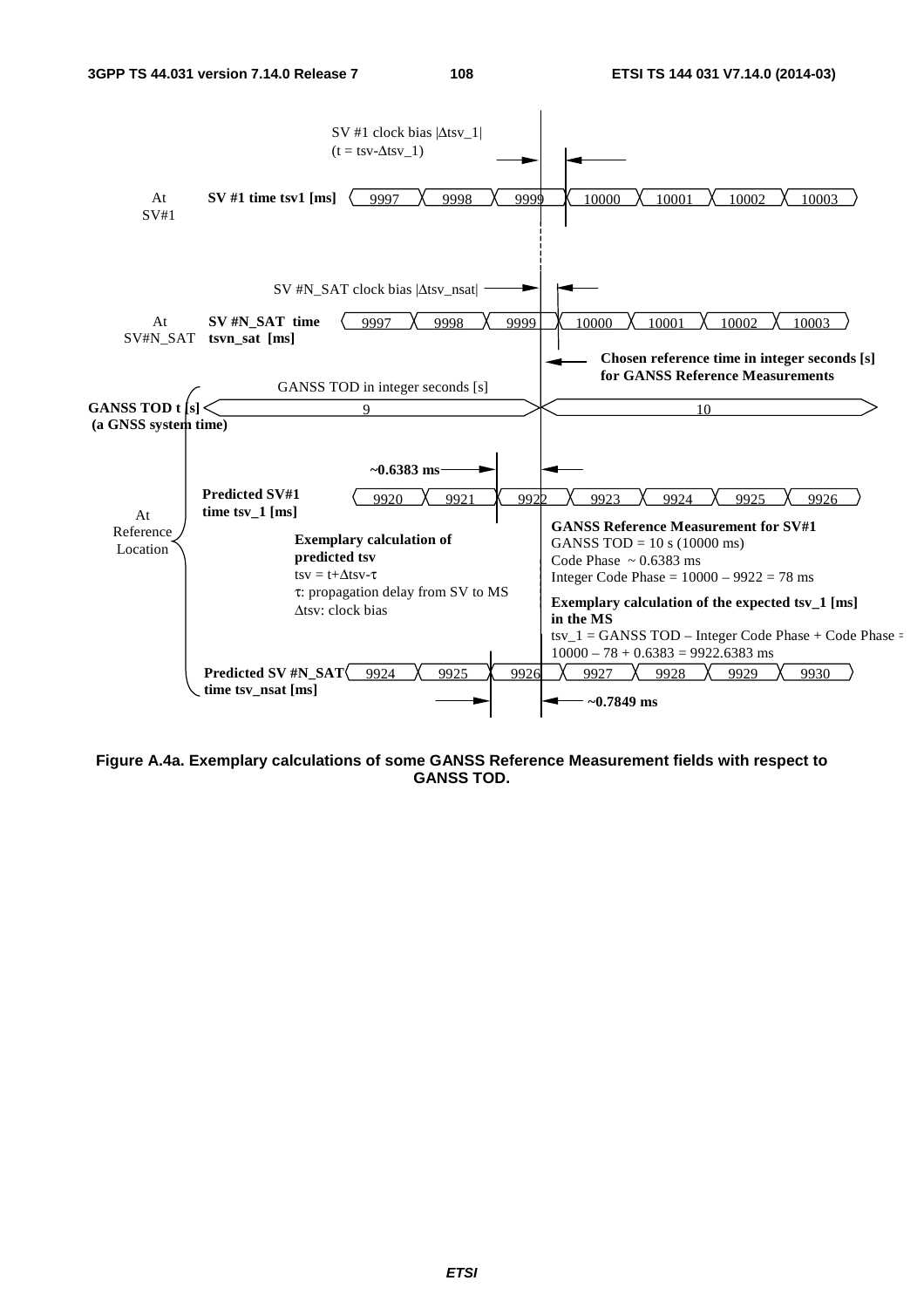

**Figure A.4a. Exemplary calculations of some GANSS Reference Measurement fields with respect to GANSS TOD.**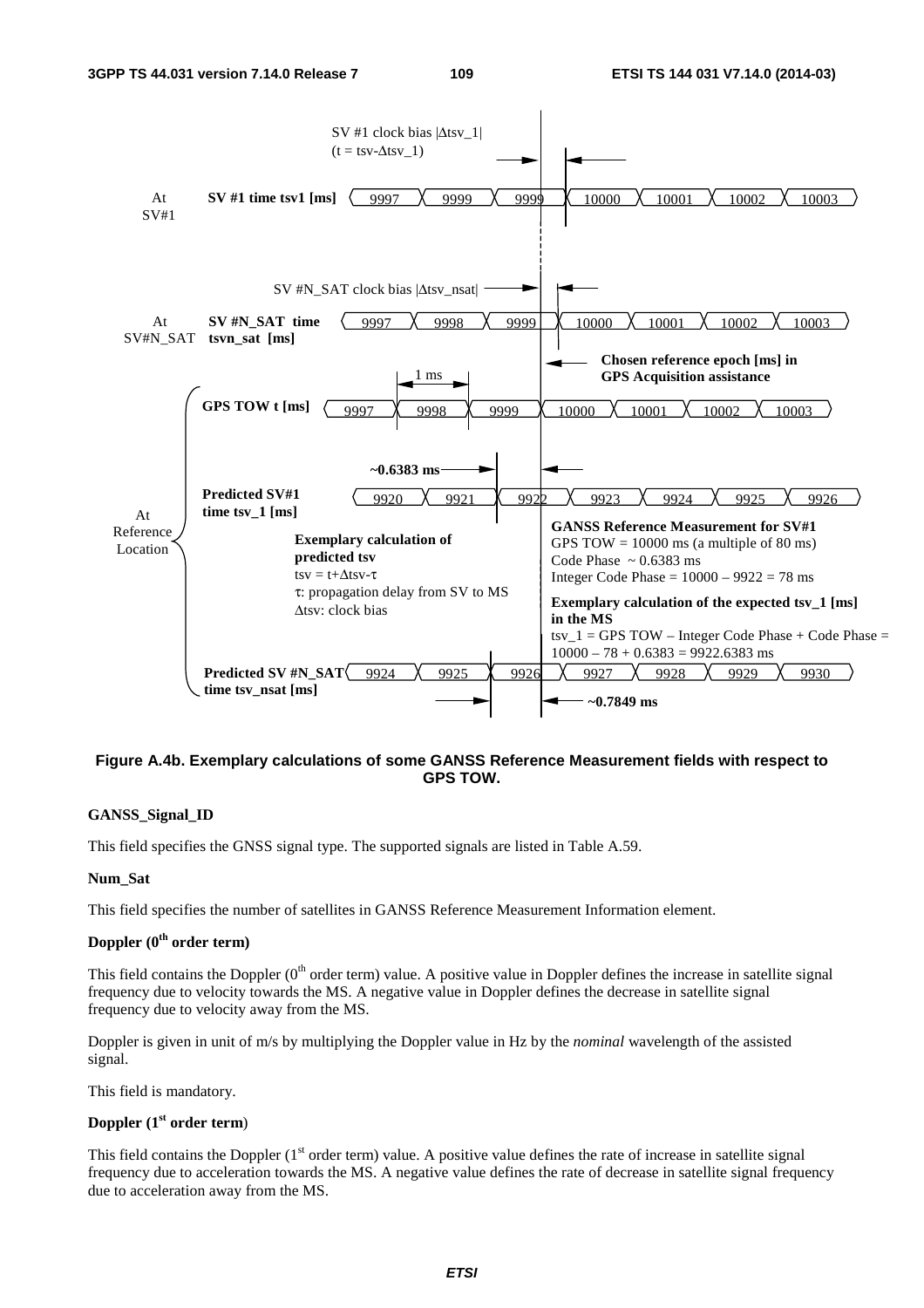

#### **Figure A.4b. Exemplary calculations of some GANSS Reference Measurement fields with respect to GPS TOW.**

#### **GANSS\_Signal\_ID**

This field specifies the GNSS signal type. The supported signals are listed in Table A.59.

#### **Num\_Sat**

This field specifies the number of satellites in GANSS Reference Measurement Information element.

#### **Doppler (0th order term)**

This field contains the Doppler  $(0<sup>th</sup> order term)$  value. A positive value in Doppler defines the increase in satellite signal frequency due to velocity towards the MS. A negative value in Doppler defines the decrease in satellite signal frequency due to velocity away from the MS.

Doppler is given in unit of m/s by multiplying the Doppler value in Hz by the *nominal* wavelength of the assisted signal.

This field is mandatory.

#### **Doppler (1st order term**)

This field contains the Doppler  $(1<sup>st</sup> order term)$  value. A positive value defines the rate of increase in satellite signal frequency due to acceleration towards the MS. A negative value defines the rate of decrease in satellite signal frequency due to acceleration away from the MS.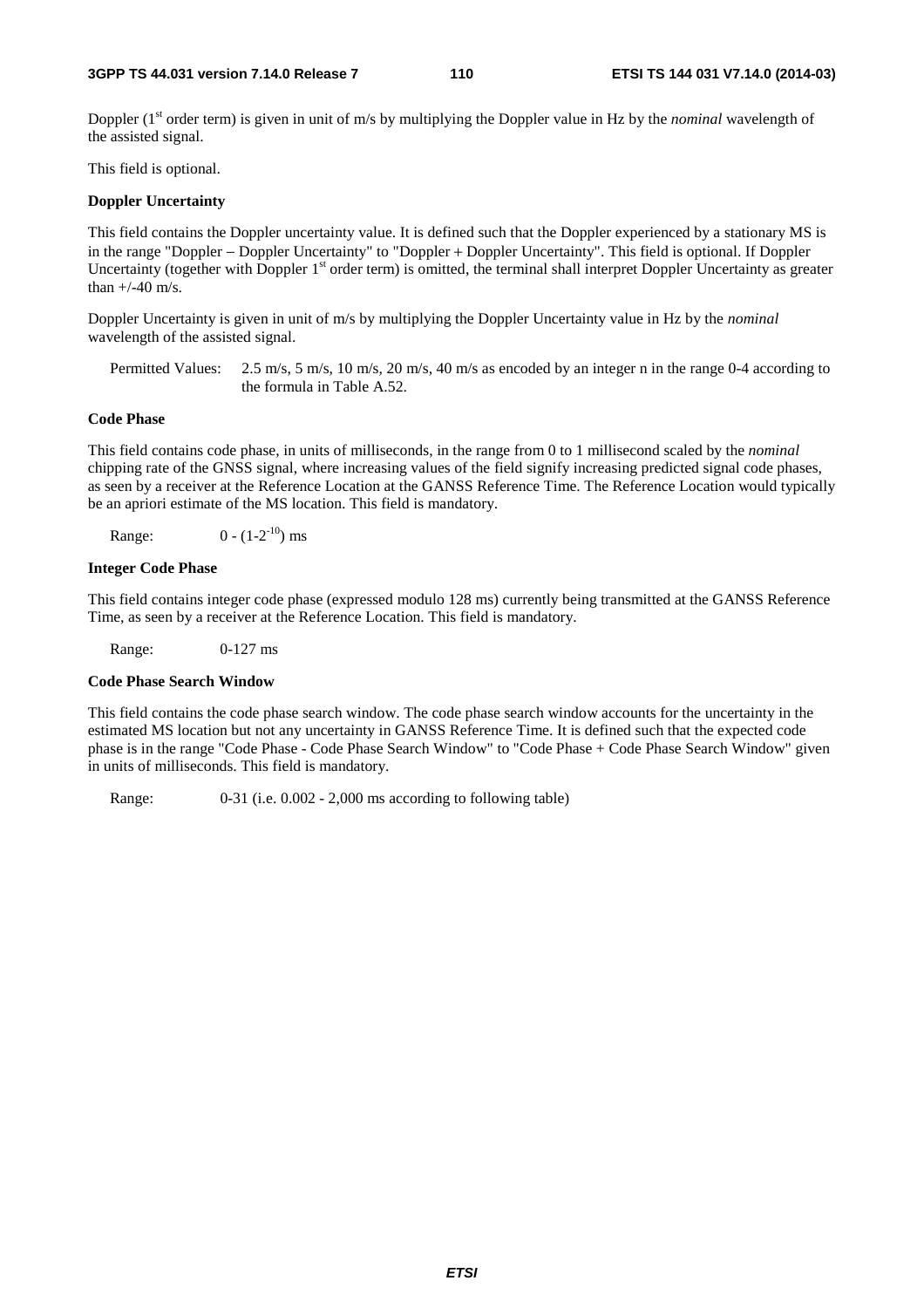Doppler (1<sup>st</sup> order term) is given in unit of m/s by multiplying the Doppler value in Hz by the *nominal* wavelength of the assisted signal.

This field is optional.

#### **Doppler Uncertainty**

This field contains the Doppler uncertainty value. It is defined such that the Doppler experienced by a stationary MS is in the range "Doppler − Doppler Uncertainty" to "Doppler + Doppler Uncertainty". This field is optional. If Doppler Uncertainty (together with Doppler  $1<sup>st</sup>$  order term) is omitted, the terminal shall interpret Doppler Uncertainty as greater than  $+/-40$  m/s.

Doppler Uncertainty is given in unit of m/s by multiplying the Doppler Uncertainty value in Hz by the *nominal* wavelength of the assisted signal.

Permitted Values: 2.5 m/s, 5 m/s, 10 m/s, 20 m/s, 40 m/s as encoded by an integer n in the range 0-4 according to the formula in Table A.52.

#### **Code Phase**

This field contains code phase, in units of milliseconds, in the range from 0 to 1 millisecond scaled by the *nominal* chipping rate of the GNSS signal, where increasing values of the field signify increasing predicted signal code phases, as seen by a receiver at the Reference Location at the GANSS Reference Time. The Reference Location would typically be an apriori estimate of the MS location. This field is mandatory.

Range:  $0 - (1-2^{-10})$  ms

#### **Integer Code Phase**

This field contains integer code phase (expressed modulo 128 ms) currently being transmitted at the GANSS Reference Time, as seen by a receiver at the Reference Location. This field is mandatory.

Range: 0-127 ms

#### **Code Phase Search Window**

This field contains the code phase search window. The code phase search window accounts for the uncertainty in the estimated MS location but not any uncertainty in GANSS Reference Time. It is defined such that the expected code phase is in the range "Code Phase - Code Phase Search Window" to "Code Phase + Code Phase Search Window" given in units of milliseconds. This field is mandatory.

Range: 0-31 (i.e. 0.002 - 2,000 ms according to following table)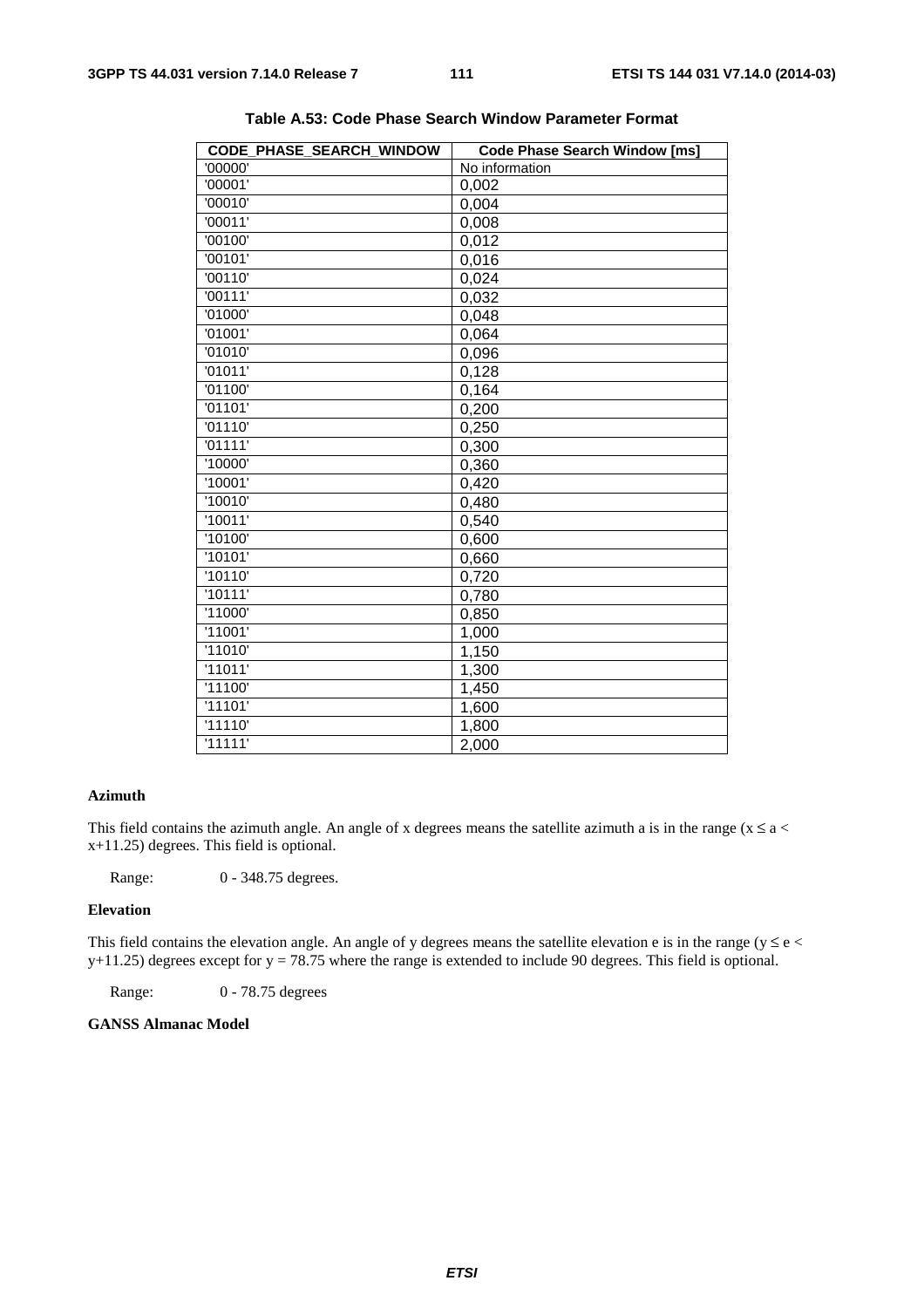| CODE PHASE SEARCH WINDOW | <b>Code Phase Search Window [ms]</b> |
|--------------------------|--------------------------------------|
| '00000'                  | No information                       |
| $\overline{0}0001'$      | 0,002                                |
| '00010'                  | 0,004                                |
| '00011'                  | 0,008                                |
| '00100'                  | 0,012                                |
| '00101'                  | 0,016                                |
| '00110'                  | 0,024                                |
| '00111'                  | 0,032                                |
| '01000'                  | 0,048                                |
| '01001'                  | 0,064                                |
| '01010'                  | 0,096                                |
| '01011'                  | 0,128                                |
| '01100'                  | 0,164                                |
| '01101'                  | 0,200                                |
| '01110'                  | 0,250                                |
| '01111'                  | 0,300                                |
| '10000'                  | 0,360                                |
| '10001'                  | 0,420                                |
| '10010'                  | 0,480                                |
| '10011'                  | 0,540                                |
| '10100'                  | 0,600                                |
| '10101'                  | 0,660                                |
| '10110'                  | 0,720                                |
| '10111'                  | 0,780                                |
| '11000'                  | 0,850                                |
| '11001'                  | 1,000                                |
| '11010'                  | 1,150                                |
| '11011'                  | 1,300                                |
| '11100'                  | 1,450                                |
| '11101'                  | 1,600                                |
| '11110'                  | 1,800                                |
| '11111'                  | 2,000                                |
|                          |                                      |

**Table A.53: Code Phase Search Window Parameter Format** 

### **Azimuth**

This field contains the azimuth angle. An angle of x degrees means the satellite azimuth a is in the range ( $x \le a <$ x+11.25) degrees. This field is optional.

Range: 0 - 348.75 degrees.

#### **Elevation**

This field contains the elevation angle. An angle of y degrees means the satellite elevation e is in the range ( $y \le e$  <  $y+11.25$ ) degrees except for  $y = 78.75$  where the range is extended to include 90 degrees. This field is optional.

Range: 0 - 78.75 degrees

#### **GANSS Almanac Model**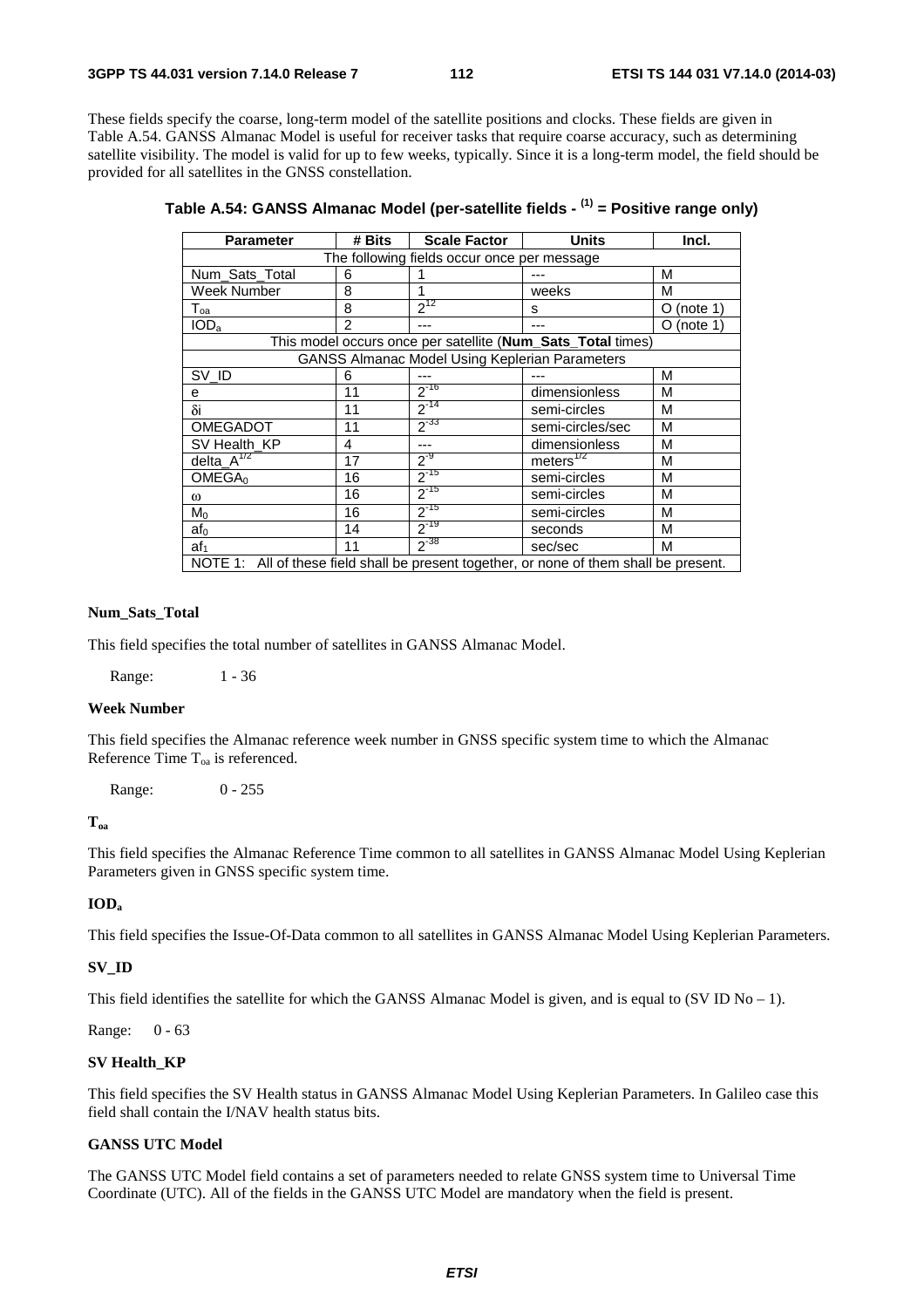These fields specify the coarse, long-term model of the satellite positions and clocks. These fields are given in Table A.54. GANSS Almanac Model is useful for receiver tasks that require coarse accuracy, such as determining satellite visibility. The model is valid for up to few weeks, typically. Since it is a long-term model, the field should be provided for all satellites in the GNSS constellation.

| <b>Parameter</b>                                                                        | # Bits         | <b>Scale Factor</b>                                   | <b>Units</b>                                                | Incl.          |  |  |
|-----------------------------------------------------------------------------------------|----------------|-------------------------------------------------------|-------------------------------------------------------------|----------------|--|--|
| The following fields occur once per message                                             |                |                                                       |                                                             |                |  |  |
| Num_Sats_Total                                                                          | 6              |                                                       |                                                             | M              |  |  |
| Week Number                                                                             | 8              |                                                       | weeks                                                       | М              |  |  |
| $\mathsf{T}_{\mathsf{oa}}$                                                              | 8              | $2^{12}$                                              | s                                                           | (note $1$<br>O |  |  |
| IOD <sub>a</sub>                                                                        | $\overline{2}$ |                                                       |                                                             | O (note 1)     |  |  |
|                                                                                         |                |                                                       | This model occurs once per satellite (Num_Sats_Total times) |                |  |  |
|                                                                                         |                | <b>GANSS Almanac Model Using Keplerian Parameters</b> |                                                             |                |  |  |
| SV ID                                                                                   | 6              |                                                       |                                                             | M              |  |  |
| е                                                                                       | 11             | $2^{-16}$                                             | dimensionless                                               | M              |  |  |
| δi                                                                                      | 11             | $2^{-14}$                                             | semi-circles                                                | M              |  |  |
| <b>OMEGADOT</b>                                                                         | 11             | $2^{33}$                                              | semi-circles/sec                                            | M              |  |  |
| SV Health KP                                                                            | 4              | ---                                                   | dimensionless                                               | М              |  |  |
| dela <sub>A</sub> <sup>1/2</sup>                                                        | 17             | $2^{-9}$                                              | meters $^{1/2}$                                             | М              |  |  |
| OMEGA <sub>0</sub>                                                                      | 16             | $2^{-15}$                                             | semi-circles                                                | M              |  |  |
| ω                                                                                       | 16             | $2^{-15}$                                             | semi-circles                                                | M              |  |  |
| $M_0$                                                                                   | 16             | $2^{-15}$                                             | semi-circles                                                | M              |  |  |
| $af_0$                                                                                  | 14             | $2^{-19}$                                             | seconds                                                     | M              |  |  |
| af <sub>1</sub>                                                                         | 11             | $2^{-38}$                                             | sec/sec                                                     | M              |  |  |
| NOTE 1: All of these field shall be present together, or none of them shall be present. |                |                                                       |                                                             |                |  |  |

|  | Table A.54: GANSS Almanac Model (per-satellite fields - <sup>(1)</sup> = Positive range only) |  |  |  |
|--|-----------------------------------------------------------------------------------------------|--|--|--|
|--|-----------------------------------------------------------------------------------------------|--|--|--|

#### **Num\_Sats\_Total**

This field specifies the total number of satellites in GANSS Almanac Model.

Range: 1 - 36

#### **Week Number**

This field specifies the Almanac reference week number in GNSS specific system time to which the Almanac Reference Time  $T_{0a}$  is referenced.

Range: 0 - 255

#### **Toa**

This field specifies the Almanac Reference Time common to all satellites in GANSS Almanac Model Using Keplerian Parameters given in GNSS specific system time.

#### **IODa**

This field specifies the Issue-Of-Data common to all satellites in GANSS Almanac Model Using Keplerian Parameters.

#### **SV\_ID**

This field identifies the satellite for which the GANSS Almanac Model is given, and is equal to  $(SVID No - 1)$ .

Range: 0 - 63

#### **SV Health\_KP**

This field specifies the SV Health status in GANSS Almanac Model Using Keplerian Parameters. In Galileo case this field shall contain the I/NAV health status bits.

#### **GANSS UTC Model**

The GANSS UTC Model field contains a set of parameters needed to relate GNSS system time to Universal Time Coordinate (UTC). All of the fields in the GANSS UTC Model are mandatory when the field is present.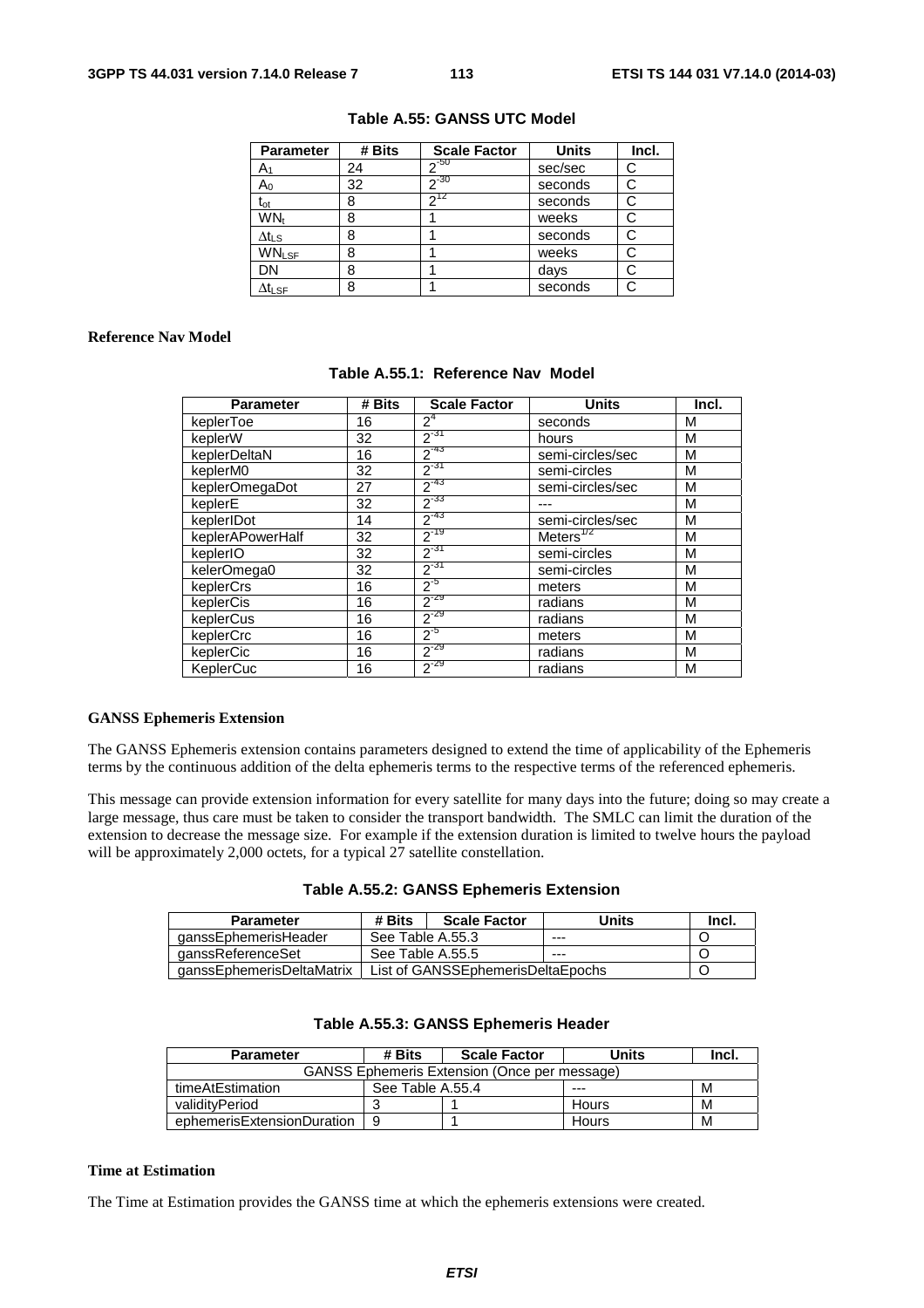| <b>Parameter</b>             | # Bits | <b>Scale Factor</b> | <b>Units</b> | Incl. |
|------------------------------|--------|---------------------|--------------|-------|
| A۱                           | 24     | $2^{-50}$           | sec/sec      | С     |
| $A_0$                        | 32     | $-30$               | seconds      |       |
| $\mathfrak{t}_{\mathsf{ot}}$ | 8      | $2^{12}$            | seconds      |       |
| WN <sub>t</sub>              | 8      |                     | weeks        |       |
| $\Delta t_{LS}$              | 8      |                     | seconds      | C     |
| <b>WNLSF</b>                 | 8      |                     | weeks        |       |
| DN                           | 8      |                     | days         |       |
| $\Delta t_{\sf LSF}$         | 8      |                     | seconds      |       |

#### **Table A.55: GANSS UTC Model**

#### **Reference Nav Model**

| # Bits<br><b>Parameter</b> |    | <b>Scale Factor</b> | <b>Units</b>     | Incl. |
|----------------------------|----|---------------------|------------------|-------|
| keplerToe                  | 16 | $2^4$               | seconds          | М     |
| keplerW                    | 32 | $2^{-31}$           | hours            | M     |
| keplerDeltaN               | 16 | $2^{-43}$           | semi-circles/sec | M     |
| keplerM0                   | 32 | $2^{-31}$           | semi-circles     | M     |
| keplerOmegaDot             | 27 | $2^{-43}$           | semi-circles/sec | M     |
| keplerE                    | 32 | $2^{-33}$           |                  | M     |
| keplerIDot                 | 14 | $2^{-43}$           | semi-circles/sec | M     |
| keplerAPowerHalf           | 32 | $2^{-19}$           | Meters $^{1/2}$  | M     |
| keplerIO                   | 32 | $2^{-31}$           | semi-circles     | М     |
| kelerOmega0                | 32 | $2^{-31}$           | semi-circles     | M     |
| keplerCrs                  | 16 | $2^{-5}$            | meters           | M     |
| keplerCis                  | 16 | $2^{-29}$           | radians          | M     |
| keplerCus                  | 16 | $2^{-29}$           | radians          | M     |
| keplerCrc                  | 16 | $2^{5}$             | meters           | м     |
| keplerCic                  | 16 | $2^{-29}$           | radians          | M     |
| KeplerCuc                  | 16 | $2^{-29}$           | radians          | M     |

#### **Table A.55.1: Reference Nav Model**

#### **GANSS Ephemeris Extension**

The GANSS Ephemeris extension contains parameters designed to extend the time of applicability of the Ephemeris terms by the continuous addition of the delta ephemeris terms to the respective terms of the referenced ephemeris.

This message can provide extension information for every satellite for many days into the future; doing so may create a large message, thus care must be taken to consider the transport bandwidth. The SMLC can limit the duration of the extension to decrease the message size. For example if the extension duration is limited to twelve hours the payload will be approximately 2,000 octets, for a typical 27 satellite constellation.

|  |  | Table A.55.2: GANSS Ephemeris Extension |  |
|--|--|-----------------------------------------|--|
|--|--|-----------------------------------------|--|

| Parameter                 | # Bits           | <b>Scale Factor</b>               | Units | lncl. |
|---------------------------|------------------|-----------------------------------|-------|-------|
| qanssEphemerisHeader      | See Table A.55.3 |                                   | $---$ |       |
| ganssReferenceSet         | See Table A.55.5 |                                   | ---   |       |
| aanssEphemerisDeltaMatrix |                  | List of GANSSEphemerisDeltaEpochs |       |       |

| <b>I able A.33.3. GANSS Epilements reader</b>       |                  |                     |       |       |  |  |  |
|-----------------------------------------------------|------------------|---------------------|-------|-------|--|--|--|
| <b>Parameter</b>                                    | # Bits           | <b>Scale Factor</b> | Units | Incl. |  |  |  |
| <b>GANSS Ephemeris Extension (Once per message)</b> |                  |                     |       |       |  |  |  |
| timeAtEstimation                                    | See Table A.55.4 |                     |       | м     |  |  |  |
| validityPeriod                                      |                  |                     | Hours | м     |  |  |  |
| ephemerisExtensionDuration                          | 9                |                     | Hours | M     |  |  |  |

#### **Table A.55.3: GANSS Ephemeris Header**

#### **Time at Estimation**

The Time at Estimation provides the GANSS time at which the ephemeris extensions were created.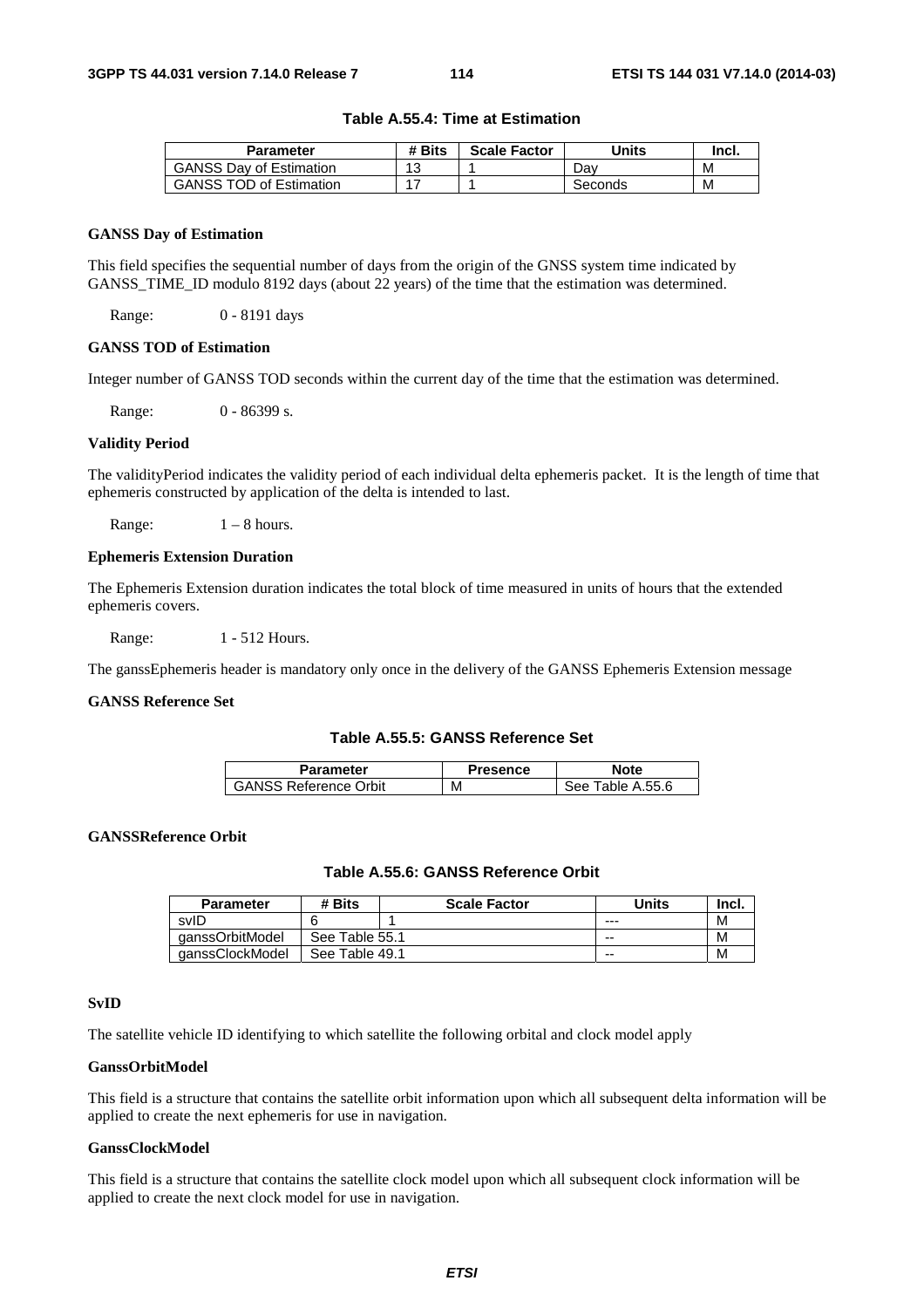|  | Table A.55.4: Time at Estimation |
|--|----------------------------------|
|--|----------------------------------|

| Parameter                      | # Bits | <b>Scale Factor</b> | Units   | Incl. |
|--------------------------------|--------|---------------------|---------|-------|
| <b>GANSS Dav of Estimation</b> | 13     |                     | Dav     | M     |
| <b>GANSS TOD of Estimation</b> |        |                     | Seconds | M     |

#### **GANSS Day of Estimation**

This field specifies the sequential number of days from the origin of the GNSS system time indicated by GANSS\_TIME\_ID modulo 8192 days (about 22 years) of the time that the estimation was determined.

Range: 0 - 8191 days

#### **GANSS TOD of Estimation**

Integer number of GANSS TOD seconds within the current day of the time that the estimation was determined.

Range: 0 - 86399 s.

#### **Validity Period**

The validityPeriod indicates the validity period of each individual delta ephemeris packet. It is the length of time that ephemeris constructed by application of the delta is intended to last.

Range:  $1 - 8$  hours.

#### **Ephemeris Extension Duration**

The Ephemeris Extension duration indicates the total block of time measured in units of hours that the extended ephemeris covers.

Range: 1 - 512 Hours.

The ganssEphemeris header is mandatory only once in the delivery of the GANSS Ephemeris Extension message

#### **GANSS Reference Set**

#### **Table A.55.5: GANSS Reference Set**

| Parameter                    | Presence | <b>Note</b>          |
|------------------------------|----------|----------------------|
| <b>GANSS Reference Orbit</b> | М        | Table A.55.6<br>See: |

#### **GANSSReference Orbit**

#### **Table A.55.6: GANSS Reference Orbit**

| <b>Parameter</b> | # Bits         | <b>Scale Factor</b> | Units | Incl. |
|------------------|----------------|---------------------|-------|-------|
| svID             |                |                     | $--$  | M     |
| qanssOrbitModel  | See Table 55.1 |                     | $- -$ | M     |
| qanssClockModel  | See Table 49.1 |                     | $- -$ | M     |

#### **SvID**

The satellite vehicle ID identifying to which satellite the following orbital and clock model apply

#### **GanssOrbitModel**

This field is a structure that contains the satellite orbit information upon which all subsequent delta information will be applied to create the next ephemeris for use in navigation.

#### **GanssClockModel**

This field is a structure that contains the satellite clock model upon which all subsequent clock information will be applied to create the next clock model for use in navigation.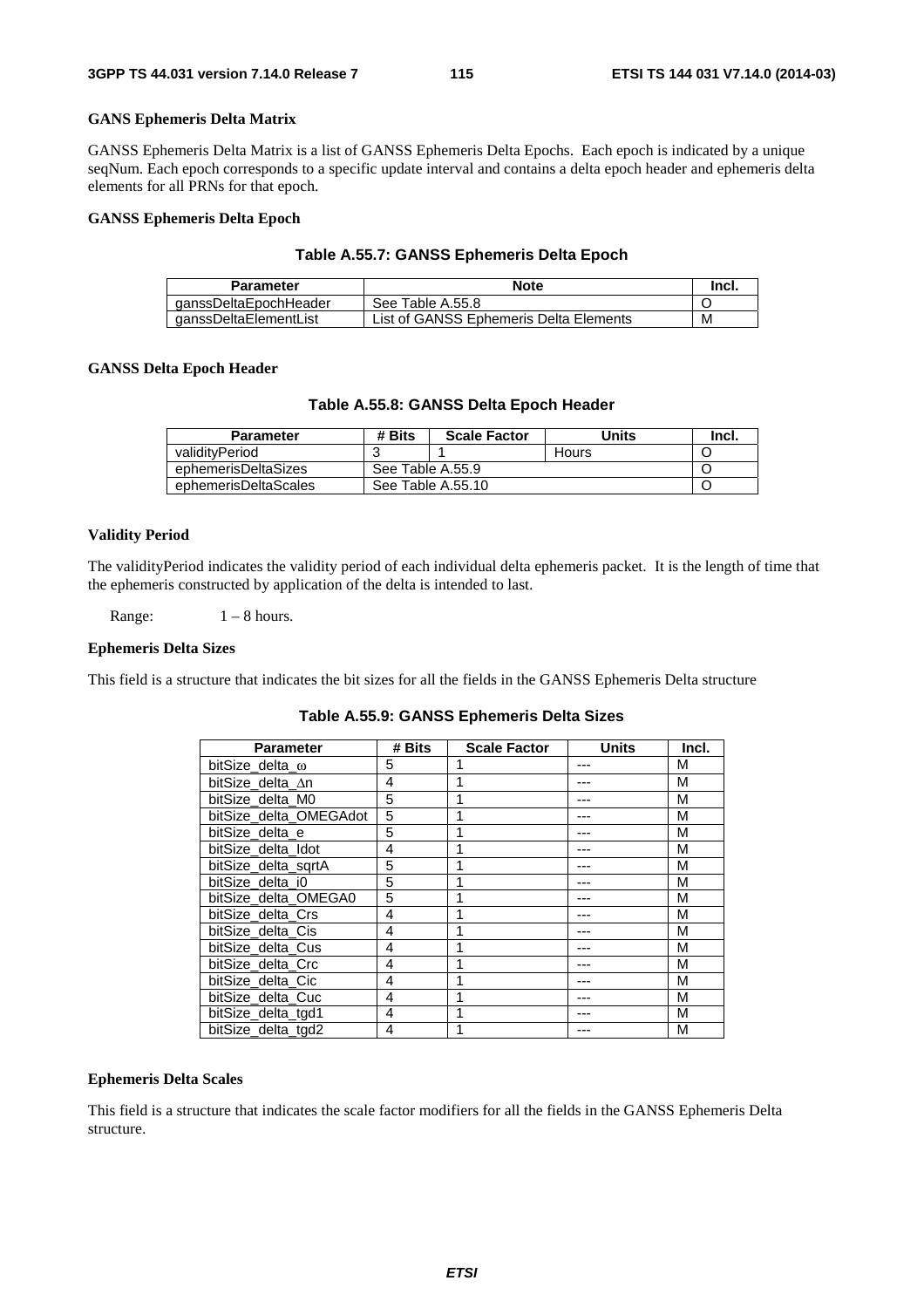#### **GANS Ephemeris Delta Matrix**

GANSS Ephemeris Delta Matrix is a list of GANSS Ephemeris Delta Epochs. Each epoch is indicated by a unique seqNum. Each epoch corresponds to a specific update interval and contains a delta epoch header and ephemeris delta elements for all PRNs for that epoch.

#### **GANSS Ephemeris Delta Epoch**

#### **Table A.55.7: GANSS Ephemeris Delta Epoch**

| Parameter             | <b>Note</b>                            | -Incl. |
|-----------------------|----------------------------------------|--------|
| qanssDeltaEpochHeader | See Table A.55.8                       |        |
| ganssDeltaElementList | List of GANSS Ephemeris Delta Elements | M      |

#### **GANSS Delta Epoch Header**

#### **Table A.55.8: GANSS Delta Epoch Header**

| <b>Parameter</b>     | # Bits           | <b>Scale Factor</b> | Units | Incl. |
|----------------------|------------------|---------------------|-------|-------|
| validityPeriod       |                  |                     | Hours |       |
| ephemerisDeltaSizes  | See Table A.55.9 |                     |       |       |
| ephemerisDeltaScales |                  | See Table A.55.10   |       |       |

#### **Validity Period**

The validityPeriod indicates the validity period of each individual delta ephemeris packet. It is the length of time that the ephemeris constructed by application of the delta is intended to last.

Range:  $1 - 8$  hours.

#### **Ephemeris Delta Sizes**

This field is a structure that indicates the bit sizes for all the fields in the GANSS Ephemeris Delta structure

**Table A.55.9: GANSS Ephemeris Delta Sizes** 

| <b>Parameter</b>       | # Bits | <b>Scale Factor</b> | Units | Incl. |
|------------------------|--------|---------------------|-------|-------|
| bitSize delta $\omega$ | 5      |                     |       | М     |
| bitSize delta ∆n       | 4      |                     |       | М     |
| bitSize_delta_M0       | 5      |                     |       | M     |
| bitSize_delta_OMEGAdot | 5      |                     |       | М     |
| bitSize delta e        | 5      |                     |       | М     |
| bitSize delta Idot     | 4      |                     |       | М     |
| bitSize delta sgrtA    | 5      |                     |       | М     |
| bitSize delta i0       | 5      |                     |       | M     |
| bitSize_delta_OMEGA0   | 5      |                     |       | M     |
| bitSize delta Crs      | 4      |                     |       | M     |
| bitSize delta Cis      | 4      |                     |       | М     |
| bitSize delta Cus      | 4      |                     |       | М     |
| bitSize delta Crc      | 4      |                     |       | М     |
| bitSize delta Cic      | 4      |                     |       | М     |
| bitSize delta Cuc      | 4      |                     |       | М     |
| bitSize delta tgd1     | 4      |                     |       | M     |
| bitSize delta tgd2     | 4      |                     |       | М     |

#### **Ephemeris Delta Scales**

This field is a structure that indicates the scale factor modifiers for all the fields in the GANSS Ephemeris Delta structure.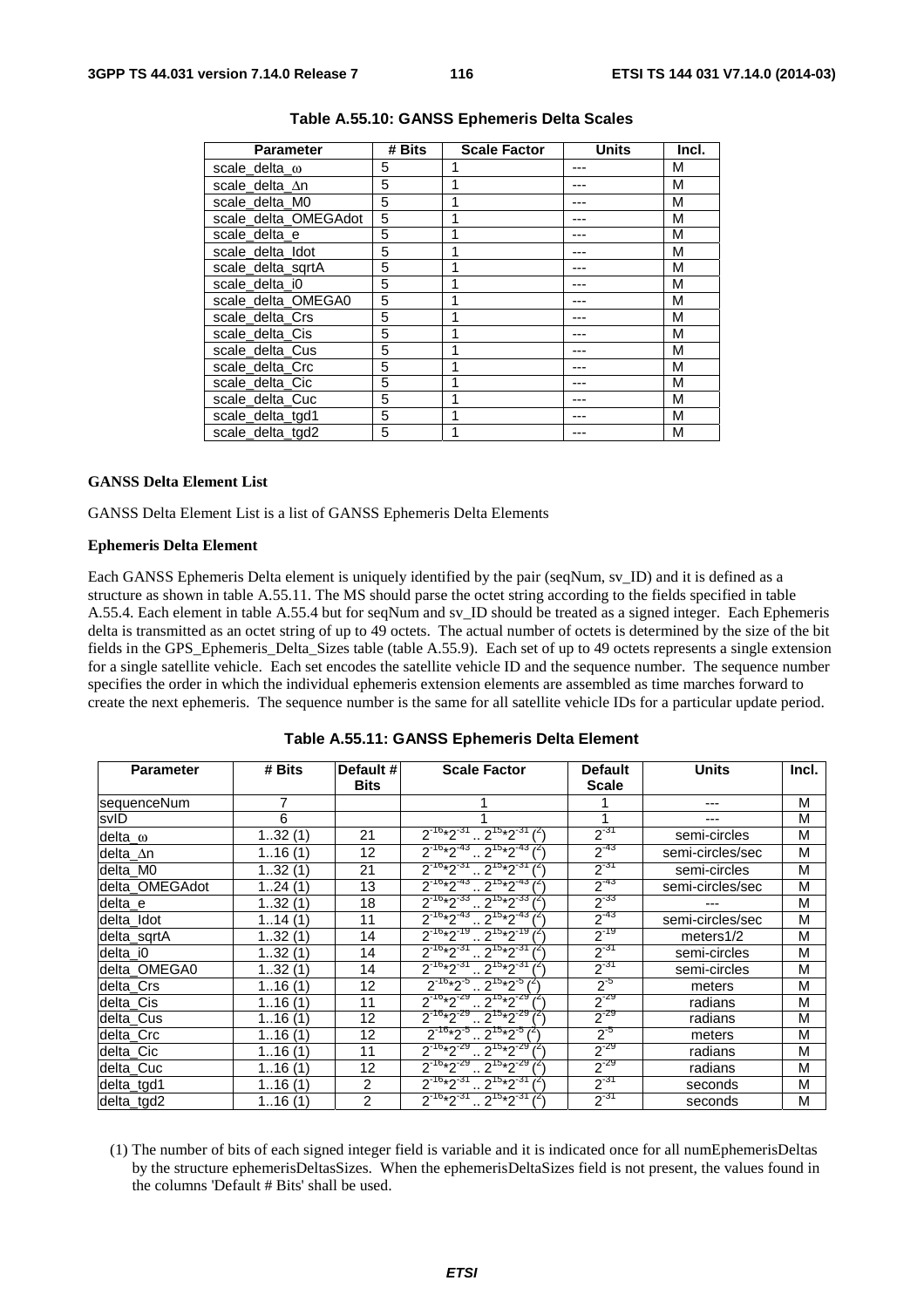| <b>Parameter</b>     | # Bits | <b>Scale Factor</b> | <b>Units</b> | Incl. |
|----------------------|--------|---------------------|--------------|-------|
| scale delta $\omega$ | 5      |                     |              | М     |
| scale delta An       | 5      |                     |              | М     |
| scale delta M0       | 5      |                     |              | М     |
| scale_delta_OMEGAdot | 5      |                     |              | М     |
| scale delta e        | 5      |                     |              | М     |
| scale delta Idot     | 5      |                     |              | М     |
| scale delta sgrtA    | 5      |                     |              | М     |
| scale delta i0       | 5      |                     |              | М     |
| scale_delta_OMEGA0   | 5      |                     |              | М     |
| scale_delta_Crs      | 5      |                     |              | М     |
| scale_delta_Cis      | 5      |                     |              | М     |
| scale_delta_Cus      | 5      |                     |              | М     |
| scale_delta_Crc      | 5      |                     |              | М     |
| scale_delta_Cic      | 5      |                     |              | М     |
| scale delta Cuc      | 5      |                     |              | М     |
| scale_delta_tgd1     | 5      |                     |              | M     |
| scale delta tgd2     | 5      |                     |              | М     |

#### **Table A.55.10: GANSS Ephemeris Delta Scales**

#### **GANSS Delta Element List**

GANSS Delta Element List is a list of GANSS Ephemeris Delta Elements

#### **Ephemeris Delta Element**

Each GANSS Ephemeris Delta element is uniquely identified by the pair (seqNum, sv\_ID) and it is defined as a structure as shown in table A.55.11. The MS should parse the octet string according to the fields specified in table A.55.4. Each element in table A.55.4 but for seqNum and sv\_ID should be treated as a signed integer. Each Ephemeris delta is transmitted as an octet string of up to 49 octets. The actual number of octets is determined by the size of the bit fields in the GPS\_Ephemeris\_Delta\_Sizes table (table A.55.9). Each set of up to 49 octets represents a single extension for a single satellite vehicle. Each set encodes the satellite vehicle ID and the sequence number. The sequence number specifies the order in which the individual ephemeris extension elements are assembled as time marches forward to create the next ephemeris. The sequence number is the same for all satellite vehicle IDs for a particular update period.

| <b>Parameter</b> | # Bits   | Default #<br><b>Bits</b> | <b>Scale Factor</b>                               | <b>Default</b><br><b>Scale</b> | <b>Units</b>     | Incl. |
|------------------|----------|--------------------------|---------------------------------------------------|--------------------------------|------------------|-------|
| sequenceNum      | 7        |                          |                                                   |                                |                  | M     |
| svID             | 6        |                          |                                                   | 1                              |                  | M     |
| delta $\omega$   | 132(1)   | 21                       | $2^{16*2^{31}}$ $2^{15*2^{31}}$                   | $2^{-31}$                      | semi-circles     | M     |
| delta_∆n         | 116(1)   | 12                       | $2^{16*2^{43}}$ $2^{15*2^{43}}$                   | $2^{-43}$                      | semi-circles/sec | M     |
| delta_M0         | 132(1)   | 21                       | $2^{-16*2^{-31}}$ $2^{15*2^{-31}}$                | $2^{-31}$                      | semi-circles     | M     |
| delta OMEGAdot   | 124(1)   | 13                       | $2^{-16}*2^{-43}$ $2^{15}*2^{-43}$                | $2^{-43}$                      | semi-circles/sec | M     |
| delta_e          | 132(1)   | 18                       | $2^{-16*2^{-33}}$ $2^{15*2^{-33}}$ $\binom{2}{1}$ | $2^{-33}$                      |                  | M     |
| delta Idot       | 114(1)   | 11                       | $2^{-16}*2^{-43}$ $2^{15}*2^{-43}$                | $2^{-43}$                      | semi-circles/sec | M     |
| delta_sqrtA      | 132(1)   | 14                       | $2^{-16*2^{-19}} \cdot 2^{15*2^{-19}}$            | $2^{-19}$                      | meters $1/2$     | M     |
| delta i0         | 132(1)   | 14                       | $2^{-16*}2^{-31}$ $2^{15*}2^{-31}$                | $2^{-31}$                      | semi-circles     | M     |
| delta OMEGA0     | 132(1)   | 14                       | $2^{-16}*2^{-31}$ $2^{15}*2^{-31}$                | $2^{-31}$                      | semi-circles     | M     |
| delta Crs        | 116(1)   | 12                       | $2^{.16*}2^{.5}$ $2^{15*}2^{.5}$ $l^2$            | $2^{-5}$                       | meters           | M     |
| delta_Cis        | 1, 16(1) | 11                       | $2^{16*2^{29}} \cdot 2^{15*2^{29}}$               | $2^{-29}$                      | radians          | М     |
| delta_Cus        | 116(1)   | $12 \overline{ }$        | $2^{-16}*2^{-29}$ $2^{15}*2^{-29}$                | $2^{-29}$                      | radians          | M     |
| delta_Crc        | 116(1)   | 12                       | $2^{-16}*2^{-5}$ $2^{15}*2^{-5}$                  | $2^{5}$                        | meters           | M     |
| delta_Cic        | 116(1)   | 11                       | $2^{-16*}2^{-29}$ , $2^{15*}2^{-29}$              | $2^{-29}$                      | radians          | M     |
| delta_Cuc        | 116(1)   | 12                       | $2^{16*2^{29}} \cdot 2^{15*2^{29}}$               | $2^{-29}$                      | radians          | M     |
| delta_tgd1       | 116(1)   | $\overline{2}$           | $2^{-16}*2^{-31}$ $2^{15}*2^{-31}$                | $2^{-31}$                      | seconds          | M     |
| delta_tgd2       | 116(1)   | $\overline{2}$           | $2^{-16*2^{-31}}$ , $2^{15*2^{-31}}$ $(2)$        | $2^{-31}$                      | seconds          | M     |

|  | Table A.55.11: GANSS Ephemeris Delta Element |
|--|----------------------------------------------|
|--|----------------------------------------------|

(1) The number of bits of each signed integer field is variable and it is indicated once for all numEphemerisDeltas by the structure ephemerisDeltasSizes. When the ephemerisDeltaSizes field is not present, the values found in the columns 'Default # Bits' shall be used.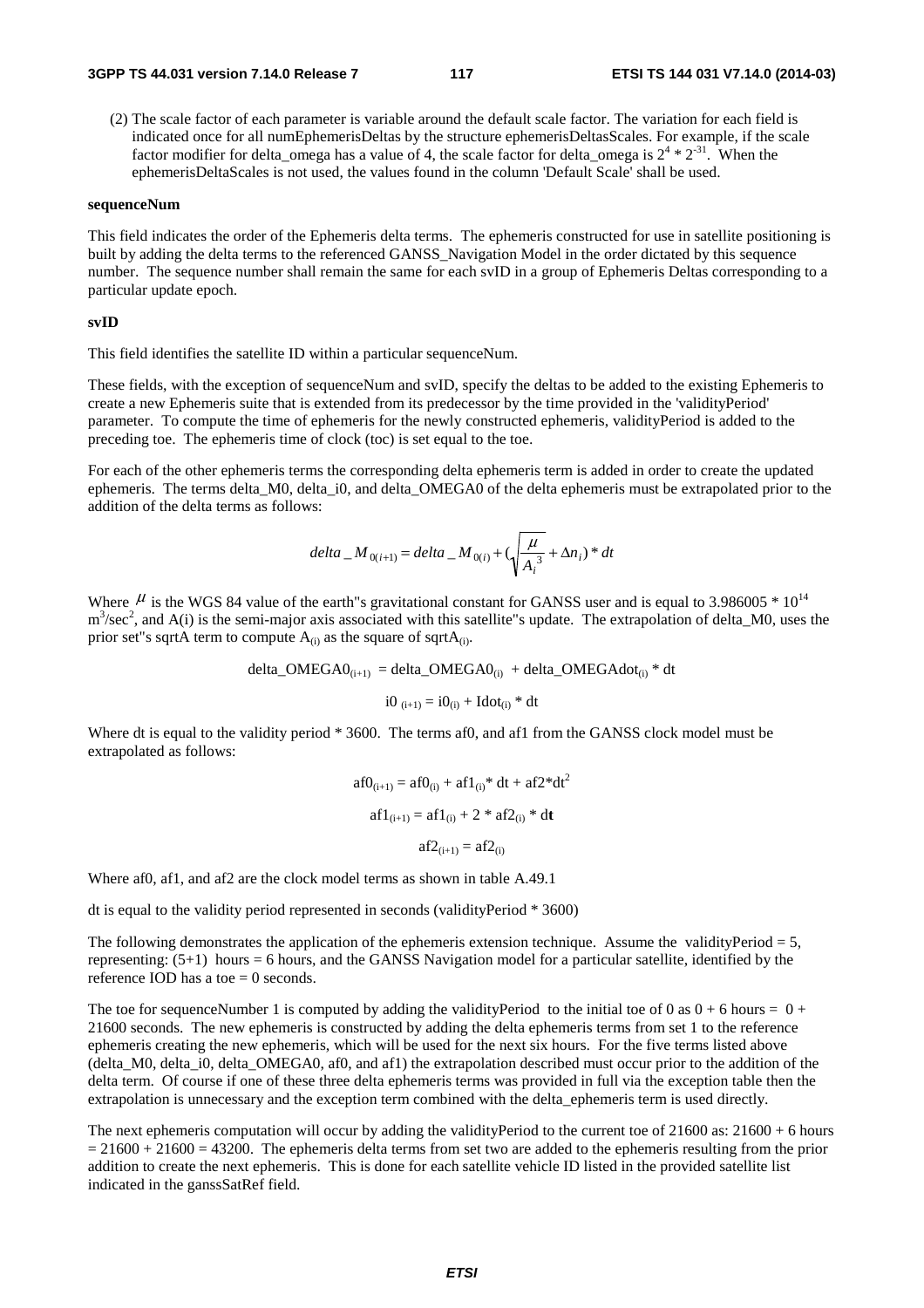(2) The scale factor of each parameter is variable around the default scale factor. The variation for each field is indicated once for all numEphemerisDeltas by the structure ephemerisDeltasScales. For example, if the scale factor modifier for delta\_omega has a value of 4, the scale factor for delta\_omega is  $2^4 * 2^{31}$ . When the ephemerisDeltaScales is not used, the values found in the column 'Default Scale' shall be used.

#### **sequenceNum**

This field indicates the order of the Ephemeris delta terms. The ephemeris constructed for use in satellite positioning is built by adding the delta terms to the referenced GANSS\_Navigation Model in the order dictated by this sequence number. The sequence number shall remain the same for each svID in a group of Ephemeris Deltas corresponding to a particular update epoch.

#### **svID**

This field identifies the satellite ID within a particular sequenceNum.

These fields, with the exception of sequenceNum and svID, specify the deltas to be added to the existing Ephemeris to create a new Ephemeris suite that is extended from its predecessor by the time provided in the 'validityPeriod' parameter. To compute the time of ephemeris for the newly constructed ephemeris, validityPeriod is added to the preceding toe. The ephemeris time of clock (toc) is set equal to the toe.

For each of the other ephemeris terms the corresponding delta ephemeris term is added in order to create the updated ephemeris. The terms delta M0, delta i0, and delta OMEGA0 of the delta ephemeris must be extrapolated prior to the addition of the delta terms as follows:

$$
delta_{i} - M_{0(i+1)} = delta_{i} - M_{0(i)} + (\sqrt{\frac{\mu}{A_i^{3}}} + \Delta n_i)^* dt
$$

Where  $\mu$  is the WGS 84 value of the earth"s gravitational constant for GANSS user and is equal to 3.986005  $*10^{14}$  $m<sup>3</sup>/sec<sup>2</sup>$ , and A(i) is the semi-major axis associated with this satellite"s update. The extrapolation of delta\_M0, uses the prior set"s sqrtA term to compute  $A_{(i)}$  as the square of sqrt $A_{(i)}$ .

delta\_OMEGA $0_{(i+1)}$  = delta\_OMEGA $0_{(i)}$  + delta\_OMEGAdot $_{(i)}$  \* dt

$$
i0_{(i+1)} = i0_{(i)} + Idot_{(i)} * dt
$$

Where dt is equal to the validity period \* 3600. The terms af0, and af1 from the GANSS clock model must be extrapolated as follows:

$$
af0_{(i+1)} = af0_{(i)} + af1_{(i)} * dt + af2 * dt2
$$

$$
af1_{(i+1)} = af1_{(i)} + 2 * af2_{(i)} * dt
$$

$$
af2_{(i+1)} = af2_{(i)}
$$

Where af0, af1, and af2 are the clock model terms as shown in table A.49.1

dt is equal to the validity period represented in seconds (validityPeriod \* 3600)

The following demonstrates the application of the ephemeris extension technique. Assume the validityPeriod  $= 5$ , representing: (5+1) hours = 6 hours, and the GANSS Navigation model for a particular satellite, identified by the reference IOD has a toe  $= 0$  seconds.

The toe for sequenceNumber 1 is computed by adding the validityPeriod to the initial toe of 0 as  $0 + 6$  hours =  $0 + 6$ 21600 seconds. The new ephemeris is constructed by adding the delta ephemeris terms from set 1 to the reference ephemeris creating the new ephemeris, which will be used for the next six hours. For the five terms listed above (delta\_M0, delta\_i0, delta\_OMEGA0, af0, and af1) the extrapolation described must occur prior to the addition of the delta term. Of course if one of these three delta ephemeris terms was provided in full via the exception table then the extrapolation is unnecessary and the exception term combined with the delta\_ephemeris term is used directly.

The next ephemeris computation will occur by adding the validityPeriod to the current toe of  $21600$  as:  $21600 + 6$  hours  $= 21600 + 21600 = 43200$ . The ephemeris delta terms from set two are added to the ephemeris resulting from the prior addition to create the next ephemeris. This is done for each satellite vehicle ID listed in the provided satellite list indicated in the ganssSatRef field.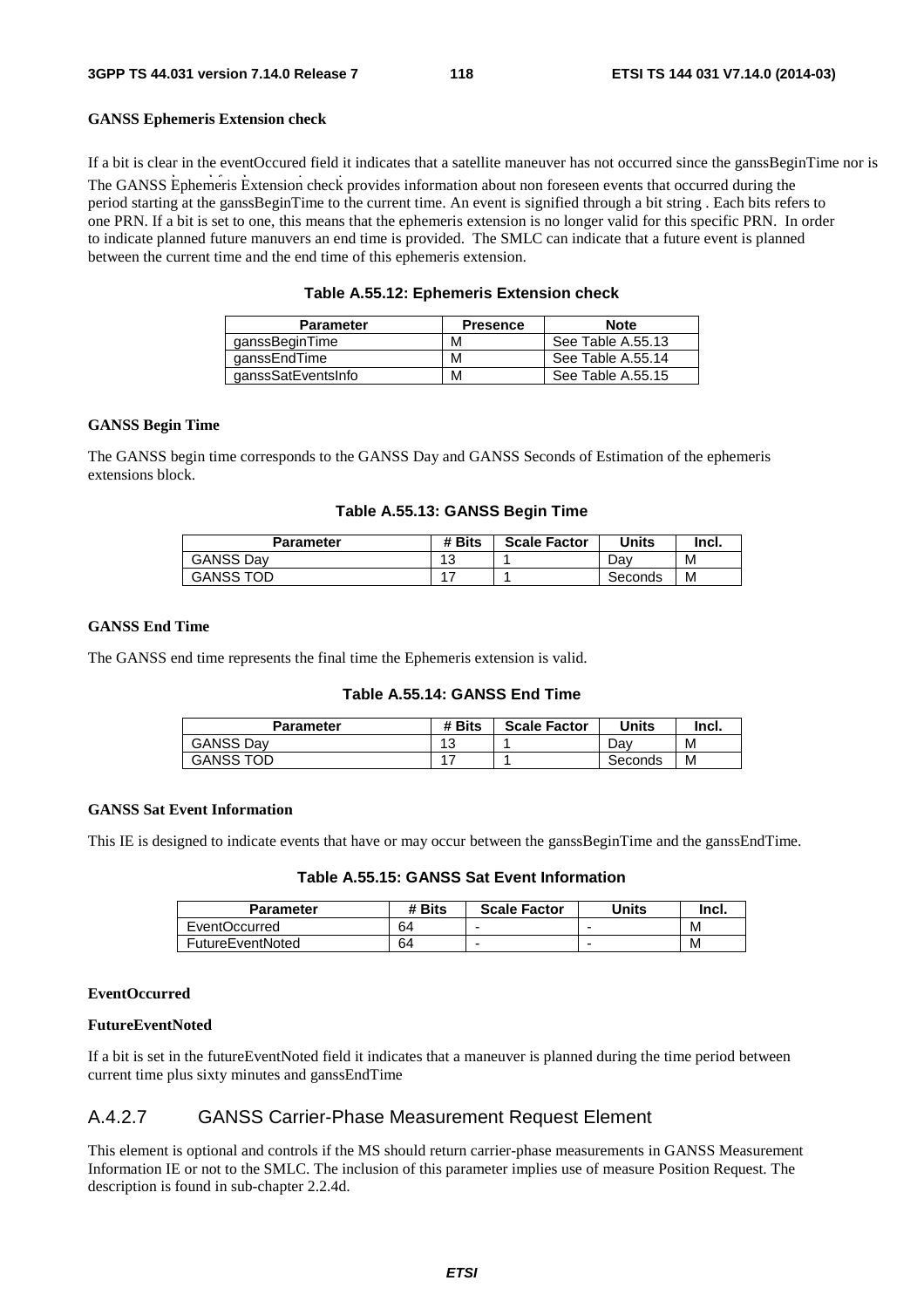#### **GANSS Ephemeris Extension check**

The GANSS Ephemeris Extension check provides information about non foreseen events that occurred during the period starting at the ganssBeginTime to the current time. An event is signified through a bit string . Each bits refers to one PRN. If a bit is set to one, this means that the ephemeris extension is no longer valid for this specific PRN. In order to indicate planned future manuvers an end time is provided. The SMLC can indicate that a future event is planned between the current time and the end time of this ephemeris extension. If a bit is clear in the eventOccured field it indicates that a satellite maneuver has not occurred since the ganssBeginTime nor is

|  |  | Table A.55.12: Ephemeris Extension check |
|--|--|------------------------------------------|
|--|--|------------------------------------------|

| <b>Parameter</b>   | <b>Presence</b> | <b>Note</b>       |
|--------------------|-----------------|-------------------|
| qanssBeginTime     | М               | See Table A.55.13 |
| ganssEndTime       | М               | See Table A.55.14 |
| ganssSatEventsInfo | M               | See Table A.55.15 |

#### **GANSS Begin Time**

The GANSS begin time corresponds to the GANSS Day and GANSS Seconds of Estimation of the ephemeris extensions block.

| Parameter        | # Bits        | <b>Scale Factor</b> | Units   | Incl. |
|------------------|---------------|---------------------|---------|-------|
| <b>GANSS Dav</b> | $\Delta$<br>J |                     | Dav     | М     |
| <b>GANSS TOD</b> |               |                     | Seconds | М     |

#### **GANSS End Time**

The GANSS end time represents the final time the Ephemeris extension is valid.

#### **Table A.55.14: GANSS End Time**

| Parameter        | # Bits          | <b>Scale Factor</b> | Units   | Incl. |
|------------------|-----------------|---------------------|---------|-------|
| <b>GANSS Dav</b> | $\sqrt{2}$<br>◡ |                     | Dav     | М     |
| <b>GANSS TOD</b> |                 |                     | Seconds | М     |

#### **GANSS Sat Event Information**

This IE is designed to indicate events that have or may occur between the ganssBeginTime and the ganssEndTime.

**Table A.55.15: GANSS Sat Event Information** 

| <b>Parameter</b>        | # Bits | <b>Scale Factor</b> | Units | Incl. |
|-------------------------|--------|---------------------|-------|-------|
| EventOccurred           | 64     | -                   |       | М     |
| <b>FutureEventNoted</b> | 64     | -                   |       | м     |

#### **EventOccurred**

#### **FutureEventNoted**

If a bit is set in the futureEventNoted field it indicates that a maneuver is planned during the time period between current time plus sixty minutes and ganssEndTime

### A.4.2.7 GANSS Carrier-Phase Measurement Request Element

This element is optional and controls if the MS should return carrier-phase measurements in GANSS Measurement Information IE or not to the SMLC. The inclusion of this parameter implies use of measure Position Request. The description is found in sub-chapter 2.2.4d.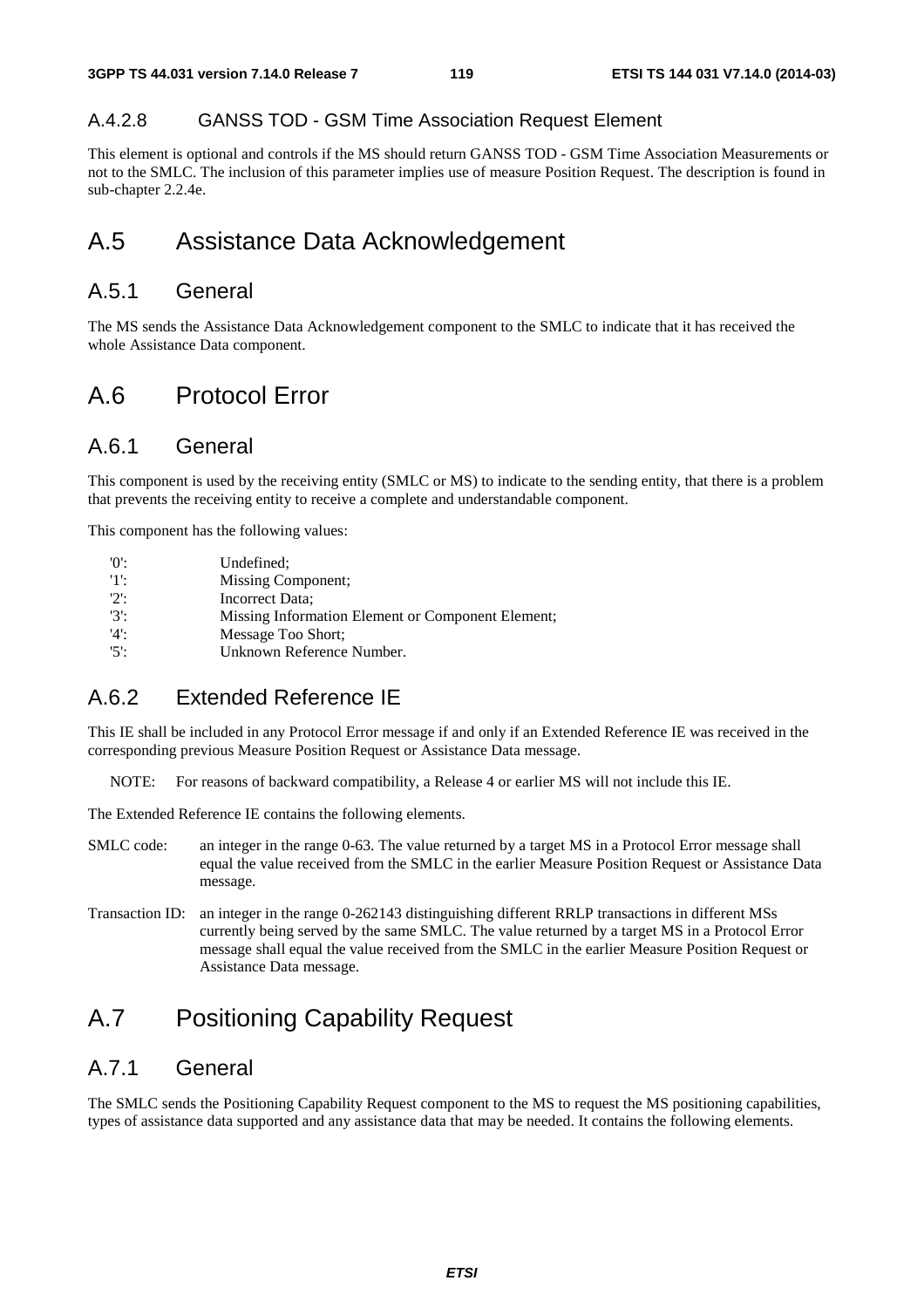### A.4.2.8 GANSS TOD - GSM Time Association Request Element

This element is optional and controls if the MS should return GANSS TOD - GSM Time Association Measurements or not to the SMLC. The inclusion of this parameter implies use of measure Position Request. The description is found in sub-chapter 2.2.4e.

## A.5 Assistance Data Acknowledgement

## A.5.1 General

The MS sends the Assistance Data Acknowledgement component to the SMLC to indicate that it has received the whole Assistance Data component.

## A.6 Protocol Error

## A.6.1 General

This component is used by the receiving entity (SMLC or MS) to indicate to the sending entity, that there is a problem that prevents the receiving entity to receive a complete and understandable component.

This component has the following values:

| '0':    | Undefined:                                        |
|---------|---------------------------------------------------|
| 11:     | Missing Component;                                |
| $'2$ :  | Incorrect Data;                                   |
| $'3'$ : | Missing Information Element or Component Element; |
| '4      | Message Too Short:                                |
| $'5$ :  | Unknown Reference Number.                         |

## A.6.2 Extended Reference IE

This IE shall be included in any Protocol Error message if and only if an Extended Reference IE was received in the corresponding previous Measure Position Request or Assistance Data message.

NOTE: For reasons of backward compatibility, a Release 4 or earlier MS will not include this IE.

The Extended Reference IE contains the following elements.

- SMLC code: an integer in the range 0-63. The value returned by a target MS in a Protocol Error message shall equal the value received from the SMLC in the earlier Measure Position Request or Assistance Data message.
- Transaction ID: an integer in the range 0-262143 distinguishing different RRLP transactions in different MSs currently being served by the same SMLC. The value returned by a target MS in a Protocol Error message shall equal the value received from the SMLC in the earlier Measure Position Request or Assistance Data message.

## A.7 Positioning Capability Request

## A.7.1 General

The SMLC sends the Positioning Capability Request component to the MS to request the MS positioning capabilities, types of assistance data supported and any assistance data that may be needed. It contains the following elements.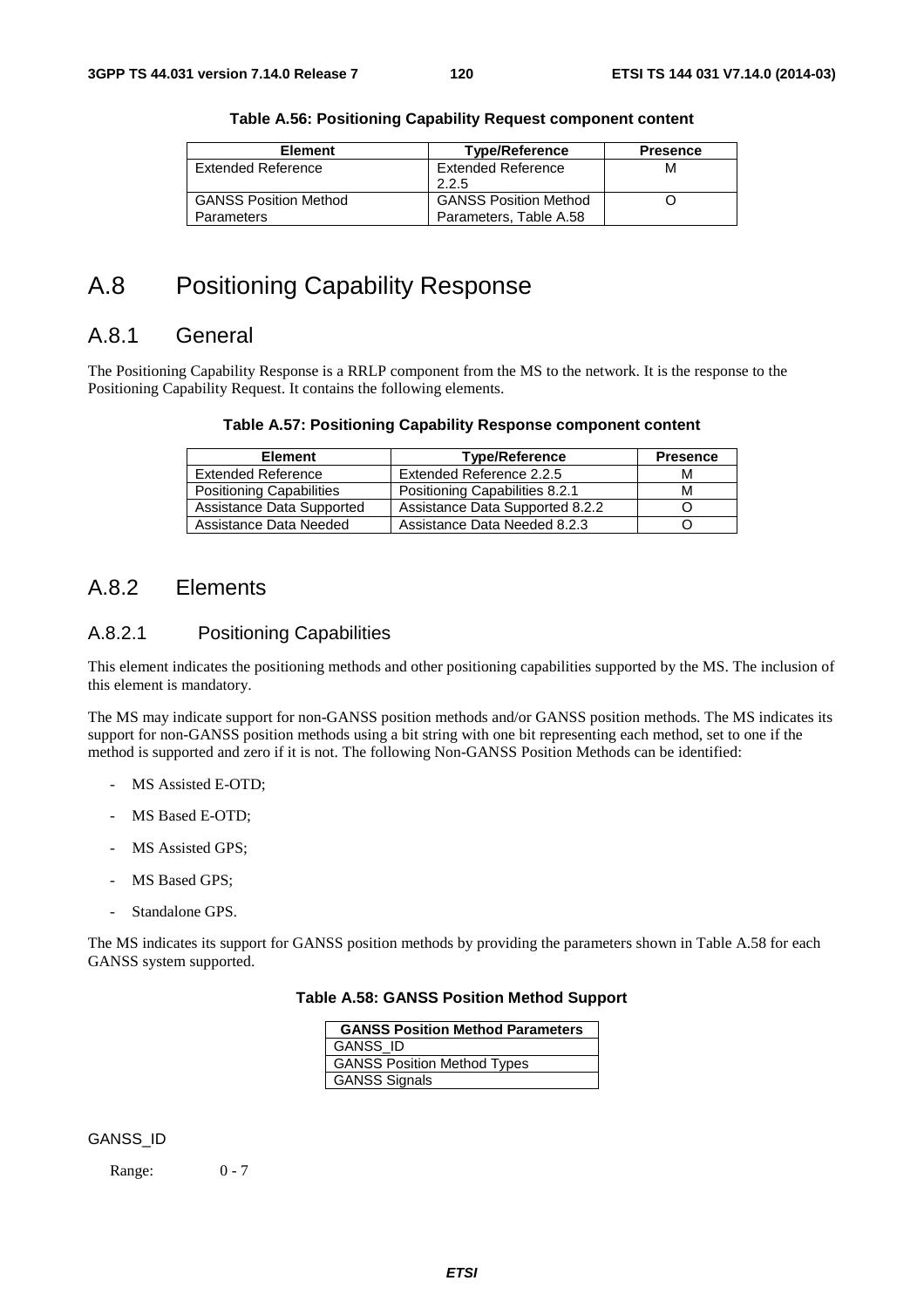| Element                      | <b>Type/Reference</b>        | <b>Presence</b> |
|------------------------------|------------------------------|-----------------|
| Extended Reference           | <b>Extended Reference</b>    | м               |
|                              | 2.2.5                        |                 |
| <b>GANSS Position Method</b> | <b>GANSS Position Method</b> |                 |
| <b>Parameters</b>            | Parameters, Table A.58       |                 |

#### **Table A.56: Positioning Capability Request component content**

## A.8 Positioning Capability Response

## A.8.1 General

The Positioning Capability Response is a RRLP component from the MS to the network. It is the response to the Positioning Capability Request. It contains the following elements.

#### **Table A.57: Positioning Capability Response component content**

| <b>Element</b>                  | <b>Type/Reference</b>           | <b>Presence</b> |
|---------------------------------|---------------------------------|-----------------|
| <b>Extended Reference</b>       | Extended Reference 2.2.5        | М               |
| <b>Positioning Capabilities</b> | Positioning Capabilities 8.2.1  | М               |
| Assistance Data Supported       | Assistance Data Supported 8.2.2 |                 |
| Assistance Data Needed          | Assistance Data Needed 8.2.3    |                 |

## A.8.2 Elements

### A.8.2.1 Positioning Capabilities

This element indicates the positioning methods and other positioning capabilities supported by the MS. The inclusion of this element is mandatory.

The MS may indicate support for non-GANSS position methods and/or GANSS position methods. The MS indicates its support for non-GANSS position methods using a bit string with one bit representing each method, set to one if the method is supported and zero if it is not. The following Non-GANSS Position Methods can be identified:

- MS Assisted E-OTD;
- MS Based E-OTD:
- MS Assisted GPS;
- MS Based GPS;
- Standalone GPS.

The MS indicates its support for GANSS position methods by providing the parameters shown in Table A.58 for each GANSS system supported.

#### **Table A.58: GANSS Position Method Support**

| <b>GANSS Position Method Parameters</b> |
|-----------------------------------------|
| <b>GANSS ID</b>                         |
| <b>GANSS Position Method Types</b>      |
| <b>GANSS Signals</b>                    |

#### GANSS\_ID

Range: 0 - 7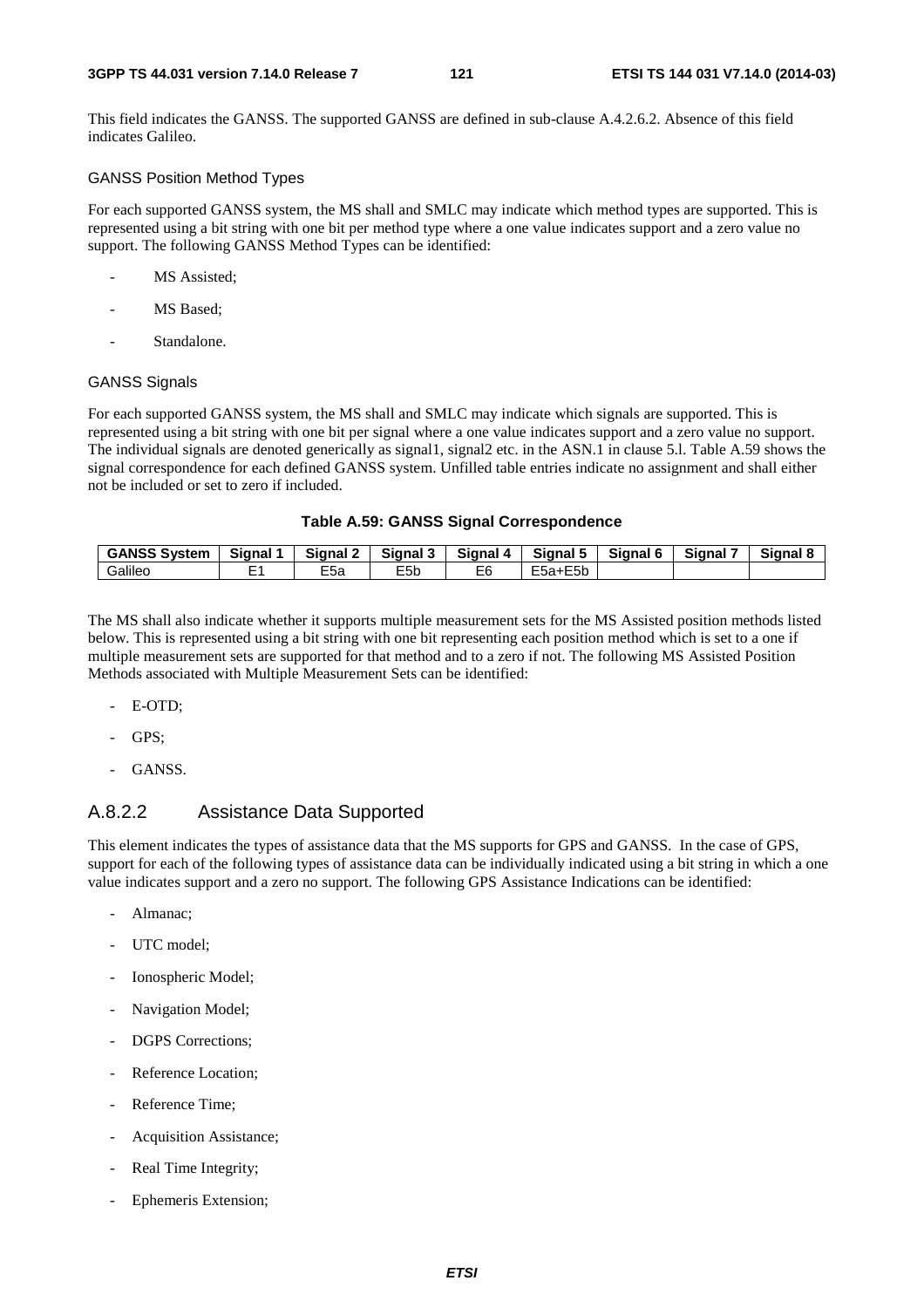This field indicates the GANSS. The supported GANSS are defined in sub-clause A.4.2.6.2. Absence of this field indicates Galileo.

## GANSS Position Method Types

For each supported GANSS system, the MS shall and SMLC may indicate which method types are supported. This is represented using a bit string with one bit per method type where a one value indicates support and a zero value no support. The following GANSS Method Types can be identified:

- MS Assisted;
- MS Based;
- Standalone.

#### GANSS Signals

For each supported GANSS system, the MS shall and SMLC may indicate which signals are supported. This is represented using a bit string with one bit per signal where a one value indicates support and a zero value no support. The individual signals are denoted generically as signal1, signal2 etc. in the ASN.1 in clause 5.l. Table A.59 shows the signal correspondence for each defined GANSS system. Unfilled table entries indicate no assignment and shall either not be included or set to zero if included.

#### **Table A.59: GANSS Signal Correspondence**

| <b>GANSS System</b> | <b>Signal</b> | <b>Signal</b><br>$\overline{\phantom{a}}$ | $\overline{\phantom{a}}$<br><b>Signal</b><br>w | <b>Signal</b> | Signal 5                 | Signal 6 | <b>Signal</b> | Signal & |
|---------------------|---------------|-------------------------------------------|------------------------------------------------|---------------|--------------------------|----------|---------------|----------|
| .<br>Galilec        |               | E <sub>5a</sub>                           | ---<br>E5b                                     | E6            | $- -$<br>$ -$<br>⊢ba+E5b |          |               |          |

The MS shall also indicate whether it supports multiple measurement sets for the MS Assisted position methods listed below. This is represented using a bit string with one bit representing each position method which is set to a one if multiple measurement sets are supported for that method and to a zero if not. The following MS Assisted Position Methods associated with Multiple Measurement Sets can be identified:

- E-OTD;
- GPS:
- GANSS.

## A.8.2.2 Assistance Data Supported

This element indicates the types of assistance data that the MS supports for GPS and GANSS. In the case of GPS, support for each of the following types of assistance data can be individually indicated using a bit string in which a one value indicates support and a zero no support. The following GPS Assistance Indications can be identified:

- Almanac;
- UTC model;
- Ionospheric Model;
- Navigation Model;
- DGPS Corrections;
- Reference Location;
- Reference Time;
- Acquisition Assistance;
- Real Time Integrity;
- Ephemeris Extension;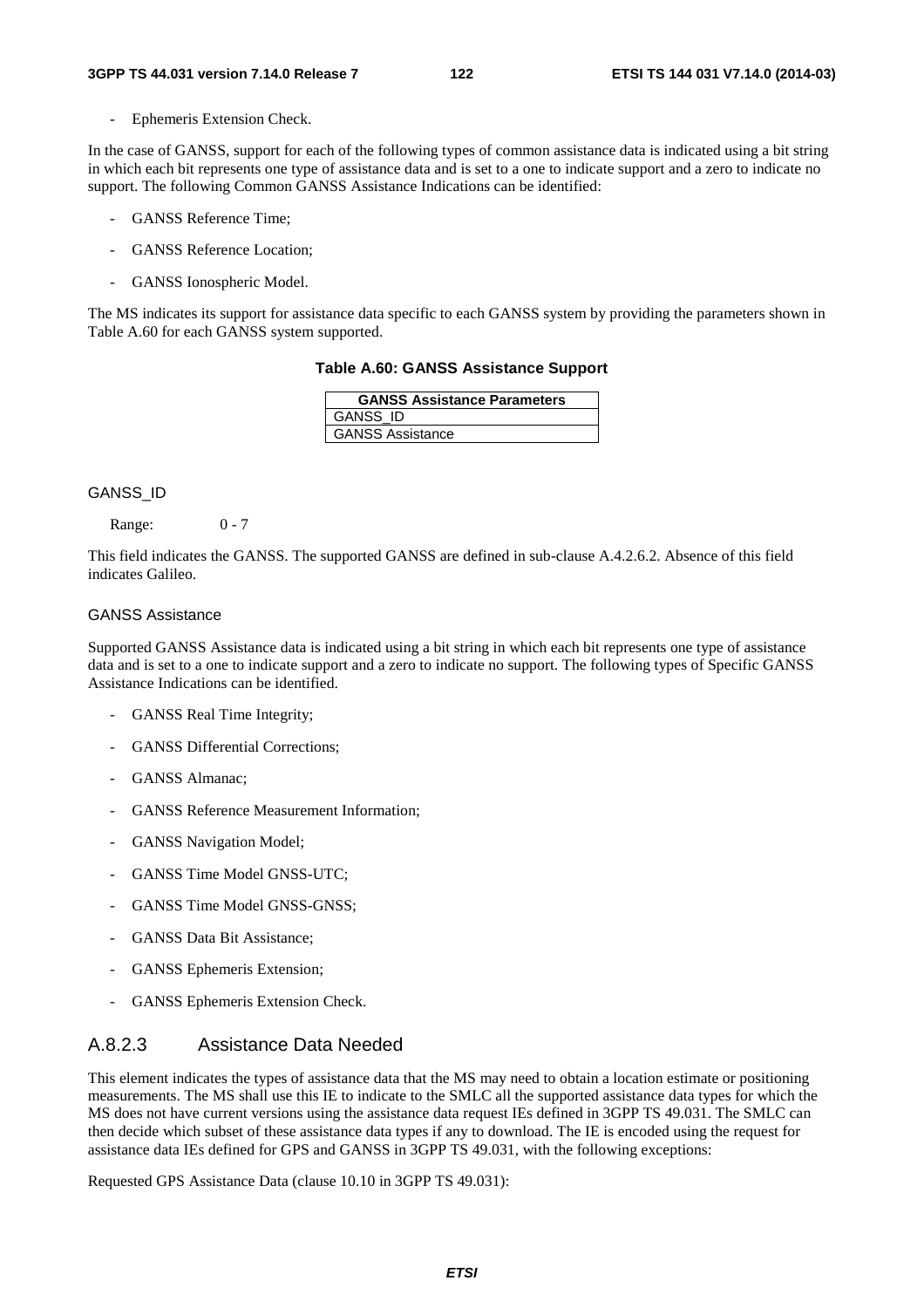Ephemeris Extension Check.

In the case of GANSS, support for each of the following types of common assistance data is indicated using a bit string in which each bit represents one type of assistance data and is set to a one to indicate support and a zero to indicate no support. The following Common GANSS Assistance Indications can be identified:

- GANSS Reference Time;
- GANSS Reference Location;
- GANSS Ionospheric Model.

The MS indicates its support for assistance data specific to each GANSS system by providing the parameters shown in Table A.60 for each GANSS system supported.

|  | Table A.60: GANSS Assistance Support |
|--|--------------------------------------|
|--|--------------------------------------|

| <b>GANSS Assistance Parameters</b> |
|------------------------------------|
| <b>GANSS ID</b>                    |
| <b>GANSS Assistance</b>            |

#### GANSS\_ID

Range: 0 - 7

This field indicates the GANSS. The supported GANSS are defined in sub-clause A.4.2.6.2. Absence of this field indicates Galileo.

#### GANSS Assistance

Supported GANSS Assistance data is indicated using a bit string in which each bit represents one type of assistance data and is set to a one to indicate support and a zero to indicate no support. The following types of Specific GANSS Assistance Indications can be identified.

- GANSS Real Time Integrity;
- GANSS Differential Corrections:
- GANSS Almanac;
- GANSS Reference Measurement Information;
- GANSS Navigation Model;
- GANSS Time Model GNSS-UTC;
- GANSS Time Model GNSS-GNSS;
- GANSS Data Bit Assistance:
- GANSS Ephemeris Extension;
- GANSS Ephemeris Extension Check.

## A.8.2.3 Assistance Data Needed

This element indicates the types of assistance data that the MS may need to obtain a location estimate or positioning measurements. The MS shall use this IE to indicate to the SMLC all the supported assistance data types for which the MS does not have current versions using the assistance data request IEs defined in 3GPP TS 49.031. The SMLC can then decide which subset of these assistance data types if any to download. The IE is encoded using the request for assistance data IEs defined for GPS and GANSS in 3GPP TS 49.031, with the following exceptions:

Requested GPS Assistance Data (clause 10.10 in 3GPP TS 49.031):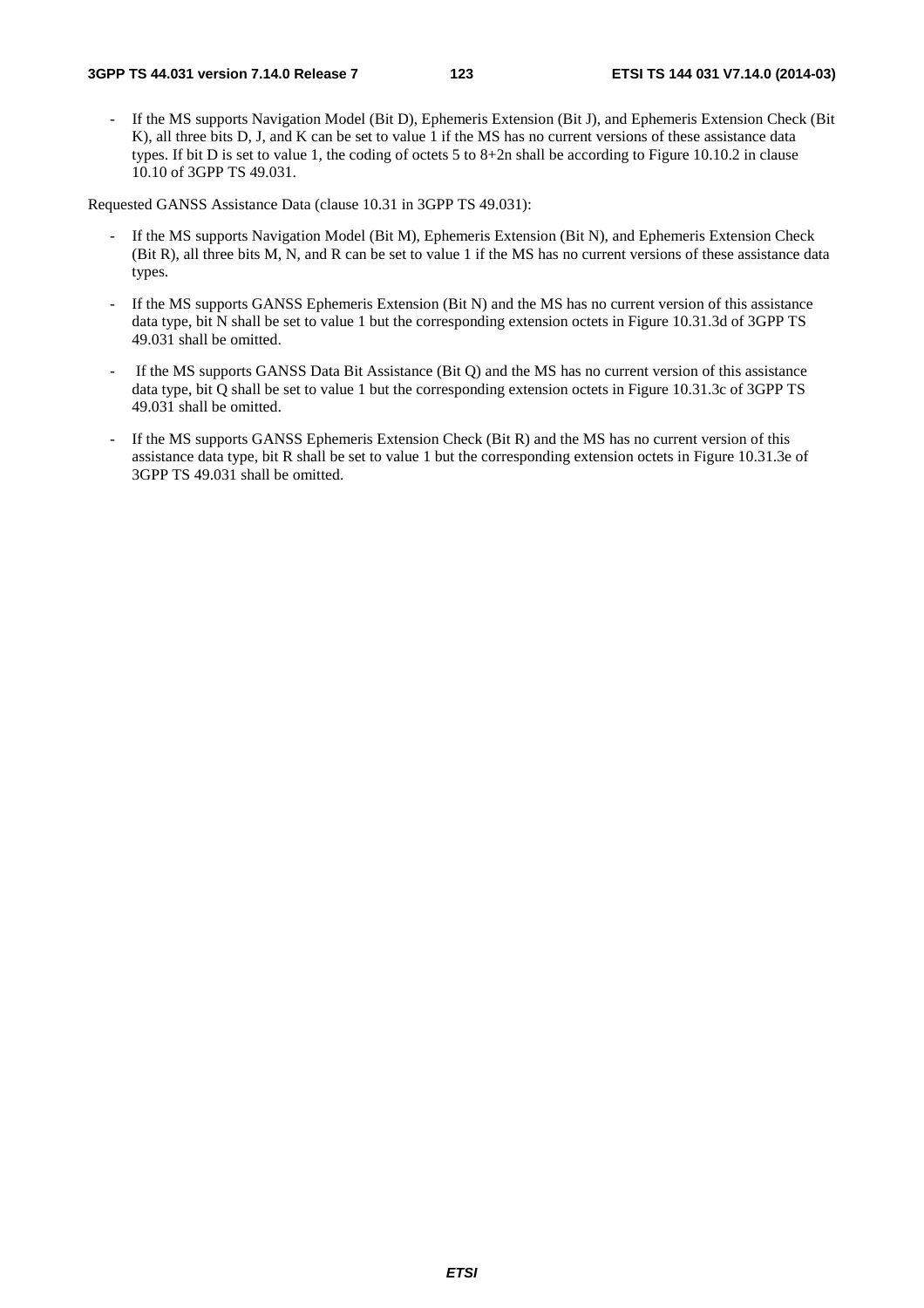If the MS supports Navigation Model (Bit D), Ephemeris Extension (Bit J), and Ephemeris Extension Check (Bit K), all three bits D, J, and K can be set to value 1 if the MS has no current versions of these assistance data types. If bit D is set to value 1, the coding of octets 5 to 8+2n shall be according to Figure 10.10.2 in clause 10.10 of 3GPP TS 49.031.

Requested GANSS Assistance Data (clause 10.31 in 3GPP TS 49.031):

- If the MS supports Navigation Model (Bit M), Ephemeris Extension (Bit N), and Ephemeris Extension Check (Bit R), all three bits M, N, and R can be set to value 1 if the MS has no current versions of these assistance data types.
- If the MS supports GANSS Ephemeris Extension (Bit N) and the MS has no current version of this assistance data type, bit N shall be set to value 1 but the corresponding extension octets in Figure 10.31.3d of 3GPP TS 49.031 shall be omitted.
- If the MS supports GANSS Data Bit Assistance (Bit Q) and the MS has no current version of this assistance data type, bit Q shall be set to value 1 but the corresponding extension octets in Figure 10.31.3c of 3GPP TS 49.031 shall be omitted.
- If the MS supports GANSS Ephemeris Extension Check (Bit R) and the MS has no current version of this assistance data type, bit R shall be set to value 1 but the corresponding extension octets in Figure 10.31.3e of 3GPP TS 49.031 shall be omitted.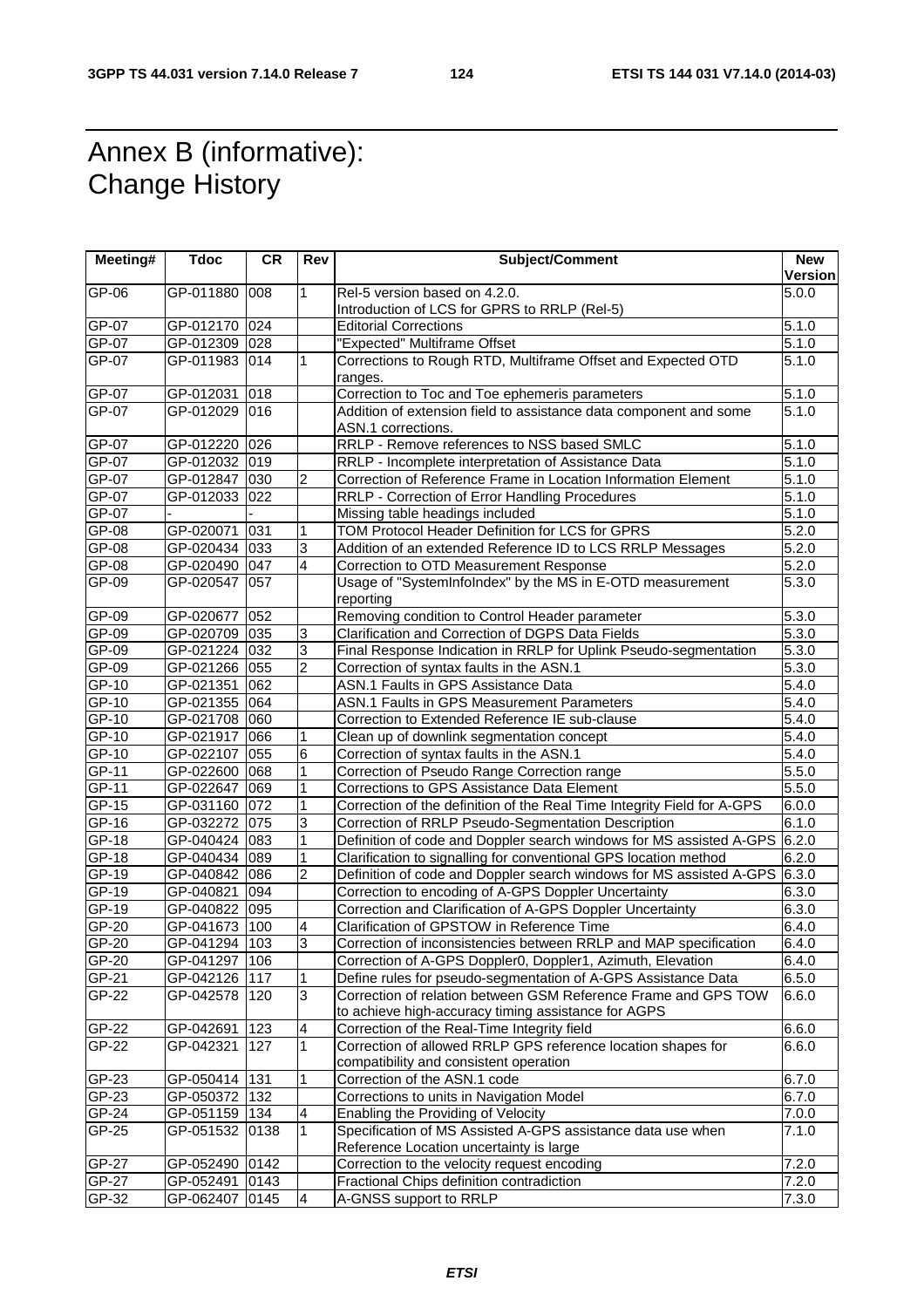## Annex B (informative): **Change History**

| Meeting#     | <b>Tdoc</b>     | <b>CR</b> | Rev            | Subject/Comment                                                                                                       | <b>New</b><br><b>Version</b> |
|--------------|-----------------|-----------|----------------|-----------------------------------------------------------------------------------------------------------------------|------------------------------|
| GP-06        | GP-011880       | 008       | 1              | Rel-5 version based on 4.2.0.<br>Introduction of LCS for GPRS to RRLP (Rel-5)                                         | 5.0.0                        |
| GP-07        | GP-012170       | 024       |                | <b>Editorial Corrections</b>                                                                                          | 5.1.0                        |
| <b>GP-07</b> | GP-012309 028   |           |                | "Expected" Multiframe Offset                                                                                          | 5.1.0                        |
| GP-07        | GP-011983 014   |           | $\mathbf{1}$   | Corrections to Rough RTD, Multiframe Offset and Expected OTD<br>ranges.                                               | 5.1.0                        |
| GP-07        | GP-012031       | 018       |                | Correction to Toc and Toe ephemeris parameters                                                                        | 5.1.0                        |
| GP-07        | GP-012029 016   |           |                | Addition of extension field to assistance data component and some<br>ASN.1 corrections.                               | 5.1.0                        |
| GP-07        | GP-012220 026   |           |                | RRLP - Remove references to NSS based SMLC                                                                            | 5.1.0                        |
| $GP-07$      | GP-012032 019   |           |                | RRLP - Incomplete interpretation of Assistance Data                                                                   | 5.1.0                        |
| $GP-07$      | GP-012847       | 030       | 2              | Correction of Reference Frame in Location Information Element                                                         | 5.1.0                        |
| GP-07        | GP-012033 022   |           |                | RRLP - Correction of Error Handling Procedures                                                                        | $\overline{5}.1.0$           |
| GP-07        |                 |           |                | Missing table headings included                                                                                       | 5.1.0                        |
| GP-08        | GP-020071       | 031       | 1              | TOM Protocol Header Definition for LCS for GPRS                                                                       | $\overline{5.2.0}$           |
| GP-08        | GP-020434 033   |           | 3              | Addition of an extended Reference ID to LCS RRLP Messages                                                             | 5.2.0                        |
| GP-08        | GP-020490 047   |           | 4              | Correction to OTD Measurement Response                                                                                | 5.2.0                        |
| GP-09        | GP-020547       | 057       |                | Usage of "SystemInfoIndex" by the MS in E-OTD measurement<br>reporting                                                | 5.3.0                        |
| GP-09        | GP-020677       | 052       |                | Removing condition to Control Header parameter                                                                        | 5.3.0                        |
| GP-09        | GP-020709 035   |           | 3              | Clarification and Correction of DGPS Data Fields                                                                      | 5.3.0                        |
| $GP-09$      | GP-021224 032   |           | 3              | Final Response Indication in RRLP for Uplink Pseudo-segmentation                                                      | 5.3.0                        |
| $GP-09$      | GP-021266 055   |           | $\overline{2}$ | Correction of syntax faults in the ASN.1                                                                              | 5.3.0                        |
| GP-10        | GP-021351       | 062       |                | ASN.1 Faults in GPS Assistance Data                                                                                   | 5.4.0                        |
| GP-10        | GP-021355 064   |           |                | ASN.1 Faults in GPS Measurement Parameters                                                                            | 5.4.0                        |
| GP-10        | GP-021708 060   |           |                | Correction to Extended Reference IE sub-clause                                                                        | 5.4.0                        |
| GP-10        | GP-021917 066   |           | 1              | Clean up of downlink segmentation concept                                                                             | 5.4.0                        |
| GP-10        | GP-022107       | 055       | 6              | Correction of syntax faults in the ASN.1                                                                              | $\overline{5.4.0}$           |
| GP-11        | GP-022600 068   |           | 1              | Correction of Pseudo Range Correction range                                                                           | 5.5.0                        |
| $GP-11$      | GP-022647 069   |           | 1              | Corrections to GPS Assistance Data Element                                                                            | 5.5.0                        |
| GP-15        | GP-031160 072   |           | 1              | Correction of the definition of the Real Time Integrity Field for A-GPS                                               | 6.0.0                        |
| GP-16        | GP-032272 075   |           | 3              | Correction of RRLP Pseudo-Segmentation Description                                                                    | 6.1.0                        |
| GP-18        | GP-040424 083   |           | 1              | Definition of code and Doppler search windows for MS assisted A-GPS 6.2.0                                             |                              |
| GP-18        | GP-040434 089   |           | 1              | Clarification to signalling for conventional GPS location method                                                      | 6.2.0                        |
| GP-19        | GP-040842 086   |           | $\overline{c}$ | Definition of code and Doppler search windows for MS assisted A-GPS 6.3.0                                             |                              |
| $GP-19$      | GP-040821       | 094       |                | Correction to encoding of A-GPS Doppler Uncertainty                                                                   | 6.3.0                        |
| GP-19        | GP-040822 095   |           |                | Correction and Clarification of A-GPS Doppler Uncertainty                                                             | 6.3.0                        |
| GP-20        | GP-041673 100   |           | 4              | Clarification of GPSTOW in Reference Time                                                                             | 6.4.0                        |
| $GP-20$      | GP-041294 103   |           | $\overline{3}$ | Correction of inconsistencies between RRLP and MAP specification                                                      | 6.4.0                        |
| GP-20        | GP-041297 106   |           |                | Correction of A-GPS Doppler0, Doppler1, Azimuth, Elevation                                                            | 6.4.0                        |
| GP-21        | GP-042126 117   |           | 1              | Define rules for pseudo-segmentation of A-GPS Assistance Data                                                         | 6.5.0                        |
| GP-22        | GP-042578 120   |           | 3              | Correction of relation between GSM Reference Frame and GPS TOW<br>to achieve high-accuracy timing assistance for AGPS | 6.6.0                        |
| GP-22        | GP-042691       | 123       | 4              | Correction of the Real-Time Integrity field                                                                           | 6.6.0                        |
| GP-22        | GP-042321 127   |           | $\overline{1}$ | Correction of allowed RRLP GPS reference location shapes for<br>compatibility and consistent operation                | 6.6.0                        |
| GP-23        | GP-050414 131   |           | 1              | Correction of the ASN.1 code                                                                                          | 6.7.0                        |
| GP-23        | GP-050372   132 |           |                | Corrections to units in Navigation Model                                                                              | 6.7.0                        |
| GP-24        | GP-051159 134   |           | 4              | Enabling the Providing of Velocity                                                                                    | 7.0.0                        |
| $GP-25$      | GP-051532 0138  |           | 1              | Specification of MS Assisted A-GPS assistance data use when<br>Reference Location uncertainty is large                | 7.1.0                        |
| GP-27        | GP-052490 0142  |           |                | Correction to the velocity request encoding                                                                           | 7.2.0                        |
| GP-27        | GP-052491       | 0143      |                | Fractional Chips definition contradiction                                                                             | 7.2.0                        |
| GP-32        | GP-062407       | 0145      | 4              | A-GNSS support to RRLP                                                                                                | 7.3.0                        |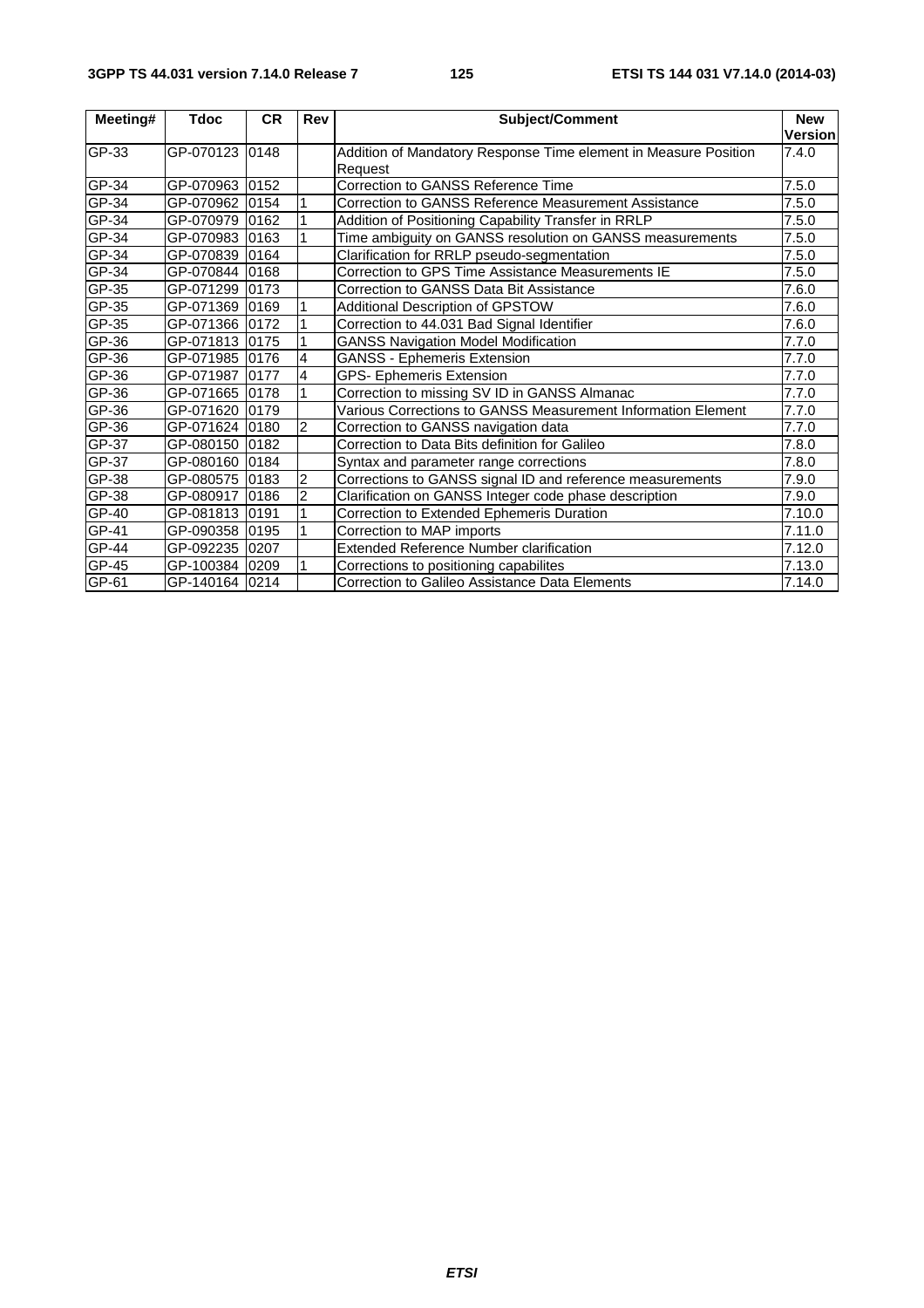| Meeting# | <b>Tdoc</b>     | <b>CR</b> | <b>Rev</b>     | <b>Subject/Comment</b>                                                     | <b>New</b><br><b>Version</b> |
|----------|-----------------|-----------|----------------|----------------------------------------------------------------------------|------------------------------|
| GP-33    | GP-070123 0148  |           |                | Addition of Mandatory Response Time element in Measure Position<br>Request | 7.4.0                        |
| GP-34    | GP-070963 0152  |           |                | Correction to GANSS Reference Time                                         | 7.5.0                        |
| GP-34    | GP-070962 0154  |           |                | Correction to GANSS Reference Measurement Assistance                       | 7.5.0                        |
| GP-34    | GP-070979 0162  |           |                | Addition of Positioning Capability Transfer in RRLP                        | 7.5.0                        |
| GP-34    | GP-070983 0163  |           |                | Time ambiguity on GANSS resolution on GANSS measurements                   | 7.5.0                        |
| GP-34    | GP-070839 0164  |           |                | Clarification for RRLP pseudo-segmentation                                 | 7.5.0                        |
| GP-34    | GP-070844 0168  |           |                | Correction to GPS Time Assistance Measurements IE                          | 7.5.0                        |
| GP-35    | GP-071299 0173  |           |                | Correction to GANSS Data Bit Assistance                                    | 7.6.0                        |
| GP-35    | GP-071369 0169  |           |                | <b>Additional Description of GPSTOW</b>                                    | 7.6.0                        |
| GP-35    | GP-071366 0172  |           | 1              | Correction to 44.031 Bad Signal Identifier                                 | 7.6.0                        |
| GP-36    | GP-071813 0175  |           |                | <b>GANSS Navigation Model Modification</b>                                 | 7.7.0                        |
| GP-36    | GP-071985 0176  |           | 4              | <b>GANSS - Ephemeris Extension</b>                                         | 7.7.0                        |
| GP-36    | GP-071987 0177  |           | 4              | <b>GPS- Ephemeris Extension</b>                                            | 7.7.0                        |
| GP-36    | GP-071665 0178  |           |                | Correction to missing SV ID in GANSS Almanac                               | 7.7.0                        |
| GP-36    | GP-071620 l0179 |           |                | Various Corrections to GANSS Measurement Information Element               | 7.7.0                        |
| GP-36    | GP-071624 0180  |           | $\overline{2}$ | Correction to GANSS navigation data                                        | 7.7.0                        |
| GP-37    | GP-080150 0182  |           |                | Correction to Data Bits definition for Galileo                             | 7.8.0                        |
| $GP-37$  | GP-080160 0184  |           |                | Syntax and parameter range corrections                                     | 7.8.0                        |
| GP-38    | GP-080575 0183  |           | $\overline{2}$ | Corrections to GANSS signal ID and reference measurements                  | 7.9.0                        |
| GP-38    | GP-080917 0186  |           | $\overline{c}$ | Clarification on GANSS Integer code phase description                      | 7.9.0                        |
| GP-40    | GP-081813 0191  |           |                | Correction to Extended Ephemeris Duration                                  | 7.10.0                       |
| GP-41    | GP-090358 0195  |           | 1              | Correction to MAP imports                                                  | 7.11.0                       |
| GP-44    | GP-092235 0207  |           |                | <b>Extended Reference Number clarification</b>                             | 7.12.0                       |
| GP-45    | GP-100384 0209  |           |                | Corrections to positioning capabilites                                     | 7.13.0                       |
| GP-61    | GP-140164 0214  |           |                | Correction to Galileo Assistance Data Elements                             | 7.14.0                       |